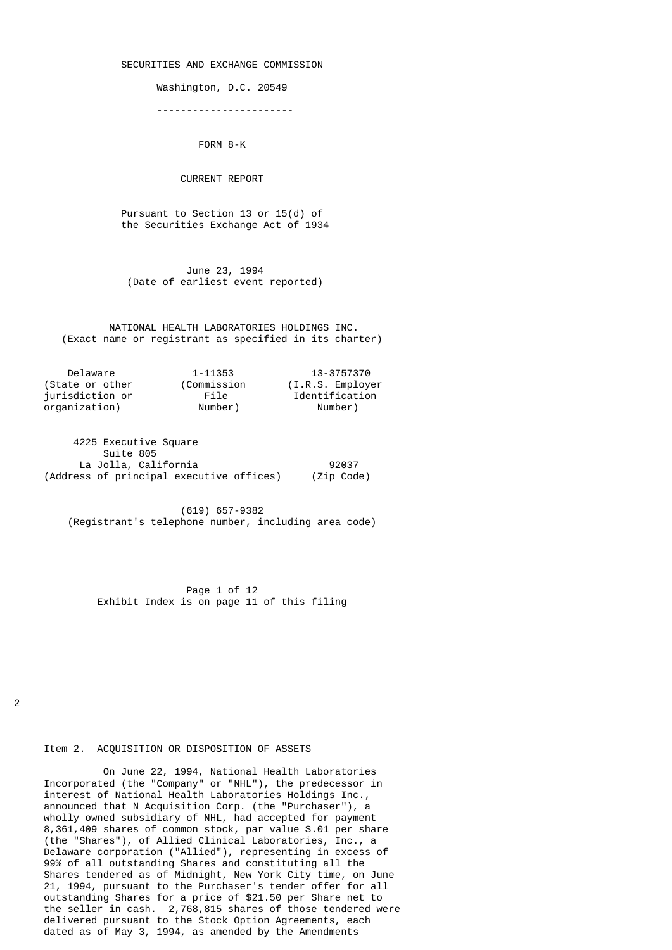#### SECURITIES AND EXCHANGE COMMISSION

Washington, D.C. 20549

-----------------------

FORM 8-K

CURRENT REPORT

 Pursuant to Section 13 or 15(d) of the Securities Exchange Act of 1934

 June 23, 1994 (Date of earliest event reported)

 NATIONAL HEALTH LABORATORIES HOLDINGS INC. (Exact name or registrant as specified in its charter)

| Delaware        | 1-11353     | 13-3757370        |
|-----------------|-------------|-------------------|
| (State or other | (Commission | (I.R.S. Emplover) |
| jurisdiction or | File        | Identification    |
| organization)   | Number)     | Number)           |

 4225 Executive Square Suite 805 La Jolla, California **192037** (Address of principal executive offices) (Zip Code)

 (619) 657-9382 (Registrant's telephone number, including area code)

 Page 1 of 12 Exhibit Index is on page 11 of this filing

 $\mathfrak{p}$ 

#### Item 2. ACQUISITION OR DISPOSITION OF ASSETS

 On June 22, 1994, National Health Laboratories Incorporated (the "Company" or "NHL"), the predecessor in interest of National Health Laboratories Holdings Inc., announced that N Acquisition Corp. (the "Purchaser"), a wholly owned subsidiary of NHL, had accepted for payment 8,361,409 shares of common stock, par value \$.01 per share (the "Shares"), of Allied Clinical Laboratories, Inc., a Delaware corporation ("Allied"), representing in excess of 99% of all outstanding Shares and constituting all the Shares tendered as of Midnight, New York City time, on June 21, 1994, pursuant to the Purchaser's tender offer for all outstanding Shares for a price of \$21.50 per Share net to the seller in cash. 2,768,815 shares of those tendered were delivered pursuant to the Stock Option Agreements, each dated as of May 3, 1994, as amended by the Amendments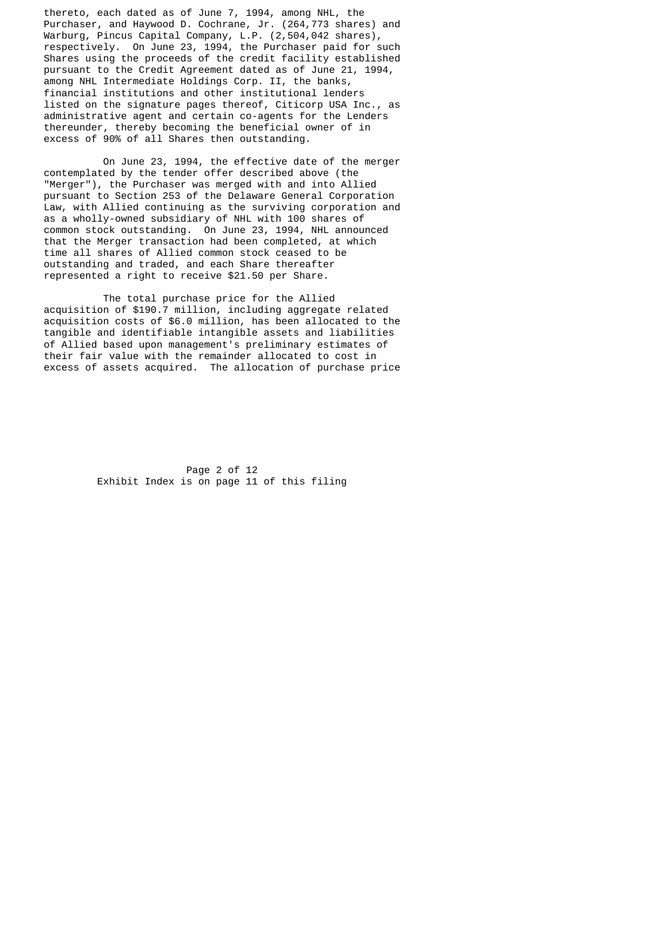thereto, each dated as of June 7, 1994, among NHL, the Purchaser, and Haywood D. Cochrane, Jr. (264,773 shares) and Warburg, Pincus Capital Company, L.P. (2,504,042 shares), respectively. On June 23, 1994, the Purchaser paid for such Shares using the proceeds of the credit facility established pursuant to the Credit Agreement dated as of June 21, 1994, among NHL Intermediate Holdings Corp. II, the banks, financial institutions and other institutional lenders listed on the signature pages thereof, Citicorp USA Inc., as administrative agent and certain co-agents for the Lenders thereunder, thereby becoming the beneficial owner of in excess of 90% of all Shares then outstanding.

 On June 23, 1994, the effective date of the merger contemplated by the tender offer described above (the "Merger"), the Purchaser was merged with and into Allied pursuant to Section 253 of the Delaware General Corporation Law, with Allied continuing as the surviving corporation and as a wholly-owned subsidiary of NHL with 100 shares of common stock outstanding. On June 23, 1994, NHL announced that the Merger transaction had been completed, at which time all shares of Allied common stock ceased to be outstanding and traded, and each Share thereafter represented a right to receive \$21.50 per Share.

 The total purchase price for the Allied acquisition of \$190.7 million, including aggregate related acquisition costs of \$6.0 million, has been allocated to the tangible and identifiable intangible assets and liabilities of Allied based upon management's preliminary estimates of their fair value with the remainder allocated to cost in excess of assets acquired. The allocation of purchase price

> Page 2 of 12 Exhibit Index is on page 11 of this filing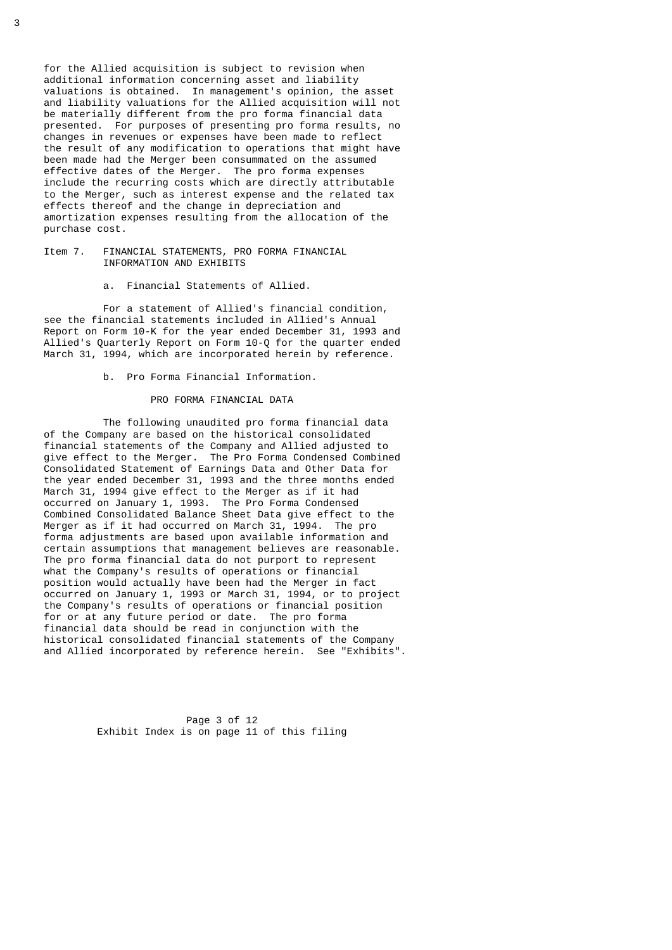for the Allied acquisition is subject to revision when additional information concerning asset and liability valuations is obtained. In management's opinion, the asset and liability valuations for the Allied acquisition will not be materially different from the pro forma financial data presented. For purposes of presenting pro forma results, no changes in revenues or expenses have been made to reflect the result of any modification to operations that might have been made had the Merger been consummated on the assumed effective dates of the Merger. The pro forma expenses include the recurring costs which are directly attributable to the Merger, such as interest expense and the related tax effects thereof and the change in depreciation and amortization expenses resulting from the allocation of the purchase cost.

#### Item 7. FINANCIAL STATEMENTS, PRO FORMA FINANCIAL INFORMATION AND EXHIBITS

a. Financial Statements of Allied.

 For a statement of Allied's financial condition, see the financial statements included in Allied's Annual Report on Form 10-K for the year ended December 31, 1993 and Allied's Quarterly Report on Form 10-Q for the quarter ended March 31, 1994, which are incorporated herein by reference.

b. Pro Forma Financial Information.

#### PRO FORMA FINANCIAL DATA

 The following unaudited pro forma financial data of the Company are based on the historical consolidated financial statements of the Company and Allied adjusted to give effect to the Merger. The Pro Forma Condensed Combined Consolidated Statement of Earnings Data and Other Data for the year ended December 31, 1993 and the three months ended March 31, 1994 give effect to the Merger as if it had occurred on January 1, 1993. The Pro Forma Condensed Combined Consolidated Balance Sheet Data give effect to the Merger as if it had occurred on March 31, 1994. The pro forma adjustments are based upon available information and certain assumptions that management believes are reasonable. The pro forma financial data do not purport to represent what the Company's results of operations or financial position would actually have been had the Merger in fact occurred on January 1, 1993 or March 31, 1994, or to project the Company's results of operations or financial position for or at any future period or date. The pro forma financial data should be read in conjunction with the historical consolidated financial statements of the Company and Allied incorporated by reference herein. See "Exhibits".

> Page 3 of 12 Exhibit Index is on page 11 of this filing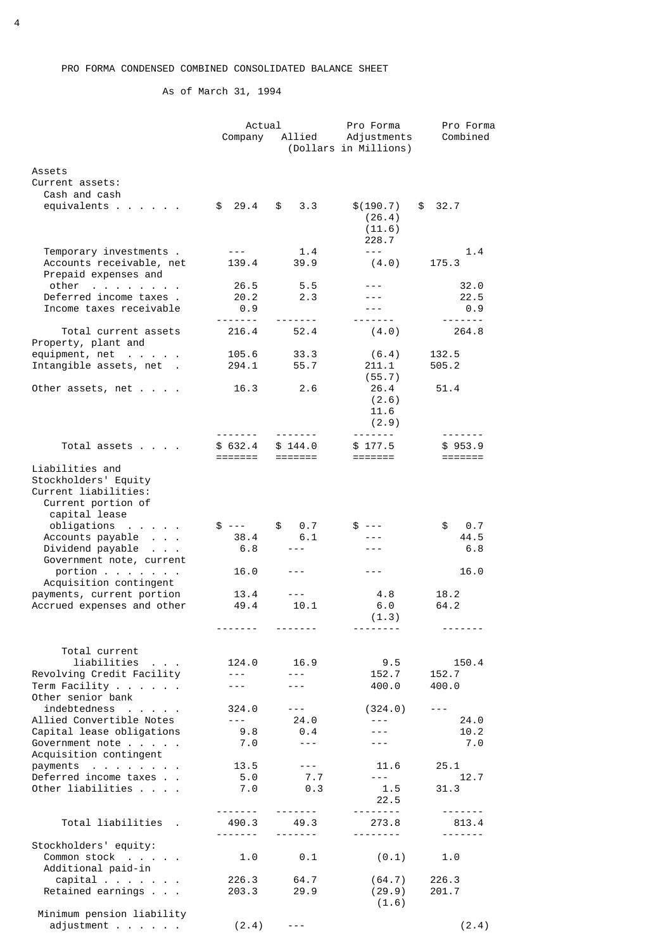As of March 31, 1994

|                                                                      | Actual                                                                                                                                                                                                                                                                                                                                                                                       |                                                                                                                                                                                                                                                                                                                                                                                              | Pro Forma                            | Pro Forma    |
|----------------------------------------------------------------------|----------------------------------------------------------------------------------------------------------------------------------------------------------------------------------------------------------------------------------------------------------------------------------------------------------------------------------------------------------------------------------------------|----------------------------------------------------------------------------------------------------------------------------------------------------------------------------------------------------------------------------------------------------------------------------------------------------------------------------------------------------------------------------------------------|--------------------------------------|--------------|
|                                                                      | Company                                                                                                                                                                                                                                                                                                                                                                                      | Allied                                                                                                                                                                                                                                                                                                                                                                                       | Adjustments<br>(Dollars in Millions) | Combined     |
| Assets                                                               |                                                                                                                                                                                                                                                                                                                                                                                              |                                                                                                                                                                                                                                                                                                                                                                                              |                                      |              |
| Current assets:                                                      |                                                                                                                                                                                                                                                                                                                                                                                              |                                                                                                                                                                                                                                                                                                                                                                                              |                                      |              |
| Cash and cash                                                        |                                                                                                                                                                                                                                                                                                                                                                                              |                                                                                                                                                                                                                                                                                                                                                                                              |                                      |              |
| equivalents                                                          | \$29.4                                                                                                                                                                                                                                                                                                                                                                                       | \$<br>3.3                                                                                                                                                                                                                                                                                                                                                                                    | \$(190.7)                            | 32.7<br>\$   |
|                                                                      |                                                                                                                                                                                                                                                                                                                                                                                              |                                                                                                                                                                                                                                                                                                                                                                                              | (26.4)                               |              |
|                                                                      |                                                                                                                                                                                                                                                                                                                                                                                              |                                                                                                                                                                                                                                                                                                                                                                                              | (11.6)<br>228.7                      |              |
| Temporary investments.                                               | $\frac{1}{2} \frac{1}{2} \frac{1}{2} \frac{1}{2} \frac{1}{2} \frac{1}{2} \frac{1}{2} \frac{1}{2} \frac{1}{2} \frac{1}{2} \frac{1}{2} \frac{1}{2} \frac{1}{2} \frac{1}{2} \frac{1}{2} \frac{1}{2} \frac{1}{2} \frac{1}{2} \frac{1}{2} \frac{1}{2} \frac{1}{2} \frac{1}{2} \frac{1}{2} \frac{1}{2} \frac{1}{2} \frac{1}{2} \frac{1}{2} \frac{1}{2} \frac{1}{2} \frac{1}{2} \frac{1}{2} \frac{$ | 1.4                                                                                                                                                                                                                                                                                                                                                                                          | $- - -$                              | 1.4          |
| Accounts receivable, net                                             | 139.4                                                                                                                                                                                                                                                                                                                                                                                        | 39.9                                                                                                                                                                                                                                                                                                                                                                                         | (4.0)                                | 175.3        |
| Prepaid expenses and                                                 |                                                                                                                                                                                                                                                                                                                                                                                              |                                                                                                                                                                                                                                                                                                                                                                                              |                                      |              |
| other                                                                | 26.5                                                                                                                                                                                                                                                                                                                                                                                         | 5.5                                                                                                                                                                                                                                                                                                                                                                                          | $- - -$                              | 32.0         |
| Deferred income taxes.                                               | 20.2                                                                                                                                                                                                                                                                                                                                                                                         | 2.3                                                                                                                                                                                                                                                                                                                                                                                          | $- - -$                              | 22.5         |
| Income taxes receivable                                              | 0.9                                                                                                                                                                                                                                                                                                                                                                                          |                                                                                                                                                                                                                                                                                                                                                                                              |                                      | 0.9          |
|                                                                      |                                                                                                                                                                                                                                                                                                                                                                                              | -------                                                                                                                                                                                                                                                                                                                                                                                      | <u>.</u>                             | -------      |
| Total current assets                                                 | 216.4                                                                                                                                                                                                                                                                                                                                                                                        | 52.4                                                                                                                                                                                                                                                                                                                                                                                         | (4.0)                                | 264.8        |
| Property, plant and                                                  | 105.6                                                                                                                                                                                                                                                                                                                                                                                        |                                                                                                                                                                                                                                                                                                                                                                                              |                                      | 132.5        |
| equipment, $net \cdot \cdot \cdot \cdot$<br>Intangible assets, net . | 294.1                                                                                                                                                                                                                                                                                                                                                                                        | 33.3<br>55.7                                                                                                                                                                                                                                                                                                                                                                                 | (6.4)<br>211.1                       | 505.2        |
|                                                                      |                                                                                                                                                                                                                                                                                                                                                                                              |                                                                                                                                                                                                                                                                                                                                                                                              | (55.7)                               |              |
| Other assets, $net \cdot \cdot \cdot$                                | 16.3                                                                                                                                                                                                                                                                                                                                                                                         | 2.6                                                                                                                                                                                                                                                                                                                                                                                          | 26.4                                 | 51.4         |
|                                                                      |                                                                                                                                                                                                                                                                                                                                                                                              |                                                                                                                                                                                                                                                                                                                                                                                              | (2.6)                                |              |
|                                                                      |                                                                                                                                                                                                                                                                                                                                                                                              |                                                                                                                                                                                                                                                                                                                                                                                              | 11.6                                 |              |
|                                                                      |                                                                                                                                                                                                                                                                                                                                                                                              |                                                                                                                                                                                                                                                                                                                                                                                              | (2.9)                                |              |
|                                                                      | -------                                                                                                                                                                                                                                                                                                                                                                                      | -------                                                                                                                                                                                                                                                                                                                                                                                      |                                      | -------      |
| Total assets                                                         | \$ 632.4                                                                                                                                                                                                                                                                                                                                                                                     | \$144.0                                                                                                                                                                                                                                                                                                                                                                                      | \$177.5                              | \$953.9      |
|                                                                      | =======                                                                                                                                                                                                                                                                                                                                                                                      |                                                                                                                                                                                                                                                                                                                                                                                              | =======                              | =======      |
| Liabilities and<br>Stockholders' Equity                              |                                                                                                                                                                                                                                                                                                                                                                                              |                                                                                                                                                                                                                                                                                                                                                                                              |                                      |              |
| Current liabilities:                                                 |                                                                                                                                                                                                                                                                                                                                                                                              |                                                                                                                                                                                                                                                                                                                                                                                              |                                      |              |
| Current portion of                                                   |                                                                                                                                                                                                                                                                                                                                                                                              |                                                                                                                                                                                                                                                                                                                                                                                              |                                      |              |
| capital lease                                                        |                                                                                                                                                                                                                                                                                                                                                                                              |                                                                                                                                                                                                                                                                                                                                                                                              |                                      |              |
| $obligations$                                                        | $$---$                                                                                                                                                                                                                                                                                                                                                                                       | \$<br>0.7                                                                                                                                                                                                                                                                                                                                                                                    | \$ ---                               | \$<br>0.7    |
| Accounts payable                                                     | 38.4                                                                                                                                                                                                                                                                                                                                                                                         | 6.1                                                                                                                                                                                                                                                                                                                                                                                          |                                      | 44.5         |
| Dividend payable                                                     | 6.8                                                                                                                                                                                                                                                                                                                                                                                          | $- - -$                                                                                                                                                                                                                                                                                                                                                                                      | $- - -$                              | 6.8          |
| Government note, current                                             |                                                                                                                                                                                                                                                                                                                                                                                              |                                                                                                                                                                                                                                                                                                                                                                                              |                                      |              |
| portion                                                              | 16.0                                                                                                                                                                                                                                                                                                                                                                                         | $- - -$                                                                                                                                                                                                                                                                                                                                                                                      | $- - -$                              | 16.0         |
| Acquisition contingent<br>payments, current portion                  | 13.4                                                                                                                                                                                                                                                                                                                                                                                         | $- - -$                                                                                                                                                                                                                                                                                                                                                                                      | 4.8                                  | 18.2         |
| Accrued expenses and other                                           | 49.4                                                                                                                                                                                                                                                                                                                                                                                         | 10.1                                                                                                                                                                                                                                                                                                                                                                                         | 6.0                                  | 64.2         |
|                                                                      |                                                                                                                                                                                                                                                                                                                                                                                              |                                                                                                                                                                                                                                                                                                                                                                                              | (1.3)                                |              |
|                                                                      |                                                                                                                                                                                                                                                                                                                                                                                              |                                                                                                                                                                                                                                                                                                                                                                                              |                                      |              |
| Total current                                                        |                                                                                                                                                                                                                                                                                                                                                                                              |                                                                                                                                                                                                                                                                                                                                                                                              |                                      |              |
| liabilities                                                          | 124.0                                                                                                                                                                                                                                                                                                                                                                                        | 16.9                                                                                                                                                                                                                                                                                                                                                                                         | 9.5                                  | 150.4        |
| Revolving Credit Facility                                            | $\frac{1}{2} \frac{1}{2} \frac{1}{2} \frac{1}{2} \frac{1}{2} \frac{1}{2} \frac{1}{2} \frac{1}{2} \frac{1}{2} \frac{1}{2} \frac{1}{2} \frac{1}{2} \frac{1}{2} \frac{1}{2} \frac{1}{2} \frac{1}{2} \frac{1}{2} \frac{1}{2} \frac{1}{2} \frac{1}{2} \frac{1}{2} \frac{1}{2} \frac{1}{2} \frac{1}{2} \frac{1}{2} \frac{1}{2} \frac{1}{2} \frac{1}{2} \frac{1}{2} \frac{1}{2} \frac{1}{2} \frac{$ | $\sim$ $\sim$ $\sim$                                                                                                                                                                                                                                                                                                                                                                         | 152.7                                | 152.7        |
| Term Facility $\ldots$                                               | $- - -$                                                                                                                                                                                                                                                                                                                                                                                      | $- - -$                                                                                                                                                                                                                                                                                                                                                                                      | 400.0                                | 400.0        |
| Other senior bank                                                    |                                                                                                                                                                                                                                                                                                                                                                                              |                                                                                                                                                                                                                                                                                                                                                                                              |                                      |              |
| indebtedness                                                         | 324.0                                                                                                                                                                                                                                                                                                                                                                                        | $\frac{1}{2} \frac{1}{2} \frac{1}{2} \frac{1}{2} \frac{1}{2} \frac{1}{2} \frac{1}{2} \frac{1}{2} \frac{1}{2} \frac{1}{2} \frac{1}{2} \frac{1}{2} \frac{1}{2} \frac{1}{2} \frac{1}{2} \frac{1}{2} \frac{1}{2} \frac{1}{2} \frac{1}{2} \frac{1}{2} \frac{1}{2} \frac{1}{2} \frac{1}{2} \frac{1}{2} \frac{1}{2} \frac{1}{2} \frac{1}{2} \frac{1}{2} \frac{1}{2} \frac{1}{2} \frac{1}{2} \frac{$ | (324.0)                              | $- - -$      |
| Allied Convertible Notes                                             | $\omega_{\rm c} = \omega_{\rm c}$ .                                                                                                                                                                                                                                                                                                                                                          | 24.0                                                                                                                                                                                                                                                                                                                                                                                         | $- - -$                              | 24.0         |
| Capital lease obligations                                            | 9.8                                                                                                                                                                                                                                                                                                                                                                                          | 0.4                                                                                                                                                                                                                                                                                                                                                                                          | $- - -$                              | 10.2         |
| Government note                                                      | 7.0                                                                                                                                                                                                                                                                                                                                                                                          | $\frac{1}{2} \frac{1}{2} \frac{1}{2} \frac{1}{2} \frac{1}{2} \frac{1}{2} \frac{1}{2} \frac{1}{2} \frac{1}{2} \frac{1}{2} \frac{1}{2} \frac{1}{2} \frac{1}{2} \frac{1}{2} \frac{1}{2} \frac{1}{2} \frac{1}{2} \frac{1}{2} \frac{1}{2} \frac{1}{2} \frac{1}{2} \frac{1}{2} \frac{1}{2} \frac{1}{2} \frac{1}{2} \frac{1}{2} \frac{1}{2} \frac{1}{2} \frac{1}{2} \frac{1}{2} \frac{1}{2} \frac{$ | ---                                  | 7.0          |
| Acquisition contingent                                               |                                                                                                                                                                                                                                                                                                                                                                                              | $\frac{1}{2} \frac{1}{2} \frac{1}{2} \frac{1}{2} \frac{1}{2} \frac{1}{2} \frac{1}{2} \frac{1}{2} \frac{1}{2} \frac{1}{2} \frac{1}{2} \frac{1}{2} \frac{1}{2} \frac{1}{2} \frac{1}{2} \frac{1}{2} \frac{1}{2} \frac{1}{2} \frac{1}{2} \frac{1}{2} \frac{1}{2} \frac{1}{2} \frac{1}{2} \frac{1}{2} \frac{1}{2} \frac{1}{2} \frac{1}{2} \frac{1}{2} \frac{1}{2} \frac{1}{2} \frac{1}{2} \frac{$ |                                      |              |
| $payments$<br>Deferred income taxes                                  | 13.5<br>5.0                                                                                                                                                                                                                                                                                                                                                                                  | 7.7                                                                                                                                                                                                                                                                                                                                                                                          | 11.6<br>$- - -$                      | 25.1<br>12.7 |
| Other liabilities                                                    | 7.0                                                                                                                                                                                                                                                                                                                                                                                          | 0.3                                                                                                                                                                                                                                                                                                                                                                                          | 1.5                                  | 31.3         |
|                                                                      |                                                                                                                                                                                                                                                                                                                                                                                              |                                                                                                                                                                                                                                                                                                                                                                                              | 22.5                                 |              |
|                                                                      |                                                                                                                                                                                                                                                                                                                                                                                              |                                                                                                                                                                                                                                                                                                                                                                                              | <u>.</u> .                           |              |
| Total liabilities .                                                  | 490.3                                                                                                                                                                                                                                                                                                                                                                                        | 49.3                                                                                                                                                                                                                                                                                                                                                                                         | 273.8                                | 813.4        |
|                                                                      | <u>.</u>                                                                                                                                                                                                                                                                                                                                                                                     |                                                                                                                                                                                                                                                                                                                                                                                              | <u>.</u>                             |              |
| Stockholders' equity:<br>Common stock                                | 1.0                                                                                                                                                                                                                                                                                                                                                                                          | 0.1                                                                                                                                                                                                                                                                                                                                                                                          | (0.1)                                | 1.0          |
| Additional paid-in                                                   |                                                                                                                                                                                                                                                                                                                                                                                              |                                                                                                                                                                                                                                                                                                                                                                                              |                                      |              |
| capital                                                              | 226.3                                                                                                                                                                                                                                                                                                                                                                                        | 64.7                                                                                                                                                                                                                                                                                                                                                                                         | (64.7)                               | 226.3        |
| Retained earnings                                                    | 203.3                                                                                                                                                                                                                                                                                                                                                                                        | 29.9                                                                                                                                                                                                                                                                                                                                                                                         | (29.9)                               | 201.7        |
|                                                                      |                                                                                                                                                                                                                                                                                                                                                                                              |                                                                                                                                                                                                                                                                                                                                                                                              | (1.6)                                |              |
| Minimum pension liability                                            |                                                                                                                                                                                                                                                                                                                                                                                              |                                                                                                                                                                                                                                                                                                                                                                                              |                                      |              |
| adjustment                                                           | (2.4)                                                                                                                                                                                                                                                                                                                                                                                        | $\frac{1}{2} \frac{1}{2} \frac{1}{2} \frac{1}{2} \frac{1}{2} \frac{1}{2} \frac{1}{2} \frac{1}{2} \frac{1}{2} \frac{1}{2} \frac{1}{2} \frac{1}{2} \frac{1}{2} \frac{1}{2} \frac{1}{2} \frac{1}{2} \frac{1}{2} \frac{1}{2} \frac{1}{2} \frac{1}{2} \frac{1}{2} \frac{1}{2} \frac{1}{2} \frac{1}{2} \frac{1}{2} \frac{1}{2} \frac{1}{2} \frac{1}{2} \frac{1}{2} \frac{1}{2} \frac{1}{2} \frac{$ |                                      | (2.4)        |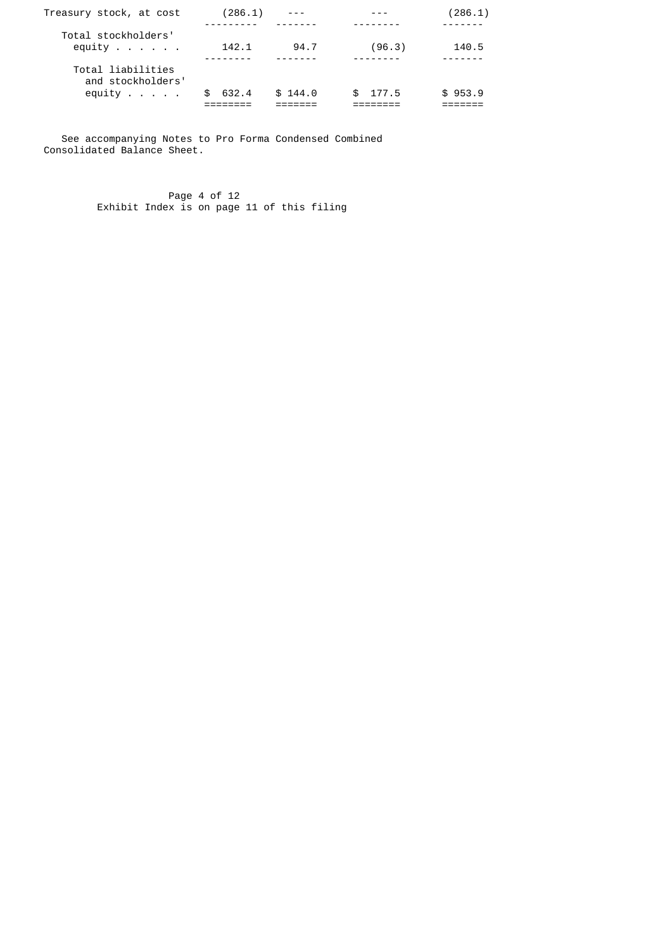| Treasury stock, at cost                                            | (286.1) | $- - -$ |             | (286.1) |
|--------------------------------------------------------------------|---------|---------|-------------|---------|
| Total stockholders'<br>equity $\ldots$ $\ldots$ .                  | 142.1   | 94.7    | (96.3)      | 140.5   |
| Total liabilities<br>and stockholders'<br>equity $\ldots$ $\ldots$ | 632.4   | \$144.0 | 177.5<br>Æ. | \$953.9 |
|                                                                    |         |         |             |         |

 See accompanying Notes to Pro Forma Condensed Combined Consolidated Balance Sheet.

 Page 4 of 12 Exhibit Index is on page 11 of this filing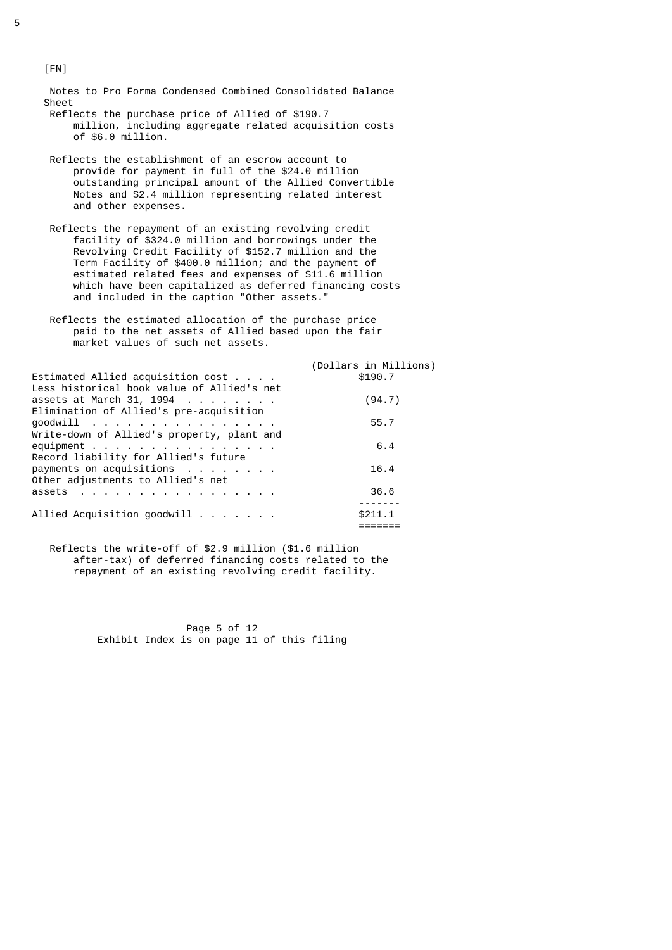Notes to Pro Forma Condensed Combined Consolidated Balance Sheet Reflects the purchase price of Allied of \$190.7

- million, including aggregate related acquisition costs of \$6.0 million.
- Reflects the establishment of an escrow account to provide for payment in full of the \$24.0 million outstanding principal amount of the Allied Convertible Notes and \$2.4 million representing related interest and other expenses.
- Reflects the repayment of an existing revolving credit facility of \$324.0 million and borrowings under the Revolving Credit Facility of \$152.7 million and the Term Facility of \$400.0 million; and the payment of estimated related fees and expenses of \$11.6 million which have been capitalized as deferred financing costs and included in the caption "Other assets."
	- Reflects the estimated allocation of the purchase price paid to the net assets of Allied based upon the fair market values of such net assets.

| Estimated Allied acquisition $cost \cdot \cdot \cdot$<br>Less historical book value of Allied's net     | (Dollars in Millions)<br>\$190.7 |
|---------------------------------------------------------------------------------------------------------|----------------------------------|
| assets at March 31, 1994<br>Elimination of Allied's pre-acquisition                                     | (94.7)                           |
| $good$ will<br>Write-down of Allied's property, plant and                                               | 55.7                             |
| equipment $\cdots$ $\cdots$ $\cdots$ $\cdots$ $\cdots$ $\cdots$<br>Record liability for Allied's future | 6.4                              |
| payments on acquisitions<br>Other adjustments to Allied's net                                           | 16.4                             |
| assets                                                                                                  | 36.6                             |
| Allied Acquisition goodwill                                                                             | \$211.1                          |

 Reflects the write-off of \$2.9 million (\$1.6 million after-tax) of deferred financing costs related to the repayment of an existing revolving credit facility.

> Page 5 of 12 Exhibit Index is on page 11 of this filing

[FN]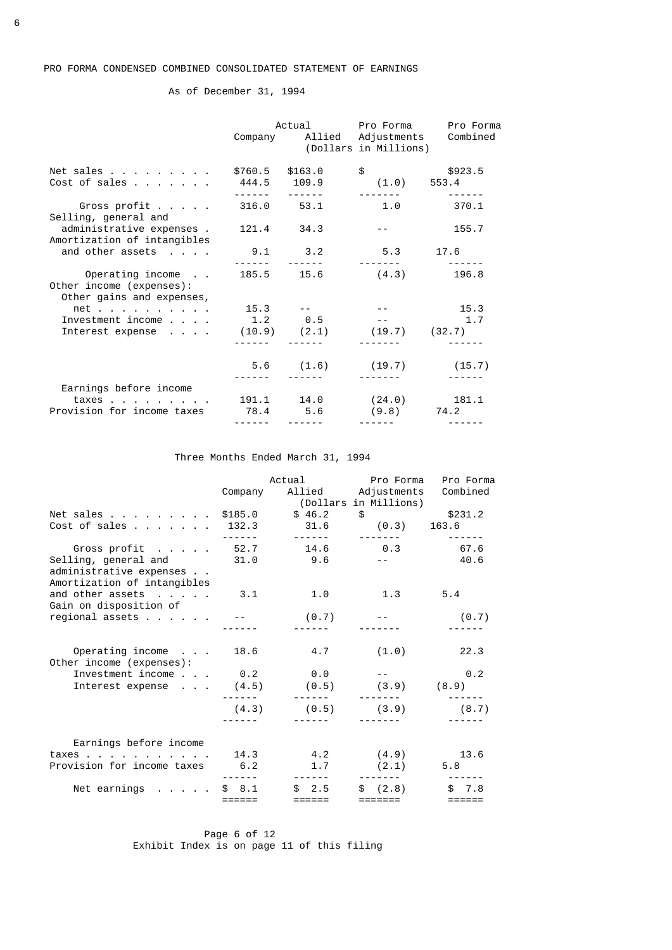As of December 31, 1994

|                                                                                                  |            |                                                                                                                                                                                                                                                                                                                                                                                                                                                                                                              | Actual Pro Forma<br>(Dollars in Millions)                                                                    | Pro Forma<br>Company Allied Adjustments Combined |
|--------------------------------------------------------------------------------------------------|------------|--------------------------------------------------------------------------------------------------------------------------------------------------------------------------------------------------------------------------------------------------------------------------------------------------------------------------------------------------------------------------------------------------------------------------------------------------------------------------------------------------------------|--------------------------------------------------------------------------------------------------------------|--------------------------------------------------|
| Net sales<br>Cost of sales                                                                       |            | \$760.5 \$163.0<br>444.5 109.9<br>$\frac{1}{2} \left( \frac{1}{2} \right) \left( \frac{1}{2} \right) \left( \frac{1}{2} \right) \left( \frac{1}{2} \right) \left( \frac{1}{2} \right) \left( \frac{1}{2} \right) \left( \frac{1}{2} \right) \left( \frac{1}{2} \right) \left( \frac{1}{2} \right) \left( \frac{1}{2} \right) \left( \frac{1}{2} \right) \left( \frac{1}{2} \right) \left( \frac{1}{2} \right) \left( \frac{1}{2} \right) \left( \frac{1}{2} \right) \left( \frac{1}{2} \right) \left( \frac$ | \$923.5<br>$(1.0)$ 553.4                                                                                     |                                                  |
| Gross profit<br>Selling, general and                                                             | 316.0 53.1 |                                                                                                                                                                                                                                                                                                                                                                                                                                                                                                              |                                                                                                              | $1.0$ 370.1                                      |
| administrative expenses.<br>Amortization of intangibles                                          |            | 121.4 34.3                                                                                                                                                                                                                                                                                                                                                                                                                                                                                                   | $\frac{1}{2} \left( \frac{1}{2} \right) \left( \frac{1}{2} \right) = \frac{1}{2} \left( \frac{1}{2} \right)$ | 155.7                                            |
| and other assets                                                                                 |            | $9.1$ $3.2$<br>_____       ______                                                                                                                                                                                                                                                                                                                                                                                                                                                                            | 5.3 17.6                                                                                                     |                                                  |
| Operating income 185.5 15.6 (4.3) 196.8<br>Other income (expenses):<br>Other gains and expenses, |            |                                                                                                                                                                                                                                                                                                                                                                                                                                                                                                              |                                                                                                              |                                                  |
| net $15.3$ -                                                                                     |            |                                                                                                                                                                                                                                                                                                                                                                                                                                                                                                              |                                                                                                              | $  15.3$                                         |
| Investment income 1.2 0.5 -- 1.7                                                                 |            |                                                                                                                                                                                                                                                                                                                                                                                                                                                                                                              |                                                                                                              |                                                  |
| Interest expense $(10.9)$ $(2.1)$ $(19.7)$ $(32.7)$                                              |            |                                                                                                                                                                                                                                                                                                                                                                                                                                                                                                              |                                                                                                              |                                                  |
|                                                                                                  |            |                                                                                                                                                                                                                                                                                                                                                                                                                                                                                                              | $5.6$ $(1.6)$ $(19.7)$ $(15.7)$                                                                              |                                                  |
| Earnings before income                                                                           |            |                                                                                                                                                                                                                                                                                                                                                                                                                                                                                                              |                                                                                                              |                                                  |
| $\texttt{taxes}$                                                                                 |            |                                                                                                                                                                                                                                                                                                                                                                                                                                                                                                              | 191.1 14.0 (24.0) 181.1                                                                                      |                                                  |
| Provision for income taxes                                                                       |            | 78.4 5.6                                                                                                                                                                                                                                                                                                                                                                                                                                                                                                     | $(9.8)$ 74.2                                                                                                 |                                                  |
|                                                                                                  | ------     | ------                                                                                                                                                                                                                                                                                                                                                                                                                                                                                                       |                                                                                                              |                                                  |

# Three Months Ended March 31, 1994

|                                                                                                                      | Company                | Actual                                                                                                                                                                                                                                                                                                                                                                                                                                                                                 | Pro Forma<br>Allied Adjustments<br>(Dollars in Millions) | Pro Forma<br>Combined |
|----------------------------------------------------------------------------------------------------------------------|------------------------|----------------------------------------------------------------------------------------------------------------------------------------------------------------------------------------------------------------------------------------------------------------------------------------------------------------------------------------------------------------------------------------------------------------------------------------------------------------------------------------|----------------------------------------------------------|-----------------------|
| Net sales<br>Cost of sales 132.3                                                                                     | \$185.0<br>- - - - - - | \$46.2<br>31.6<br>-------                                                                                                                                                                                                                                                                                                                                                                                                                                                              | \$231.2<br>$(0.3)$ 163.6                                 |                       |
| Gross profit 52.7 14.6<br>administrative expenses<br>Amortization of intangibles                                     |                        |                                                                                                                                                                                                                                                                                                                                                                                                                                                                                        | 0.3                                                      | 67.6<br>$-2$ 40.6     |
| and other assets<br>Gain on disposition of                                                                           | 3.1                    | 1.0                                                                                                                                                                                                                                                                                                                                                                                                                                                                                    | 1.3                                                      | 5.4                   |
|                                                                                                                      |                        | (0.7)                                                                                                                                                                                                                                                                                                                                                                                                                                                                                  |                                                          | (0.7)                 |
| Operating income 18.6<br>Other income (expenses):                                                                    |                        | 4.7                                                                                                                                                                                                                                                                                                                                                                                                                                                                                    | (1.0)                                                    | 22.3                  |
| Investment income $\, \cdot \,$ , $\,$ 0.2 $\,$ 0.0 $\,$ -- $\,$<br>Interest expense $(4.5)$ $(0.5)$ $(3.9)$ $(8.9)$ |                        |                                                                                                                                                                                                                                                                                                                                                                                                                                                                                        |                                                          | $\theta$ .2           |
|                                                                                                                      | (4.3)<br>$- - - - - -$ | $\begin{array}{cccccccccccccc} \multicolumn{2}{c}{} & \multicolumn{2}{c}{} & \multicolumn{2}{c}{} & \multicolumn{2}{c}{} & \multicolumn{2}{c}{} & \multicolumn{2}{c}{} & \multicolumn{2}{c}{} & \multicolumn{2}{c}{} & \multicolumn{2}{c}{} & \multicolumn{2}{c}{} & \multicolumn{2}{c}{} & \multicolumn{2}{c}{} & \multicolumn{2}{c}{} & \multicolumn{2}{c}{} & \multicolumn{2}{c}{} & \multicolumn{2}{c}{} & \multicolumn{2}{c}{} & \multicolumn{2}{c}{} & \multicolumn{2}{c}{} & \$ | $(0.5)$ $(3.9)$                                          | (8.7)                 |
| Earnings before income<br>taxes 14.3 4.2 (4.9)<br>Provision for income taxes 6.2                                     |                        | 1.7                                                                                                                                                                                                                                                                                                                                                                                                                                                                                    | (2.1)                                                    | 13.6<br>5.8           |
| Net earnings $\ldots$ $\ldots$ \$ 8.1                                                                                | ======                 | \$2.5<br>$=$ $=$ $=$ $=$ $=$ $=$                                                                                                                                                                                                                                                                                                                                                                                                                                                       | \$(2.8)<br>$=$ $=$ $=$ $=$ $=$ $=$ $=$                   | \$7.8<br>======       |

Page 6 of 12 Exhibit Index is on page 11 of this filing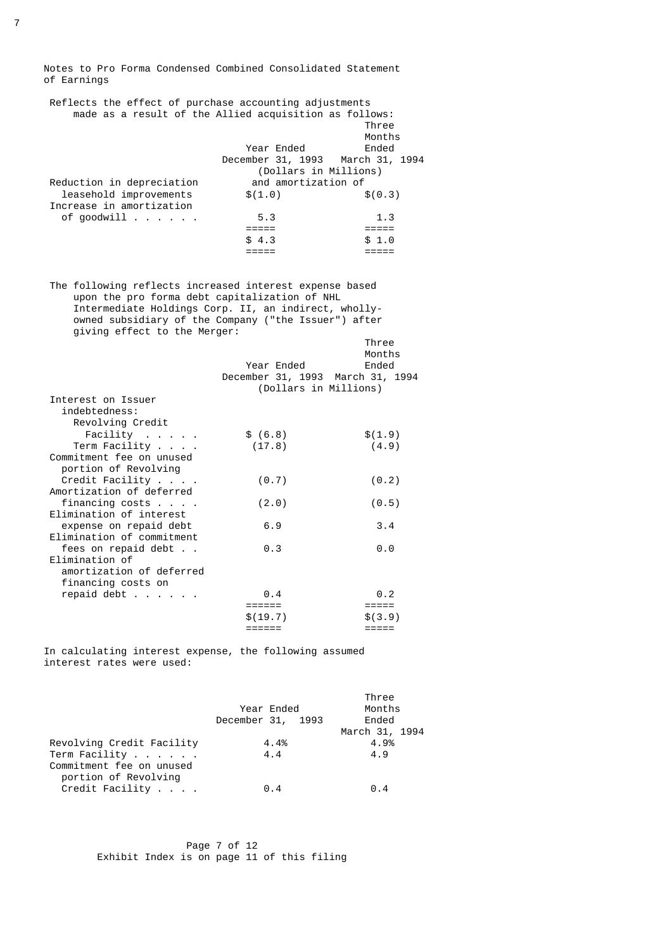Notes to Pro Forma Condensed Combined Consolidated Statement of Earnings

| Reflects the effect of purchase accounting adjustments |          |
|--------------------------------------------------------|----------|
| made as a result of the Allied acquisition as follows: |          |
|                                                        | Three    |
|                                                        | Months   |
| Year Ended                                             | Ended    |
| December 31, 1993 March 31, 1994                       |          |
| (Dollars in Millions)                                  |          |
| and amortization of                                    |          |
| \$(1.0)                                                | \$ (0.3) |
|                                                        |          |
| 5.3                                                    | 1.3      |
|                                                        |          |
| \$4.3                                                  | \$1.0    |
|                                                        |          |
|                                                        |          |

 The following reflects increased interest expense based upon the pro forma debt capitalization of NHL Intermediate Holdings Corp. II, an indirect, wholly owned subsidiary of the Company ("the Issuer") after giving effect to the Merger:

|                            |                                  | Three<br>Months     |
|----------------------------|----------------------------------|---------------------|
|                            | Year Ended                       | Ended               |
|                            | December 31, 1993 March 31, 1994 |                     |
|                            | (Dollars in Millions)            |                     |
| Interest on Issuer         |                                  |                     |
| indebtedness:              |                                  |                     |
| Revolving Credit           |                                  |                     |
| Facility                   | \$ (6.8)                         | \$(1.9)             |
| Term Facility              | (17.8)                           | (4.9)               |
| Commitment fee on unused   |                                  |                     |
| portion of Revolving       |                                  |                     |
| Credit Facility            | (0.7)                            | (0.2)               |
| Amortization of deferred   |                                  |                     |
| financing costs $\ldots$ . | (2.0)                            | (0.5)               |
| Elimination of interest    |                                  |                     |
| expense on repaid debt     | 6.9                              | 3.4                 |
|                            |                                  |                     |
| Elimination of commitment  |                                  |                     |
| fees on repaid debt        | 0.3                              | $\theta$ . $\theta$ |
| Elimination of             |                                  |                     |
| amortization of deferred   |                                  |                     |
| financing costs on         |                                  |                     |
| repaid debt $\ldots$       | $\theta$ .4                      | 0.2                 |
|                            | ======                           | $=$ $=$ $=$ $=$ $=$ |
|                            | \$(19.7)                         | \$(3.9)             |
|                            | ======                           | =====               |

 In calculating interest expense, the following assumed interest rates were used:

|                           |                   | Three          |
|---------------------------|-------------------|----------------|
|                           | Year Ended        | Months         |
|                           | December 31, 1993 | Ended          |
|                           |                   | March 31, 1994 |
| Revolving Credit Facility | 4.4%              | 4.9%           |
| Term Facility             | 4.4               | 4.9            |
| Commitment fee on unused  |                   |                |
| portion of Revolving      |                   |                |
| Credit Facility           | 0.4               | $\theta$ .4    |
|                           |                   |                |

 Page 7 of 12 Exhibit Index is on page 11 of this filing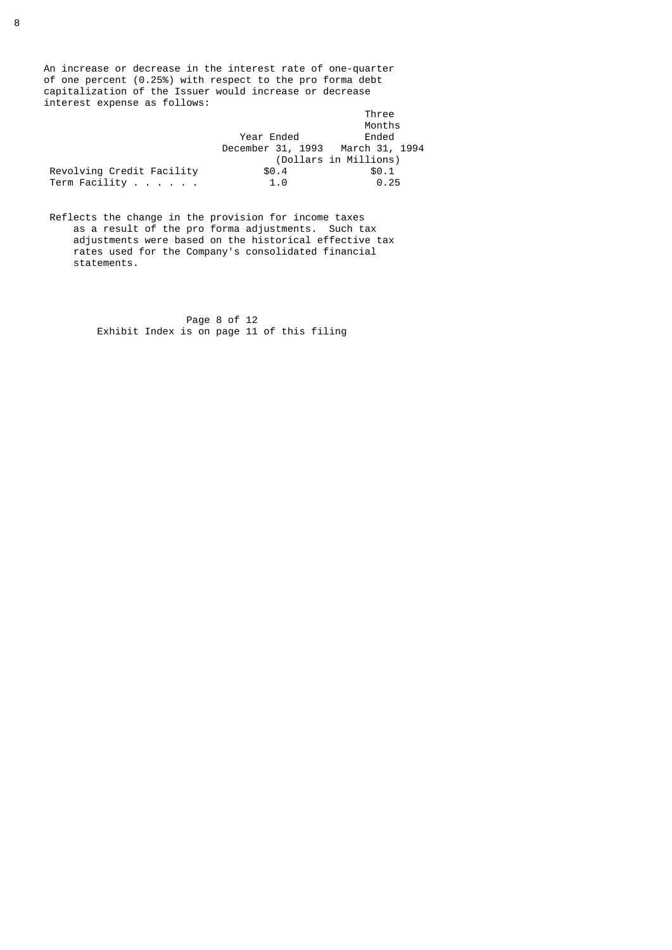An increase or decrease in the interest rate of one-quarter of one percent (0.25%) with respect to the pro forma debt capitalization of the Issuer would increase or decrease interest expense as follows:

|                           |                                  | Three                 |
|---------------------------|----------------------------------|-----------------------|
|                           |                                  | Months                |
|                           | Year Ended                       | Ended                 |
|                           | December 31, 1993 March 31, 1994 |                       |
|                           |                                  | (Dollars in Millions) |
| Revolving Credit Facility | \$0.4                            | \$0.1                 |
| Term Facility             | 1.0                              | 0.25                  |

 Reflects the change in the provision for income taxes as a result of the pro forma adjustments. Such tax adjustments were based on the historical effective tax rates used for the Company's consolidated financial statements.

> Page 8 of 12 Exhibit Index is on page 11 of this filing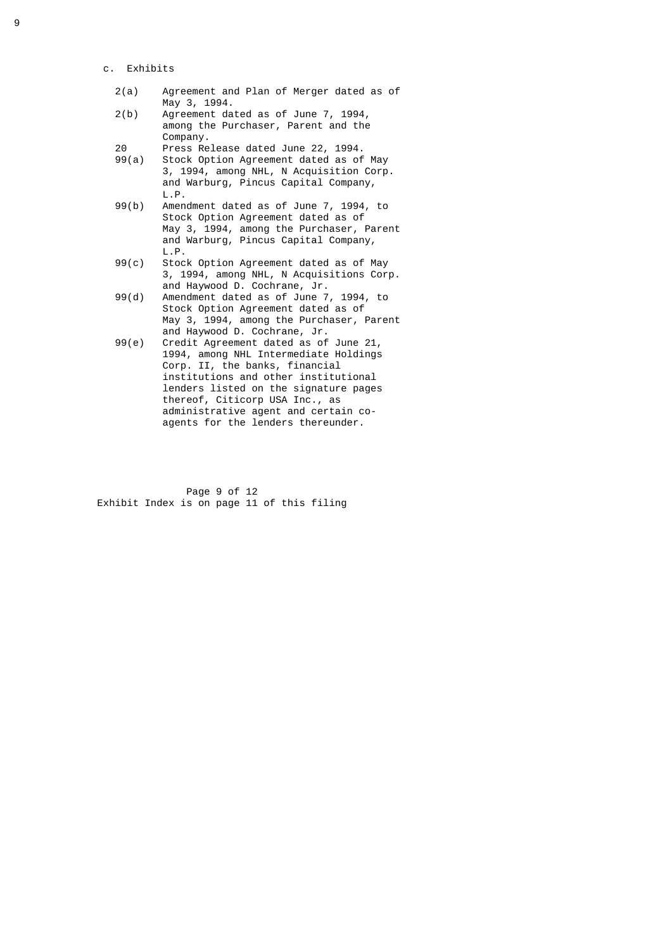- c. Exhibits
	- 2(a) Agreement and Plan of Merger dated as of May 3, 1994.<br>2(b) Agreement da
	- Agreement dated as of June 7, 1994, among the Purchaser, Parent and the Company.
	- 20 Press Release dated June 22, 1994.
- Stock Option Agreement dated as of May 3, 1994, among NHL, N Acquisition Corp. and Warburg, Pincus Capital Company, L.P.<br>99(b) Amen
- Amendment dated as of June 7, 1994, to Stock Option Agreement dated as of May 3, 1994, among the Purchaser, Parent and Warburg, Pincus Capital Company,
	- L.P.<br>99(c) Stoc Stock Option Agreement dated as of May 3, 1994, among NHL, N Acquisitions Corp. and Haywood D. Cochrane, Jr.
	- 99(d) Amendment dated as of June 7, 1994, to Stock Option Agreement dated as of May 3, 1994, among the Purchaser, Parent
	- and Haywood D. Cochrane, Jr.<br>99(e) Credit Agreement dated as of Credit Agreement dated as of June 21, 1994, among NHL Intermediate Holdings Corp. II, the banks, financial institutions and other institutional lenders listed on the signature pages thereof, Citicorp USA Inc., as administrative agent and certain co agents for the lenders thereunder.

 Page 9 of 12 Exhibit Index is on page 11 of this filing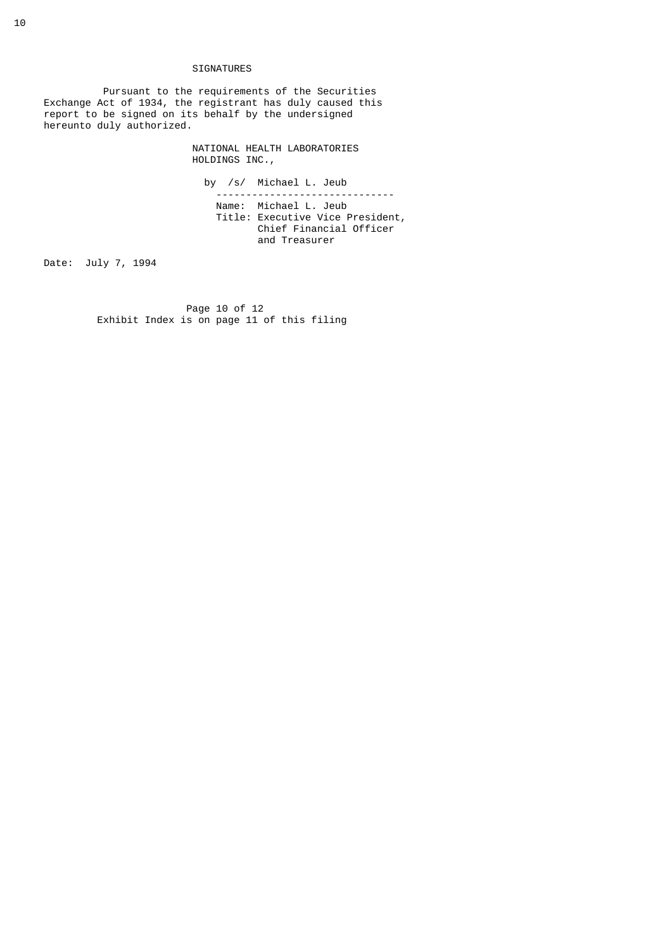## SIGNATURES

 Pursuant to the requirements of the Securities Exchange Act of 1934, the registrant has duly caused this report to be signed on its behalf by the undersigned hereunto duly authorized.

> NATIONAL HEALTH LABORATORIES HOLDINGS INC.,

 by /s/ Michael L. Jeub ------------------------------ Name: Michael L. Jeub Title: Executive Vice President, Chief Financial Officer and Treasurer

Date: July 7, 1994

Page 10 of 12 Exhibit Index is on page 11 of this filing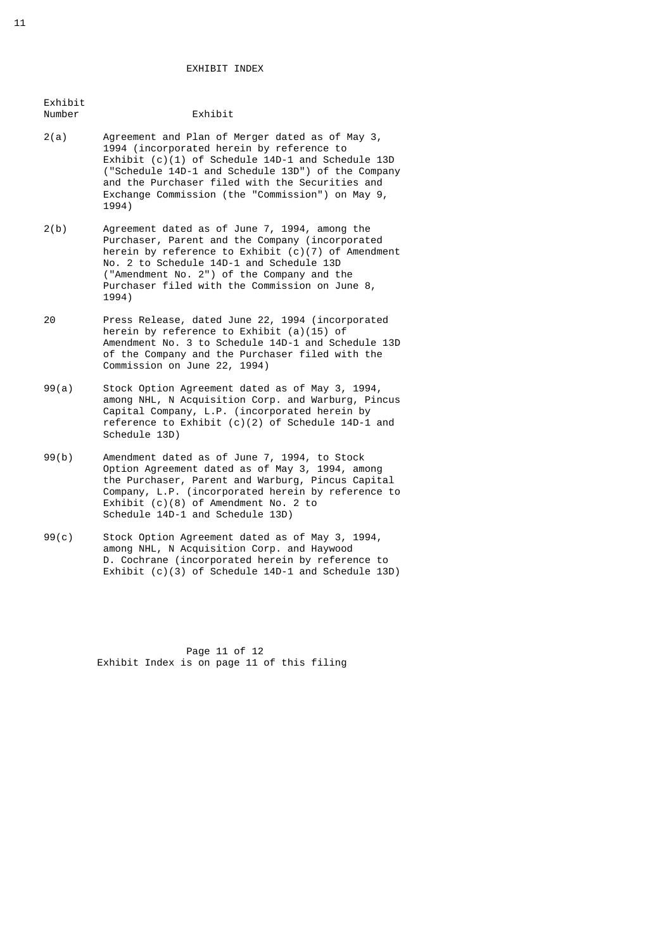#### EXHIBIT INDEX

| 2(a) | Agreement and Plan of Merger dated as of May 3,     |
|------|-----------------------------------------------------|
|      | 1994 (incorporated herein by reference to           |
|      | Exhibit $(c)(1)$ of Schedule 14D-1 and Schedule 13D |
|      | ("Schedule 14D-1 and Schedule 13D") of the Company  |
|      | and the Purchaser filed with the Securities and     |
|      | Exchange Commission (the "Commission") on May 9,    |
|      | 1994)                                               |

Exhibit

- 2(b) Agreement dated as of June 7, 1994, among the Purchaser, Parent and the Company (incorporated herein by reference to Exhibit  $(c)(7)$  of Amendment No. 2 to Schedule 14D-1 and Schedule 13D ("Amendment No. 2") of the Company and the Purchaser filed with the Commission on June 8, 1994)
- 20 Press Release, dated June 22, 1994 (incorporated herein by reference to Exhibit (a)(15) of Amendment No. 3 to Schedule 14D-1 and Schedule 13D of the Company and the Purchaser filed with the Commission on June 22, 1994)
- 99(a) Stock Option Agreement dated as of May 3, 1994, among NHL, N Acquisition Corp. and Warburg, Pincus Capital Company, L.P. (incorporated herein by reference to Exhibit  $(c)(2)$  of Schedule 14D-1 and Schedule 13D)
- 99(b) Amendment dated as of June 7, 1994, to Stock Option Agreement dated as of May 3, 1994, among the Purchaser, Parent and Warburg, Pincus Capital Company, L.P. (incorporated herein by reference to Exhibit (c)(8) of Amendment No. 2 to Schedule 14D-1 and Schedule 13D)
	- 99(c) Stock Option Agreement dated as of May 3, 1994, among NHL, N Acquisition Corp. and Haywood D. Cochrane (incorporated herein by reference to Exhibit (c)(3) of Schedule 14D-1 and Schedule 13D)

 Page 11 of 12 Exhibit Index is on page 11 of this filing

# Exhibit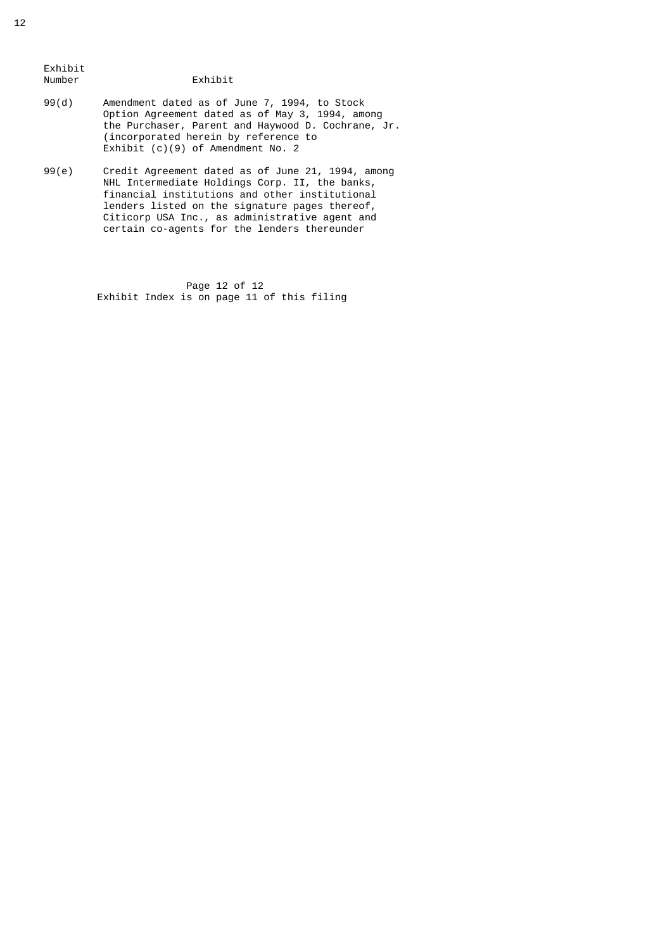Exhibit

## Exhibit

- 99(d) Amendment dated as of June 7, 1994, to Stock Option Agreement dated as of May 3, 1994, among the Purchaser, Parent and Haywood D. Cochrane, Jr. (incorporated herein by reference to Exhibit (c)(9) of Amendment No. 2
- 99(e) Credit Agreement dated as of June 21, 1994, among NHL Intermediate Holdings Corp. II, the banks, financial institutions and other institutional lenders listed on the signature pages thereof, Citicorp USA Inc., as administrative agent and certain co-agents for the lenders thereunder

 Page 12 of 12 Exhibit Index is on page 11 of this filing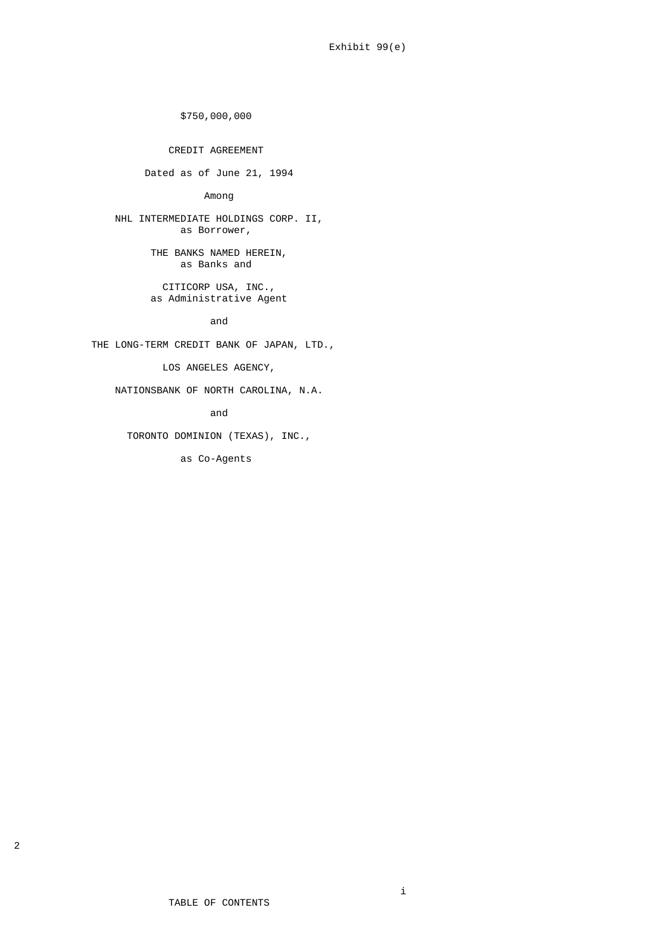\$750,000,000

CREDIT AGREEMENT

Dated as of June 21, 1994

Among

 NHL INTERMEDIATE HOLDINGS CORP. II, as Borrower,

> THE BANKS NAMED HEREIN, as Banks and

 CITICORP USA, INC., as Administrative Agent

and the contract of the contract of the contract of the contract of the contract of the contract of the contra

THE LONG-TERM CREDIT BANK OF JAPAN, LTD.,

LOS ANGELES AGENCY,

NATIONSBANK OF NORTH CAROLINA, N.A.

and the contract of the contract of the contract of the contract of the contract of the contract of the contra

TORONTO DOMINION (TEXAS), INC.,

as Co-Agents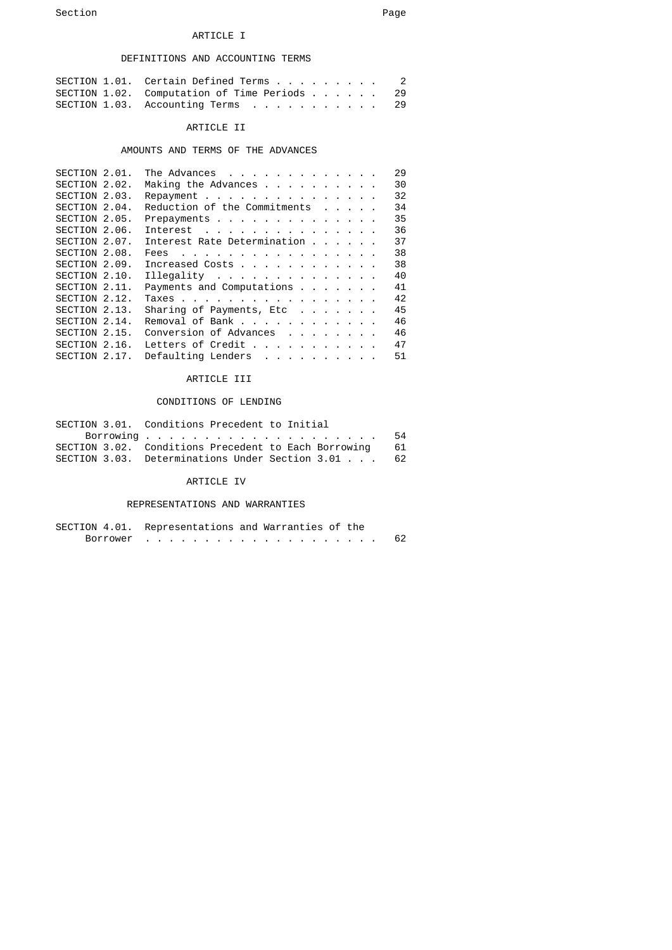## ARTICLE I

## DEFINITIONS AND ACCOUNTING TERMS

| SECTION 1.01. Certain Defined Terms 2        |  |
|----------------------------------------------|--|
| SECTION 1.02. Computation of Time Periods 29 |  |
| SECTION 1.03. Accounting Terms 29            |  |

#### ARTICLE II

# AMOUNTS AND TERMS OF THE ADVANCES

| SECTION 2.01. | The Advances                                            |  |  |  | 29 |
|---------------|---------------------------------------------------------|--|--|--|----|
| SECTION 2.02. | Making the Advances                                     |  |  |  | 30 |
| SECTION 2.03. | Repayment                                               |  |  |  | 32 |
| SECTION 2.04. | Reduction of the Commitments                            |  |  |  | 34 |
| SECTION 2.05. | Prepayments                                             |  |  |  | 35 |
| SECTION 2.06. | Interest                                                |  |  |  | 36 |
| SECTION 2.07. | Interest Rate Determination                             |  |  |  | 37 |
| SECTION 2.08. | Fees                                                    |  |  |  | 38 |
| SECTION 2.09. | Increased Costs                                         |  |  |  | 38 |
| SECTION 2.10. | Illegality $\ldots$ $\ldots$ $\ldots$ $\ldots$ $\ldots$ |  |  |  | 40 |
| SECTION 2.11. | Payments and Computations                               |  |  |  | 41 |
| SECTION 2.12. | Taxes                                                   |  |  |  | 42 |
| SECTION 2.13. | Sharing of Payments, Etc                                |  |  |  | 45 |
| SECTION 2.14. | Removal of Bank                                         |  |  |  | 46 |
| SECTION 2.15. | Conversion of Advances                                  |  |  |  | 46 |
| SECTION 2.16. | Letters of Credit                                       |  |  |  | 47 |
| SECTION 2.17. | Defaulting Lenders                                      |  |  |  | 51 |
|               |                                                         |  |  |  |    |

# ARTICLE III

# CONDITIONS OF LENDING

| SECTION 3.01. Conditions Precedent to Initial           |    |
|---------------------------------------------------------|----|
|                                                         | 54 |
| SECTION 3.02. Conditions Precedent to Each Borrowing 61 |    |
| SECTION 3.03. Determinations Under Section 3.01 62      |    |

## ARTICLE IV

#### REPRESENTATIONS AND WARRANTIES

|          | SECTION 4.01. Representations and Warranties of the |  |
|----------|-----------------------------------------------------|--|
| Borrower |                                                     |  |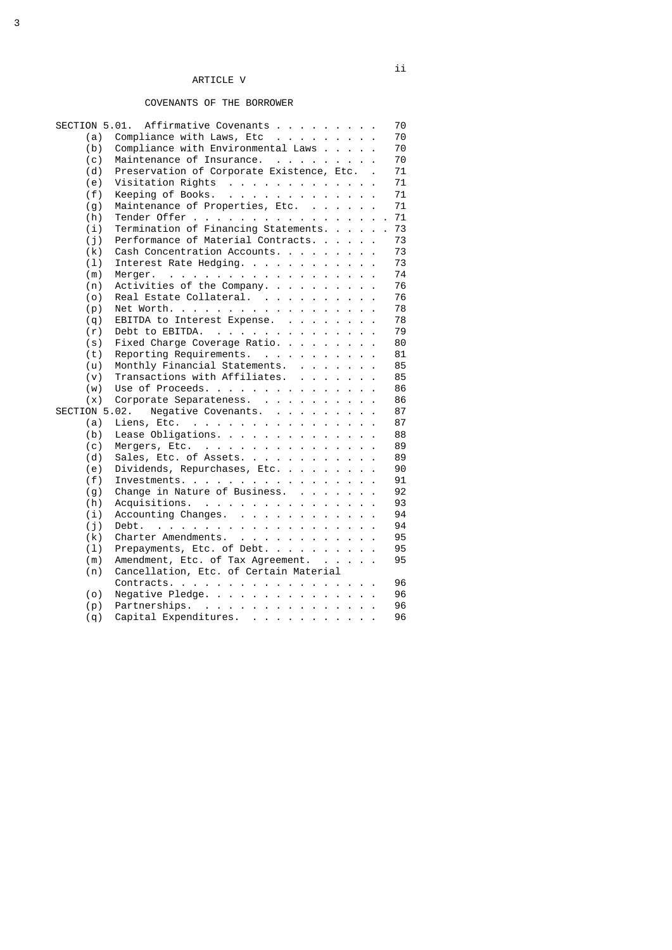# COVENANTS OF THE BORROWER

|               | SECTION 5.01. Affirmative Covenants                                      |  | 70 |
|---------------|--------------------------------------------------------------------------|--|----|
| (a)           | Compliance with Laws, Etc                                                |  | 70 |
| (b)           | Compliance with Environmental Laws                                       |  | 70 |
| (c)           | Maintenance of Insurance.                                                |  | 70 |
| (d)           | Preservation of Corporate Existence, Etc                                 |  | 71 |
| (e)           | Visitation Rights                                                        |  | 71 |
| (f)           | Keeping of Books.                                                        |  | 71 |
| (g)           | Maintenance of Properties, Etc.                                          |  | 71 |
| (h)           | Tender Offer                                                             |  | 71 |
| (i)           | Termination of Financing Statements.                                     |  | 73 |
| (i)           | Performance of Material Contracts.                                       |  | 73 |
| (k)           | Cash Concentration Accounts.                                             |  | 73 |
| (1)           | Interest Rate Hedging.                                                   |  | 73 |
| (m)           | Merger.                                                                  |  | 74 |
| (n)           | Activities of the Company.                                               |  | 76 |
| (o)           | Real Estate Collateral.                                                  |  | 76 |
| (p)           | Net Worth.                                                               |  | 78 |
|               | EBITDA to Interest Expense.                                              |  | 78 |
| (q)           |                                                                          |  | 79 |
| (r)           | Debt to EBITDA.<br>and the contract of the contract of the con-          |  |    |
| (s)           | Fixed Charge Coverage Ratio.                                             |  | 80 |
| (t)           | Reporting Requirements.                                                  |  | 81 |
| (u)           | Monthly Financial Statements.                                            |  | 85 |
| (v)           | Transactions with Affiliates.                                            |  | 85 |
| (w)           | Use of Proceeds.                                                         |  | 86 |
| (x)           | Corporate Separateness.                                                  |  | 86 |
| SECTION 5.02. | Negative Covenants.                                                      |  | 87 |
| (a)           | Liens, Etc.                                                              |  | 87 |
| (b)           | Lease Obligations.                                                       |  | 88 |
| (c)           | Mergers, Etc.                                                            |  | 89 |
| (d)           | Sales, Etc. of Assets.                                                   |  | 89 |
| (e)           | Dividends, Repurchases, Etc.                                             |  | 90 |
| (f)           | Investments.                                                             |  | 91 |
| (g)           | Change in Nature of Business.                                            |  | 92 |
| (h)           | Acquisitions.                                                            |  | 93 |
| (i)           | Accounting Changes.                                                      |  | 94 |
| (j)           | Debt.<br>the contract of the contract of the contract of the contract of |  | 94 |
| (k)           | Charter Amendments.                                                      |  | 95 |
| (1)           | Prepayments, Etc. of Debt.                                               |  | 95 |
| (m)           | Amendment, Etc. of Tax Agreement.                                        |  | 95 |
| (n)           | Cancellation, Etc. of Certain Material                                   |  |    |
|               | Contracts.                                                               |  | 96 |
| (o)           | Negative Pledge.                                                         |  | 96 |
| (p)           | Partnerships.                                                            |  | 96 |
| (q)           | Capital Expenditures.                                                    |  | 96 |
|               |                                                                          |  |    |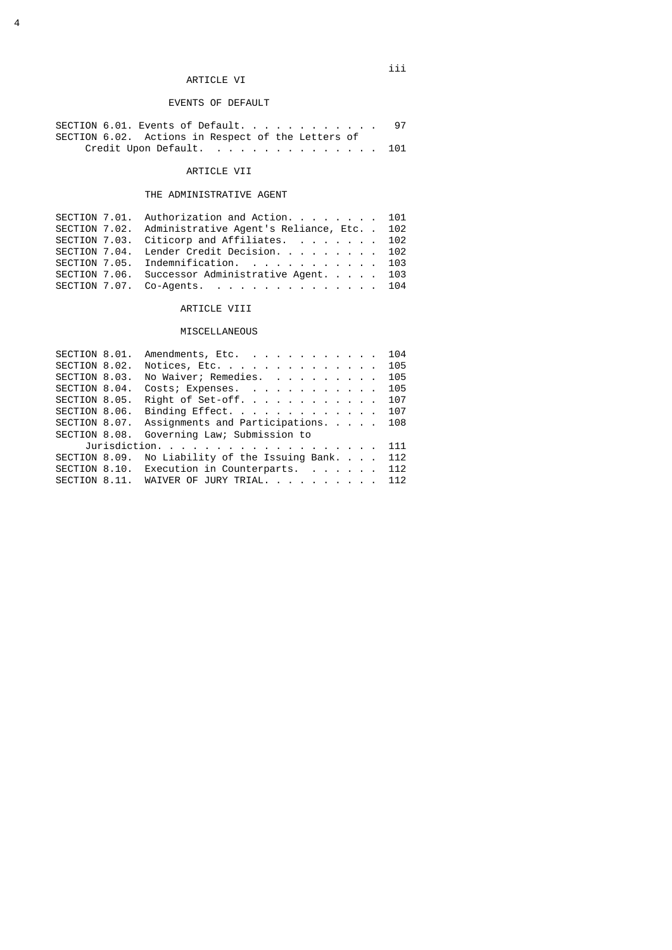# ARTICLE VI

# EVENTS OF DEFAULT

| SECTION 6.01. Events of Default.                   | 97 |
|----------------------------------------------------|----|
| SECTION 6.02. Actions in Respect of the Letters of |    |
| Credit Upon Default. 101                           |    |

# ARTICLE VII

# THE ADMINISTRATIVE AGENT

|  | SECTION 7.01. Authorization and Action. $\ldots$ 101      |  |
|--|-----------------------------------------------------------|--|
|  | SECTION 7.02. Administrative Agent's Reliance, Etc. . 102 |  |
|  | SECTION 7.03. Citicorp and Affiliates. 102                |  |
|  | SECTION 7.04. Lender Credit Decision. 102                 |  |
|  | SECTION 7.05. Indemnification. 103                        |  |
|  | SECTION 7.06. Successor Administrative Agent. 103         |  |
|  | SECTION 7.07. Co-Agents. 104                              |  |
|  |                                                           |  |

# ARTICLE VIII

# MISCELLANEOUS

|               | SECTION 8.01. Amendments, Etc. 104                           |     |
|---------------|--------------------------------------------------------------|-----|
| SECTION 8.02. | Notices, Etc. 105                                            |     |
| SECTION 8.03. | No Waiver; Remedies.                                         | 105 |
| SECTION 8.04. | Costs; Expenses. 105                                         |     |
| SECTION 8.05. | Right of Set-off. 107                                        |     |
|               | SECTION 8.06. Binding Effect. 107                            |     |
|               | SECTION 8.07. Assignments and Participations 108             |     |
|               | SECTION 8.08. Governing Law; Submission to                   |     |
|               | Jurisdiction.                                                | 111 |
|               | SECTION 8.09. No Liability of the Issuing Bank. $\ldots$ 112 |     |
|               | SECTION 8.10. Execution in Counterparts. 112                 |     |
|               | SECTION 8.11. WAIVER OF JURY TRIAL. 112                      |     |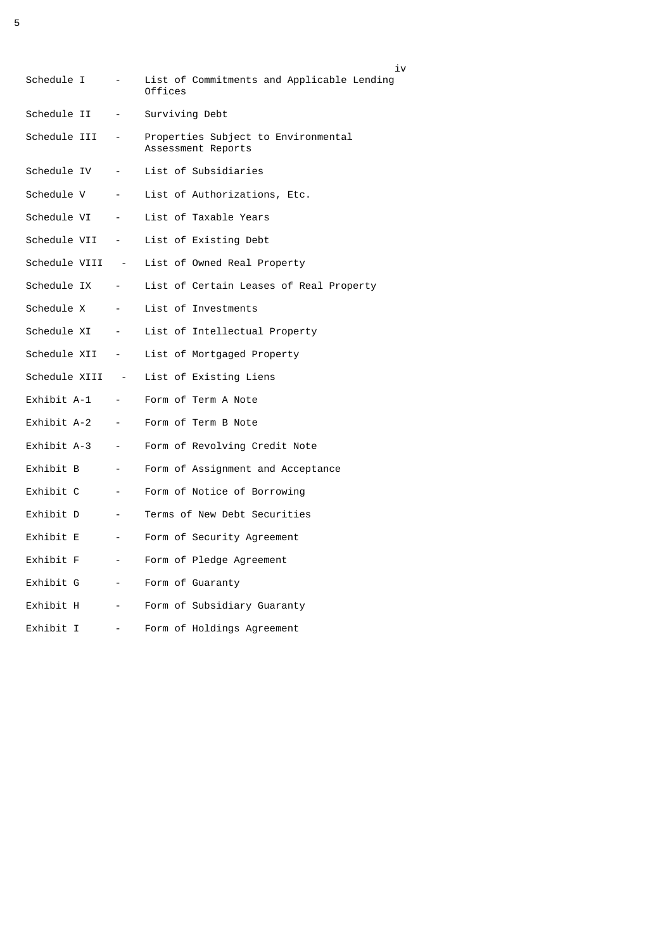| Schedule I                             | $\sim$                   | i٧<br>List of Commitments and Applicable Lending<br>Offices |
|----------------------------------------|--------------------------|-------------------------------------------------------------|
| Schedule II                            | $\overline{\phantom{a}}$ | Surviving Debt                                              |
| Schedule III -                         |                          | Properties Subject to Environmental<br>Assessment Reports   |
| Schedule IV<br><b>Contract</b>         |                          | List of Subsidiaries                                        |
| Schedule V                             | $\sim 100$ km s $^{-1}$  | List of Authorizations, Etc.                                |
| Schedule VI<br>$\sim 100$ km s $^{-1}$ |                          | List of Taxable Years                                       |
| Schedule VII -                         |                          | List of Existing Debt                                       |
|                                        |                          | Schedule VIII - List of Owned Real Property                 |
| Schedule IX                            | $\sim 100$ km s $^{-1}$  | List of Certain Leases of Real Property                     |
| Schedule X<br><b>Contract</b>          |                          | List of Investments                                         |
| Schedule XI -                          |                          | List of Intellectual Property                               |
| Schedule XII -                         |                          | List of Mortgaged Property                                  |
| Schedule XIII -                        |                          | List of Existing Liens                                      |
| Exhibit A-1                            | <b>Contract</b>          | Form of Term A Note                                         |
| Exhibit A-2<br>$\sim 100$ km s $^{-1}$ |                          | Form of Term B Note                                         |
| Exhibit A-3<br>$\sim 100$ km s $^{-1}$ |                          | Form of Revolving Credit Note                               |
| Exhibit B                              | $\sim$                   | Form of Assignment and Acceptance                           |
| Exhibit C                              | $\overline{\phantom{a}}$ | Form of Notice of Borrowing                                 |
| Exhibit D                              | $\overline{\phantom{a}}$ | Terms of New Debt Securities                                |
| Exhibit E                              | $\overline{\phantom{a}}$ | Form of Security Agreement                                  |
| Exhibit F                              | $\overline{\phantom{a}}$ | Form of Pledge Agreement                                    |
| Exhibit G                              | $\sim$                   | Form of Guaranty                                            |
| Exhibit H                              | $\sim$                   | Form of Subsidiary Guaranty                                 |
| Exhibit I                              | $\blacksquare$           | Form of Holdings Agreement                                  |

5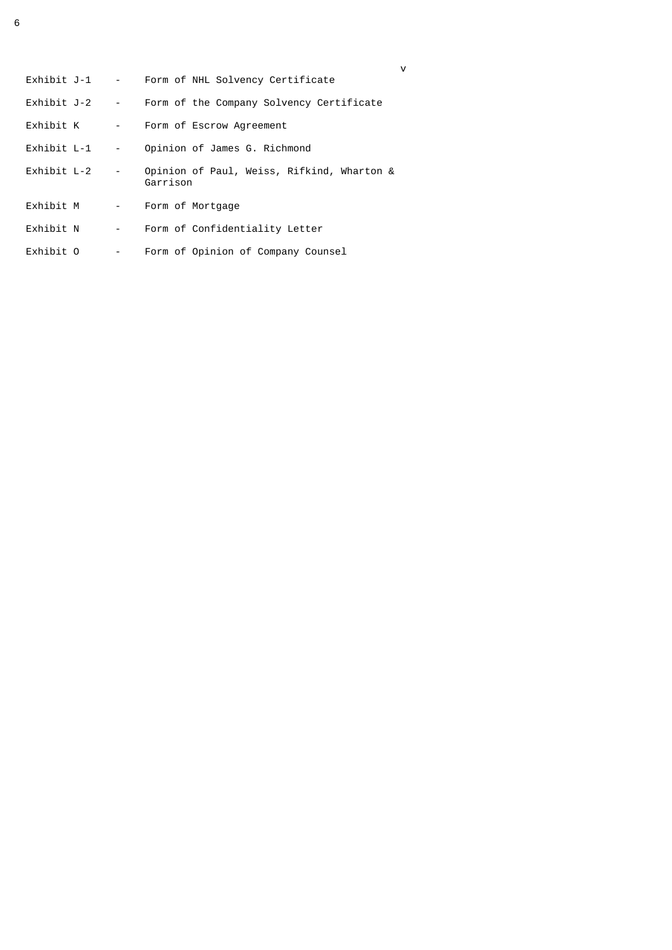| Exhibit J-1 |                          | Form of NHL Solvency Certificate                       |
|-------------|--------------------------|--------------------------------------------------------|
| Exhibit J-2 | $\sim 10^{-11}$          | Form of the Company Solvency Certificate               |
| Exhibit K   | $\overline{\phantom{a}}$ | Form of Escrow Agreement                               |
| Exhibit L-1 | $\overline{\phantom{0}}$ | Opinion of James G. Richmond                           |
| Exhibit L-2 | $\overline{\phantom{a}}$ | Opinion of Paul, Weiss, Rifkind, Wharton &<br>Garrison |
| Exhibit M   | $\sim 100$               | Form of Mortgage                                       |
| Exhibit N   | $\overline{\phantom{a}}$ | Form of Confidentiality Letter                         |
| Exhibit O   | -                        | Form of Opinion of Company Counsel                     |

v<sub>v</sub>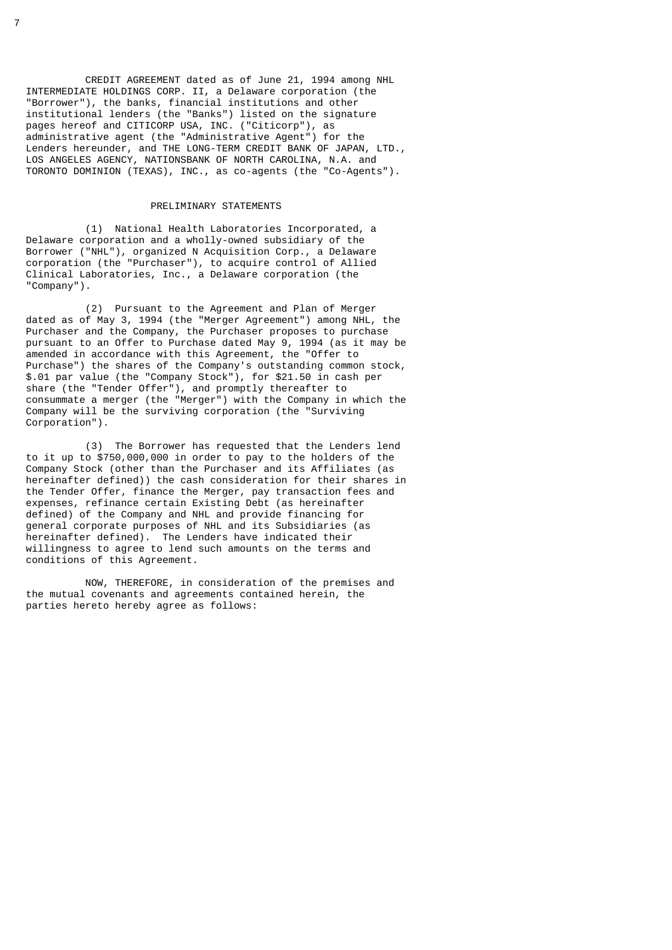CREDIT AGREEMENT dated as of June 21, 1994 among NHL INTERMEDIATE HOLDINGS CORP. II, a Delaware corporation (the "Borrower"), the banks, financial institutions and other institutional lenders (the "Banks") listed on the signature pages hereof and CITICORP USA, INC. ("Citicorp"), as administrative agent (the "Administrative Agent") for the Lenders hereunder, and THE LONG-TERM CREDIT BANK OF JAPAN, LTD., LOS ANGELES AGENCY, NATIONSBANK OF NORTH CAROLINA, N.A. and TORONTO DOMINION (TEXAS), INC., as co-agents (the "Co-Agents").

#### PRELIMINARY STATEMENTS

 (1) National Health Laboratories Incorporated, a Delaware corporation and a wholly-owned subsidiary of the Borrower ("NHL"), organized N Acquisition Corp., a Delaware corporation (the "Purchaser"), to acquire control of Allied Clinical Laboratories, Inc., a Delaware corporation (the "Company").

 (2) Pursuant to the Agreement and Plan of Merger dated as of May 3, 1994 (the "Merger Agreement") among NHL, the Purchaser and the Company, the Purchaser proposes to purchase pursuant to an Offer to Purchase dated May 9, 1994 (as it may be amended in accordance with this Agreement, the "Offer to Purchase") the shares of the Company's outstanding common stock, \$.01 par value (the "Company Stock"), for \$21.50 in cash per share (the "Tender Offer"), and promptly thereafter to consummate a merger (the "Merger") with the Company in which the Company will be the surviving corporation (the "Surviving Corporation").

 (3) The Borrower has requested that the Lenders lend to it up to \$750,000,000 in order to pay to the holders of the Company Stock (other than the Purchaser and its Affiliates (as hereinafter defined)) the cash consideration for their shares in the Tender Offer, finance the Merger, pay transaction fees and expenses, refinance certain Existing Debt (as hereinafter defined) of the Company and NHL and provide financing for general corporate purposes of NHL and its Subsidiaries (as hereinafter defined). The Lenders have indicated their willingness to agree to lend such amounts on the terms and conditions of this Agreement.

 NOW, THEREFORE, in consideration of the premises and the mutual covenants and agreements contained herein, the parties hereto hereby agree as follows: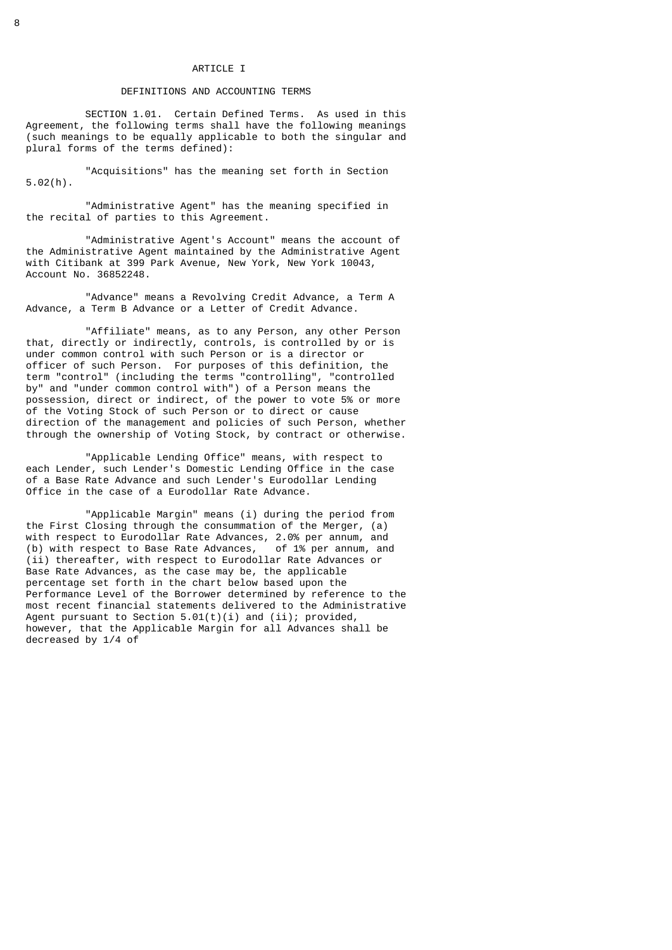#### ARTICLE I

#### DEFINITIONS AND ACCOUNTING TERMS

 SECTION 1.01. Certain Defined Terms. As used in this Agreement, the following terms shall have the following meanings (such meanings to be equally applicable to both the singular and plural forms of the terms defined):

 "Acquisitions" has the meaning set forth in Section 5.02(h).

 "Administrative Agent" has the meaning specified in the recital of parties to this Agreement.

 "Administrative Agent's Account" means the account of the Administrative Agent maintained by the Administrative Agent with Citibank at 399 Park Avenue, New York, New York 10043, Account No. 36852248.

 "Advance" means a Revolving Credit Advance, a Term A Advance, a Term B Advance or a Letter of Credit Advance.

 "Affiliate" means, as to any Person, any other Person that, directly or indirectly, controls, is controlled by or is under common control with such Person or is a director or officer of such Person. For purposes of this definition, the term "control" (including the terms "controlling", "controlled by" and "under common control with") of a Person means the possession, direct or indirect, of the power to vote 5% or more of the Voting Stock of such Person or to direct or cause direction of the management and policies of such Person, whether through the ownership of Voting Stock, by contract or otherwise.

 "Applicable Lending Office" means, with respect to each Lender, such Lender's Domestic Lending Office in the case of a Base Rate Advance and such Lender's Eurodollar Lending Office in the case of a Eurodollar Rate Advance.

 "Applicable Margin" means (i) during the period from the First Closing through the consummation of the Merger, (a) with respect to Eurodollar Rate Advances, 2.0% per annum, and (b) with respect to Base Rate Advances,  $\circ$  of 1% per annum, and (ii) thereafter, with respect to Eurodollar Rate Advances or Base Rate Advances, as the case may be, the applicable percentage set forth in the chart below based upon the Performance Level of the Borrower determined by reference to the most recent financial statements delivered to the Administrative Agent pursuant to Section  $5.01(t)(i)$  and  $(ii)$ ; provided, however, that the Applicable Margin for all Advances shall be decreased by 1/4 of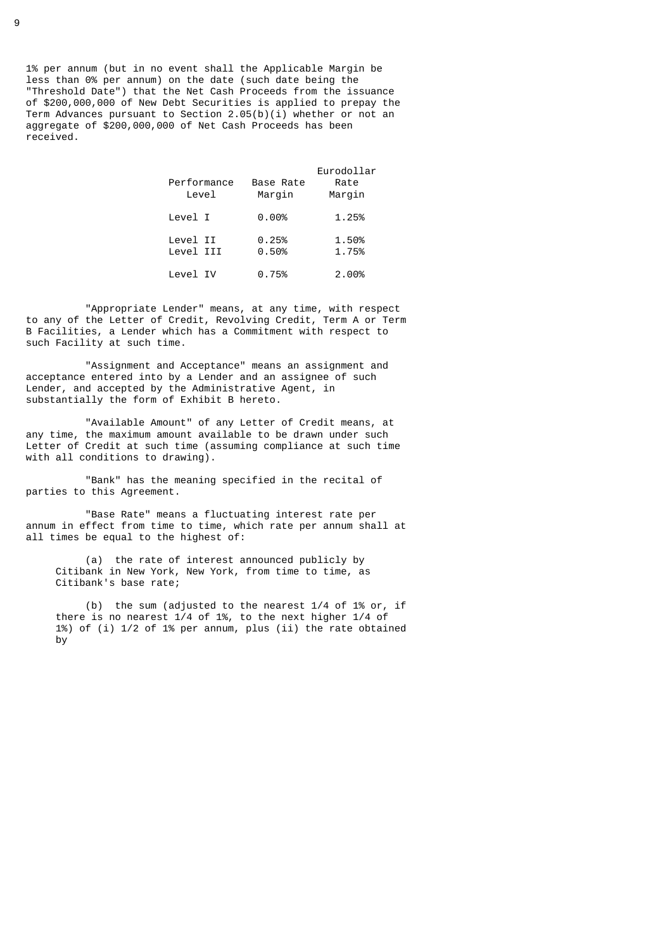1% per annum (but in no event shall the Applicable Margin be less than 0% per annum) on the date (such date being the "Threshold Date") that the Net Cash Proceeds from the issuance of \$200,000,000 of New Debt Securities is applied to prepay the Term Advances pursuant to Section  $2.05(b)(i)$  whether or not an aggregate of \$200,000,000 of Net Cash Proceeds has been received.

| Performance<br>Level  | Base Rate<br>Margin | Eurodollar<br>Rate<br>Margin |
|-----------------------|---------------------|------------------------------|
| Level I               | 0.00%               | 1.25%                        |
| Level II<br>Level III | 0.25%<br>0.50%      | 1.50%<br>1.75%               |
| Level IV              | 0.75%               | 2.00%                        |

 "Appropriate Lender" means, at any time, with respect to any of the Letter of Credit, Revolving Credit, Term A or Term B Facilities, a Lender which has a Commitment with respect to such Facility at such time.

 "Assignment and Acceptance" means an assignment and acceptance entered into by a Lender and an assignee of such Lender, and accepted by the Administrative Agent, in substantially the form of Exhibit B hereto.

 "Available Amount" of any Letter of Credit means, at any time, the maximum amount available to be drawn under such Letter of Credit at such time (assuming compliance at such time with all conditions to drawing).

 "Bank" has the meaning specified in the recital of parties to this Agreement.

 "Base Rate" means a fluctuating interest rate per annum in effect from time to time, which rate per annum shall at all times be equal to the highest of:

 (a) the rate of interest announced publicly by Citibank in New York, New York, from time to time, as Citibank's base rate;

 (b) the sum (adjusted to the nearest 1/4 of 1% or, if there is no nearest 1/4 of 1%, to the next higher 1/4 of 1%) of (i) 1/2 of 1% per annum, plus (ii) the rate obtained by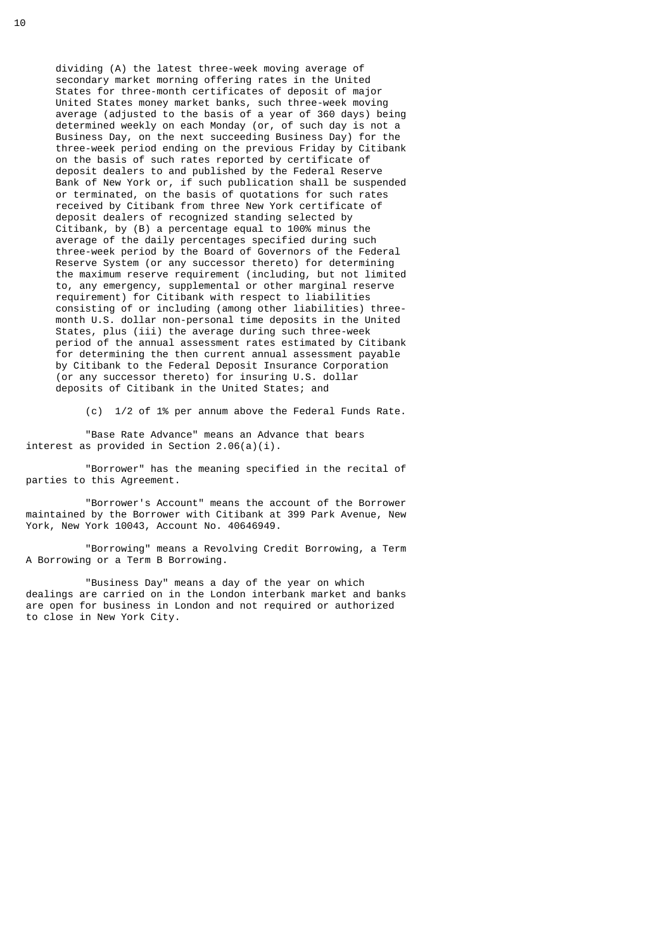dividing (A) the latest three-week moving average of secondary market morning offering rates in the United States for three-month certificates of deposit of major United States money market banks, such three-week moving average (adjusted to the basis of a year of 360 days) being determined weekly on each Monday (or, of such day is not a Business Day, on the next succeeding Business Day) for the three-week period ending on the previous Friday by Citibank on the basis of such rates reported by certificate of deposit dealers to and published by the Federal Reserve Bank of New York or, if such publication shall be suspended or terminated, on the basis of quotations for such rates received by Citibank from three New York certificate of deposit dealers of recognized standing selected by Citibank, by (B) a percentage equal to 100% minus the average of the daily percentages specified during such three-week period by the Board of Governors of the Federal Reserve System (or any successor thereto) for determining the maximum reserve requirement (including, but not limited to, any emergency, supplemental or other marginal reserve requirement) for Citibank with respect to liabilities consisting of or including (among other liabilities) three month U.S. dollar non-personal time deposits in the United States, plus (iii) the average during such three-week period of the annual assessment rates estimated by Citibank for determining the then current annual assessment payable by Citibank to the Federal Deposit Insurance Corporation (or any successor thereto) for insuring U.S. dollar deposits of Citibank in the United States; and

(c) 1/2 of 1% per annum above the Federal Funds Rate.

 "Base Rate Advance" means an Advance that bears interest as provided in Section 2.06(a)(i).

 "Borrower" has the meaning specified in the recital of parties to this Agreement.

 "Borrower's Account" means the account of the Borrower maintained by the Borrower with Citibank at 399 Park Avenue, New York, New York 10043, Account No. 40646949.

 "Borrowing" means a Revolving Credit Borrowing, a Term A Borrowing or a Term B Borrowing.

 "Business Day" means a day of the year on which dealings are carried on in the London interbank market and banks are open for business in London and not required or authorized to close in New York City.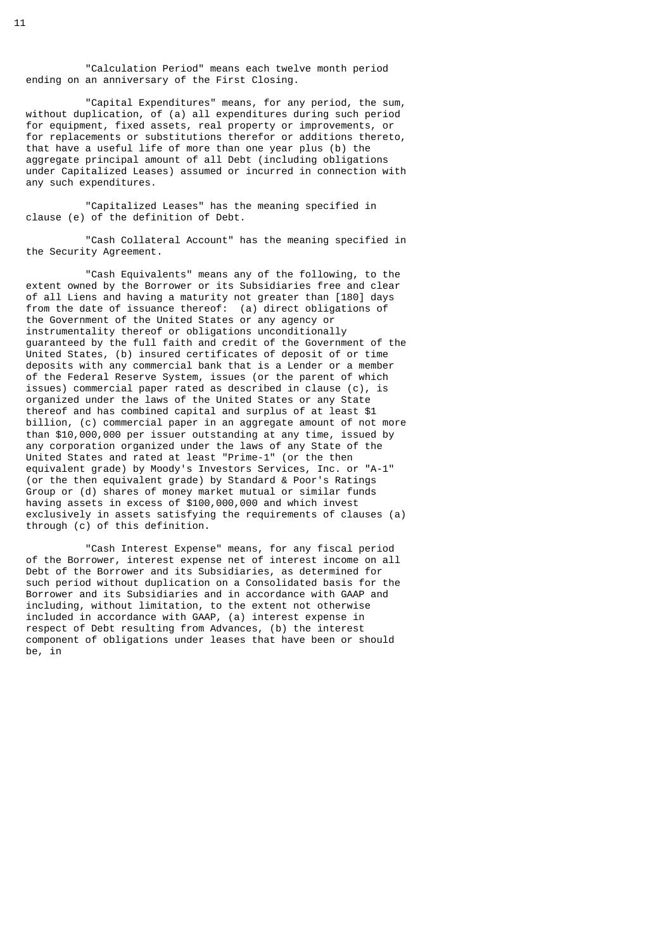"Calculation Period" means each twelve month period ending on an anniversary of the First Closing.

 "Capital Expenditures" means, for any period, the sum, without duplication, of (a) all expenditures during such period for equipment, fixed assets, real property or improvements, or for replacements or substitutions therefor or additions thereto, that have a useful life of more than one year plus (b) the aggregate principal amount of all Debt (including obligations under Capitalized Leases) assumed or incurred in connection with any such expenditures.

 "Capitalized Leases" has the meaning specified in clause (e) of the definition of Debt.

 "Cash Collateral Account" has the meaning specified in the Security Agreement.

 "Cash Equivalents" means any of the following, to the extent owned by the Borrower or its Subsidiaries free and clear of all Liens and having a maturity not greater than [180] days from the date of issuance thereof: (a) direct obligations of the Government of the United States or any agency or instrumentality thereof or obligations unconditionally guaranteed by the full faith and credit of the Government of the United States, (b) insured certificates of deposit of or time deposits with any commercial bank that is a Lender or a member of the Federal Reserve System, issues (or the parent of which issues) commercial paper rated as described in clause (c), is organized under the laws of the United States or any State thereof and has combined capital and surplus of at least \$1 billion, (c) commercial paper in an aggregate amount of not more than \$10,000,000 per issuer outstanding at any time, issued by any corporation organized under the laws of any State of the United States and rated at least "Prime-1" (or the then equivalent grade) by Moody's Investors Services, Inc. or "A-1" (or the then equivalent grade) by Standard & Poor's Ratings Group or (d) shares of money market mutual or similar funds having assets in excess of \$100,000,000 and which invest exclusively in assets satisfying the requirements of clauses (a) through (c) of this definition.

 "Cash Interest Expense" means, for any fiscal period of the Borrower, interest expense net of interest income on all Debt of the Borrower and its Subsidiaries, as determined for such period without duplication on a Consolidated basis for the Borrower and its Subsidiaries and in accordance with GAAP and including, without limitation, to the extent not otherwise included in accordance with GAAP, (a) interest expense in respect of Debt resulting from Advances, (b) the interest component of obligations under leases that have been or should be, in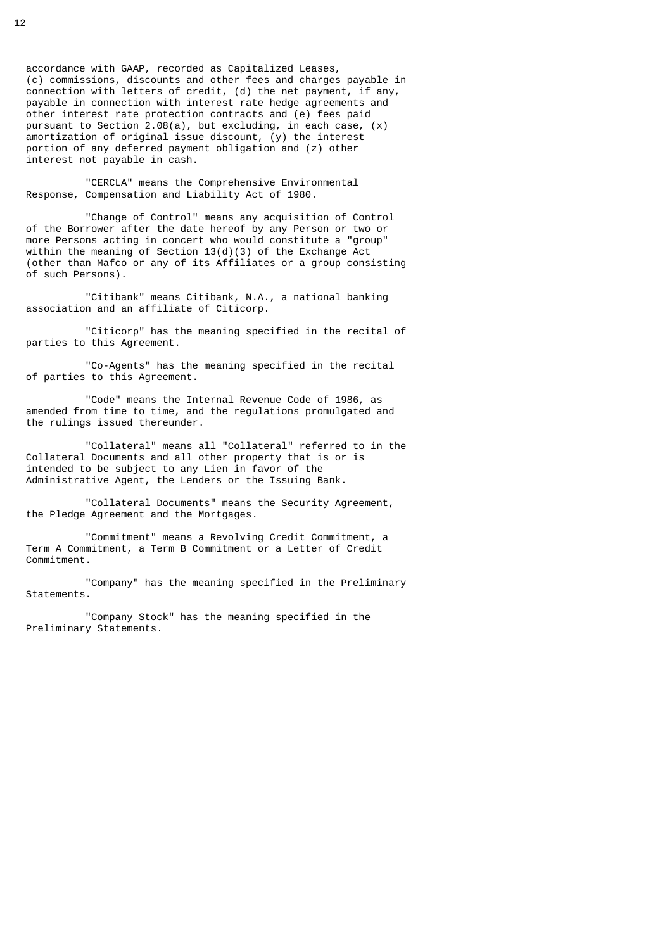accordance with GAAP, recorded as Capitalized Leases, (c) commissions, discounts and other fees and charges payable in connection with letters of credit, (d) the net payment, if any, payable in connection with interest rate hedge agreements and other interest rate protection contracts and (e) fees paid pursuant to Section 2.08(a), but excluding, in each case, (x) amortization of original issue discount, (y) the interest portion of any deferred payment obligation and (z) other interest not payable in cash.

 "CERCLA" means the Comprehensive Environmental Response, Compensation and Liability Act of 1980.

 "Change of Control" means any acquisition of Control of the Borrower after the date hereof by any Person or two or more Persons acting in concert who would constitute a "group" within the meaning of Section 13(d)(3) of the Exchange Act (other than Mafco or any of its Affiliates or a group consisting of such Persons).

 "Citibank" means Citibank, N.A., a national banking association and an affiliate of Citicorp.

 "Citicorp" has the meaning specified in the recital of parties to this Agreement.

 "Co-Agents" has the meaning specified in the recital of parties to this Agreement.

 "Code" means the Internal Revenue Code of 1986, as amended from time to time, and the regulations promulgated and the rulings issued thereunder.

 "Collateral" means all "Collateral" referred to in the Collateral Documents and all other property that is or is intended to be subject to any Lien in favor of the Administrative Agent, the Lenders or the Issuing Bank.

 "Collateral Documents" means the Security Agreement, the Pledge Agreement and the Mortgages.

 "Commitment" means a Revolving Credit Commitment, a Term A Commitment, a Term B Commitment or a Letter of Credit Commitment.

 "Company" has the meaning specified in the Preliminary Statements.

 "Company Stock" has the meaning specified in the Preliminary Statements.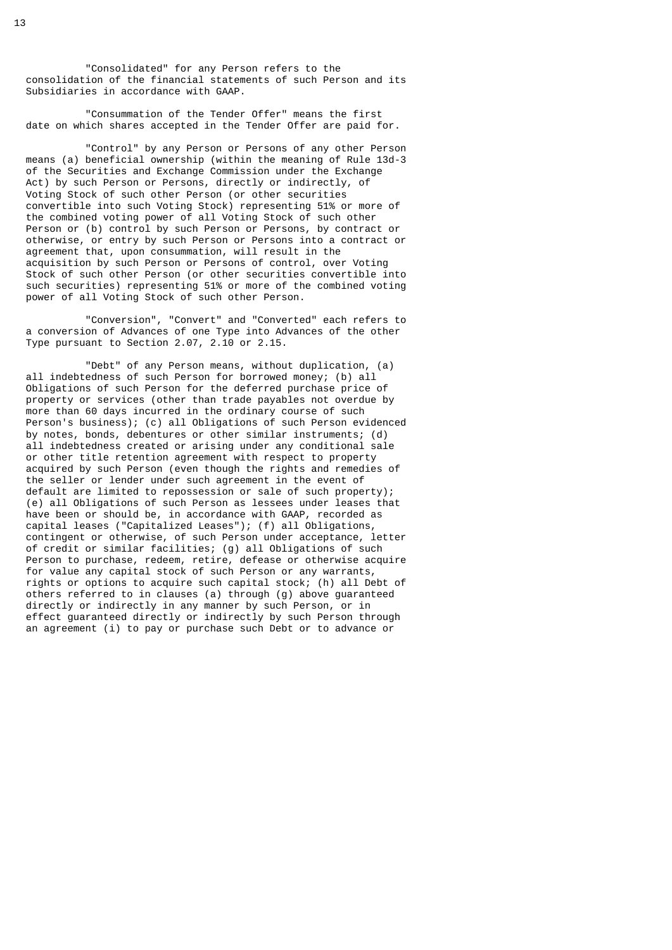"Consolidated" for any Person refers to the consolidation of the financial statements of such Person and its Subsidiaries in accordance with GAAP.

 "Consummation of the Tender Offer" means the first date on which shares accepted in the Tender Offer are paid for.

 "Control" by any Person or Persons of any other Person means (a) beneficial ownership (within the meaning of Rule 13d-3 of the Securities and Exchange Commission under the Exchange Act) by such Person or Persons, directly or indirectly, of Voting Stock of such other Person (or other securities convertible into such Voting Stock) representing 51% or more of the combined voting power of all Voting Stock of such other Person or (b) control by such Person or Persons, by contract or otherwise, or entry by such Person or Persons into a contract or agreement that, upon consummation, will result in the acquisition by such Person or Persons of control, over Voting Stock of such other Person (or other securities convertible into such securities) representing 51% or more of the combined voting power of all Voting Stock of such other Person.

 "Conversion", "Convert" and "Converted" each refers to a conversion of Advances of one Type into Advances of the other Type pursuant to Section 2.07, 2.10 or 2.15.

 "Debt" of any Person means, without duplication, (a) all indebtedness of such Person for borrowed money; (b) all Obligations of such Person for the deferred purchase price of property or services (other than trade payables not overdue by more than 60 days incurred in the ordinary course of such Person's business); (c) all Obligations of such Person evidenced by notes, bonds, debentures or other similar instruments; (d) all indebtedness created or arising under any conditional sale or other title retention agreement with respect to property acquired by such Person (even though the rights and remedies of the seller or lender under such agreement in the event of default are limited to repossession or sale of such property); (e) all Obligations of such Person as lessees under leases that have been or should be, in accordance with GAAP, recorded as capital leases ("Capitalized Leases"); (f) all Obligations, contingent or otherwise, of such Person under acceptance, letter of credit or similar facilities; (g) all Obligations of such Person to purchase, redeem, retire, defease or otherwise acquire for value any capital stock of such Person or any warrants, rights or options to acquire such capital stock; (h) all Debt of others referred to in clauses (a) through (g) above guaranteed directly or indirectly in any manner by such Person, or in effect guaranteed directly or indirectly by such Person through an agreement (i) to pay or purchase such Debt or to advance or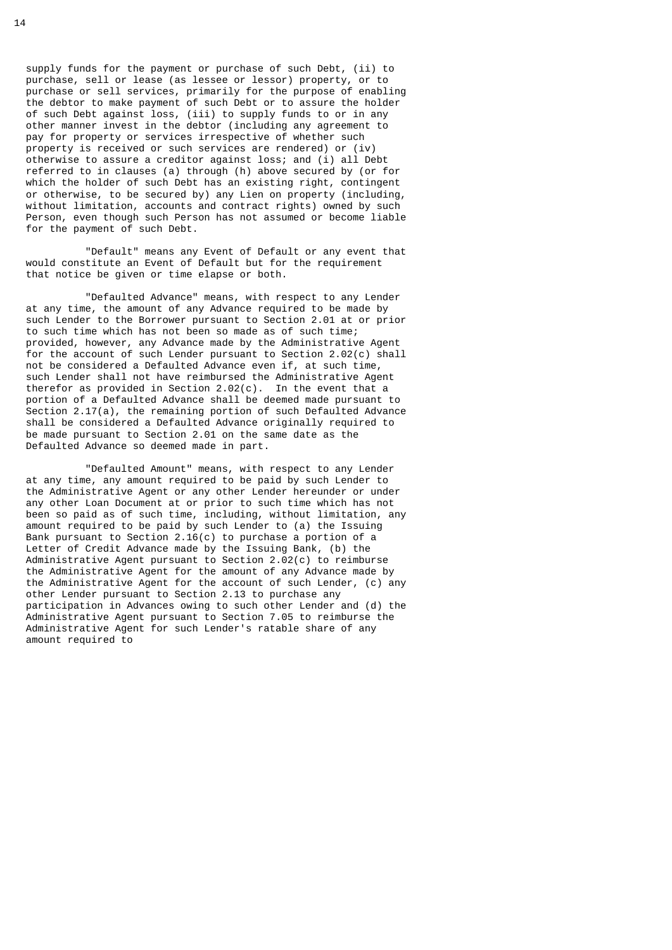supply funds for the payment or purchase of such Debt, (ii) to purchase, sell or lease (as lessee or lessor) property, or to purchase or sell services, primarily for the purpose of enabling the debtor to make payment of such Debt or to assure the holder of such Debt against loss, (iii) to supply funds to or in any other manner invest in the debtor (including any agreement to pay for property or services irrespective of whether such property is received or such services are rendered) or (iv) otherwise to assure a creditor against loss; and (i) all Debt referred to in clauses (a) through (h) above secured by (or for which the holder of such Debt has an existing right, contingent or otherwise, to be secured by) any Lien on property (including, without limitation, accounts and contract rights) owned by such Person, even though such Person has not assumed or become liable for the payment of such Debt.

 "Default" means any Event of Default or any event that would constitute an Event of Default but for the requirement that notice be given or time elapse or both.

 "Defaulted Advance" means, with respect to any Lender at any time, the amount of any Advance required to be made by such Lender to the Borrower pursuant to Section 2.01 at or prior to such time which has not been so made as of such time; provided, however, any Advance made by the Administrative Agent for the account of such Lender pursuant to Section 2.02(c) shall not be considered a Defaulted Advance even if, at such time, such Lender shall not have reimbursed the Administrative Agent therefor as provided in Section 2.02(c). In the event that a portion of a Defaulted Advance shall be deemed made pursuant to Section  $2.17(a)$ , the remaining portion of such Defaulted Advance shall be considered a Defaulted Advance originally required to be made pursuant to Section 2.01 on the same date as the Defaulted Advance so deemed made in part.

 "Defaulted Amount" means, with respect to any Lender at any time, any amount required to be paid by such Lender to the Administrative Agent or any other Lender hereunder or under any other Loan Document at or prior to such time which has not been so paid as of such time, including, without limitation, any amount required to be paid by such Lender to (a) the Issuing Bank pursuant to Section 2.16(c) to purchase a portion of a Letter of Credit Advance made by the Issuing Bank, (b) the Administrative Agent pursuant to Section 2.02(c) to reimburse the Administrative Agent for the amount of any Advance made by the Administrative Agent for the account of such Lender, (c) any other Lender pursuant to Section 2.13 to purchase any participation in Advances owing to such other Lender and (d) the Administrative Agent pursuant to Section 7.05 to reimburse the Administrative Agent for such Lender's ratable share of any amount required to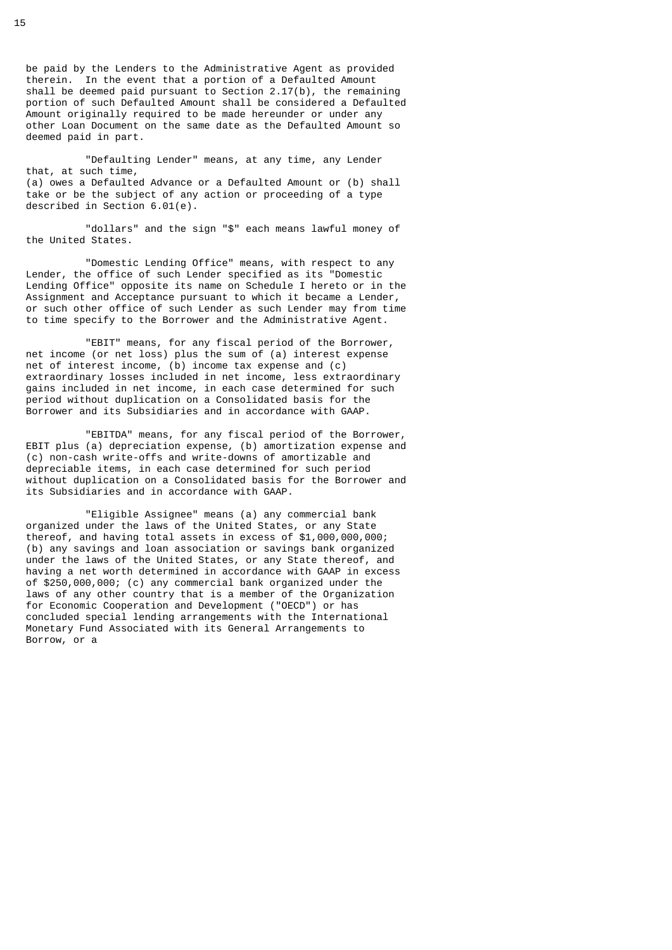be paid by the Lenders to the Administrative Agent as provided therein. In the event that a portion of a Defaulted Amount shall be deemed paid pursuant to Section 2.17(b), the remaining portion of such Defaulted Amount shall be considered a Defaulted Amount originally required to be made hereunder or under any other Loan Document on the same date as the Defaulted Amount so deemed paid in part.

 "Defaulting Lender" means, at any time, any Lender that, at such time, (a) owes a Defaulted Advance or a Defaulted Amount or (b) shall take or be the subject of any action or proceeding of a type described in Section 6.01(e).

 "dollars" and the sign "\$" each means lawful money of the United States.

 "Domestic Lending Office" means, with respect to any Lender, the office of such Lender specified as its "Domestic Lending Office" opposite its name on Schedule I hereto or in the Assignment and Acceptance pursuant to which it became a Lender, or such other office of such Lender as such Lender may from time to time specify to the Borrower and the Administrative Agent.

 "EBIT" means, for any fiscal period of the Borrower, net income (or net loss) plus the sum of (a) interest expense net of interest income, (b) income tax expense and (c) extraordinary losses included in net income, less extraordinary gains included in net income, in each case determined for such period without duplication on a Consolidated basis for the Borrower and its Subsidiaries and in accordance with GAAP.

 "EBITDA" means, for any fiscal period of the Borrower, EBIT plus (a) depreciation expense, (b) amortization expense and (c) non-cash write-offs and write-downs of amortizable and depreciable items, in each case determined for such period without duplication on a Consolidated basis for the Borrower and its Subsidiaries and in accordance with GAAP.

 "Eligible Assignee" means (a) any commercial bank organized under the laws of the United States, or any State thereof, and having total assets in excess of \$1,000,000,000; (b) any savings and loan association or savings bank organized under the laws of the United States, or any State thereof, and having a net worth determined in accordance with GAAP in excess of \$250,000,000; (c) any commercial bank organized under the laws of any other country that is a member of the Organization for Economic Cooperation and Development ("OECD") or has concluded special lending arrangements with the International Monetary Fund Associated with its General Arrangements to Borrow, or a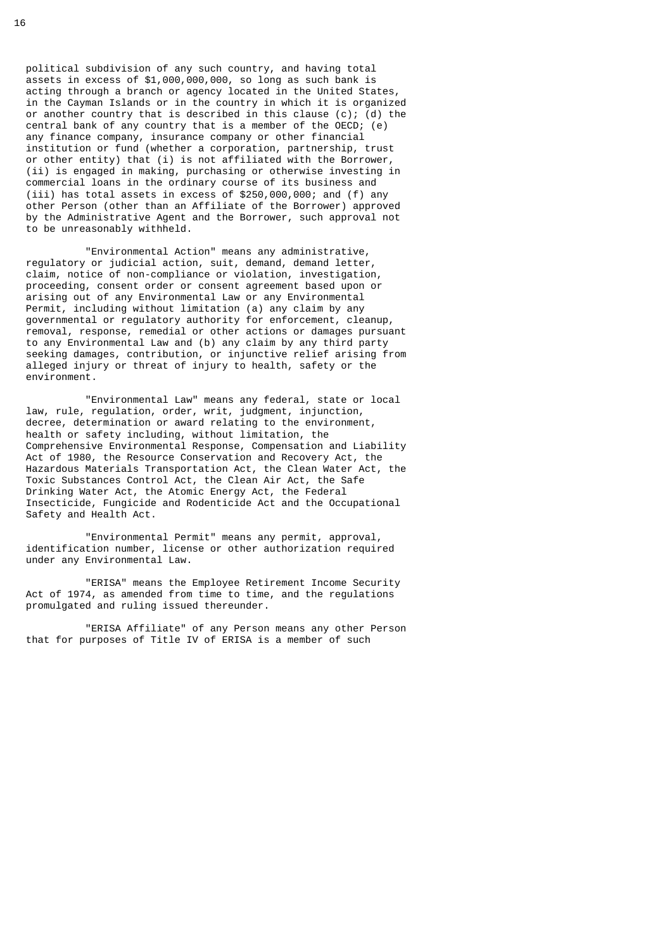political subdivision of any such country, and having total assets in excess of \$1,000,000,000, so long as such bank is acting through a branch or agency located in the United States, in the Cayman Islands or in the country in which it is organized or another country that is described in this clause (c); (d) the central bank of any country that is a member of the OECD; (e) any finance company, insurance company or other financial institution or fund (whether a corporation, partnership, trust or other entity) that (i) is not affiliated with the Borrower, (ii) is engaged in making, purchasing or otherwise investing in commercial loans in the ordinary course of its business and (iii) has total assets in excess of \$250,000,000; and (f) any other Person (other than an Affiliate of the Borrower) approved by the Administrative Agent and the Borrower, such approval not to be unreasonably withheld.

 "Environmental Action" means any administrative, regulatory or judicial action, suit, demand, demand letter, claim, notice of non-compliance or violation, investigation, proceeding, consent order or consent agreement based upon or arising out of any Environmental Law or any Environmental Permit, including without limitation (a) any claim by any governmental or regulatory authority for enforcement, cleanup, removal, response, remedial or other actions or damages pursuant to any Environmental Law and (b) any claim by any third party seeking damages, contribution, or injunctive relief arising from alleged injury or threat of injury to health, safety or the environment.

 "Environmental Law" means any federal, state or local law, rule, regulation, order, writ, judgment, injunction, decree, determination or award relating to the environment, health or safety including, without limitation, the Comprehensive Environmental Response, Compensation and Liability Act of 1980, the Resource Conservation and Recovery Act, the Hazardous Materials Transportation Act, the Clean Water Act, the Toxic Substances Control Act, the Clean Air Act, the Safe Drinking Water Act, the Atomic Energy Act, the Federal Insecticide, Fungicide and Rodenticide Act and the Occupational Safety and Health Act.

 "Environmental Permit" means any permit, approval, identification number, license or other authorization required under any Environmental Law.

 "ERISA" means the Employee Retirement Income Security Act of 1974, as amended from time to time, and the regulations promulgated and ruling issued thereunder.

 "ERISA Affiliate" of any Person means any other Person that for purposes of Title IV of ERISA is a member of such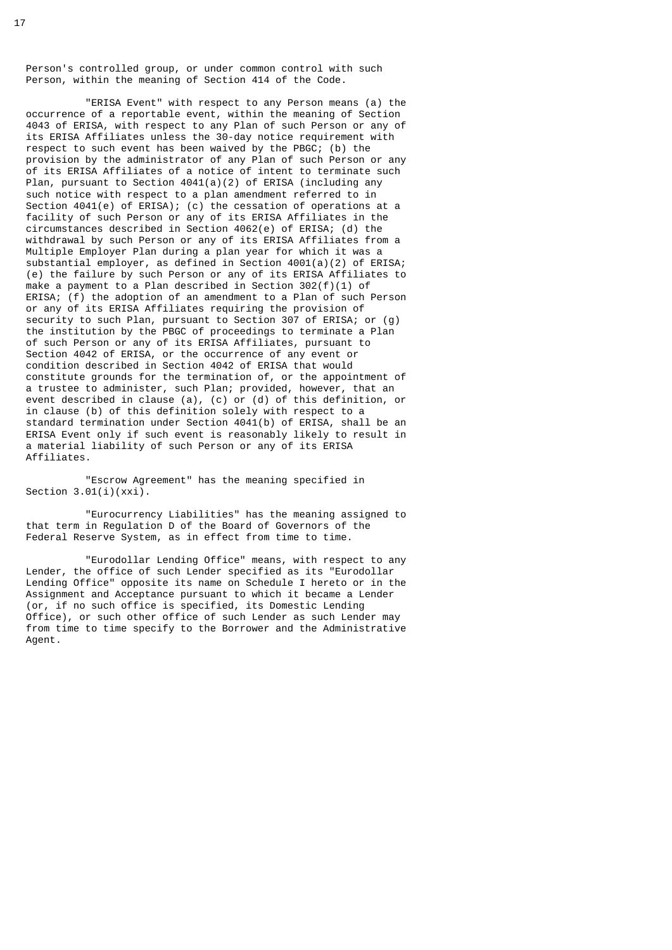Person's controlled group, or under common control with such Person, within the meaning of Section 414 of the Code.

 "ERISA Event" with respect to any Person means (a) the occurrence of a reportable event, within the meaning of Section 4043 of ERISA, with respect to any Plan of such Person or any of its ERISA Affiliates unless the 30-day notice requirement with respect to such event has been waived by the PBGC; (b) the provision by the administrator of any Plan of such Person or any of its ERISA Affiliates of a notice of intent to terminate such Plan, pursuant to Section 4041(a)(2) of ERISA (including any such notice with respect to a plan amendment referred to in Section 4041(e) of ERISA); (c) the cessation of operations at a facility of such Person or any of its ERISA Affiliates in the circumstances described in Section 4062(e) of ERISA; (d) the withdrawal by such Person or any of its ERISA Affiliates from a Multiple Employer Plan during a plan year for which it was a substantial employer, as defined in Section 4001(a)(2) of ERISA; (e) the failure by such Person or any of its ERISA Affiliates to make a payment to a Plan described in Section 302(f)(1) of ERISA; (f) the adoption of an amendment to a Plan of such Person or any of its ERISA Affiliates requiring the provision of security to such Plan, pursuant to Section 307 of ERISA; or (g) the institution by the PBGC of proceedings to terminate a Plan of such Person or any of its ERISA Affiliates, pursuant to Section 4042 of ERISA, or the occurrence of any event or condition described in Section 4042 of ERISA that would constitute grounds for the termination of, or the appointment of a trustee to administer, such Plan; provided, however, that an event described in clause (a), (c) or (d) of this definition, or in clause (b) of this definition solely with respect to a standard termination under Section 4041(b) of ERISA, shall be an ERISA Event only if such event is reasonably likely to result in a material liability of such Person or any of its ERISA Affiliates.

 "Escrow Agreement" has the meaning specified in Section  $3.01(i)(xxi)$ .

 "Eurocurrency Liabilities" has the meaning assigned to that term in Regulation D of the Board of Governors of the Federal Reserve System, as in effect from time to time.

 "Eurodollar Lending Office" means, with respect to any Lender, the office of such Lender specified as its "Eurodollar Lending Office" opposite its name on Schedule I hereto or in the Assignment and Acceptance pursuant to which it became a Lender (or, if no such office is specified, its Domestic Lending Office), or such other office of such Lender as such Lender may from time to time specify to the Borrower and the Administrative Agent.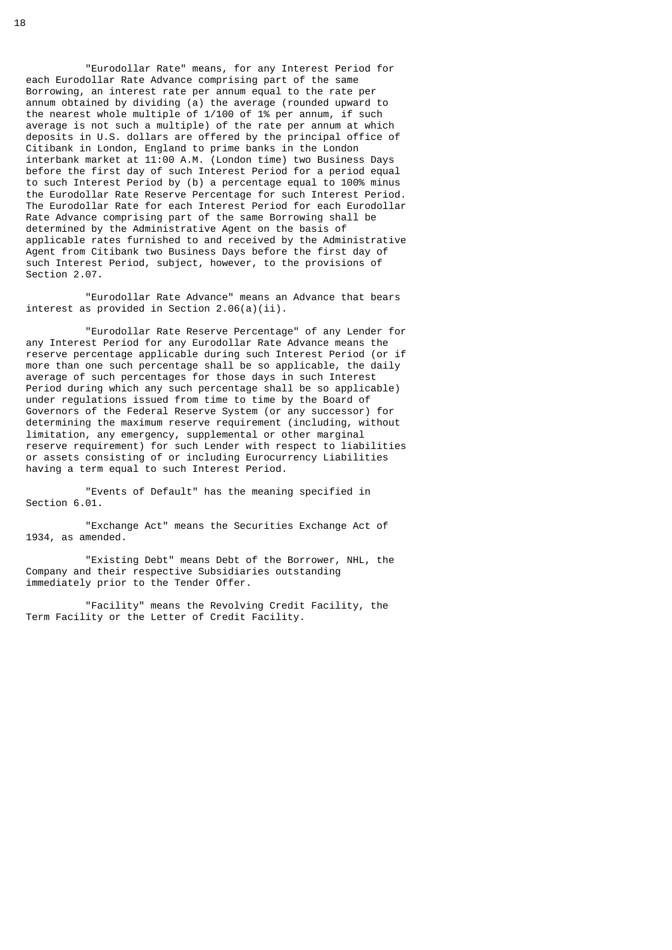"Eurodollar Rate" means, for any Interest Period for each Eurodollar Rate Advance comprising part of the same Borrowing, an interest rate per annum equal to the rate per annum obtained by dividing (a) the average (rounded upward to the nearest whole multiple of 1/100 of 1% per annum, if such average is not such a multiple) of the rate per annum at which deposits in U.S. dollars are offered by the principal office of Citibank in London, England to prime banks in the London interbank market at 11:00 A.M. (London time) two Business Days before the first day of such Interest Period for a period equal to such Interest Period by (b) a percentage equal to 100% minus the Eurodollar Rate Reserve Percentage for such Interest Period. The Eurodollar Rate for each Interest Period for each Eurodollar Rate Advance comprising part of the same Borrowing shall be determined by the Administrative Agent on the basis of applicable rates furnished to and received by the Administrative Agent from Citibank two Business Days before the first day of such Interest Period, subject, however, to the provisions of Section 2.07.

 "Eurodollar Rate Advance" means an Advance that bears interest as provided in Section 2.06(a)(ii).

 "Eurodollar Rate Reserve Percentage" of any Lender for any Interest Period for any Eurodollar Rate Advance means the reserve percentage applicable during such Interest Period (or if more than one such percentage shall be so applicable, the daily average of such percentages for those days in such Interest Period during which any such percentage shall be so applicable) under regulations issued from time to time by the Board of Governors of the Federal Reserve System (or any successor) for determining the maximum reserve requirement (including, without limitation, any emergency, supplemental or other marginal reserve requirement) for such Lender with respect to liabilities or assets consisting of or including Eurocurrency Liabilities having a term equal to such Interest Period.

 "Events of Default" has the meaning specified in Section 6.01.

 "Exchange Act" means the Securities Exchange Act of 1934, as amended.

 "Existing Debt" means Debt of the Borrower, NHL, the Company and their respective Subsidiaries outstanding immediately prior to the Tender Offer.

 "Facility" means the Revolving Credit Facility, the Term Facility or the Letter of Credit Facility.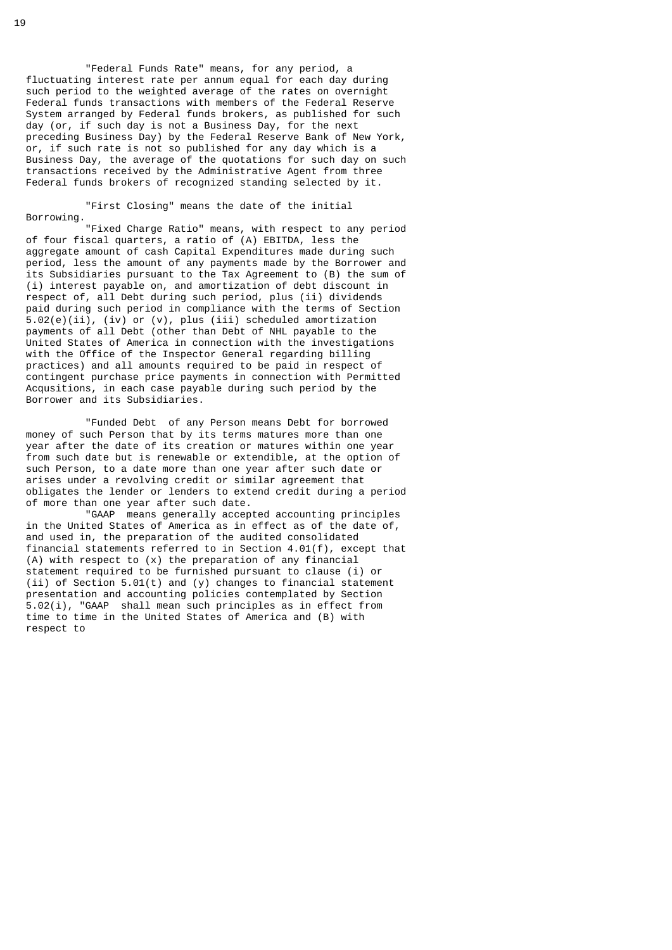"Federal Funds Rate" means, for any period, a fluctuating interest rate per annum equal for each day during such period to the weighted average of the rates on overnight Federal funds transactions with members of the Federal Reserve System arranged by Federal funds brokers, as published for such day (or, if such day is not a Business Day, for the next preceding Business Day) by the Federal Reserve Bank of New York, or, if such rate is not so published for any day which is a Business Day, the average of the quotations for such day on such transactions received by the Administrative Agent from three Federal funds brokers of recognized standing selected by it.

 "First Closing" means the date of the initial Borrowing.

 "Fixed Charge Ratio" means, with respect to any period of four fiscal quarters, a ratio of (A) EBITDA, less the aggregate amount of cash Capital Expenditures made during such period, less the amount of any payments made by the Borrower and its Subsidiaries pursuant to the Tax Agreement to (B) the sum of (i) interest payable on, and amortization of debt discount in respect of, all Debt during such period, plus (ii) dividends paid during such period in compliance with the terms of Section 5.02(e)(ii), (iv) or (v), plus (iii) scheduled amortization payments of all Debt (other than Debt of NHL payable to the United States of America in connection with the investigations with the Office of the Inspector General regarding billing practices) and all amounts required to be paid in respect of contingent purchase price payments in connection with Permitted Acqusitions, in each case payable during such period by the Borrower and its Subsidiaries.

 "Funded Debt of any Person means Debt for borrowed money of such Person that by its terms matures more than one year after the date of its creation or matures within one year from such date but is renewable or extendible, at the option of such Person, to a date more than one year after such date or arises under a revolving credit or similar agreement that obligates the lender or lenders to extend credit during a period of more than one year after such date.

 "GAAP means generally accepted accounting principles in the United States of America as in effect as of the date of, and used in, the preparation of the audited consolidated financial statements referred to in Section 4.01(f), except that (A) with respect to (x) the preparation of any financial statement required to be furnished pursuant to clause (i) or (ii) of Section  $5.01(t)$  and (y) changes to financial statement presentation and accounting policies contemplated by Section 5.02(i), "GAAP shall mean such principles as in effect from time to time in the United States of America and (B) with respect to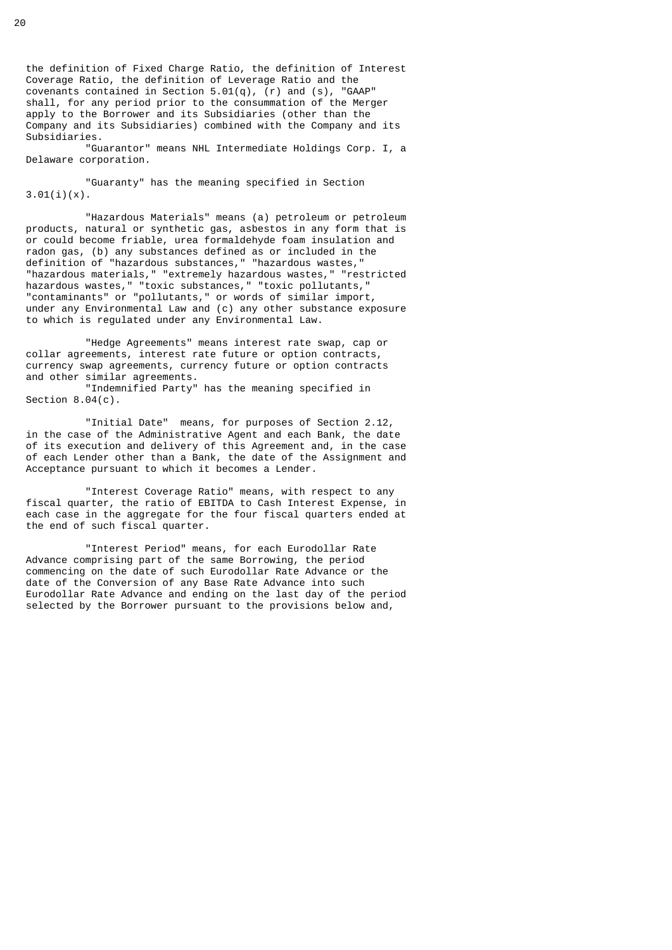the definition of Fixed Charge Ratio, the definition of Interest Coverage Ratio, the definition of Leverage Ratio and the covenants contained in Section 5.01(q),  $(r)$  and (s), "GAAP" shall, for any period prior to the consummation of the Merger apply to the Borrower and its Subsidiaries (other than the Company and its Subsidiaries) combined with the Company and its Subsidiaries.

 "Guarantor" means NHL Intermediate Holdings Corp. I, a Delaware corporation.

 "Guaranty" has the meaning specified in Section  $3.01(i)(x)$ .

 "Hazardous Materials" means (a) petroleum or petroleum products, natural or synthetic gas, asbestos in any form that is or could become friable, urea formaldehyde foam insulation and radon gas, (b) any substances defined as or included in the definition of "hazardous substances," "hazardous wastes," "hazardous materials," "extremely hazardous wastes," "restricted hazardous wastes," "toxic substances," "toxic pollutants," "contaminants" or "pollutants," or words of similar import, under any Environmental Law and (c) any other substance exposure to which is regulated under any Environmental Law.

 "Hedge Agreements" means interest rate swap, cap or collar agreements, interest rate future or option contracts, currency swap agreements, currency future or option contracts and other similar agreements.

 "Indemnified Party" has the meaning specified in Section  $8.04(c)$ .

 "Initial Date" means, for purposes of Section 2.12, in the case of the Administrative Agent and each Bank, the date of its execution and delivery of this Agreement and, in the case of each Lender other than a Bank, the date of the Assignment and Acceptance pursuant to which it becomes a Lender.

 "Interest Coverage Ratio" means, with respect to any fiscal quarter, the ratio of EBITDA to Cash Interest Expense, in each case in the aggregate for the four fiscal quarters ended at the end of such fiscal quarter.

 "Interest Period" means, for each Eurodollar Rate Advance comprising part of the same Borrowing, the period commencing on the date of such Eurodollar Rate Advance or the date of the Conversion of any Base Rate Advance into such Eurodollar Rate Advance and ending on the last day of the period selected by the Borrower pursuant to the provisions below and,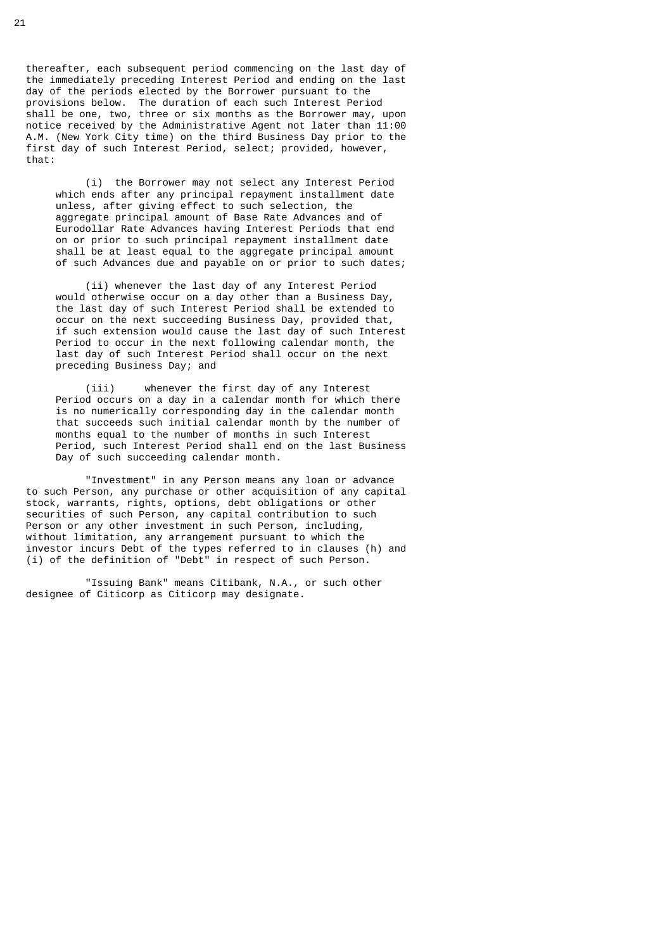thereafter, each subsequent period commencing on the last day of the immediately preceding Interest Period and ending on the last day of the periods elected by the Borrower pursuant to the provisions below. The duration of each such Interest Period shall be one, two, three or six months as the Borrower may, upon notice received by the Administrative Agent not later than 11:00 A.M. (New York City time) on the third Business Day prior to the first day of such Interest Period, select; provided, however, that:

 (i) the Borrower may not select any Interest Period which ends after any principal repayment installment date unless, after giving effect to such selection, the aggregate principal amount of Base Rate Advances and of Eurodollar Rate Advances having Interest Periods that end on or prior to such principal repayment installment date shall be at least equal to the aggregate principal amount of such Advances due and payable on or prior to such dates;

 (ii) whenever the last day of any Interest Period would otherwise occur on a day other than a Business Day, the last day of such Interest Period shall be extended to occur on the next succeeding Business Day, provided that, if such extension would cause the last day of such Interest Period to occur in the next following calendar month, the last day of such Interest Period shall occur on the next preceding Business Day; and

 (iii) whenever the first day of any Interest Period occurs on a day in a calendar month for which there is no numerically corresponding day in the calendar month that succeeds such initial calendar month by the number of months equal to the number of months in such Interest Period, such Interest Period shall end on the last Business Day of such succeeding calendar month.

 "Investment" in any Person means any loan or advance to such Person, any purchase or other acquisition of any capital stock, warrants, rights, options, debt obligations or other securities of such Person, any capital contribution to such Person or any other investment in such Person, including, without limitation, any arrangement pursuant to which the investor incurs Debt of the types referred to in clauses (h) and (i) of the definition of "Debt" in respect of such Person.

 "Issuing Bank" means Citibank, N.A., or such other designee of Citicorp as Citicorp may designate.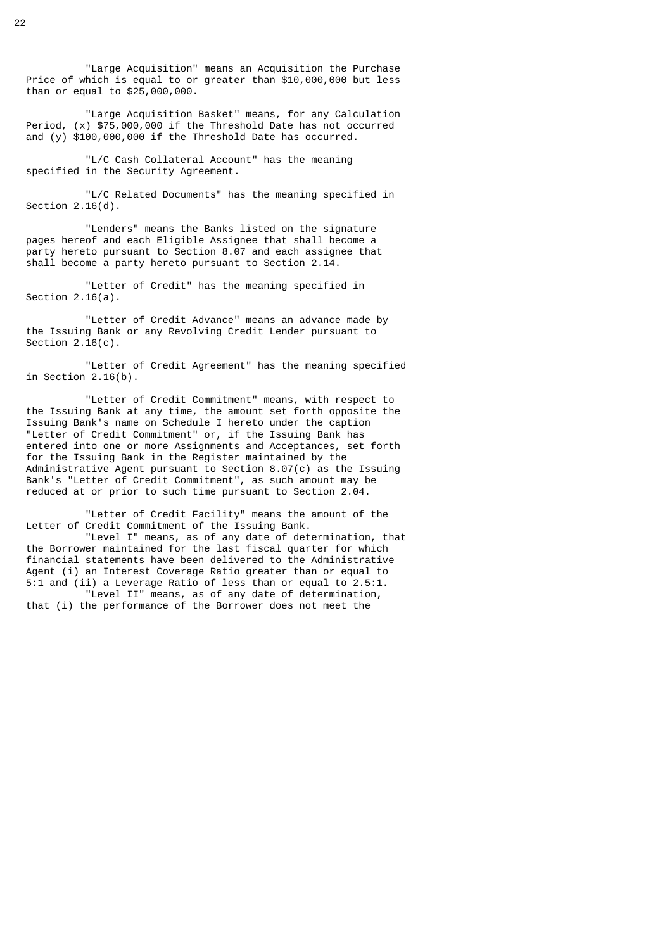"Large Acquisition" means an Acquisition the Purchase Price of which is equal to or greater than \$10,000,000 but less than or equal to \$25,000,000.

 "Large Acquisition Basket" means, for any Calculation Period, (x) \$75,000,000 if the Threshold Date has not occurred and (y) \$100,000,000 if the Threshold Date has occurred.

 "L/C Cash Collateral Account" has the meaning specified in the Security Agreement.

 "L/C Related Documents" has the meaning specified in Section 2.16(d).

 "Lenders" means the Banks listed on the signature pages hereof and each Eligible Assignee that shall become a party hereto pursuant to Section 8.07 and each assignee that shall become a party hereto pursuant to Section 2.14.

 "Letter of Credit" has the meaning specified in Section 2.16(a).

 "Letter of Credit Advance" means an advance made by the Issuing Bank or any Revolving Credit Lender pursuant to Section  $2.16(c)$ .

 "Letter of Credit Agreement" has the meaning specified in Section 2.16(b).

 "Letter of Credit Commitment" means, with respect to the Issuing Bank at any time, the amount set forth opposite the Issuing Bank's name on Schedule I hereto under the caption "Letter of Credit Commitment" or, if the Issuing Bank has entered into one or more Assignments and Acceptances, set forth for the Issuing Bank in the Register maintained by the Administrative Agent pursuant to Section 8.07(c) as the Issuing Bank's "Letter of Credit Commitment", as such amount may be reduced at or prior to such time pursuant to Section 2.04.

 "Letter of Credit Facility" means the amount of the Letter of Credit Commitment of the Issuing Bank.

 "Level I" means, as of any date of determination, that the Borrower maintained for the last fiscal quarter for which financial statements have been delivered to the Administrative Agent (i) an Interest Coverage Ratio greater than or equal to 5:1 and (ii) a Leverage Ratio of less than or equal to 2.5:1. "Level II" means, as of any date of determination,

that (i) the performance of the Borrower does not meet the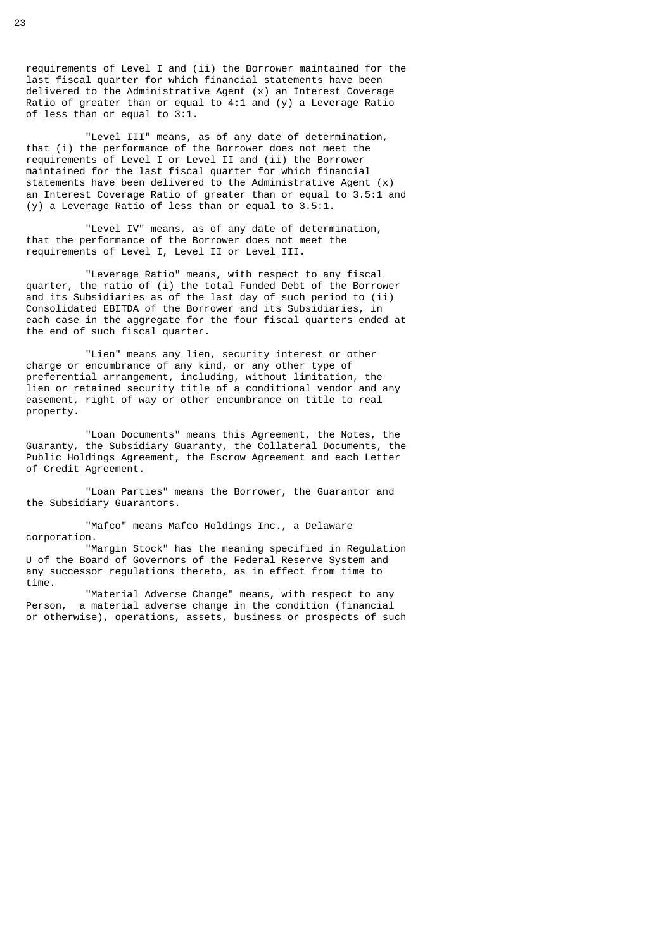requirements of Level I and (ii) the Borrower maintained for the last fiscal quarter for which financial statements have been delivered to the Administrative Agent (x) an Interest Coverage Ratio of greater than or equal to 4:1 and (y) a Leverage Ratio of less than or equal to 3:1.

 "Level III" means, as of any date of determination, that (i) the performance of the Borrower does not meet the requirements of Level I or Level II and (ii) the Borrower maintained for the last fiscal quarter for which financial statements have been delivered to the Administrative Agent  $(x)$  an Interest Coverage Ratio of greater than or equal to 3.5:1 and (y) a Leverage Ratio of less than or equal to 3.5:1.

 "Level IV" means, as of any date of determination, that the performance of the Borrower does not meet the requirements of Level I, Level II or Level III.

 "Leverage Ratio" means, with respect to any fiscal quarter, the ratio of (i) the total Funded Debt of the Borrower and its Subsidiaries as of the last day of such period to (ii) Consolidated EBITDA of the Borrower and its Subsidiaries, in each case in the aggregate for the four fiscal quarters ended at the end of such fiscal quarter.

 "Lien" means any lien, security interest or other charge or encumbrance of any kind, or any other type of preferential arrangement, including, without limitation, the lien or retained security title of a conditional vendor and any easement, right of way or other encumbrance on title to real property.

 "Loan Documents" means this Agreement, the Notes, the Guaranty, the Subsidiary Guaranty, the Collateral Documents, the Public Holdings Agreement, the Escrow Agreement and each Letter of Credit Agreement.

 "Loan Parties" means the Borrower, the Guarantor and the Subsidiary Guarantors.

 "Mafco" means Mafco Holdings Inc., a Delaware corporation.

 "Margin Stock" has the meaning specified in Regulation U of the Board of Governors of the Federal Reserve System and any successor regulations thereto, as in effect from time to time.

 "Material Adverse Change" means, with respect to any Person, a material adverse change in the condition (financial or otherwise), operations, assets, business or prospects of such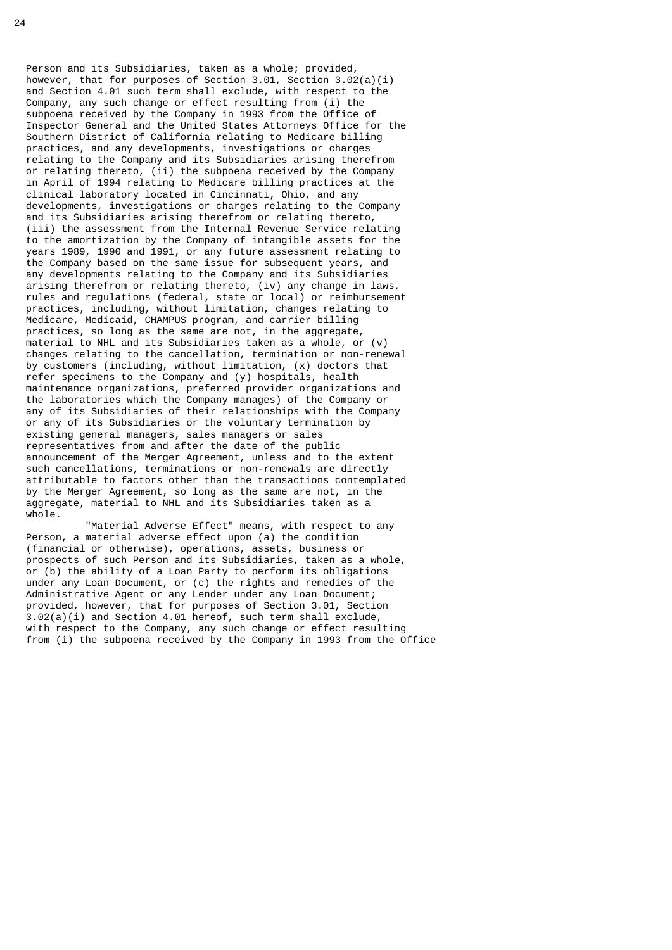Person and its Subsidiaries, taken as a whole; provided, however, that for purposes of Section 3.01, Section 3.02(a)(i) and Section 4.01 such term shall exclude, with respect to the Company, any such change or effect resulting from (i) the subpoena received by the Company in 1993 from the Office of Inspector General and the United States Attorneys Office for the Southern District of California relating to Medicare billing practices, and any developments, investigations or charges relating to the Company and its Subsidiaries arising therefrom or relating thereto, (ii) the subpoena received by the Company in April of 1994 relating to Medicare billing practices at the clinical laboratory located in Cincinnati, Ohio, and any developments, investigations or charges relating to the Company and its Subsidiaries arising therefrom or relating thereto, (iii) the assessment from the Internal Revenue Service relating to the amortization by the Company of intangible assets for the years 1989, 1990 and 1991, or any future assessment relating to the Company based on the same issue for subsequent years, and any developments relating to the Company and its Subsidiaries arising therefrom or relating thereto, (iv) any change in laws, rules and regulations (federal, state or local) or reimbursement practices, including, without limitation, changes relating to Medicare, Medicaid, CHAMPUS program, and carrier billing practices, so long as the same are not, in the aggregate, material to NHL and its Subsidiaries taken as a whole, or (v) changes relating to the cancellation, termination or non-renewal by customers (including, without limitation, (x) doctors that refer specimens to the Company and (y) hospitals, health maintenance organizations, preferred provider organizations and the laboratories which the Company manages) of the Company or any of its Subsidiaries of their relationships with the Company or any of its Subsidiaries or the voluntary termination by existing general managers, sales managers or sales representatives from and after the date of the public announcement of the Merger Agreement, unless and to the extent such cancellations, terminations or non-renewals are directly attributable to factors other than the transactions contemplated by the Merger Agreement, so long as the same are not, in the aggregate, material to NHL and its Subsidiaries taken as a whole.

 "Material Adverse Effect" means, with respect to any Person, a material adverse effect upon (a) the condition (financial or otherwise), operations, assets, business or prospects of such Person and its Subsidiaries, taken as a whole, or (b) the ability of a Loan Party to perform its obligations under any Loan Document, or (c) the rights and remedies of the Administrative Agent or any Lender under any Loan Document; provided, however, that for purposes of Section 3.01, Section 3.02(a)(i) and Section 4.01 hereof, such term shall exclude, with respect to the Company, any such change or effect resulting from (i) the subpoena received by the Company in 1993 from the Office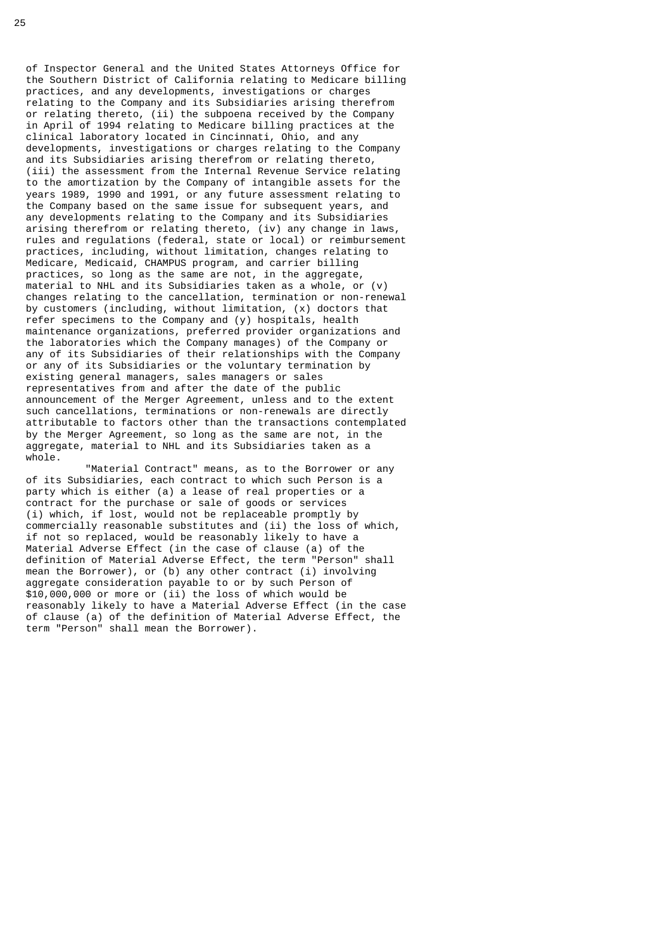of Inspector General and the United States Attorneys Office for the Southern District of California relating to Medicare billing practices, and any developments, investigations or charges relating to the Company and its Subsidiaries arising therefrom or relating thereto, (ii) the subpoena received by the Company in April of 1994 relating to Medicare billing practices at the clinical laboratory located in Cincinnati, Ohio, and any developments, investigations or charges relating to the Company and its Subsidiaries arising therefrom or relating thereto, (iii) the assessment from the Internal Revenue Service relating to the amortization by the Company of intangible assets for the years 1989, 1990 and 1991, or any future assessment relating to the Company based on the same issue for subsequent years, and any developments relating to the Company and its Subsidiaries arising therefrom or relating thereto, (iv) any change in laws, rules and regulations (federal, state or local) or reimbursement practices, including, without limitation, changes relating to Medicare, Medicaid, CHAMPUS program, and carrier billing practices, so long as the same are not, in the aggregate, material to NHL and its Subsidiaries taken as a whole, or (v) changes relating to the cancellation, termination or non-renewal by customers (including, without limitation, (x) doctors that refer specimens to the Company and (y) hospitals, health maintenance organizations, preferred provider organizations and the laboratories which the Company manages) of the Company or any of its Subsidiaries of their relationships with the Company or any of its Subsidiaries or the voluntary termination by existing general managers, sales managers or sales representatives from and after the date of the public announcement of the Merger Agreement, unless and to the extent such cancellations, terminations or non-renewals are directly attributable to factors other than the transactions contemplated by the Merger Agreement, so long as the same are not, in the aggregate, material to NHL and its Subsidiaries taken as a whole.

 "Material Contract" means, as to the Borrower or any of its Subsidiaries, each contract to which such Person is a party which is either (a) a lease of real properties or a contract for the purchase or sale of goods or services (i) which, if lost, would not be replaceable promptly by commercially reasonable substitutes and (ii) the loss of which, if not so replaced, would be reasonably likely to have a Material Adverse Effect (in the case of clause (a) of the definition of Material Adverse Effect, the term "Person" shall mean the Borrower), or (b) any other contract (i) involving aggregate consideration payable to or by such Person of \$10,000,000 or more or (ii) the loss of which would be reasonably likely to have a Material Adverse Effect (in the case of clause (a) of the definition of Material Adverse Effect, the term "Person" shall mean the Borrower).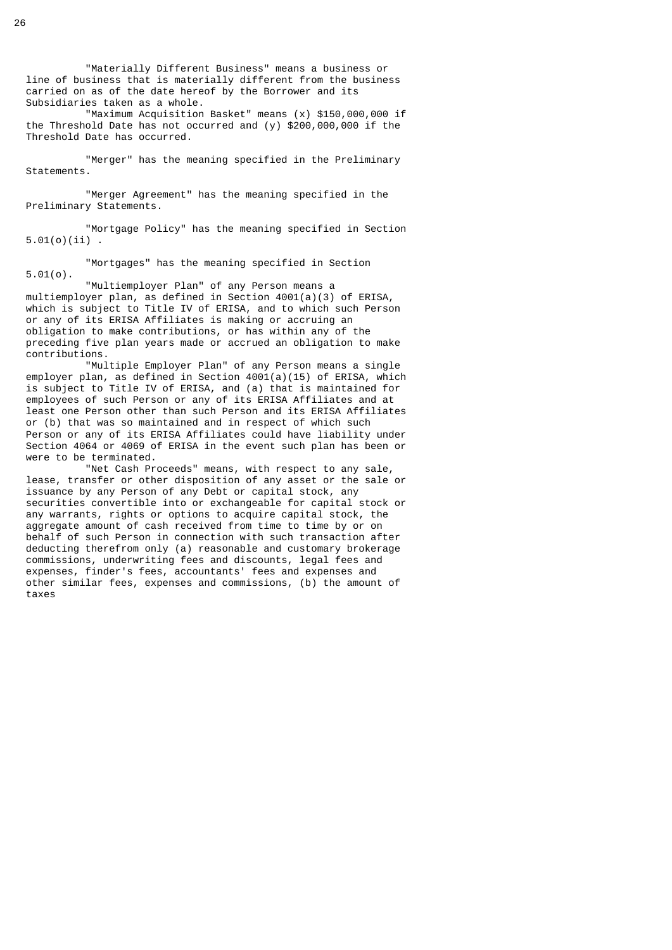"Materially Different Business" means a business or line of business that is materially different from the business carried on as of the date hereof by the Borrower and its Subsidiaries taken as a whole.

 "Maximum Acquisition Basket" means (x) \$150,000,000 if the Threshold Date has not occurred and (y) \$200,000,000 if the Threshold Date has occurred.

 "Merger" has the meaning specified in the Preliminary Statements.

 "Merger Agreement" has the meaning specified in the Preliminary Statements.

 "Mortgage Policy" has the meaning specified in Section 5.01(o)(ii) .

 "Mortgages" has the meaning specified in Section 5.01(o).

 "Multiemployer Plan" of any Person means a multiemployer plan, as defined in Section 4001(a)(3) of ERISA, which is subject to Title IV of ERISA, and to which such Person or any of its ERISA Affiliates is making or accruing an obligation to make contributions, or has within any of the preceding five plan years made or accrued an obligation to make contributions.

 "Multiple Employer Plan" of any Person means a single employer plan, as defined in Section 4001(a)(15) of ERISA, which is subject to Title IV of ERISA, and (a) that is maintained for employees of such Person or any of its ERISA Affiliates and at least one Person other than such Person and its ERISA Affiliates or (b) that was so maintained and in respect of which such Person or any of its ERISA Affiliates could have liability under Section 4064 or 4069 of ERISA in the event such plan has been or were to be terminated.

 "Net Cash Proceeds" means, with respect to any sale, lease, transfer or other disposition of any asset or the sale or issuance by any Person of any Debt or capital stock, any securities convertible into or exchangeable for capital stock or any warrants, rights or options to acquire capital stock, the aggregate amount of cash received from time to time by or on behalf of such Person in connection with such transaction after deducting therefrom only (a) reasonable and customary brokerage commissions, underwriting fees and discounts, legal fees and expenses, finder's fees, accountants' fees and expenses and other similar fees, expenses and commissions, (b) the amount of taxes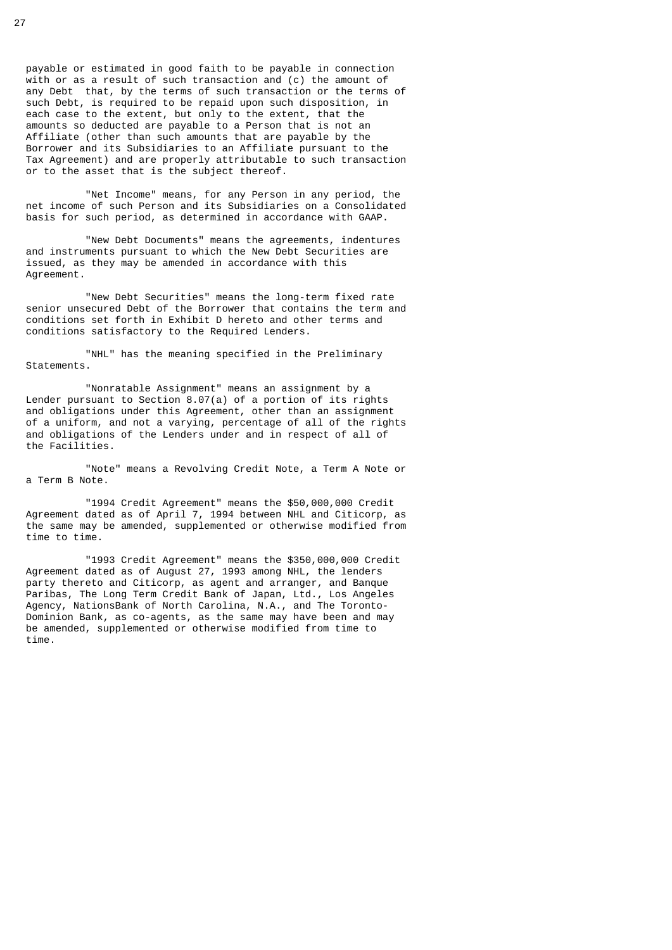payable or estimated in good faith to be payable in connection with or as a result of such transaction and (c) the amount of any Debt that, by the terms of such transaction or the terms of such Debt, is required to be repaid upon such disposition, in each case to the extent, but only to the extent, that the amounts so deducted are payable to a Person that is not an Affiliate (other than such amounts that are payable by the Borrower and its Subsidiaries to an Affiliate pursuant to the Tax Agreement) and are properly attributable to such transaction or to the asset that is the subject thereof.

 "Net Income" means, for any Person in any period, the net income of such Person and its Subsidiaries on a Consolidated basis for such period, as determined in accordance with GAAP.

 "New Debt Documents" means the agreements, indentures and instruments pursuant to which the New Debt Securities are issued, as they may be amended in accordance with this Agreement.

 "New Debt Securities" means the long-term fixed rate senior unsecured Debt of the Borrower that contains the term and conditions set forth in Exhibit D hereto and other terms and conditions satisfactory to the Required Lenders.

 "NHL" has the meaning specified in the Preliminary Statements.

 "Nonratable Assignment" means an assignment by a Lender pursuant to Section 8.07(a) of a portion of its rights and obligations under this Agreement, other than an assignment of a uniform, and not a varying, percentage of all of the rights and obligations of the Lenders under and in respect of all of the Facilities.

 "Note" means a Revolving Credit Note, a Term A Note or a Term B Note.

 "1994 Credit Agreement" means the \$50,000,000 Credit Agreement dated as of April 7, 1994 between NHL and Citicorp, as the same may be amended, supplemented or otherwise modified from time to time.

 "1993 Credit Agreement" means the \$350,000,000 Credit Agreement dated as of August 27, 1993 among NHL, the lenders party thereto and Citicorp, as agent and arranger, and Banque Paribas, The Long Term Credit Bank of Japan, Ltd., Los Angeles Agency, NationsBank of North Carolina, N.A., and The Toronto- Dominion Bank, as co-agents, as the same may have been and may be amended, supplemented or otherwise modified from time to time.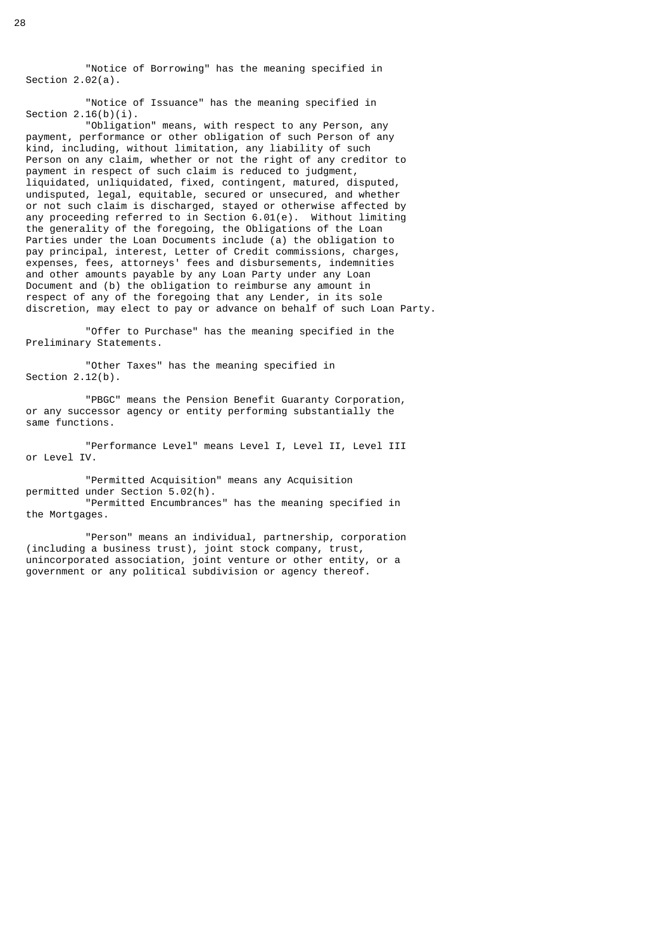"Notice of Borrowing" has the meaning specified in Section 2.02(a).

 "Notice of Issuance" has the meaning specified in Section  $2.16(b)(i)$ .

 "Obligation" means, with respect to any Person, any payment, performance or other obligation of such Person of any kind, including, without limitation, any liability of such Person on any claim, whether or not the right of any creditor to payment in respect of such claim is reduced to judgment, liquidated, unliquidated, fixed, contingent, matured, disputed, undisputed, legal, equitable, secured or unsecured, and whether or not such claim is discharged, stayed or otherwise affected by any proceeding referred to in Section 6.01(e). Without limiting the generality of the foregoing, the Obligations of the Loan Parties under the Loan Documents include (a) the obligation to pay principal, interest, Letter of Credit commissions, charges, expenses, fees, attorneys' fees and disbursements, indemnities and other amounts payable by any Loan Party under any Loan Document and (b) the obligation to reimburse any amount in respect of any of the foregoing that any Lender, in its sole discretion, may elect to pay or advance on behalf of such Loan Party.

 "Offer to Purchase" has the meaning specified in the Preliminary Statements.

 "Other Taxes" has the meaning specified in Section 2.12(b).

 "PBGC" means the Pension Benefit Guaranty Corporation, or any successor agency or entity performing substantially the same functions.

 "Performance Level" means Level I, Level II, Level III or Level IV.

 "Permitted Acquisition" means any Acquisition permitted under Section 5.02(h). "Permitted Encumbrances" has the meaning specified in

the Mortgages.

 "Person" means an individual, partnership, corporation (including a business trust), joint stock company, trust, unincorporated association, joint venture or other entity, or a government or any political subdivision or agency thereof.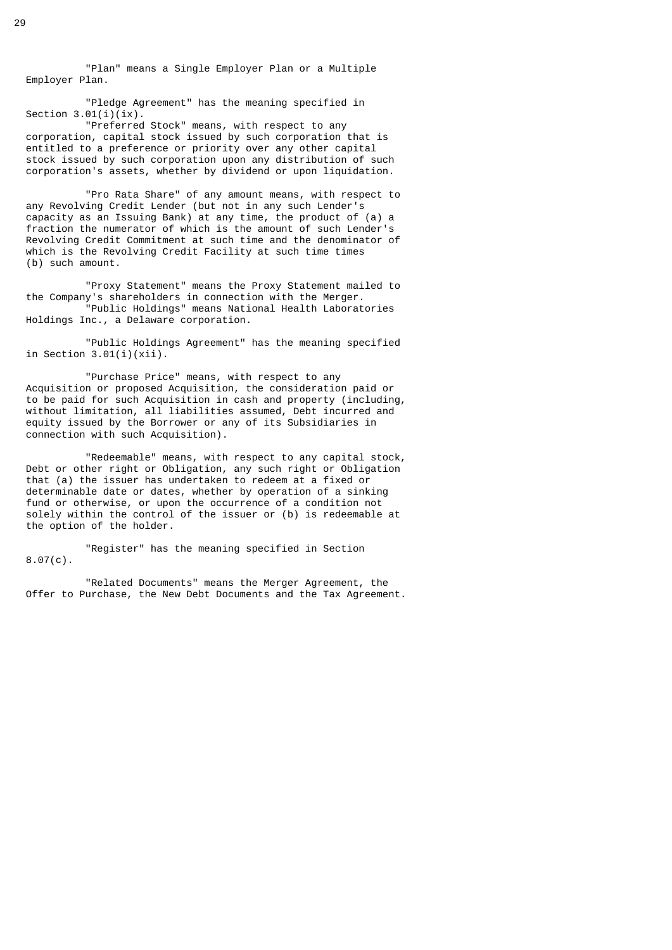"Plan" means a Single Employer Plan or a Multiple Employer Plan.

 "Pledge Agreement" has the meaning specified in Section  $3.01(i)(ix)$ .

 "Preferred Stock" means, with respect to any corporation, capital stock issued by such corporation that is entitled to a preference or priority over any other capital stock issued by such corporation upon any distribution of such corporation's assets, whether by dividend or upon liquidation.

 "Pro Rata Share" of any amount means, with respect to any Revolving Credit Lender (but not in any such Lender's capacity as an Issuing Bank) at any time, the product of (a) a fraction the numerator of which is the amount of such Lender's Revolving Credit Commitment at such time and the denominator of which is the Revolving Credit Facility at such time times (b) such amount.

 "Proxy Statement" means the Proxy Statement mailed to the Company's shareholders in connection with the Merger. "Public Holdings" means National Health Laboratories Holdings Inc., a Delaware corporation.

 "Public Holdings Agreement" has the meaning specified in Section  $3.01(i)(xii)$ .

 "Purchase Price" means, with respect to any Acquisition or proposed Acquisition, the consideration paid or to be paid for such Acquisition in cash and property (including, without limitation, all liabilities assumed, Debt incurred and equity issued by the Borrower or any of its Subsidiaries in connection with such Acquisition).

 "Redeemable" means, with respect to any capital stock, Debt or other right or Obligation, any such right or Obligation that (a) the issuer has undertaken to redeem at a fixed or determinable date or dates, whether by operation of a sinking fund or otherwise, or upon the occurrence of a condition not solely within the control of the issuer or (b) is redeemable at the option of the holder.

 "Register" has the meaning specified in Section 8.07(c).

 "Related Documents" means the Merger Agreement, the Offer to Purchase, the New Debt Documents and the Tax Agreement.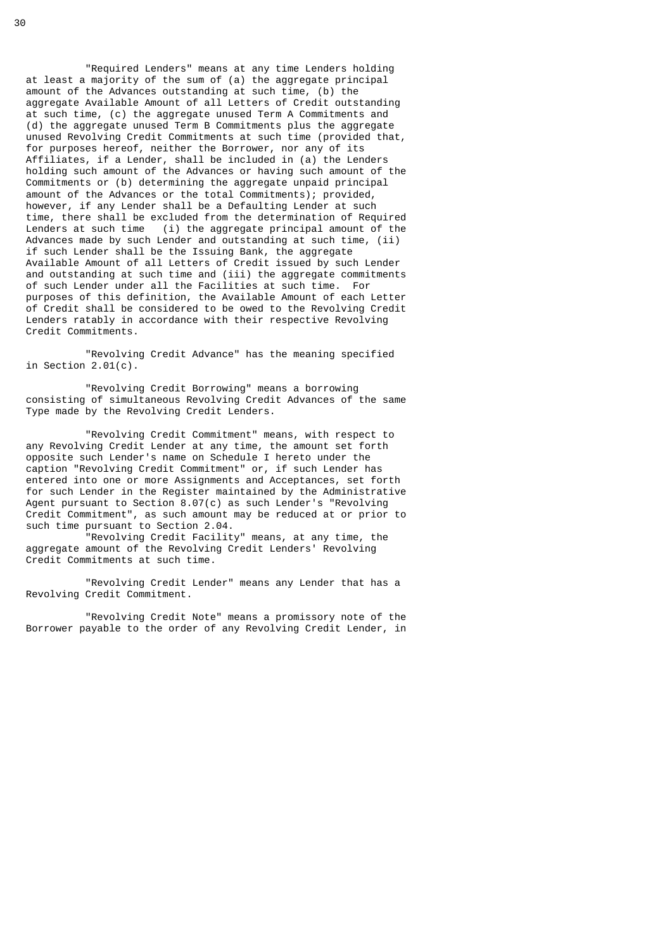"Required Lenders" means at any time Lenders holding at least a majority of the sum of (a) the aggregate principal amount of the Advances outstanding at such time, (b) the aggregate Available Amount of all Letters of Credit outstanding at such time, (c) the aggregate unused Term A Commitments and (d) the aggregate unused Term B Commitments plus the aggregate unused Revolving Credit Commitments at such time (provided that, for purposes hereof, neither the Borrower, nor any of its Affiliates, if a Lender, shall be included in (a) the Lenders holding such amount of the Advances or having such amount of the Commitments or (b) determining the aggregate unpaid principal amount of the Advances or the total Commitments); provided, however, if any Lender shall be a Defaulting Lender at such time, there shall be excluded from the determination of Required Lenders at such time (i) the aggregate principal amount of the Advances made by such Lender and outstanding at such time, (ii) if such Lender shall be the Issuing Bank, the aggregate Available Amount of all Letters of Credit issued by such Lender and outstanding at such time and (iii) the aggregate commitments of such Lender under all the Facilities at such time. For purposes of this definition, the Available Amount of each Letter of Credit shall be considered to be owed to the Revolving Credit Lenders ratably in accordance with their respective Revolving Credit Commitments.

 "Revolving Credit Advance" has the meaning specified in Section 2.01(c).

 "Revolving Credit Borrowing" means a borrowing consisting of simultaneous Revolving Credit Advances of the same Type made by the Revolving Credit Lenders.

 "Revolving Credit Commitment" means, with respect to any Revolving Credit Lender at any time, the amount set forth opposite such Lender's name on Schedule I hereto under the caption "Revolving Credit Commitment" or, if such Lender has entered into one or more Assignments and Acceptances, set forth for such Lender in the Register maintained by the Administrative Agent pursuant to Section 8.07(c) as such Lender's "Revolving Credit Commitment", as such amount may be reduced at or prior to such time pursuant to Section 2.04.

 "Revolving Credit Facility" means, at any time, the aggregate amount of the Revolving Credit Lenders' Revolving Credit Commitments at such time.

 "Revolving Credit Lender" means any Lender that has a Revolving Credit Commitment.

 "Revolving Credit Note" means a promissory note of the Borrower payable to the order of any Revolving Credit Lender, in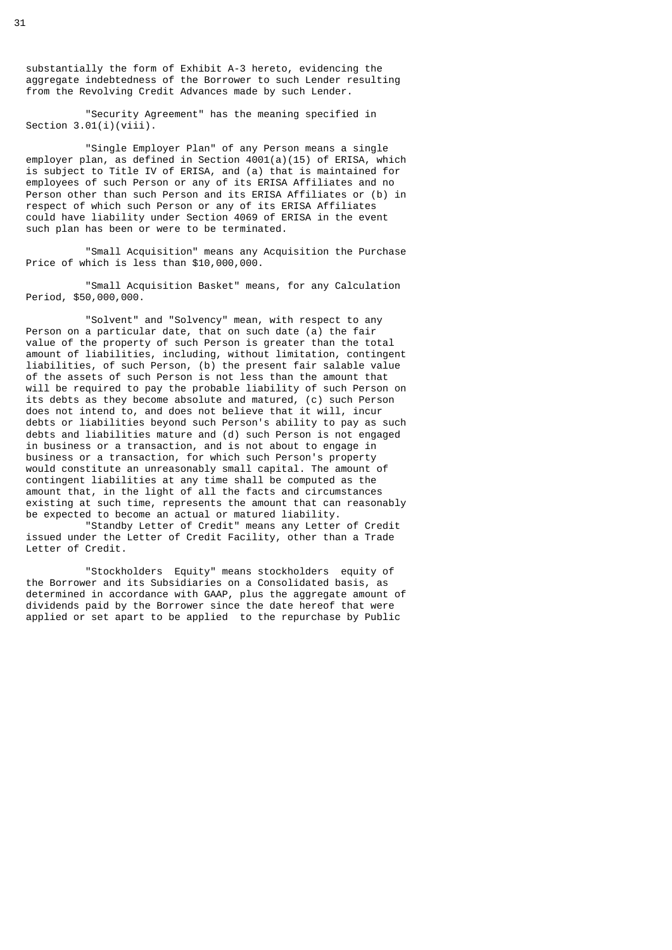substantially the form of Exhibit A-3 hereto, evidencing the aggregate indebtedness of the Borrower to such Lender resulting from the Revolving Credit Advances made by such Lender.

 "Security Agreement" has the meaning specified in Section  $3.01(i)(viii)$ .

 "Single Employer Plan" of any Person means a single employer plan, as defined in Section 4001(a)(15) of ERISA, which is subject to Title IV of ERISA, and (a) that is maintained for employees of such Person or any of its ERISA Affiliates and no Person other than such Person and its ERISA Affiliates or (b) in respect of which such Person or any of its ERISA Affiliates could have liability under Section 4069 of ERISA in the event such plan has been or were to be terminated.

 "Small Acquisition" means any Acquisition the Purchase Price of which is less than \$10,000,000.

 "Small Acquisition Basket" means, for any Calculation Period, \$50,000,000.

 "Solvent" and "Solvency" mean, with respect to any Person on a particular date, that on such date (a) the fair value of the property of such Person is greater than the total amount of liabilities, including, without limitation, contingent liabilities, of such Person, (b) the present fair salable value of the assets of such Person is not less than the amount that will be required to pay the probable liability of such Person on its debts as they become absolute and matured, (c) such Person does not intend to, and does not believe that it will, incur debts or liabilities beyond such Person's ability to pay as such debts and liabilities mature and (d) such Person is not engaged in business or a transaction, and is not about to engage in business or a transaction, for which such Person's property would constitute an unreasonably small capital. The amount of contingent liabilities at any time shall be computed as the amount that, in the light of all the facts and circumstances existing at such time, represents the amount that can reasonably be expected to become an actual or matured liability.

 "Standby Letter of Credit" means any Letter of Credit issued under the Letter of Credit Facility, other than a Trade Letter of Credit.

 "Stockholders Equity" means stockholders equity of the Borrower and its Subsidiaries on a Consolidated basis, as determined in accordance with GAAP, plus the aggregate amount of dividends paid by the Borrower since the date hereof that were applied or set apart to be applied to the repurchase by Public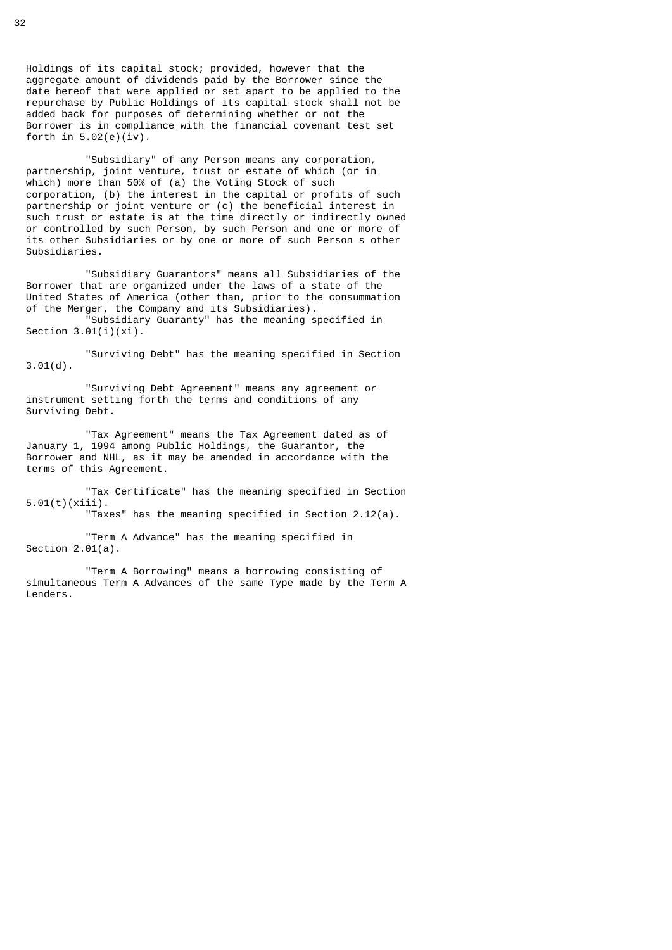Holdings of its capital stock; provided, however that the aggregate amount of dividends paid by the Borrower since the date hereof that were applied or set apart to be applied to the repurchase by Public Holdings of its capital stock shall not be added back for purposes of determining whether or not the Borrower is in compliance with the financial covenant test set forth in  $5.02(e)(iv)$ .

 "Subsidiary" of any Person means any corporation, partnership, joint venture, trust or estate of which (or in which) more than 50% of (a) the Voting Stock of such corporation, (b) the interest in the capital or profits of such partnership or joint venture or (c) the beneficial interest in such trust or estate is at the time directly or indirectly owned or controlled by such Person, by such Person and one or more of its other Subsidiaries or by one or more of such Person s other Subsidiaries.

 "Subsidiary Guarantors" means all Subsidiaries of the Borrower that are organized under the laws of a state of the United States of America (other than, prior to the consummation of the Merger, the Company and its Subsidiaries). "Subsidiary Guaranty" has the meaning specified in

Section 3.01(i)(xi).

 "Surviving Debt" has the meaning specified in Section 3.01(d).

 "Surviving Debt Agreement" means any agreement or instrument setting forth the terms and conditions of any Surviving Debt.

 "Tax Agreement" means the Tax Agreement dated as of January 1, 1994 among Public Holdings, the Guarantor, the Borrower and NHL, as it may be amended in accordance with the terms of this Agreement.

 "Tax Certificate" has the meaning specified in Section 5.01(t)(xiii).

"Taxes" has the meaning specified in Section 2.12(a).

 "Term A Advance" has the meaning specified in Section 2.01(a).

 "Term A Borrowing" means a borrowing consisting of simultaneous Term A Advances of the same Type made by the Term A Lenders.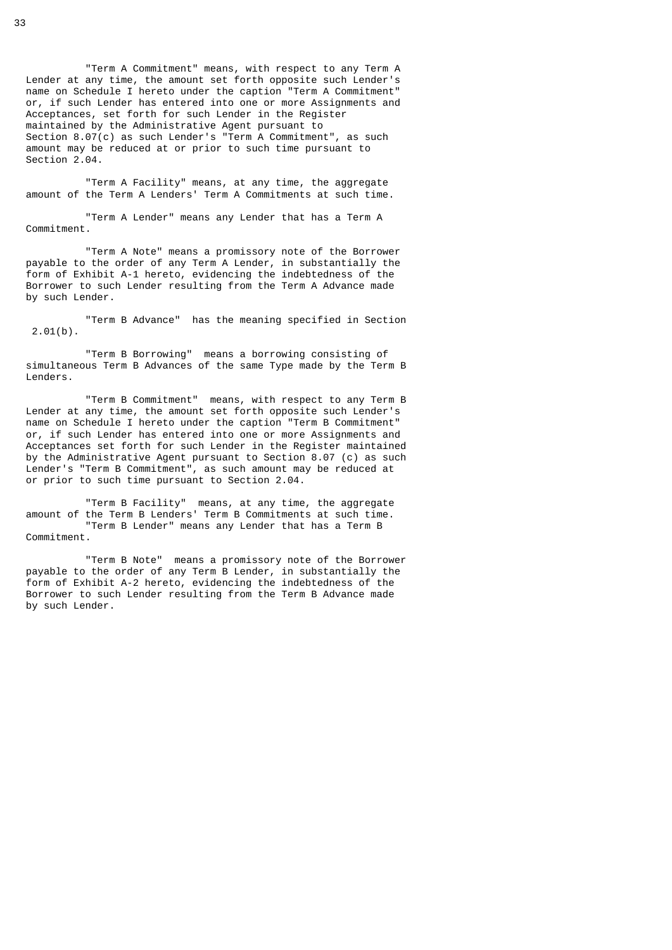"Term A Commitment" means, with respect to any Term A Lender at any time, the amount set forth opposite such Lender's name on Schedule I hereto under the caption "Term A Commitment" or, if such Lender has entered into one or more Assignments and Acceptances, set forth for such Lender in the Register maintained by the Administrative Agent pursuant to Section 8.07(c) as such Lender's "Term A Commitment", as such amount may be reduced at or prior to such time pursuant to Section 2.04.

 "Term A Facility" means, at any time, the aggregate amount of the Term A Lenders' Term A Commitments at such time.

 "Term A Lender" means any Lender that has a Term A Commitment.

 "Term A Note" means a promissory note of the Borrower payable to the order of any Term A Lender, in substantially the form of Exhibit A-1 hereto, evidencing the indebtedness of the Borrower to such Lender resulting from the Term A Advance made by such Lender.

 "Term B Advance" has the meaning specified in Section  $2.01(b)$ .

 "Term B Borrowing" means a borrowing consisting of simultaneous Term B Advances of the same Type made by the Term B Lenders.

 "Term B Commitment" means, with respect to any Term B Lender at any time, the amount set forth opposite such Lender's name on Schedule I hereto under the caption "Term B Commitment" or, if such Lender has entered into one or more Assignments and Acceptances set forth for such Lender in the Register maintained by the Administrative Agent pursuant to Section 8.07 (c) as such Lender's "Term B Commitment", as such amount may be reduced at or prior to such time pursuant to Section 2.04.

 "Term B Facility" means, at any time, the aggregate amount of the Term B Lenders' Term B Commitments at such time. "Term B Lender" means any Lender that has a Term B Commitment.

 "Term B Note" means a promissory note of the Borrower payable to the order of any Term B Lender, in substantially the form of Exhibit A-2 hereto, evidencing the indebtedness of the Borrower to such Lender resulting from the Term B Advance made by such Lender.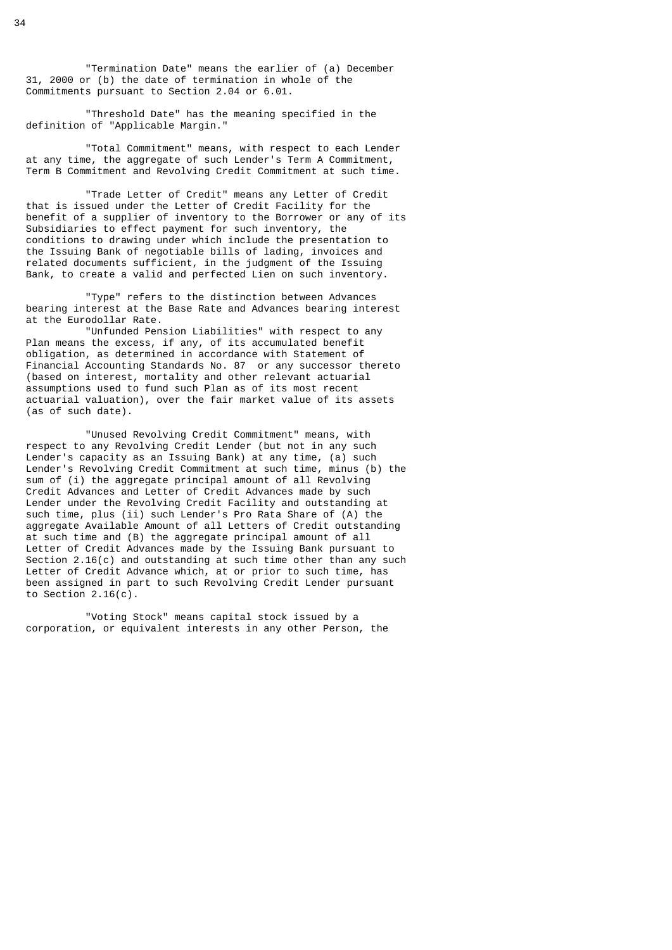"Termination Date" means the earlier of (a) December 31, 2000 or (b) the date of termination in whole of the Commitments pursuant to Section 2.04 or 6.01.

 "Threshold Date" has the meaning specified in the definition of "Applicable Margin."

 "Total Commitment" means, with respect to each Lender at any time, the aggregate of such Lender's Term A Commitment, Term B Commitment and Revolving Credit Commitment at such time.

 "Trade Letter of Credit" means any Letter of Credit that is issued under the Letter of Credit Facility for the benefit of a supplier of inventory to the Borrower or any of its Subsidiaries to effect payment for such inventory, the conditions to drawing under which include the presentation to the Issuing Bank of negotiable bills of lading, invoices and related documents sufficient, in the judgment of the Issuing Bank, to create a valid and perfected Lien on such inventory.

 "Type" refers to the distinction between Advances bearing interest at the Base Rate and Advances bearing interest at the Eurodollar Rate.

 "Unfunded Pension Liabilities" with respect to any Plan means the excess, if any, of its accumulated benefit obligation, as determined in accordance with Statement of Financial Accounting Standards No. 87 or any successor thereto (based on interest, mortality and other relevant actuarial assumptions used to fund such Plan as of its most recent actuarial valuation), over the fair market value of its assets (as of such date).

 "Unused Revolving Credit Commitment" means, with respect to any Revolving Credit Lender (but not in any such Lender's capacity as an Issuing Bank) at any time, (a) such Lender's Revolving Credit Commitment at such time, minus (b) the sum of (i) the aggregate principal amount of all Revolving Credit Advances and Letter of Credit Advances made by such Lender under the Revolving Credit Facility and outstanding at such time, plus (ii) such Lender's Pro Rata Share of (A) the aggregate Available Amount of all Letters of Credit outstanding at such time and (B) the aggregate principal amount of all Letter of Credit Advances made by the Issuing Bank pursuant to Section 2.16(c) and outstanding at such time other than any such Letter of Credit Advance which, at or prior to such time, has been assigned in part to such Revolving Credit Lender pursuant to Section  $2.16(c)$ .

 "Voting Stock" means capital stock issued by a corporation, or equivalent interests in any other Person, the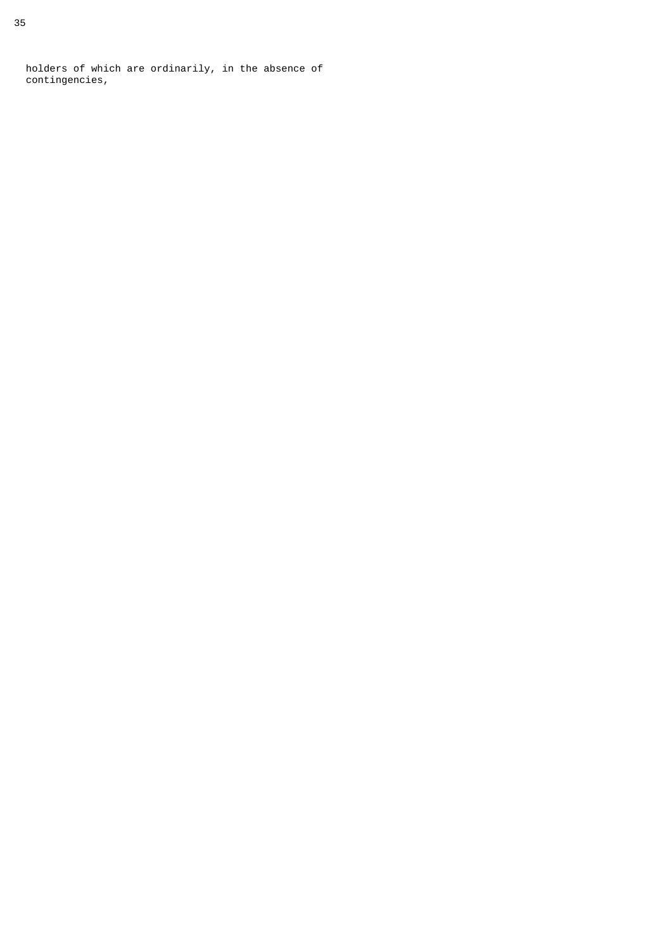holders of which are ordinarily, in the absence of contingencies,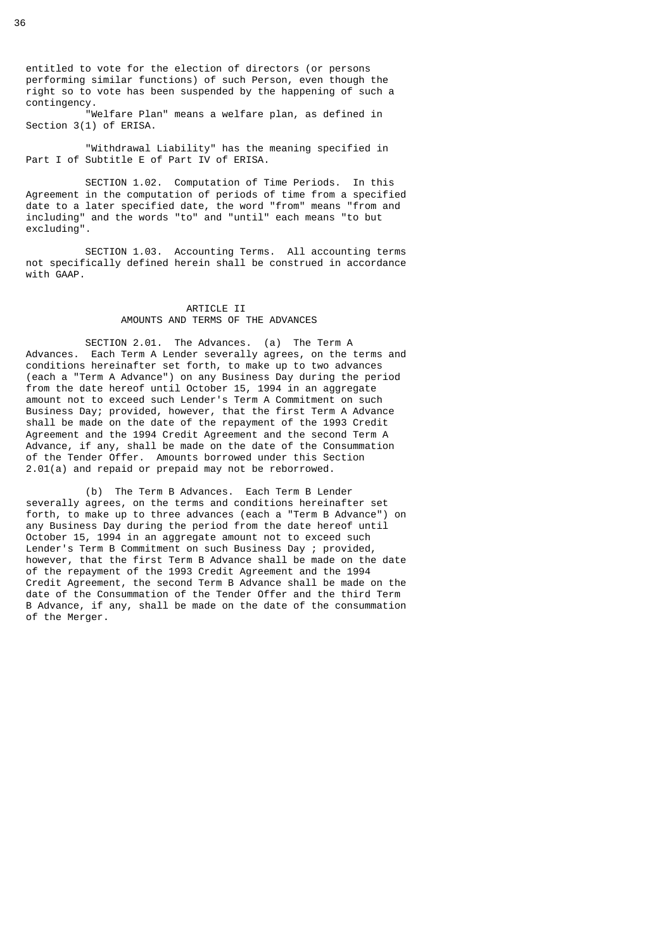entitled to vote for the election of directors (or persons performing similar functions) of such Person, even though the right so to vote has been suspended by the happening of such a contingency.

 "Welfare Plan" means a welfare plan, as defined in Section 3(1) of ERISA.

 "Withdrawal Liability" has the meaning specified in Part I of Subtitle E of Part IV of ERISA.

 SECTION 1.02. Computation of Time Periods. In this Agreement in the computation of periods of time from a specified date to a later specified date, the word "from" means "from and including" and the words "to" and "until" each means "to but excluding".

 SECTION 1.03. Accounting Terms. All accounting terms not specifically defined herein shall be construed in accordance with GAAP.

## ARTICLE II AMOUNTS AND TERMS OF THE ADVANCES

 SECTION 2.01. The Advances. (a) The Term A Advances. Each Term A Lender severally agrees, on the terms and conditions hereinafter set forth, to make up to two advances (each a "Term A Advance") on any Business Day during the period from the date hereof until October 15, 1994 in an aggregate amount not to exceed such Lender's Term A Commitment on such Business Day; provided, however, that the first Term A Advance shall be made on the date of the repayment of the 1993 Credit Agreement and the 1994 Credit Agreement and the second Term A Advance, if any, shall be made on the date of the Consummation of the Tender Offer. Amounts borrowed under this Section 2.01(a) and repaid or prepaid may not be reborrowed.

 (b) The Term B Advances. Each Term B Lender severally agrees, on the terms and conditions hereinafter set forth, to make up to three advances (each a "Term B Advance") on any Business Day during the period from the date hereof until October 15, 1994 in an aggregate amount not to exceed such Lender's Term B Commitment on such Business Day ; provided, however, that the first Term B Advance shall be made on the date of the repayment of the 1993 Credit Agreement and the 1994 Credit Agreement, the second Term B Advance shall be made on the date of the Consummation of the Tender Offer and the third Term B Advance, if any, shall be made on the date of the consummation of the Merger.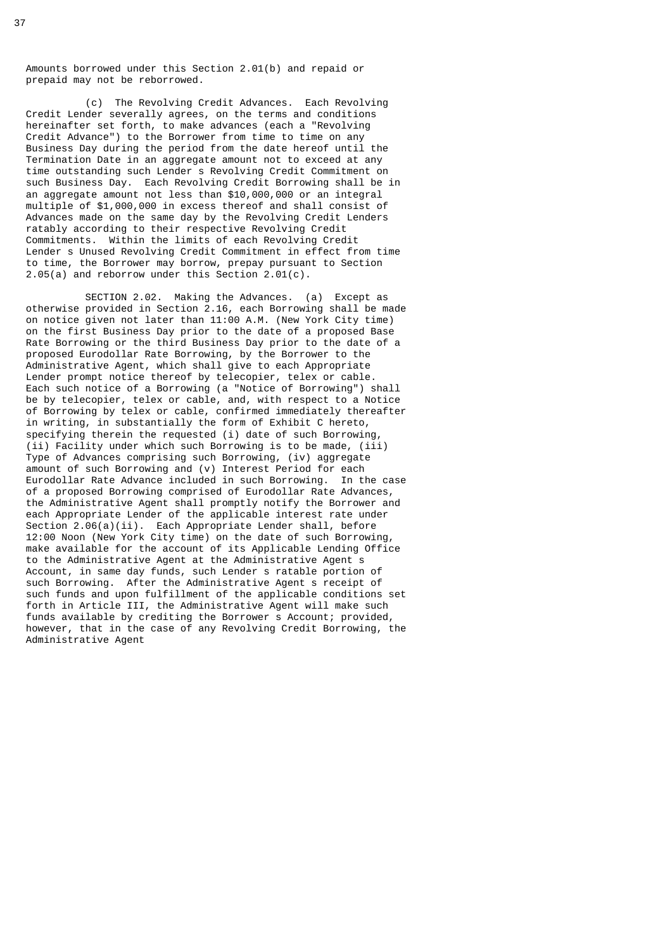Amounts borrowed under this Section 2.01(b) and repaid or prepaid may not be reborrowed.

 (c) The Revolving Credit Advances. Each Revolving Credit Lender severally agrees, on the terms and conditions hereinafter set forth, to make advances (each a "Revolving Credit Advance") to the Borrower from time to time on any Business Day during the period from the date hereof until the Termination Date in an aggregate amount not to exceed at any time outstanding such Lender s Revolving Credit Commitment on such Business Day. Each Revolving Credit Borrowing shall be in an aggregate amount not less than \$10,000,000 or an integral multiple of \$1,000,000 in excess thereof and shall consist of Advances made on the same day by the Revolving Credit Lenders ratably according to their respective Revolving Credit Commitments. Within the limits of each Revolving Credit Lender s Unused Revolving Credit Commitment in effect from time to time, the Borrower may borrow, prepay pursuant to Section 2.05(a) and reborrow under this Section 2.01(c).

 SECTION 2.02. Making the Advances. (a) Except as otherwise provided in Section 2.16, each Borrowing shall be made on notice given not later than 11:00 A.M. (New York City time) on the first Business Day prior to the date of a proposed Base Rate Borrowing or the third Business Day prior to the date of a proposed Eurodollar Rate Borrowing, by the Borrower to the Administrative Agent, which shall give to each Appropriate Lender prompt notice thereof by telecopier, telex or cable. Each such notice of a Borrowing (a "Notice of Borrowing") shall be by telecopier, telex or cable, and, with respect to a Notice of Borrowing by telex or cable, confirmed immediately thereafter in writing, in substantially the form of Exhibit C hereto, specifying therein the requested (i) date of such Borrowing, (ii) Facility under which such Borrowing is to be made, (iii) Type of Advances comprising such Borrowing, (iv) aggregate amount of such Borrowing and (v) Interest Period for each Eurodollar Rate Advance included in such Borrowing. In the case of a proposed Borrowing comprised of Eurodollar Rate Advances, the Administrative Agent shall promptly notify the Borrower and each Appropriate Lender of the applicable interest rate under Section 2.06(a)(ii). Each Appropriate Lender shall, before 12:00 Noon (New York City time) on the date of such Borrowing, make available for the account of its Applicable Lending Office to the Administrative Agent at the Administrative Agent s Account, in same day funds, such Lender s ratable portion of such Borrowing. After the Administrative Agent s receipt of such funds and upon fulfillment of the applicable conditions set forth in Article III, the Administrative Agent will make such funds available by crediting the Borrower s Account; provided, however, that in the case of any Revolving Credit Borrowing, the Administrative Agent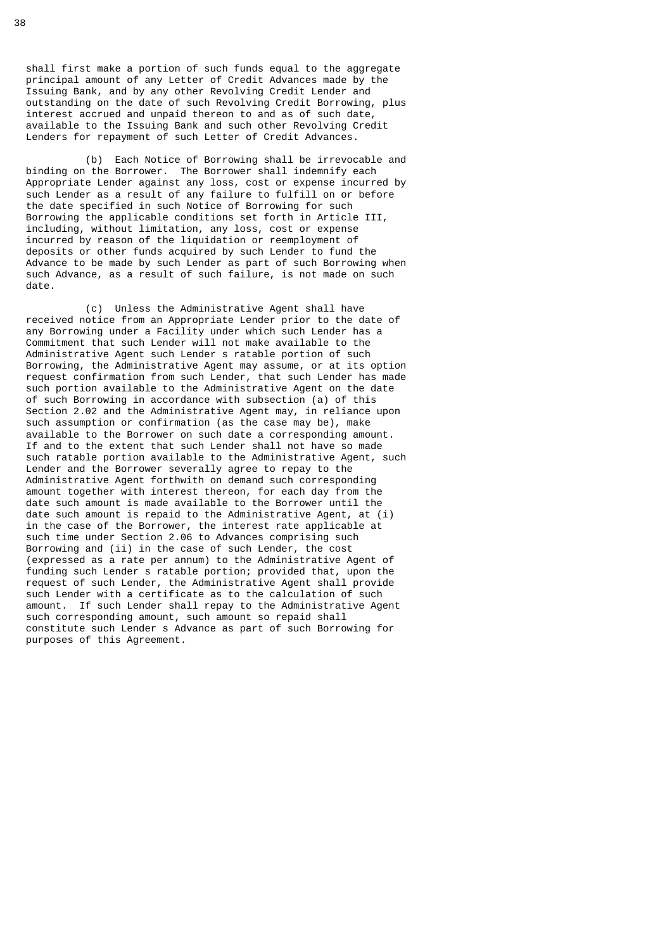shall first make a portion of such funds equal to the aggregate principal amount of any Letter of Credit Advances made by the Issuing Bank, and by any other Revolving Credit Lender and outstanding on the date of such Revolving Credit Borrowing, plus interest accrued and unpaid thereon to and as of such date, available to the Issuing Bank and such other Revolving Credit Lenders for repayment of such Letter of Credit Advances.

 (b) Each Notice of Borrowing shall be irrevocable and binding on the Borrower. The Borrower shall indemnify each Appropriate Lender against any loss, cost or expense incurred by such Lender as a result of any failure to fulfill on or before the date specified in such Notice of Borrowing for such Borrowing the applicable conditions set forth in Article III, including, without limitation, any loss, cost or expense incurred by reason of the liquidation or reemployment of deposits or other funds acquired by such Lender to fund the Advance to be made by such Lender as part of such Borrowing when such Advance, as a result of such failure, is not made on such date.

 (c) Unless the Administrative Agent shall have received notice from an Appropriate Lender prior to the date of any Borrowing under a Facility under which such Lender has a Commitment that such Lender will not make available to the Administrative Agent such Lender s ratable portion of such Borrowing, the Administrative Agent may assume, or at its option request confirmation from such Lender, that such Lender has made such portion available to the Administrative Agent on the date of such Borrowing in accordance with subsection (a) of this Section 2.02 and the Administrative Agent may, in reliance upon such assumption or confirmation (as the case may be), make available to the Borrower on such date a corresponding amount. If and to the extent that such Lender shall not have so made such ratable portion available to the Administrative Agent, such Lender and the Borrower severally agree to repay to the Administrative Agent forthwith on demand such corresponding amount together with interest thereon, for each day from the date such amount is made available to the Borrower until the date such amount is repaid to the Administrative Agent, at (i) in the case of the Borrower, the interest rate applicable at such time under Section 2.06 to Advances comprising such Borrowing and (ii) in the case of such Lender, the cost (expressed as a rate per annum) to the Administrative Agent of funding such Lender s ratable portion; provided that, upon the request of such Lender, the Administrative Agent shall provide such Lender with a certificate as to the calculation of such amount. If such Lender shall repay to the Administrative Agent such corresponding amount, such amount so repaid shall constitute such Lender s Advance as part of such Borrowing for purposes of this Agreement.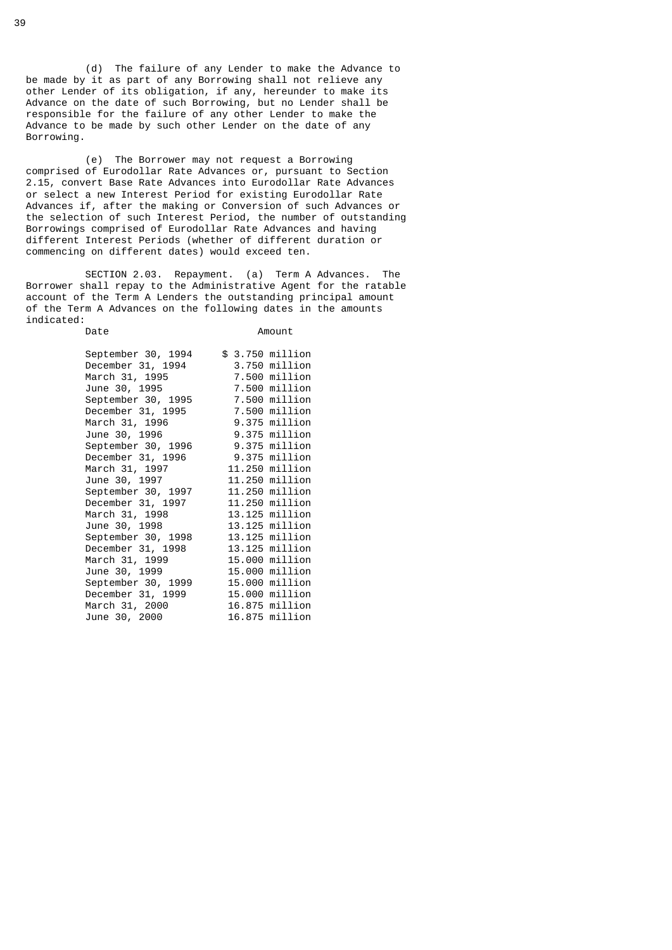(d) The failure of any Lender to make the Advance to be made by it as part of any Borrowing shall not relieve any other Lender of its obligation, if any, hereunder to make its Advance on the date of such Borrowing, but no Lender shall be responsible for the failure of any other Lender to make the Advance to be made by such other Lender on the date of any Borrowing.

 (e) The Borrower may not request a Borrowing comprised of Eurodollar Rate Advances or, pursuant to Section 2.15, convert Base Rate Advances into Eurodollar Rate Advances or select a new Interest Period for existing Eurodollar Rate Advances if, after the making or Conversion of such Advances or the selection of such Interest Period, the number of outstanding Borrowings comprised of Eurodollar Rate Advances and having different Interest Periods (whether of different duration or commencing on different dates) would exceed ten.

 SECTION 2.03. Repayment. (a) Term A Advances. The Borrower shall repay to the Administrative Agent for the ratable account of the Term A Lenders the outstanding principal amount of the Term A Advances on the following dates in the amounts indicated:

Date **Amount** 

| September 30, 1994 | \$ 3.750 million |
|--------------------|------------------|
| December 31, 1994  | 3.750 million    |
| March 31, 1995     | 7.500 million    |
| June 30, 1995      | 7.500 million    |
| September 30, 1995 | 7.500 million    |
| December 31, 1995  | 7.500 million    |
| March 31, 1996     | 9.375 million    |
| June 30, 1996      | 9.375 million    |
| September 30, 1996 | 9.375 million    |
| December 31, 1996  | 9.375 million    |
| March 31, 1997     | 11.250 million   |
| June 30, 1997      | 11.250 million   |
| September 30, 1997 | 11.250 million   |
| December 31, 1997  | 11.250 million   |
| March 31, 1998     | 13.125 million   |
| June 30, 1998      | 13.125 million   |
| September 30, 1998 | 13.125 million   |
| December 31, 1998  | 13.125 million   |
| March 31, 1999     | 15.000 million   |
| June 30, 1999      | 15.000 million   |
| September 30, 1999 | 15.000 million   |
| December 31, 1999  | 15.000 million   |
| March 31, 2000     | 16.875 million   |
| June 30, 2000      | 16.875 million   |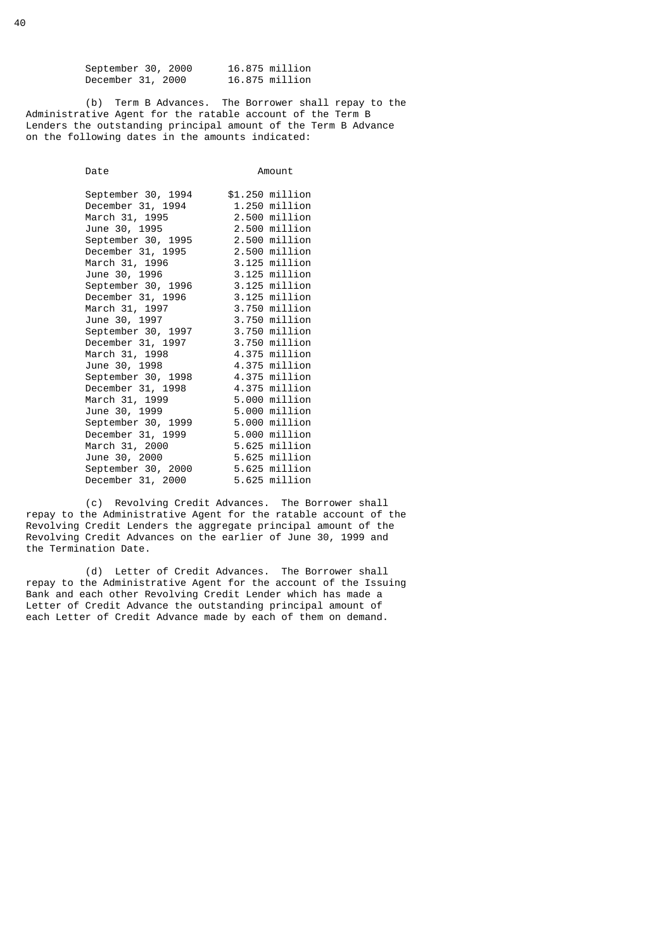September 30, 2000 16.875 million<br>December 31, 2000 16.875 million December  $31, 2000$ 

 (b) Term B Advances. The Borrower shall repay to the Administrative Agent for the ratable account of the Term B Lenders the outstanding principal amount of the Term B Advance on the following dates in the amounts indicated:

| Date                             | Amount          |
|----------------------------------|-----------------|
| September 30, 1994               | \$1.250 million |
| December 31, 1994                | 1.250 million   |
| March 31, 1995                   | 2.500 million   |
| June 30, 1995                    | 2.500 million   |
| September 30, 1995               | 2.500 million   |
| December 31, 1995                | 2.500 million   |
| March 31, 1996                   | 3.125 million   |
| June 30, 1996                    | 3.125 million   |
| September 30, 1996               | 3.125 million   |
| December 31, 1996                | 3.125 million   |
| March 31, 1997                   | 3.750 million   |
| June 30, 1997                    | 3.750 million   |
| September 30, 1997               | 3.750 million   |
| December 31, 1997                | 3.750 million   |
| March 31, 1998                   | 4.375 million   |
| June 30, 1998                    | 4.375 million   |
| September 30, 1998 4.375 million |                 |
| December 31, 1998                | 4.375 million   |
| March 31, 1999                   | 5.000 million   |
| June 30, 1999                    | 5.000 million   |
| September 30, 1999               | 5.000 million   |
| December 31, 1999                | 5.000 million   |
| March 31, 2000                   | 5.625 million   |
| June 30, 2000                    | 5.625 million   |
| September 30, 2000               | 5.625 million   |
| December 31, 2000                | 5.625 million   |

 (c) Revolving Credit Advances. The Borrower shall repay to the Administrative Agent for the ratable account of the Revolving Credit Lenders the aggregate principal amount of the Revolving Credit Advances on the earlier of June 30, 1999 and the Termination Date.

 (d) Letter of Credit Advances. The Borrower shall repay to the Administrative Agent for the account of the Issuing Bank and each other Revolving Credit Lender which has made a Letter of Credit Advance the outstanding principal amount of each Letter of Credit Advance made by each of them on demand.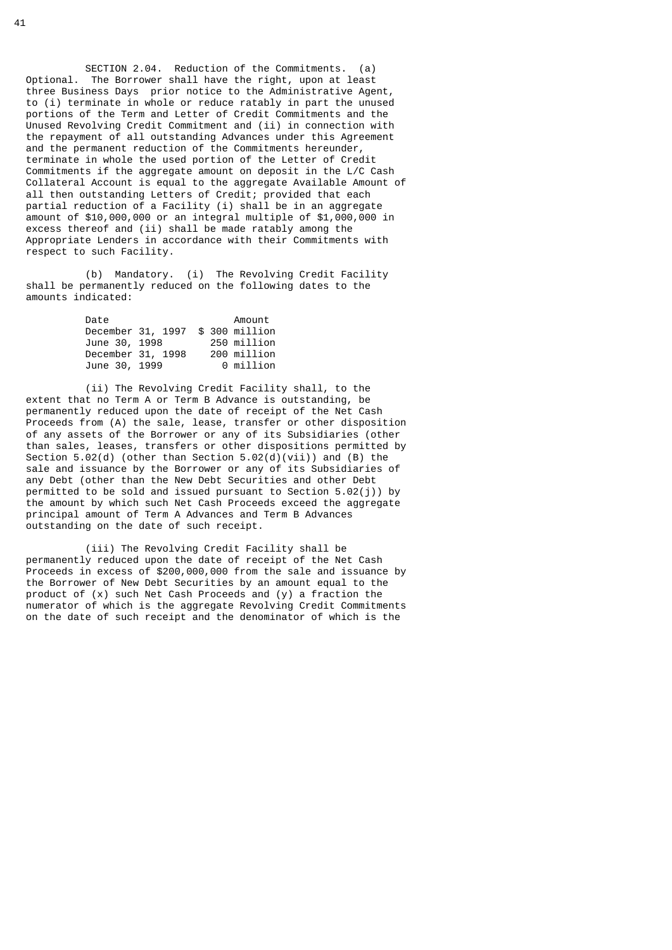SECTION 2.04. Reduction of the Commitments. (a) Optional. The Borrower shall have the right, upon at least three Business Days prior notice to the Administrative Agent, to (i) terminate in whole or reduce ratably in part the unused portions of the Term and Letter of Credit Commitments and the Unused Revolving Credit Commitment and (ii) in connection with the repayment of all outstanding Advances under this Agreement and the permanent reduction of the Commitments hereunder, terminate in whole the used portion of the Letter of Credit Commitments if the aggregate amount on deposit in the L/C Cash Collateral Account is equal to the aggregate Available Amount of all then outstanding Letters of Credit; provided that each partial reduction of a Facility (i) shall be in an aggregate amount of \$10,000,000 or an integral multiple of \$1,000,000 in excess thereof and (ii) shall be made ratably among the Appropriate Lenders in accordance with their Commitments with respect to such Facility.

 (b) Mandatory. (i) The Revolving Credit Facility shall be permanently reduced on the following dates to the amounts indicated:

| Date          |                                  | Amount      |
|---------------|----------------------------------|-------------|
|               | December 31, 1997 \$ 300 million |             |
| June 30, 1998 |                                  | 250 million |
|               | December 31, 1998                | 200 million |
| June 30, 1999 |                                  | 0 million   |

 (ii) The Revolving Credit Facility shall, to the extent that no Term A or Term B Advance is outstanding, be permanently reduced upon the date of receipt of the Net Cash Proceeds from (A) the sale, lease, transfer or other disposition of any assets of the Borrower or any of its Subsidiaries (other than sales, leases, transfers or other dispositions permitted by Section 5.02(d) (other than Section 5.02(d)(vii)) and (B) the sale and issuance by the Borrower or any of its Subsidiaries of any Debt (other than the New Debt Securities and other Debt permitted to be sold and issued pursuant to Section  $5.02(i)$ ) by the amount by which such Net Cash Proceeds exceed the aggregate principal amount of Term A Advances and Term B Advances outstanding on the date of such receipt.

 (iii) The Revolving Credit Facility shall be permanently reduced upon the date of receipt of the Net Cash Proceeds in excess of \$200,000,000 from the sale and issuance by the Borrower of New Debt Securities by an amount equal to the product of (x) such Net Cash Proceeds and (y) a fraction the numerator of which is the aggregate Revolving Credit Commitments on the date of such receipt and the denominator of which is the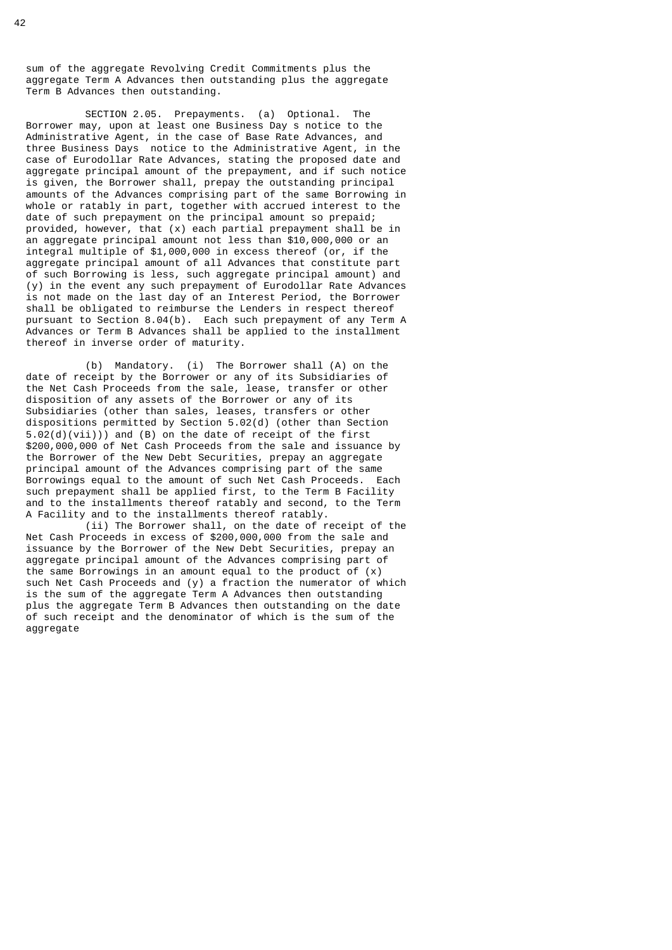sum of the aggregate Revolving Credit Commitments plus the aggregate Term A Advances then outstanding plus the aggregate Term B Advances then outstanding.

 SECTION 2.05. Prepayments. (a) Optional. The Borrower may, upon at least one Business Day s notice to the Administrative Agent, in the case of Base Rate Advances, and three Business Days notice to the Administrative Agent, in the case of Eurodollar Rate Advances, stating the proposed date and aggregate principal amount of the prepayment, and if such notice is given, the Borrower shall, prepay the outstanding principal amounts of the Advances comprising part of the same Borrowing in whole or ratably in part, together with accrued interest to the date of such prepayment on the principal amount so prepaid; provided, however, that (x) each partial prepayment shall be in an aggregate principal amount not less than \$10,000,000 or an integral multiple of \$1,000,000 in excess thereof (or, if the aggregate principal amount of all Advances that constitute part of such Borrowing is less, such aggregate principal amount) and (y) in the event any such prepayment of Eurodollar Rate Advances is not made on the last day of an Interest Period, the Borrower shall be obligated to reimburse the Lenders in respect thereof pursuant to Section 8.04(b). Each such prepayment of any Term A Advances or Term B Advances shall be applied to the installment thereof in inverse order of maturity.

 (b) Mandatory. (i) The Borrower shall (A) on the date of receipt by the Borrower or any of its Subsidiaries of the Net Cash Proceeds from the sale, lease, transfer or other disposition of any assets of the Borrower or any of its Subsidiaries (other than sales, leases, transfers or other dispositions permitted by Section 5.02(d) (other than Section 5.02(d)(vii))) and (B) on the date of receipt of the first \$200,000,000 of Net Cash Proceeds from the sale and issuance by the Borrower of the New Debt Securities, prepay an aggregate principal amount of the Advances comprising part of the same Borrowings equal to the amount of such Net Cash Proceeds. Each such prepayment shall be applied first, to the Term B Facility and to the installments thereof ratably and second, to the Term A Facility and to the installments thereof ratably.

 (ii) The Borrower shall, on the date of receipt of the Net Cash Proceeds in excess of \$200,000,000 from the sale and issuance by the Borrower of the New Debt Securities, prepay an aggregate principal amount of the Advances comprising part of the same Borrowings in an amount equal to the product of (x) such Net Cash Proceeds and (y) a fraction the numerator of which is the sum of the aggregate Term A Advances then outstanding plus the aggregate Term B Advances then outstanding on the date of such receipt and the denominator of which is the sum of the aggregate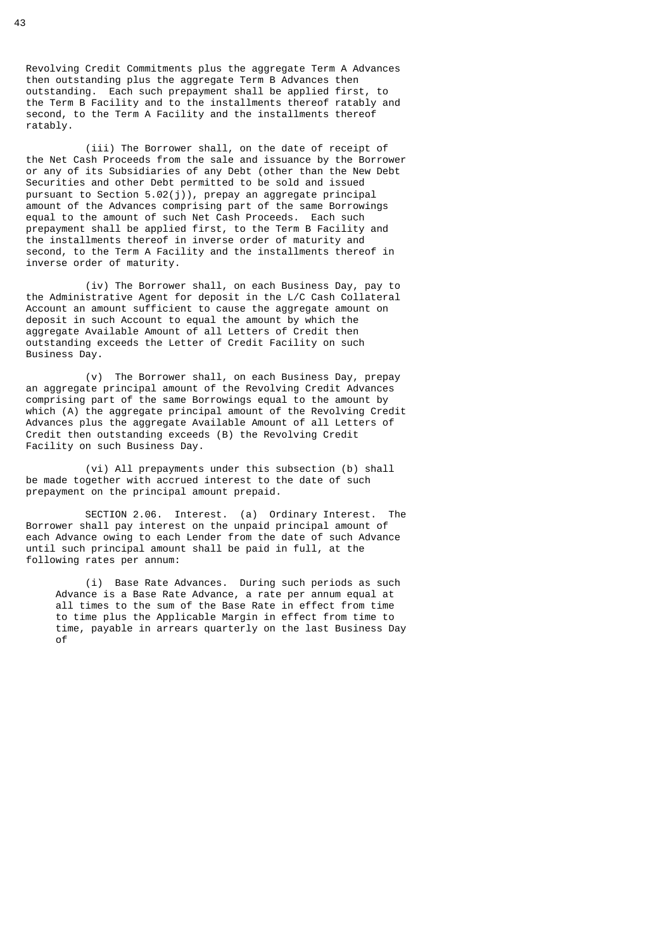Revolving Credit Commitments plus the aggregate Term A Advances then outstanding plus the aggregate Term B Advances then outstanding. Each such prepayment shall be applied first, to the Term B Facility and to the installments thereof ratably and second, to the Term A Facility and the installments thereof ratably.

 (iii) The Borrower shall, on the date of receipt of the Net Cash Proceeds from the sale and issuance by the Borrower or any of its Subsidiaries of any Debt (other than the New Debt Securities and other Debt permitted to be sold and issued pursuant to Section  $5.02(j)$ ), prepay an aggregate principal amount of the Advances comprising part of the same Borrowings equal to the amount of such Net Cash Proceeds. Each such prepayment shall be applied first, to the Term B Facility and the installments thereof in inverse order of maturity and second, to the Term A Facility and the installments thereof in inverse order of maturity.

 (iv) The Borrower shall, on each Business Day, pay to the Administrative Agent for deposit in the L/C Cash Collateral Account an amount sufficient to cause the aggregate amount on deposit in such Account to equal the amount by which the aggregate Available Amount of all Letters of Credit then outstanding exceeds the Letter of Credit Facility on such Business Day.

 (v) The Borrower shall, on each Business Day, prepay an aggregate principal amount of the Revolving Credit Advances comprising part of the same Borrowings equal to the amount by which (A) the aggregate principal amount of the Revolving Credit Advances plus the aggregate Available Amount of all Letters of Credit then outstanding exceeds (B) the Revolving Credit Facility on such Business Day.

 (vi) All prepayments under this subsection (b) shall be made together with accrued interest to the date of such prepayment on the principal amount prepaid.

 SECTION 2.06. Interest. (a) Ordinary Interest. The Borrower shall pay interest on the unpaid principal amount of each Advance owing to each Lender from the date of such Advance until such principal amount shall be paid in full, at the following rates per annum:

 (i) Base Rate Advances. During such periods as such Advance is a Base Rate Advance, a rate per annum equal at all times to the sum of the Base Rate in effect from time to time plus the Applicable Margin in effect from time to time, payable in arrears quarterly on the last Business Day of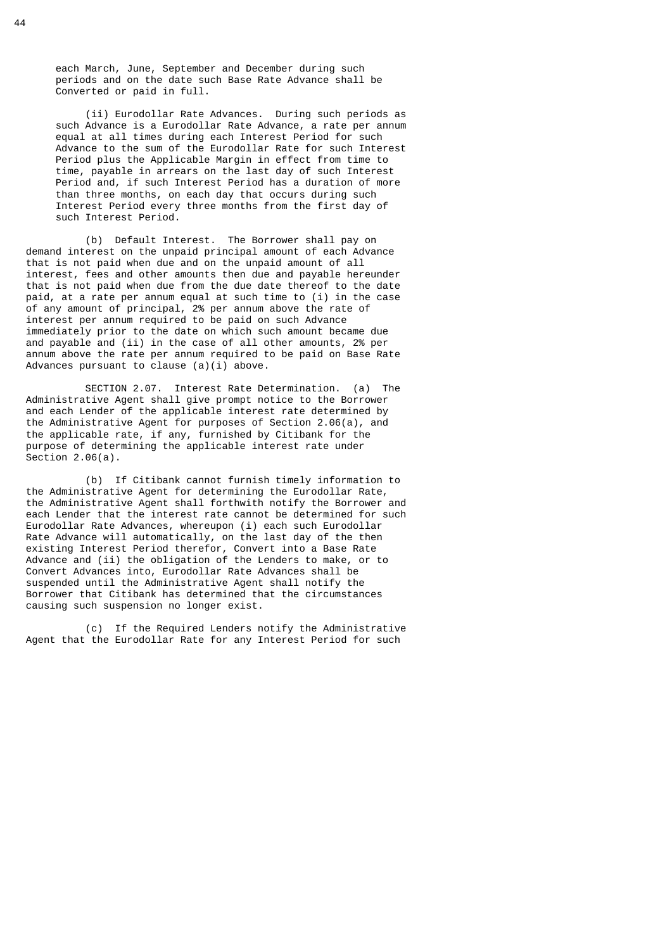each March, June, September and December during such periods and on the date such Base Rate Advance shall be Converted or paid in full.

 (ii) Eurodollar Rate Advances. During such periods as such Advance is a Eurodollar Rate Advance, a rate per annum equal at all times during each Interest Period for such Advance to the sum of the Eurodollar Rate for such Interest Period plus the Applicable Margin in effect from time to time, payable in arrears on the last day of such Interest Period and, if such Interest Period has a duration of more than three months, on each day that occurs during such Interest Period every three months from the first day of such Interest Period.

 (b) Default Interest. The Borrower shall pay on demand interest on the unpaid principal amount of each Advance that is not paid when due and on the unpaid amount of all interest, fees and other amounts then due and payable hereunder that is not paid when due from the due date thereof to the date paid, at a rate per annum equal at such time to (i) in the case of any amount of principal, 2% per annum above the rate of interest per annum required to be paid on such Advance immediately prior to the date on which such amount became due and payable and (ii) in the case of all other amounts, 2% per annum above the rate per annum required to be paid on Base Rate Advances pursuant to clause (a)(i) above.

 SECTION 2.07. Interest Rate Determination. (a) The Administrative Agent shall give prompt notice to the Borrower and each Lender of the applicable interest rate determined by the Administrative Agent for purposes of Section 2.06(a), and the applicable rate, if any, furnished by Citibank for the purpose of determining the applicable interest rate under Section  $2.06(a)$ .

 (b) If Citibank cannot furnish timely information to the Administrative Agent for determining the Eurodollar Rate, the Administrative Agent shall forthwith notify the Borrower and each Lender that the interest rate cannot be determined for such Eurodollar Rate Advances, whereupon (i) each such Eurodollar Rate Advance will automatically, on the last day of the then existing Interest Period therefor, Convert into a Base Rate Advance and (ii) the obligation of the Lenders to make, or to Convert Advances into, Eurodollar Rate Advances shall be suspended until the Administrative Agent shall notify the Borrower that Citibank has determined that the circumstances causing such suspension no longer exist.

 (c) If the Required Lenders notify the Administrative Agent that the Eurodollar Rate for any Interest Period for such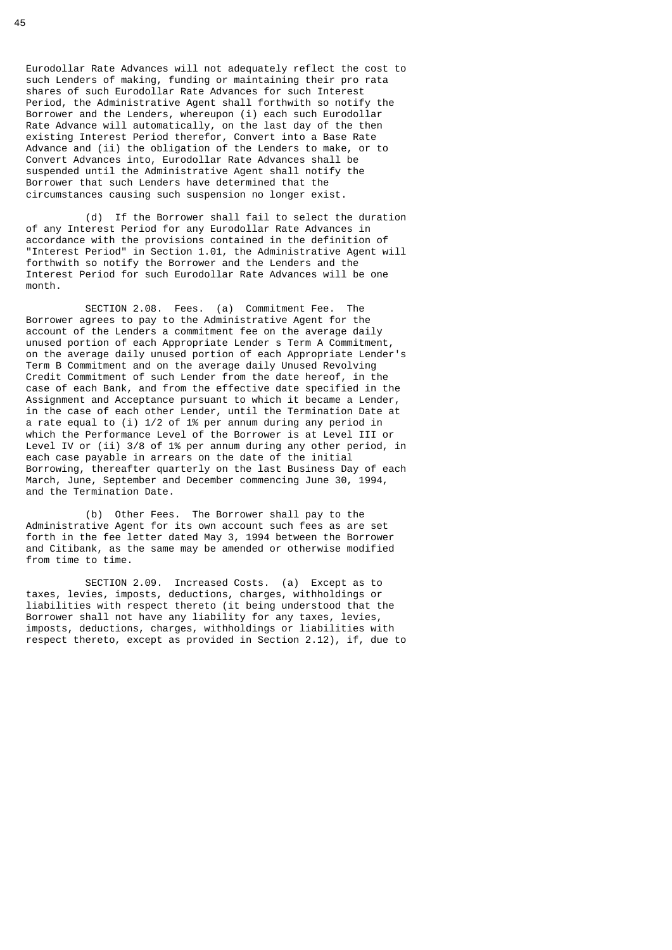Eurodollar Rate Advances will not adequately reflect the cost to such Lenders of making, funding or maintaining their pro rata shares of such Eurodollar Rate Advances for such Interest Period, the Administrative Agent shall forthwith so notify the Borrower and the Lenders, whereupon (i) each such Eurodollar Rate Advance will automatically, on the last day of the then existing Interest Period therefor, Convert into a Base Rate Advance and (ii) the obligation of the Lenders to make, or to Convert Advances into, Eurodollar Rate Advances shall be suspended until the Administrative Agent shall notify the Borrower that such Lenders have determined that the circumstances causing such suspension no longer exist.

 (d) If the Borrower shall fail to select the duration of any Interest Period for any Eurodollar Rate Advances in accordance with the provisions contained in the definition of "Interest Period" in Section 1.01, the Administrative Agent will forthwith so notify the Borrower and the Lenders and the Interest Period for such Eurodollar Rate Advances will be one month.

 SECTION 2.08. Fees. (a) Commitment Fee. The Borrower agrees to pay to the Administrative Agent for the account of the Lenders a commitment fee on the average daily unused portion of each Appropriate Lender s Term A Commitment, on the average daily unused portion of each Appropriate Lender's Term B Commitment and on the average daily Unused Revolving Credit Commitment of such Lender from the date hereof, in the case of each Bank, and from the effective date specified in the Assignment and Acceptance pursuant to which it became a Lender, in the case of each other Lender, until the Termination Date at a rate equal to (i) 1/2 of 1% per annum during any period in which the Performance Level of the Borrower is at Level III or Level IV or (ii) 3/8 of 1% per annum during any other period, in each case payable in arrears on the date of the initial Borrowing, thereafter quarterly on the last Business Day of each March, June, September and December commencing June 30, 1994, and the Termination Date.

 (b) Other Fees. The Borrower shall pay to the Administrative Agent for its own account such fees as are set forth in the fee letter dated May 3, 1994 between the Borrower and Citibank, as the same may be amended or otherwise modified from time to time.

 SECTION 2.09. Increased Costs. (a) Except as to taxes, levies, imposts, deductions, charges, withholdings or liabilities with respect thereto (it being understood that the Borrower shall not have any liability for any taxes, levies, imposts, deductions, charges, withholdings or liabilities with respect thereto, except as provided in Section 2.12), if, due to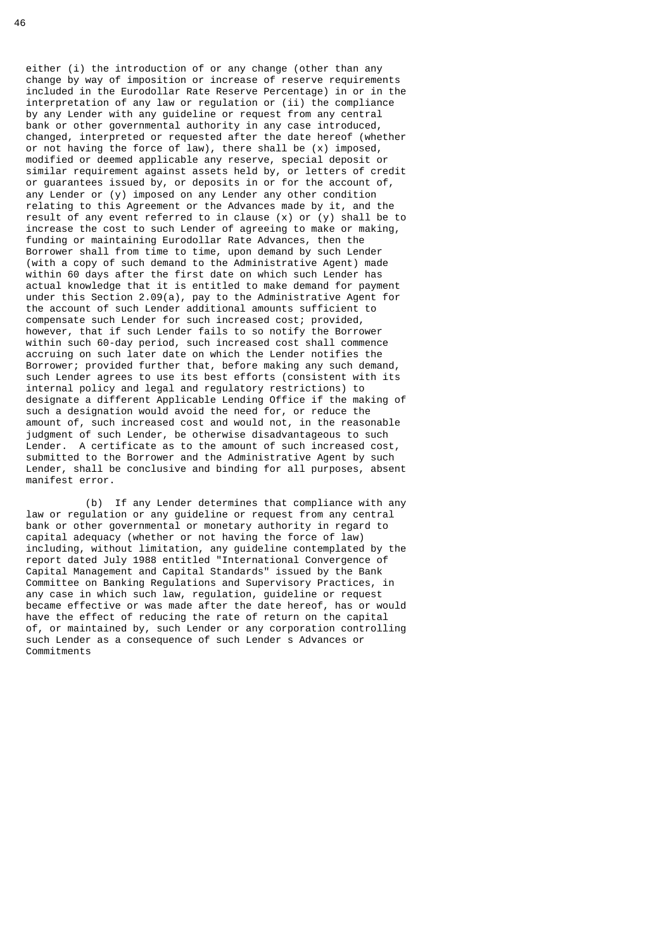either (i) the introduction of or any change (other than any change by way of imposition or increase of reserve requirements included in the Eurodollar Rate Reserve Percentage) in or in the interpretation of any law or regulation or (ii) the compliance by any Lender with any guideline or request from any central bank or other governmental authority in any case introduced, changed, interpreted or requested after the date hereof (whether or not having the force of law), there shall be (x) imposed, modified or deemed applicable any reserve, special deposit or similar requirement against assets held by, or letters of credit or guarantees issued by, or deposits in or for the account of, any Lender or (y) imposed on any Lender any other condition relating to this Agreement or the Advances made by it, and the result of any event referred to in clause (x) or (y) shall be to increase the cost to such Lender of agreeing to make or making, funding or maintaining Eurodollar Rate Advances, then the Borrower shall from time to time, upon demand by such Lender (with a copy of such demand to the Administrative Agent) made within 60 days after the first date on which such Lender has actual knowledge that it is entitled to make demand for payment under this Section 2.09(a), pay to the Administrative Agent for the account of such Lender additional amounts sufficient to compensate such Lender for such increased cost; provided, however, that if such Lender fails to so notify the Borrower within such 60-day period, such increased cost shall commence accruing on such later date on which the Lender notifies the Borrower; provided further that, before making any such demand, such Lender agrees to use its best efforts (consistent with its internal policy and legal and regulatory restrictions) to designate a different Applicable Lending Office if the making of such a designation would avoid the need for, or reduce the amount of, such increased cost and would not, in the reasonable judgment of such Lender, be otherwise disadvantageous to such Lender. A certificate as to the amount of such increased cost, submitted to the Borrower and the Administrative Agent by such Lender, shall be conclusive and binding for all purposes, absent manifest error.

 (b) If any Lender determines that compliance with any law or regulation or any guideline or request from any central bank or other governmental or monetary authority in regard to capital adequacy (whether or not having the force of law) including, without limitation, any guideline contemplated by the report dated July 1988 entitled "International Convergence of Capital Management and Capital Standards" issued by the Bank Committee on Banking Regulations and Supervisory Practices, in any case in which such law, regulation, guideline or request became effective or was made after the date hereof, has or would have the effect of reducing the rate of return on the capital of, or maintained by, such Lender or any corporation controlling such Lender as a consequence of such Lender s Advances or Commitments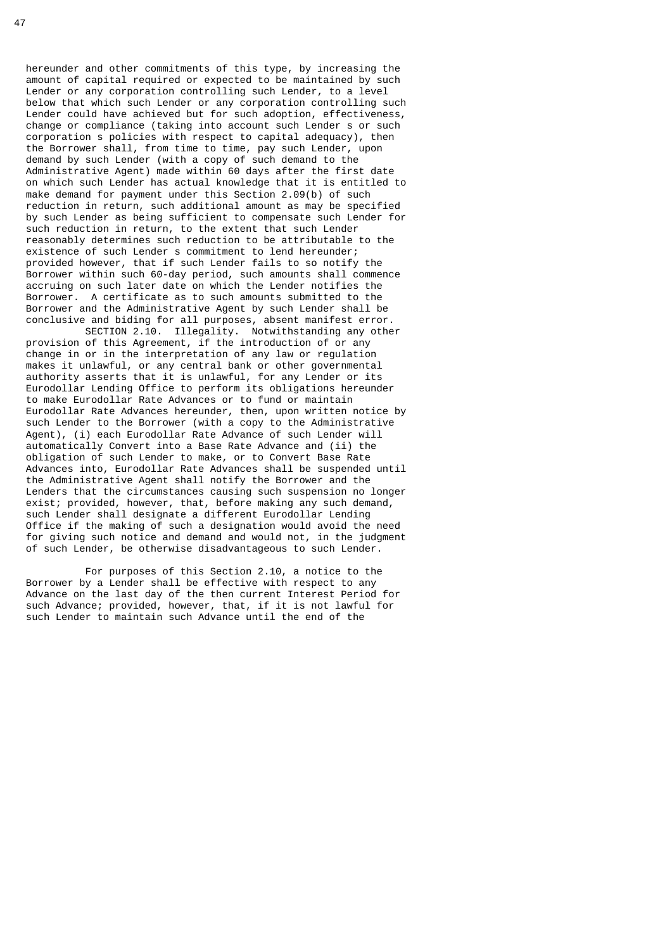hereunder and other commitments of this type, by increasing the amount of capital required or expected to be maintained by such Lender or any corporation controlling such Lender, to a level below that which such Lender or any corporation controlling such Lender could have achieved but for such adoption, effectiveness, change or compliance (taking into account such Lender s or such corporation s policies with respect to capital adequacy), then the Borrower shall, from time to time, pay such Lender, upon demand by such Lender (with a copy of such demand to the Administrative Agent) made within 60 days after the first date on which such Lender has actual knowledge that it is entitled to make demand for payment under this Section 2.09(b) of such reduction in return, such additional amount as may be specified by such Lender as being sufficient to compensate such Lender for such reduction in return, to the extent that such Lender reasonably determines such reduction to be attributable to the existence of such Lender s commitment to lend hereunder; provided however, that if such Lender fails to so notify the Borrower within such 60-day period, such amounts shall commence accruing on such later date on which the Lender notifies the Borrower. A certificate as to such amounts submitted to the Borrower and the Administrative Agent by such Lender shall be conclusive and biding for all purposes, absent manifest error.

 SECTION 2.10. Illegality. Notwithstanding any other provision of this Agreement, if the introduction of or any change in or in the interpretation of any law or regulation makes it unlawful, or any central bank or other governmental authority asserts that it is unlawful, for any Lender or its Eurodollar Lending Office to perform its obligations hereunder to make Eurodollar Rate Advances or to fund or maintain Eurodollar Rate Advances hereunder, then, upon written notice by such Lender to the Borrower (with a copy to the Administrative Agent), (i) each Eurodollar Rate Advance of such Lender will automatically Convert into a Base Rate Advance and (ii) the obligation of such Lender to make, or to Convert Base Rate Advances into, Eurodollar Rate Advances shall be suspended until the Administrative Agent shall notify the Borrower and the Lenders that the circumstances causing such suspension no longer exist; provided, however, that, before making any such demand, such Lender shall designate a different Eurodollar Lending Office if the making of such a designation would avoid the need for giving such notice and demand and would not, in the judgment of such Lender, be otherwise disadvantageous to such Lender.

 For purposes of this Section 2.10, a notice to the Borrower by a Lender shall be effective with respect to any Advance on the last day of the then current Interest Period for such Advance; provided, however, that, if it is not lawful for such Lender to maintain such Advance until the end of the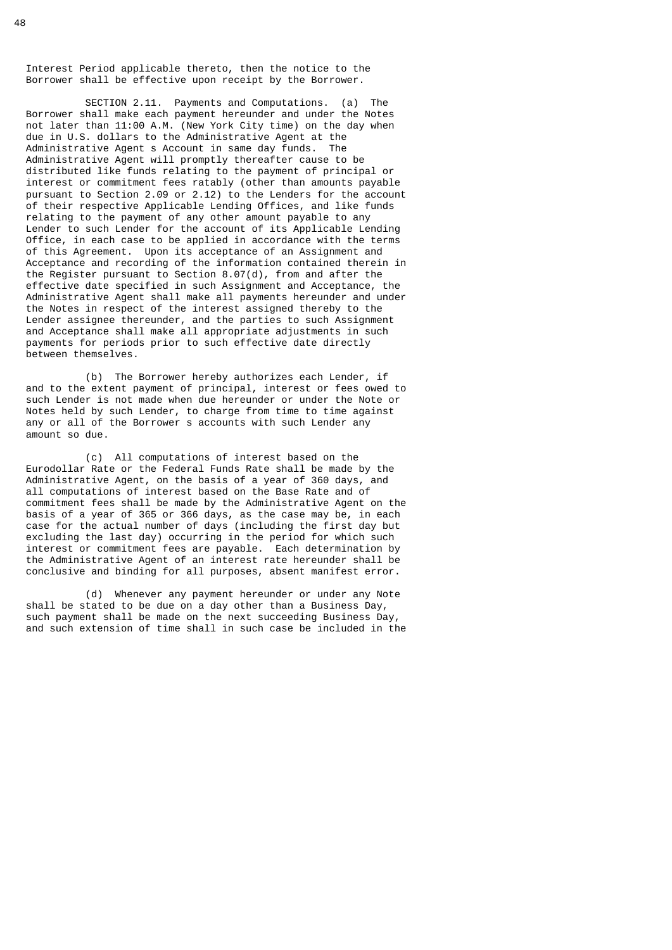Interest Period applicable thereto, then the notice to the Borrower shall be effective upon receipt by the Borrower.

 SECTION 2.11. Payments and Computations. (a) The Borrower shall make each payment hereunder and under the Notes not later than 11:00 A.M. (New York City time) on the day when due in U.S. dollars to the Administrative Agent at the Administrative Agent s Account in same day funds. The Administrative Agent will promptly thereafter cause to be distributed like funds relating to the payment of principal or interest or commitment fees ratably (other than amounts payable pursuant to Section 2.09 or 2.12) to the Lenders for the account of their respective Applicable Lending Offices, and like funds relating to the payment of any other amount payable to any Lender to such Lender for the account of its Applicable Lending Office, in each case to be applied in accordance with the terms of this Agreement. Upon its acceptance of an Assignment and Acceptance and recording of the information contained therein in the Register pursuant to Section 8.07(d), from and after the effective date specified in such Assignment and Acceptance, the Administrative Agent shall make all payments hereunder and under the Notes in respect of the interest assigned thereby to the Lender assignee thereunder, and the parties to such Assignment and Acceptance shall make all appropriate adjustments in such payments for periods prior to such effective date directly between themselves.

 (b) The Borrower hereby authorizes each Lender, if and to the extent payment of principal, interest or fees owed to such Lender is not made when due hereunder or under the Note or Notes held by such Lender, to charge from time to time against any or all of the Borrower s accounts with such Lender any amount so due.

 (c) All computations of interest based on the Eurodollar Rate or the Federal Funds Rate shall be made by the Administrative Agent, on the basis of a year of 360 days, and all computations of interest based on the Base Rate and of commitment fees shall be made by the Administrative Agent on the basis of a year of 365 or 366 days, as the case may be, in each case for the actual number of days (including the first day but excluding the last day) occurring in the period for which such interest or commitment fees are payable. Each determination by the Administrative Agent of an interest rate hereunder shall be conclusive and binding for all purposes, absent manifest error.

 (d) Whenever any payment hereunder or under any Note shall be stated to be due on a day other than a Business Day, such payment shall be made on the next succeeding Business Day, and such extension of time shall in such case be included in the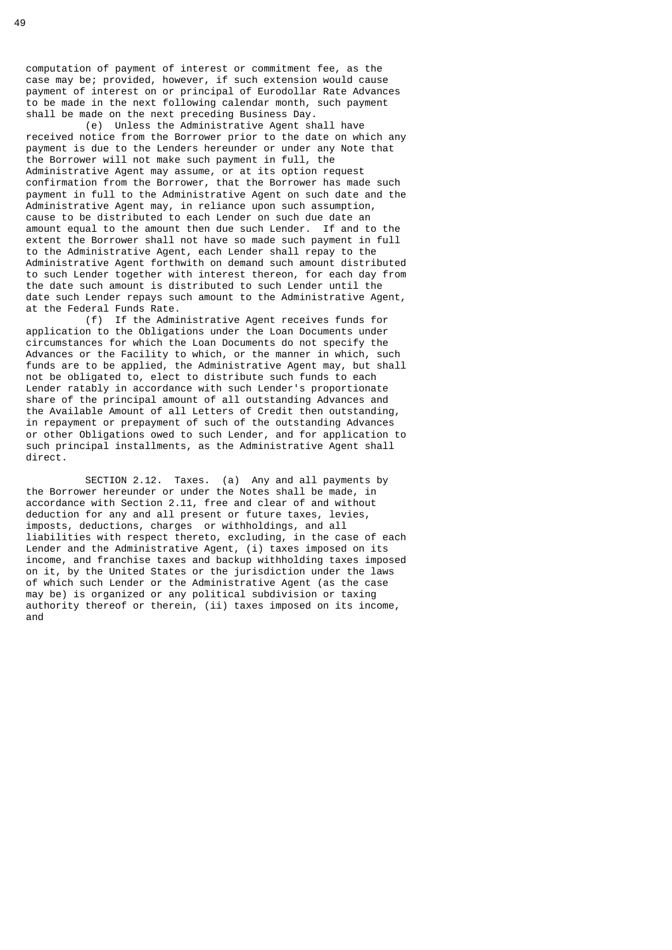computation of payment of interest or commitment fee, as the case may be; provided, however, if such extension would cause payment of interest on or principal of Eurodollar Rate Advances to be made in the next following calendar month, such payment shall be made on the next preceding Business Day.

 (e) Unless the Administrative Agent shall have received notice from the Borrower prior to the date on which any payment is due to the Lenders hereunder or under any Note that the Borrower will not make such payment in full, the Administrative Agent may assume, or at its option request confirmation from the Borrower, that the Borrower has made such payment in full to the Administrative Agent on such date and the Administrative Agent may, in reliance upon such assumption, cause to be distributed to each Lender on such due date an amount equal to the amount then due such Lender. If and to the extent the Borrower shall not have so made such payment in full to the Administrative Agent, each Lender shall repay to the Administrative Agent forthwith on demand such amount distributed to such Lender together with interest thereon, for each day from the date such amount is distributed to such Lender until the date such Lender repays such amount to the Administrative Agent, at the Federal Funds Rate.

 (f) If the Administrative Agent receives funds for application to the Obligations under the Loan Documents under circumstances for which the Loan Documents do not specify the Advances or the Facility to which, or the manner in which, such funds are to be applied, the Administrative Agent may, but shall not be obligated to, elect to distribute such funds to each Lender ratably in accordance with such Lender's proportionate share of the principal amount of all outstanding Advances and the Available Amount of all Letters of Credit then outstanding, in repayment or prepayment of such of the outstanding Advances or other Obligations owed to such Lender, and for application to such principal installments, as the Administrative Agent shall direct.

 SECTION 2.12. Taxes. (a) Any and all payments by the Borrower hereunder or under the Notes shall be made, in accordance with Section 2.11, free and clear of and without deduction for any and all present or future taxes, levies, imposts, deductions, charges or withholdings, and all liabilities with respect thereto, excluding, in the case of each Lender and the Administrative Agent, (i) taxes imposed on its income, and franchise taxes and backup withholding taxes imposed on it, by the United States or the jurisdiction under the laws of which such Lender or the Administrative Agent (as the case may be) is organized or any political subdivision or taxing authority thereof or therein, (ii) taxes imposed on its income, and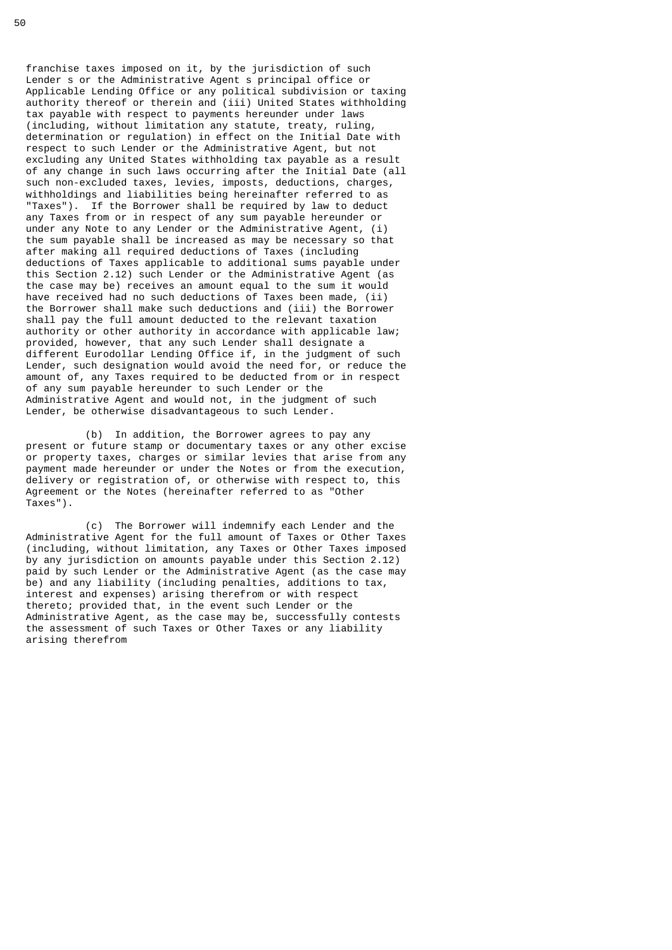franchise taxes imposed on it, by the jurisdiction of such Lender s or the Administrative Agent s principal office or Applicable Lending Office or any political subdivision or taxing authority thereof or therein and (iii) United States withholding tax payable with respect to payments hereunder under laws (including, without limitation any statute, treaty, ruling, determination or regulation) in effect on the Initial Date with respect to such Lender or the Administrative Agent, but not excluding any United States withholding tax payable as a result of any change in such laws occurring after the Initial Date (all such non-excluded taxes, levies, imposts, deductions, charges, withholdings and liabilities being hereinafter referred to as "Taxes"). If the Borrower shall be required by law to deduct any Taxes from or in respect of any sum payable hereunder or under any Note to any Lender or the Administrative Agent, (i) the sum payable shall be increased as may be necessary so that after making all required deductions of Taxes (including deductions of Taxes applicable to additional sums payable under this Section 2.12) such Lender or the Administrative Agent (as the case may be) receives an amount equal to the sum it would have received had no such deductions of Taxes been made, (ii) the Borrower shall make such deductions and (iii) the Borrower shall pay the full amount deducted to the relevant taxation authority or other authority in accordance with applicable law; provided, however, that any such Lender shall designate a different Eurodollar Lending Office if, in the judgment of such Lender, such designation would avoid the need for, or reduce the amount of, any Taxes required to be deducted from or in respect of any sum payable hereunder to such Lender or the Administrative Agent and would not, in the judgment of such Lender, be otherwise disadvantageous to such Lender.

 (b) In addition, the Borrower agrees to pay any present or future stamp or documentary taxes or any other excise or property taxes, charges or similar levies that arise from any payment made hereunder or under the Notes or from the execution, delivery or registration of, or otherwise with respect to, this Agreement or the Notes (hereinafter referred to as "Other Taxes").

 (c) The Borrower will indemnify each Lender and the Administrative Agent for the full amount of Taxes or Other Taxes (including, without limitation, any Taxes or Other Taxes imposed by any jurisdiction on amounts payable under this Section 2.12) paid by such Lender or the Administrative Agent (as the case may be) and any liability (including penalties, additions to tax, interest and expenses) arising therefrom or with respect thereto; provided that, in the event such Lender or the Administrative Agent, as the case may be, successfully contests the assessment of such Taxes or Other Taxes or any liability arising therefrom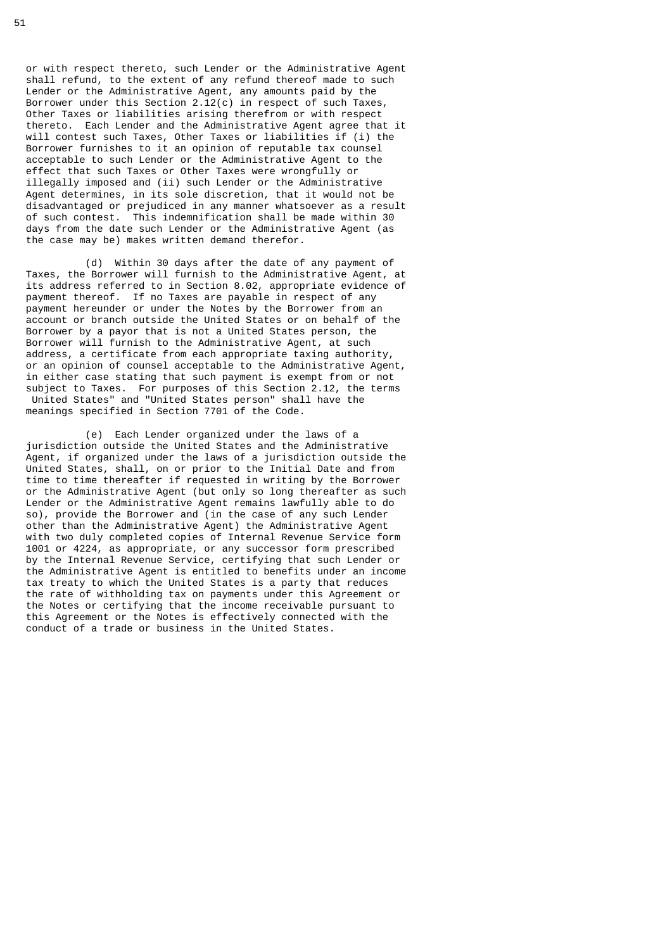or with respect thereto, such Lender or the Administrative Agent shall refund, to the extent of any refund thereof made to such Lender or the Administrative Agent, any amounts paid by the Borrower under this Section 2.12(c) in respect of such Taxes, Other Taxes or liabilities arising therefrom or with respect thereto. Each Lender and the Administrative Agent agree that it will contest such Taxes, Other Taxes or liabilities if (i) the Borrower furnishes to it an opinion of reputable tax counsel acceptable to such Lender or the Administrative Agent to the effect that such Taxes or Other Taxes were wrongfully or illegally imposed and (ii) such Lender or the Administrative Agent determines, in its sole discretion, that it would not be disadvantaged or prejudiced in any manner whatsoever as a result of such contest. This indemnification shall be made within 30 days from the date such Lender or the Administrative Agent (as the case may be) makes written demand therefor.

 (d) Within 30 days after the date of any payment of Taxes, the Borrower will furnish to the Administrative Agent, at its address referred to in Section 8.02, appropriate evidence of payment thereof. If no Taxes are payable in respect of any payment hereunder or under the Notes by the Borrower from an account or branch outside the United States or on behalf of the Borrower by a payor that is not a United States person, the Borrower will furnish to the Administrative Agent, at such address, a certificate from each appropriate taxing authority, or an opinion of counsel acceptable to the Administrative Agent, in either case stating that such payment is exempt from or not subject to Taxes. For purposes of this Section 2.12, the terms United States" and "United States person" shall have the meanings specified in Section 7701 of the Code.

 (e) Each Lender organized under the laws of a jurisdiction outside the United States and the Administrative Agent, if organized under the laws of a jurisdiction outside the United States, shall, on or prior to the Initial Date and from time to time thereafter if requested in writing by the Borrower or the Administrative Agent (but only so long thereafter as such Lender or the Administrative Agent remains lawfully able to do so), provide the Borrower and (in the case of any such Lender other than the Administrative Agent) the Administrative Agent with two duly completed copies of Internal Revenue Service form 1001 or 4224, as appropriate, or any successor form prescribed by the Internal Revenue Service, certifying that such Lender or the Administrative Agent is entitled to benefits under an income tax treaty to which the United States is a party that reduces the rate of withholding tax on payments under this Agreement or the Notes or certifying that the income receivable pursuant to this Agreement or the Notes is effectively connected with the conduct of a trade or business in the United States.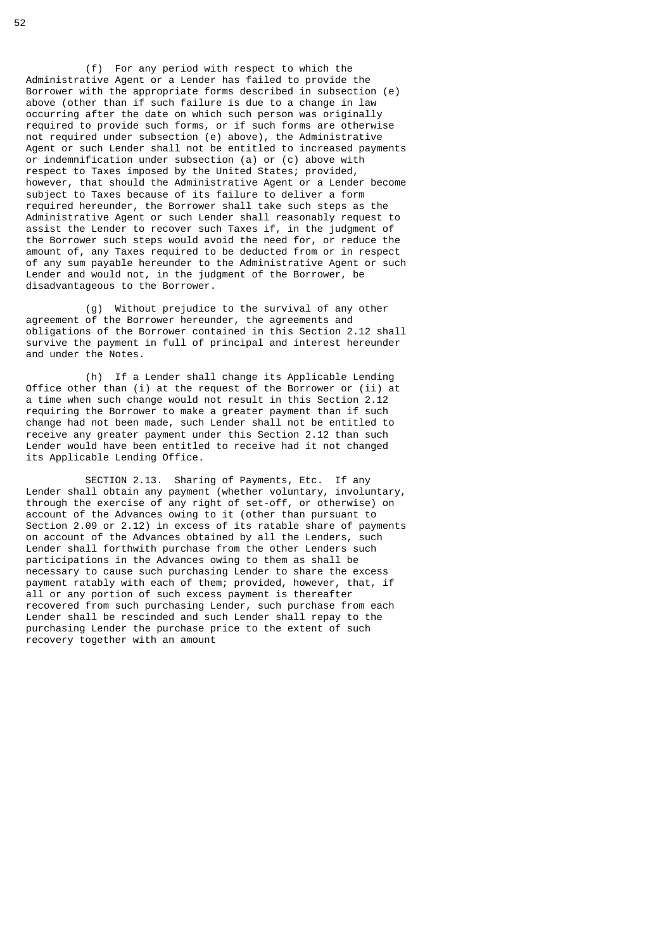(f) For any period with respect to which the Administrative Agent or a Lender has failed to provide the Borrower with the appropriate forms described in subsection (e) above (other than if such failure is due to a change in law occurring after the date on which such person was originally required to provide such forms, or if such forms are otherwise not required under subsection (e) above), the Administrative Agent or such Lender shall not be entitled to increased payments or indemnification under subsection (a) or (c) above with respect to Taxes imposed by the United States; provided, however, that should the Administrative Agent or a Lender become subject to Taxes because of its failure to deliver a form required hereunder, the Borrower shall take such steps as the Administrative Agent or such Lender shall reasonably request to assist the Lender to recover such Taxes if, in the judgment of the Borrower such steps would avoid the need for, or reduce the amount of, any Taxes required to be deducted from or in respect of any sum payable hereunder to the Administrative Agent or such Lender and would not, in the judgment of the Borrower, be disadvantageous to the Borrower.

 (g) Without prejudice to the survival of any other agreement of the Borrower hereunder, the agreements and obligations of the Borrower contained in this Section 2.12 shall survive the payment in full of principal and interest hereunder and under the Notes.

 (h) If a Lender shall change its Applicable Lending Office other than (i) at the request of the Borrower or (ii) at a time when such change would not result in this Section 2.12 requiring the Borrower to make a greater payment than if such change had not been made, such Lender shall not be entitled to receive any greater payment under this Section 2.12 than such Lender would have been entitled to receive had it not changed its Applicable Lending Office.

 SECTION 2.13. Sharing of Payments, Etc. If any Lender shall obtain any payment (whether voluntary, involuntary, through the exercise of any right of set-off, or otherwise) on account of the Advances owing to it (other than pursuant to Section 2.09 or 2.12) in excess of its ratable share of payments on account of the Advances obtained by all the Lenders, such Lender shall forthwith purchase from the other Lenders such participations in the Advances owing to them as shall be necessary to cause such purchasing Lender to share the excess payment ratably with each of them; provided, however, that, if all or any portion of such excess payment is thereafter recovered from such purchasing Lender, such purchase from each Lender shall be rescinded and such Lender shall repay to the purchasing Lender the purchase price to the extent of such recovery together with an amount

52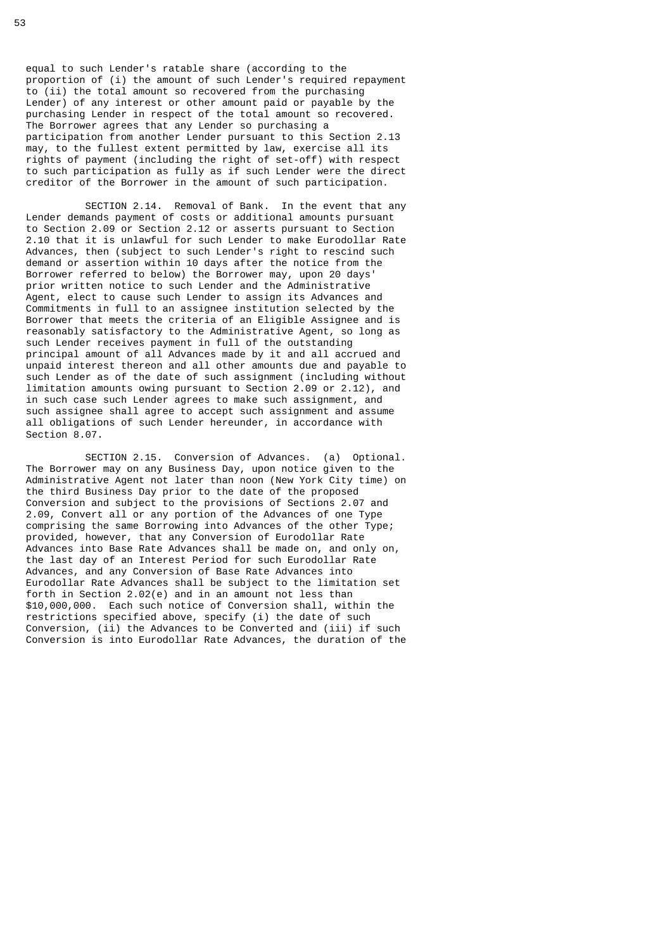equal to such Lender's ratable share (according to the proportion of (i) the amount of such Lender's required repayment to (ii) the total amount so recovered from the purchasing Lender) of any interest or other amount paid or payable by the purchasing Lender in respect of the total amount so recovered. The Borrower agrees that any Lender so purchasing a participation from another Lender pursuant to this Section 2.13 may, to the fullest extent permitted by law, exercise all its rights of payment (including the right of set-off) with respect to such participation as fully as if such Lender were the direct creditor of the Borrower in the amount of such participation.

 SECTION 2.14. Removal of Bank. In the event that any Lender demands payment of costs or additional amounts pursuant to Section 2.09 or Section 2.12 or asserts pursuant to Section 2.10 that it is unlawful for such Lender to make Eurodollar Rate Advances, then (subject to such Lender's right to rescind such demand or assertion within 10 days after the notice from the Borrower referred to below) the Borrower may, upon 20 days' prior written notice to such Lender and the Administrative Agent, elect to cause such Lender to assign its Advances and Commitments in full to an assignee institution selected by the Borrower that meets the criteria of an Eligible Assignee and is reasonably satisfactory to the Administrative Agent, so long as such Lender receives payment in full of the outstanding principal amount of all Advances made by it and all accrued and unpaid interest thereon and all other amounts due and payable to such Lender as of the date of such assignment (including without limitation amounts owing pursuant to Section 2.09 or 2.12), and in such case such Lender agrees to make such assignment, and such assignee shall agree to accept such assignment and assume all obligations of such Lender hereunder, in accordance with Section 8.07.

 SECTION 2.15. Conversion of Advances. (a) Optional. The Borrower may on any Business Day, upon notice given to the Administrative Agent not later than noon (New York City time) on the third Business Day prior to the date of the proposed Conversion and subject to the provisions of Sections 2.07 and 2.09, Convert all or any portion of the Advances of one Type comprising the same Borrowing into Advances of the other Type; provided, however, that any Conversion of Eurodollar Rate Advances into Base Rate Advances shall be made on, and only on, the last day of an Interest Period for such Eurodollar Rate Advances, and any Conversion of Base Rate Advances into Eurodollar Rate Advances shall be subject to the limitation set forth in Section 2.02(e) and in an amount not less than \$10,000,000. Each such notice of Conversion shall, within the restrictions specified above, specify (i) the date of such Conversion, (ii) the Advances to be Converted and (iii) if such Conversion is into Eurodollar Rate Advances, the duration of the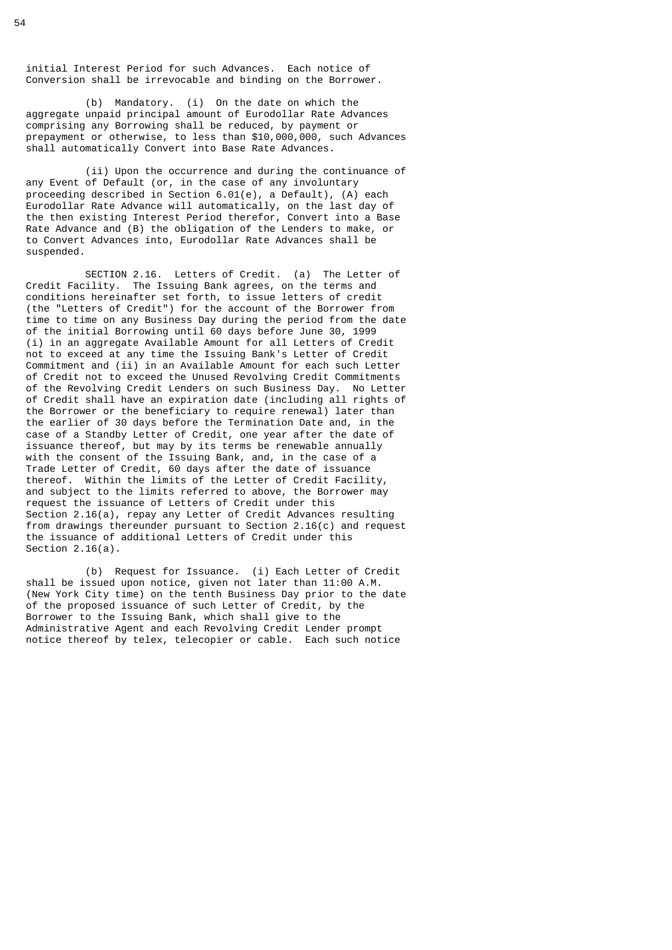initial Interest Period for such Advances. Each notice of Conversion shall be irrevocable and binding on the Borrower.

 (b) Mandatory. (i) On the date on which the aggregate unpaid principal amount of Eurodollar Rate Advances comprising any Borrowing shall be reduced, by payment or prepayment or otherwise, to less than \$10,000,000, such Advances shall automatically Convert into Base Rate Advances.

 (ii) Upon the occurrence and during the continuance of any Event of Default (or, in the case of any involuntary proceeding described in Section 6.01(e), a Default), (A) each Eurodollar Rate Advance will automatically, on the last day of the then existing Interest Period therefor, Convert into a Base Rate Advance and (B) the obligation of the Lenders to make, or to Convert Advances into, Eurodollar Rate Advances shall be suspended.

 SECTION 2.16. Letters of Credit. (a) The Letter of Credit Facility. The Issuing Bank agrees, on the terms and conditions hereinafter set forth, to issue letters of credit (the "Letters of Credit") for the account of the Borrower from time to time on any Business Day during the period from the date of the initial Borrowing until 60 days before June 30, 1999 (i) in an aggregate Available Amount for all Letters of Credit not to exceed at any time the Issuing Bank's Letter of Credit Commitment and (ii) in an Available Amount for each such Letter of Credit not to exceed the Unused Revolving Credit Commitments of the Revolving Credit Lenders on such Business Day. No Letter of Credit shall have an expiration date (including all rights of the Borrower or the beneficiary to require renewal) later than the earlier of 30 days before the Termination Date and, in the case of a Standby Letter of Credit, one year after the date of issuance thereof, but may by its terms be renewable annually with the consent of the Issuing Bank, and, in the case of a Trade Letter of Credit, 60 days after the date of issuance thereof. Within the limits of the Letter of Credit Facility, and subject to the limits referred to above, the Borrower may request the issuance of Letters of Credit under this Section 2.16(a), repay any Letter of Credit Advances resulting from drawings thereunder pursuant to Section 2.16(c) and request the issuance of additional Letters of Credit under this Section 2.16(a).

 (b) Request for Issuance. (i) Each Letter of Credit shall be issued upon notice, given not later than 11:00 A.M. (New York City time) on the tenth Business Day prior to the date of the proposed issuance of such Letter of Credit, by the Borrower to the Issuing Bank, which shall give to the Administrative Agent and each Revolving Credit Lender prompt notice thereof by telex, telecopier or cable. Each such notice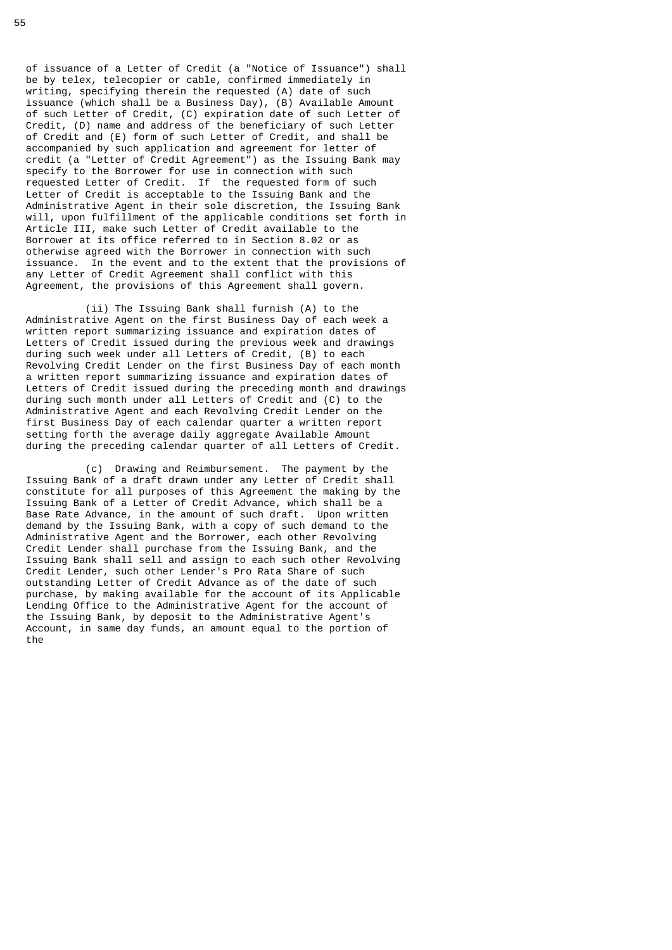of issuance of a Letter of Credit (a "Notice of Issuance") shall be by telex, telecopier or cable, confirmed immediately in writing, specifying therein the requested (A) date of such issuance (which shall be a Business Day), (B) Available Amount of such Letter of Credit, (C) expiration date of such Letter of Credit, (D) name and address of the beneficiary of such Letter of Credit and (E) form of such Letter of Credit, and shall be accompanied by such application and agreement for letter of credit (a "Letter of Credit Agreement") as the Issuing Bank may specify to the Borrower for use in connection with such requested Letter of Credit. If the requested form of such Letter of Credit is acceptable to the Issuing Bank and the Administrative Agent in their sole discretion, the Issuing Bank will, upon fulfillment of the applicable conditions set forth in Article III, make such Letter of Credit available to the Borrower at its office referred to in Section 8.02 or as otherwise agreed with the Borrower in connection with such issuance. In the event and to the extent that the provisions of any Letter of Credit Agreement shall conflict with this Agreement, the provisions of this Agreement shall govern.

 (ii) The Issuing Bank shall furnish (A) to the Administrative Agent on the first Business Day of each week a written report summarizing issuance and expiration dates of Letters of Credit issued during the previous week and drawings during such week under all Letters of Credit, (B) to each Revolving Credit Lender on the first Business Day of each month a written report summarizing issuance and expiration dates of Letters of Credit issued during the preceding month and drawings during such month under all Letters of Credit and (C) to the Administrative Agent and each Revolving Credit Lender on the first Business Day of each calendar quarter a written report setting forth the average daily aggregate Available Amount during the preceding calendar quarter of all Letters of Credit.

 (c) Drawing and Reimbursement. The payment by the Issuing Bank of a draft drawn under any Letter of Credit shall constitute for all purposes of this Agreement the making by the Issuing Bank of a Letter of Credit Advance, which shall be a Base Rate Advance, in the amount of such draft. Upon written demand by the Issuing Bank, with a copy of such demand to the Administrative Agent and the Borrower, each other Revolving Credit Lender shall purchase from the Issuing Bank, and the Issuing Bank shall sell and assign to each such other Revolving Credit Lender, such other Lender's Pro Rata Share of such outstanding Letter of Credit Advance as of the date of such purchase, by making available for the account of its Applicable Lending Office to the Administrative Agent for the account of the Issuing Bank, by deposit to the Administrative Agent's Account, in same day funds, an amount equal to the portion of the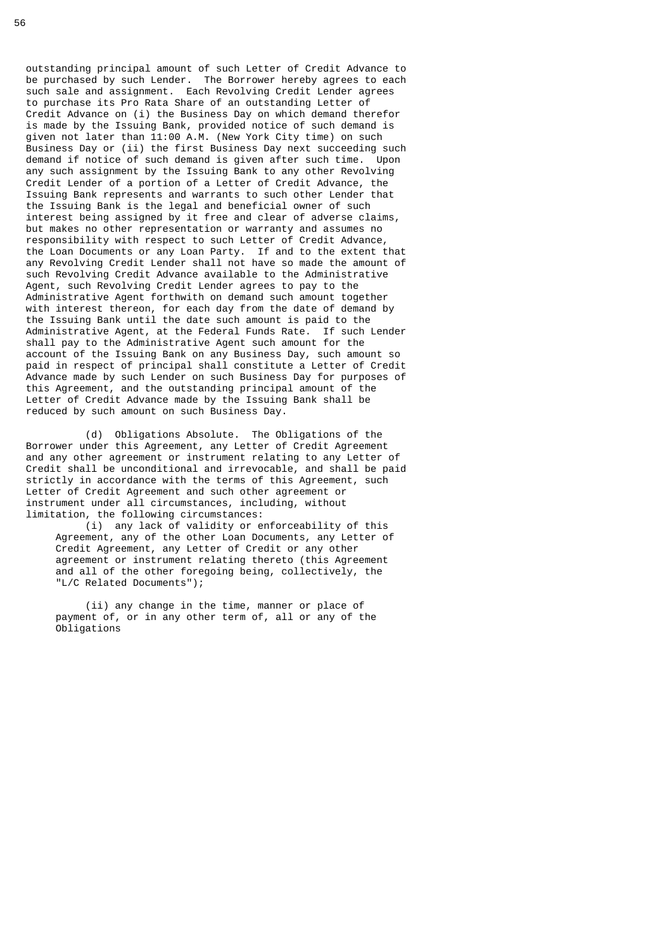outstanding principal amount of such Letter of Credit Advance to be purchased by such Lender. The Borrower hereby agrees to each such sale and assignment. Each Revolving Credit Lender agrees to purchase its Pro Rata Share of an outstanding Letter of Credit Advance on (i) the Business Day on which demand therefor is made by the Issuing Bank, provided notice of such demand is given not later than 11:00 A.M. (New York City time) on such Business Day or (ii) the first Business Day next succeeding such demand if notice of such demand is given after such time. Upon any such assignment by the Issuing Bank to any other Revolving Credit Lender of a portion of a Letter of Credit Advance, the Issuing Bank represents and warrants to such other Lender that the Issuing Bank is the legal and beneficial owner of such interest being assigned by it free and clear of adverse claims, but makes no other representation or warranty and assumes no responsibility with respect to such Letter of Credit Advance, the Loan Documents or any Loan Party. If and to the extent that any Revolving Credit Lender shall not have so made the amount of such Revolving Credit Advance available to the Administrative Agent, such Revolving Credit Lender agrees to pay to the Administrative Agent forthwith on demand such amount together with interest thereon, for each day from the date of demand by the Issuing Bank until the date such amount is paid to the Administrative Agent, at the Federal Funds Rate. If such Lender shall pay to the Administrative Agent such amount for the account of the Issuing Bank on any Business Day, such amount so paid in respect of principal shall constitute a Letter of Credit Advance made by such Lender on such Business Day for purposes of this Agreement, and the outstanding principal amount of the Letter of Credit Advance made by the Issuing Bank shall be reduced by such amount on such Business Day.

 (d) Obligations Absolute. The Obligations of the Borrower under this Agreement, any Letter of Credit Agreement and any other agreement or instrument relating to any Letter of Credit shall be unconditional and irrevocable, and shall be paid strictly in accordance with the terms of this Agreement, such Letter of Credit Agreement and such other agreement or instrument under all circumstances, including, without limitation, the following circumstances:

 (i) any lack of validity or enforceability of this Agreement, any of the other Loan Documents, any Letter of Credit Agreement, any Letter of Credit or any other agreement or instrument relating thereto (this Agreement and all of the other foregoing being, collectively, the "L/C Related Documents");

 (ii) any change in the time, manner or place of payment of, or in any other term of, all or any of the Obligations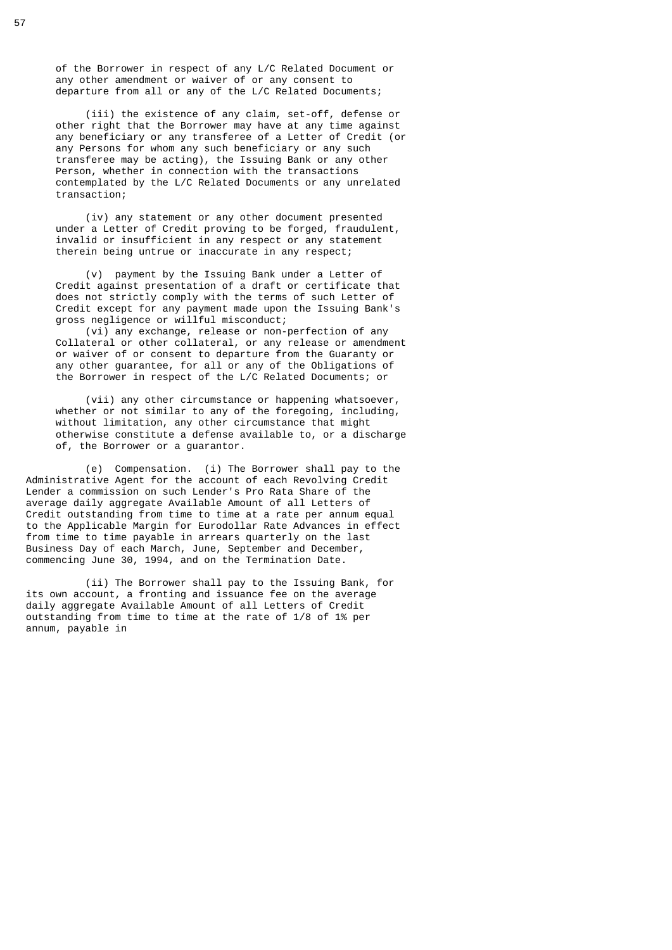of the Borrower in respect of any L/C Related Document or any other amendment or waiver of or any consent to departure from all or any of the L/C Related Documents;

 (iii) the existence of any claim, set-off, defense or other right that the Borrower may have at any time against any beneficiary or any transferee of a Letter of Credit (or any Persons for whom any such beneficiary or any such transferee may be acting), the Issuing Bank or any other Person, whether in connection with the transactions contemplated by the L/C Related Documents or any unrelated transaction;

 (iv) any statement or any other document presented under a Letter of Credit proving to be forged, fraudulent, invalid or insufficient in any respect or any statement therein being untrue or inaccurate in any respect;

 (v) payment by the Issuing Bank under a Letter of Credit against presentation of a draft or certificate that does not strictly comply with the terms of such Letter of Credit except for any payment made upon the Issuing Bank's gross negligence or willful misconduct;

 (vi) any exchange, release or non-perfection of any Collateral or other collateral, or any release or amendment or waiver of or consent to departure from the Guaranty or any other quarantee, for all or any of the Obligations of the Borrower in respect of the L/C Related Documents; or

 (vii) any other circumstance or happening whatsoever, whether or not similar to any of the foregoing, including, without limitation, any other circumstance that might otherwise constitute a defense available to, or a discharge of, the Borrower or a guarantor.

 (e) Compensation. (i) The Borrower shall pay to the Administrative Agent for the account of each Revolving Credit Lender a commission on such Lender's Pro Rata Share of the average daily aggregate Available Amount of all Letters of Credit outstanding from time to time at a rate per annum equal to the Applicable Margin for Eurodollar Rate Advances in effect from time to time payable in arrears quarterly on the last Business Day of each March, June, September and December, commencing June 30, 1994, and on the Termination Date.

 (ii) The Borrower shall pay to the Issuing Bank, for its own account, a fronting and issuance fee on the average daily aggregate Available Amount of all Letters of Credit outstanding from time to time at the rate of 1/8 of 1% per annum, payable in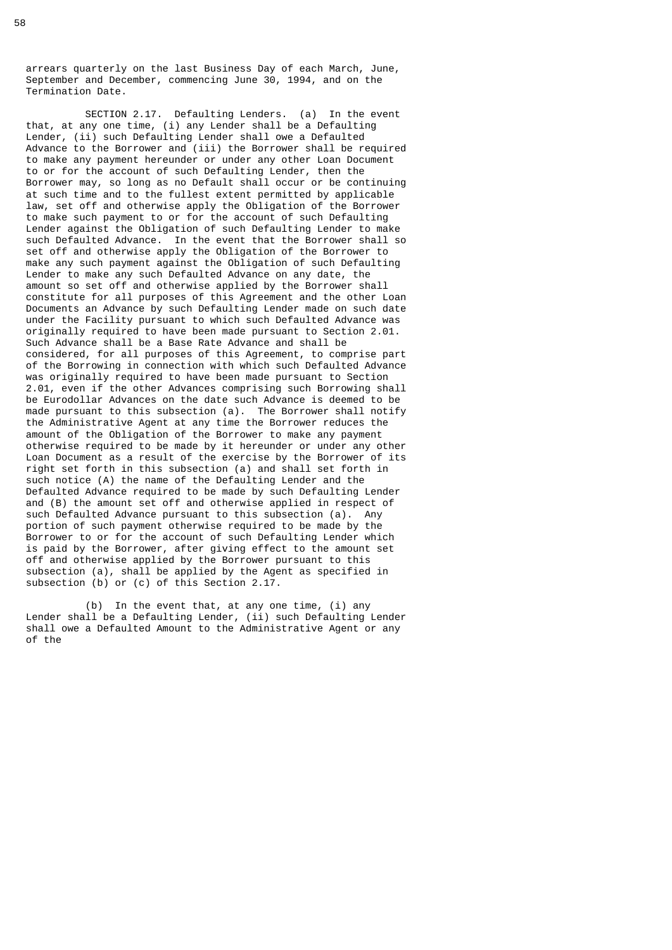arrears quarterly on the last Business Day of each March, June, September and December, commencing June 30, 1994, and on the Termination Date.

 SECTION 2.17. Defaulting Lenders. (a) In the event that, at any one time, (i) any Lender shall be a Defaulting Lender, (ii) such Defaulting Lender shall owe a Defaulted Advance to the Borrower and (iii) the Borrower shall be required to make any payment hereunder or under any other Loan Document to or for the account of such Defaulting Lender, then the Borrower may, so long as no Default shall occur or be continuing at such time and to the fullest extent permitted by applicable law, set off and otherwise apply the Obligation of the Borrower to make such payment to or for the account of such Defaulting Lender against the Obligation of such Defaulting Lender to make such Defaulted Advance. In the event that the Borrower shall so set off and otherwise apply the Obligation of the Borrower to make any such payment against the Obligation of such Defaulting Lender to make any such Defaulted Advance on any date, the amount so set off and otherwise applied by the Borrower shall constitute for all purposes of this Agreement and the other Loan Documents an Advance by such Defaulting Lender made on such date under the Facility pursuant to which such Defaulted Advance was originally required to have been made pursuant to Section 2.01. Such Advance shall be a Base Rate Advance and shall be considered, for all purposes of this Agreement, to comprise part of the Borrowing in connection with which such Defaulted Advance was originally required to have been made pursuant to Section 2.01, even if the other Advances comprising such Borrowing shall be Eurodollar Advances on the date such Advance is deemed to be made pursuant to this subsection (a). The Borrower shall notify the Administrative Agent at any time the Borrower reduces the amount of the Obligation of the Borrower to make any payment otherwise required to be made by it hereunder or under any other Loan Document as a result of the exercise by the Borrower of its right set forth in this subsection (a) and shall set forth in such notice (A) the name of the Defaulting Lender and the Defaulted Advance required to be made by such Defaulting Lender and (B) the amount set off and otherwise applied in respect of such Defaulted Advance pursuant to this subsection (a). Any portion of such payment otherwise required to be made by the Borrower to or for the account of such Defaulting Lender which is paid by the Borrower, after giving effect to the amount set off and otherwise applied by the Borrower pursuant to this subsection (a), shall be applied by the Agent as specified in subsection (b) or (c) of this Section 2.17.

 (b) In the event that, at any one time, (i) any Lender shall be a Defaulting Lender, (ii) such Defaulting Lender shall owe a Defaulted Amount to the Administrative Agent or any of the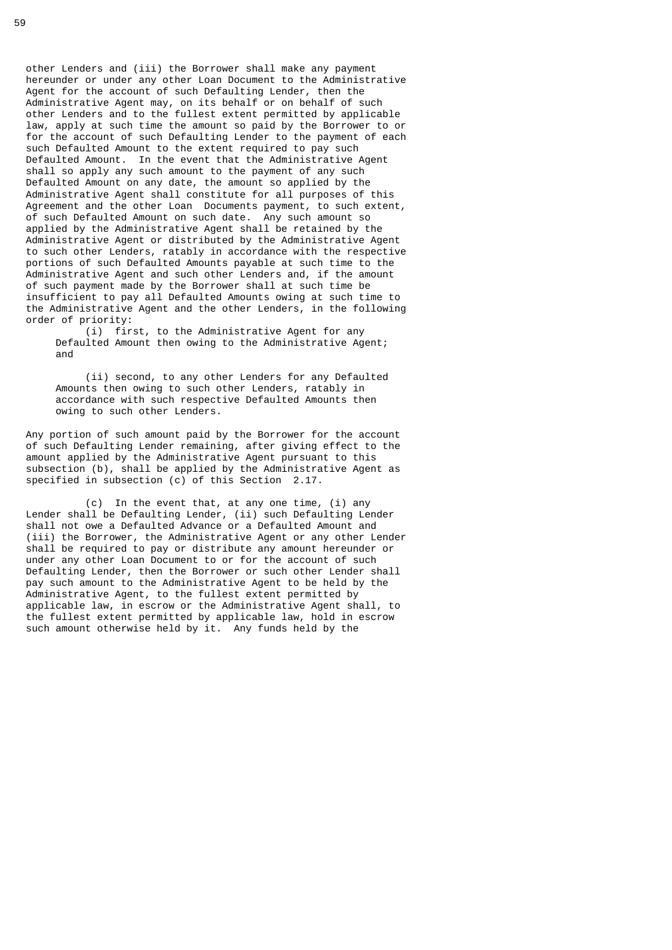other Lenders and (iii) the Borrower shall make any payment hereunder or under any other Loan Document to the Administrative Agent for the account of such Defaulting Lender, then the Administrative Agent may, on its behalf or on behalf of such other Lenders and to the fullest extent permitted by applicable law, apply at such time the amount so paid by the Borrower to or for the account of such Defaulting Lender to the payment of each such Defaulted Amount to the extent required to pay such Defaulted Amount. In the event that the Administrative Agent shall so apply any such amount to the payment of any such Defaulted Amount on any date, the amount so applied by the Administrative Agent shall constitute for all purposes of this Agreement and the other Loan Documents payment, to such extent, of such Defaulted Amount on such date. Any such amount so applied by the Administrative Agent shall be retained by the Administrative Agent or distributed by the Administrative Agent to such other Lenders, ratably in accordance with the respective portions of such Defaulted Amounts payable at such time to the Administrative Agent and such other Lenders and, if the amount of such payment made by the Borrower shall at such time be insufficient to pay all Defaulted Amounts owing at such time to the Administrative Agent and the other Lenders, in the following order of priority:

 (i) first, to the Administrative Agent for any Defaulted Amount then owing to the Administrative Agent; and

 (ii) second, to any other Lenders for any Defaulted Amounts then owing to such other Lenders, ratably in accordance with such respective Defaulted Amounts then owing to such other Lenders.

 Any portion of such amount paid by the Borrower for the account of such Defaulting Lender remaining, after giving effect to the amount applied by the Administrative Agent pursuant to this subsection (b), shall be applied by the Administrative Agent as specified in subsection (c) of this Section 2.17.

 (c) In the event that, at any one time, (i) any Lender shall be Defaulting Lender, (ii) such Defaulting Lender shall not owe a Defaulted Advance or a Defaulted Amount and (iii) the Borrower, the Administrative Agent or any other Lender shall be required to pay or distribute any amount hereunder or under any other Loan Document to or for the account of such Defaulting Lender, then the Borrower or such other Lender shall pay such amount to the Administrative Agent to be held by the Administrative Agent, to the fullest extent permitted by applicable law, in escrow or the Administrative Agent shall, to the fullest extent permitted by applicable law, hold in escrow such amount otherwise held by it. Any funds held by the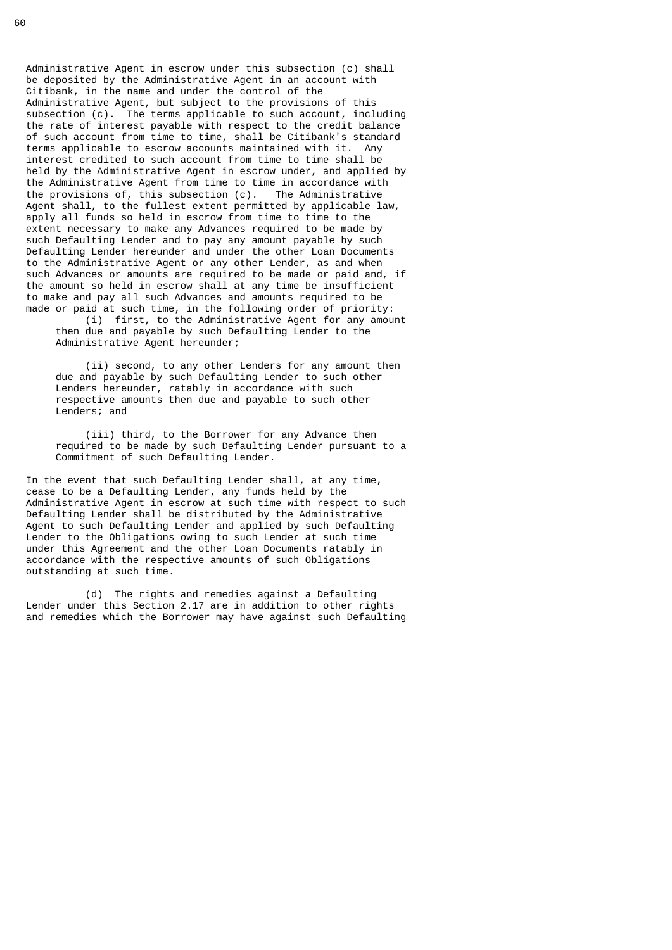Administrative Agent in escrow under this subsection (c) shall be deposited by the Administrative Agent in an account with Citibank, in the name and under the control of the Administrative Agent, but subject to the provisions of this subsection (c). The terms applicable to such account, including the rate of interest payable with respect to the credit balance of such account from time to time, shall be Citibank's standard terms applicable to escrow accounts maintained with it. Any interest credited to such account from time to time shall be held by the Administrative Agent in escrow under, and applied by the Administrative Agent from time to time in accordance with the provisions of, this subsection (c). The Administrative Agent shall, to the fullest extent permitted by applicable law, apply all funds so held in escrow from time to time to the extent necessary to make any Advances required to be made by such Defaulting Lender and to pay any amount payable by such Defaulting Lender hereunder and under the other Loan Documents to the Administrative Agent or any other Lender, as and when such Advances or amounts are required to be made or paid and, if the amount so held in escrow shall at any time be insufficient to make and pay all such Advances and amounts required to be made or paid at such time, in the following order of priority:

 (i) first, to the Administrative Agent for any amount then due and payable by such Defaulting Lender to the Administrative Agent hereunder;

 (ii) second, to any other Lenders for any amount then due and payable by such Defaulting Lender to such other Lenders hereunder, ratably in accordance with such respective amounts then due and payable to such other Lenders; and

 (iii) third, to the Borrower for any Advance then required to be made by such Defaulting Lender pursuant to a Commitment of such Defaulting Lender.

 In the event that such Defaulting Lender shall, at any time, cease to be a Defaulting Lender, any funds held by the Administrative Agent in escrow at such time with respect to such Defaulting Lender shall be distributed by the Administrative Agent to such Defaulting Lender and applied by such Defaulting Lender to the Obligations owing to such Lender at such time under this Agreement and the other Loan Documents ratably in accordance with the respective amounts of such Obligations outstanding at such time.

 (d) The rights and remedies against a Defaulting Lender under this Section 2.17 are in addition to other rights and remedies which the Borrower may have against such Defaulting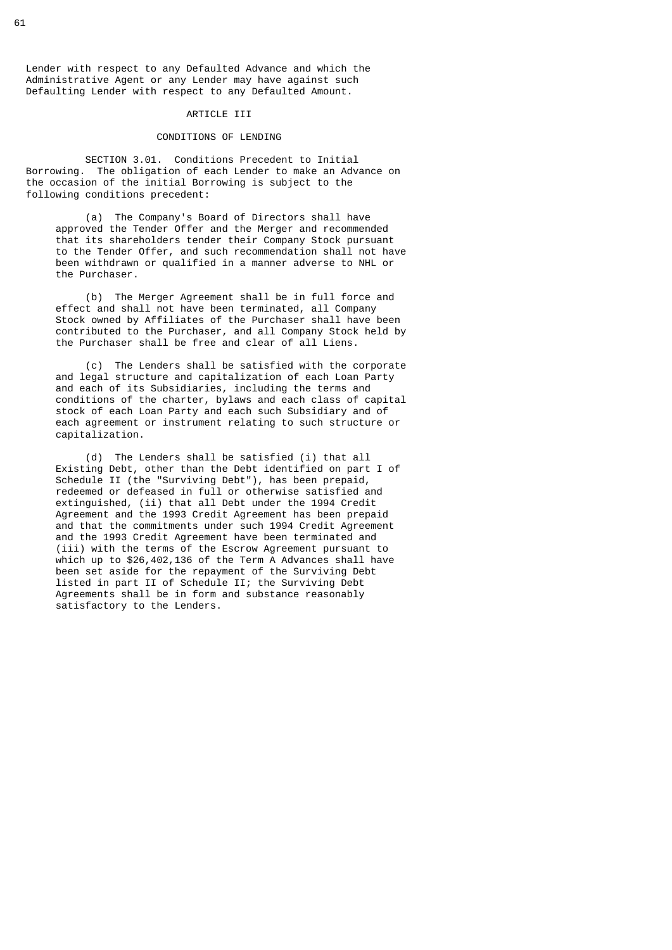Lender with respect to any Defaulted Advance and which the Administrative Agent or any Lender may have against such Defaulting Lender with respect to any Defaulted Amount.

#### ARTICLE III

## CONDITIONS OF LENDING

 SECTION 3.01. Conditions Precedent to Initial Borrowing. The obligation of each Lender to make an Advance on the occasion of the initial Borrowing is subject to the following conditions precedent:

 (a) The Company's Board of Directors shall have approved the Tender Offer and the Merger and recommended that its shareholders tender their Company Stock pursuant to the Tender Offer, and such recommendation shall not have been withdrawn or qualified in a manner adverse to NHL or the Purchaser.

 (b) The Merger Agreement shall be in full force and effect and shall not have been terminated, all Company Stock owned by Affiliates of the Purchaser shall have been contributed to the Purchaser, and all Company Stock held by the Purchaser shall be free and clear of all Liens.

 (c) The Lenders shall be satisfied with the corporate and legal structure and capitalization of each Loan Party and each of its Subsidiaries, including the terms and conditions of the charter, bylaws and each class of capital stock of each Loan Party and each such Subsidiary and of each agreement or instrument relating to such structure or capitalization.

 (d) The Lenders shall be satisfied (i) that all Existing Debt, other than the Debt identified on part I of Schedule II (the "Surviving Debt"), has been prepaid, redeemed or defeased in full or otherwise satisfied and extinguished, (ii) that all Debt under the 1994 Credit Agreement and the 1993 Credit Agreement has been prepaid and that the commitments under such 1994 Credit Agreement and the 1993 Credit Agreement have been terminated and (iii) with the terms of the Escrow Agreement pursuant to which up to \$26,402,136 of the Term A Advances shall have been set aside for the repayment of the Surviving Debt listed in part II of Schedule II; the Surviving Debt Agreements shall be in form and substance reasonably satisfactory to the Lenders.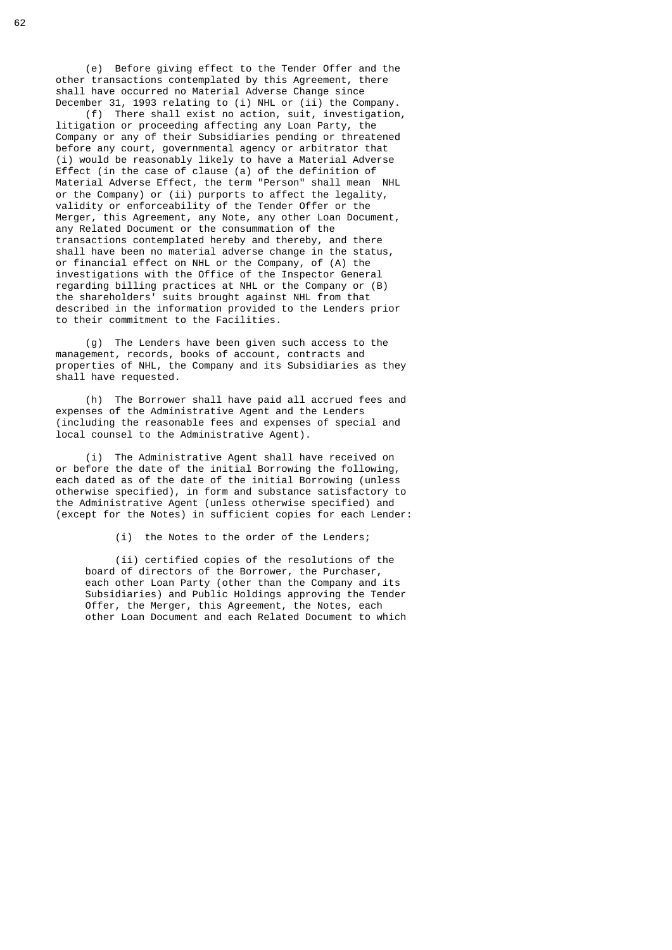(e) Before giving effect to the Tender Offer and the other transactions contemplated by this Agreement, there shall have occurred no Material Adverse Change since December 31, 1993 relating to (i) NHL or (ii) the Company.

 (f) There shall exist no action, suit, investigation, litigation or proceeding affecting any Loan Party, the Company or any of their Subsidiaries pending or threatened before any court, governmental agency or arbitrator that (i) would be reasonably likely to have a Material Adverse Effect (in the case of clause (a) of the definition of Material Adverse Effect, the term "Person" shall mean NHL or the Company) or (ii) purports to affect the legality, validity or enforceability of the Tender Offer or the Merger, this Agreement, any Note, any other Loan Document, any Related Document or the consummation of the transactions contemplated hereby and thereby, and there shall have been no material adverse change in the status, or financial effect on NHL or the Company, of (A) the investigations with the Office of the Inspector General regarding billing practices at NHL or the Company or (B) the shareholders' suits brought against NHL from that described in the information provided to the Lenders prior to their commitment to the Facilities.

> (g) The Lenders have been given such access to the management, records, books of account, contracts and properties of NHL, the Company and its Subsidiaries as they shall have requested.

> (h) The Borrower shall have paid all accrued fees and expenses of the Administrative Agent and the Lenders (including the reasonable fees and expenses of special and local counsel to the Administrative Agent).

 (i) The Administrative Agent shall have received on or before the date of the initial Borrowing the following, each dated as of the date of the initial Borrowing (unless otherwise specified), in form and substance satisfactory to the Administrative Agent (unless otherwise specified) and (except for the Notes) in sufficient copies for each Lender:

(i) the Notes to the order of the Lenders;

 (ii) certified copies of the resolutions of the board of directors of the Borrower, the Purchaser, each other Loan Party (other than the Company and its Subsidiaries) and Public Holdings approving the Tender Offer, the Merger, this Agreement, the Notes, each other Loan Document and each Related Document to which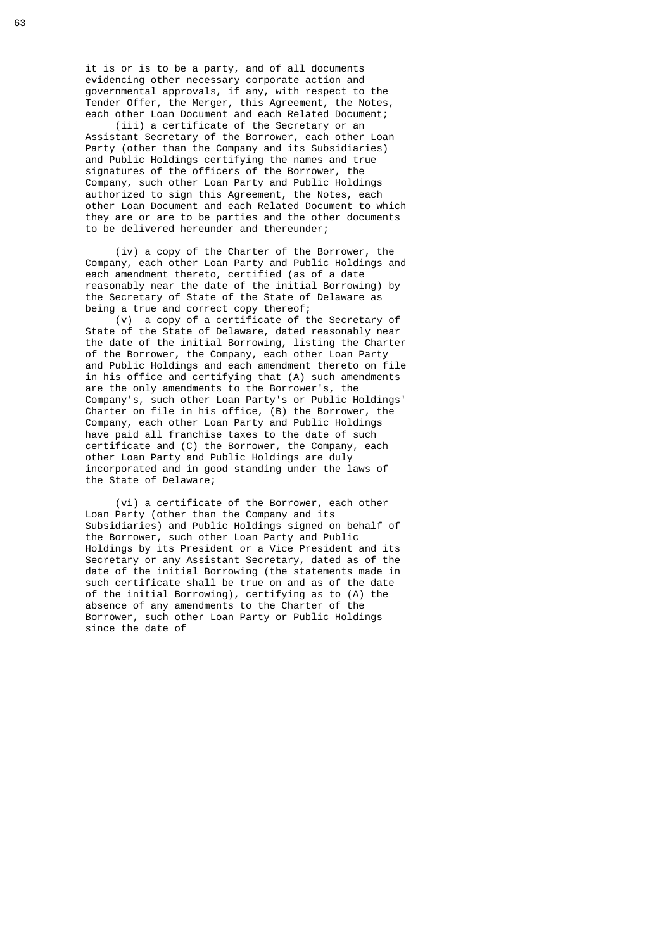it is or is to be a party, and of all documents evidencing other necessary corporate action and governmental approvals, if any, with respect to the Tender Offer, the Merger, this Agreement, the Notes, each other Loan Document and each Related Document;

 (iii) a certificate of the Secretary or an Assistant Secretary of the Borrower, each other Loan Party (other than the Company and its Subsidiaries) and Public Holdings certifying the names and true signatures of the officers of the Borrower, the Company, such other Loan Party and Public Holdings authorized to sign this Agreement, the Notes, each other Loan Document and each Related Document to which they are or are to be parties and the other documents to be delivered hereunder and thereunder;

 (iv) a copy of the Charter of the Borrower, the Company, each other Loan Party and Public Holdings and each amendment thereto, certified (as of a date reasonably near the date of the initial Borrowing) by the Secretary of State of the State of Delaware as being a true and correct copy thereof;

 (v) a copy of a certificate of the Secretary of State of the State of Delaware, dated reasonably near the date of the initial Borrowing, listing the Charter of the Borrower, the Company, each other Loan Party and Public Holdings and each amendment thereto on file in his office and certifying that (A) such amendments are the only amendments to the Borrower's, the Company's, such other Loan Party's or Public Holdings' Charter on file in his office, (B) the Borrower, the Company, each other Loan Party and Public Holdings have paid all franchise taxes to the date of such certificate and (C) the Borrower, the Company, each other Loan Party and Public Holdings are duly incorporated and in good standing under the laws of the State of Delaware;

 (vi) a certificate of the Borrower, each other Loan Party (other than the Company and its Subsidiaries) and Public Holdings signed on behalf of the Borrower, such other Loan Party and Public Holdings by its President or a Vice President and its Secretary or any Assistant Secretary, dated as of the date of the initial Borrowing (the statements made in such certificate shall be true on and as of the date of the initial Borrowing), certifying as to (A) the absence of any amendments to the Charter of the Borrower, such other Loan Party or Public Holdings since the date of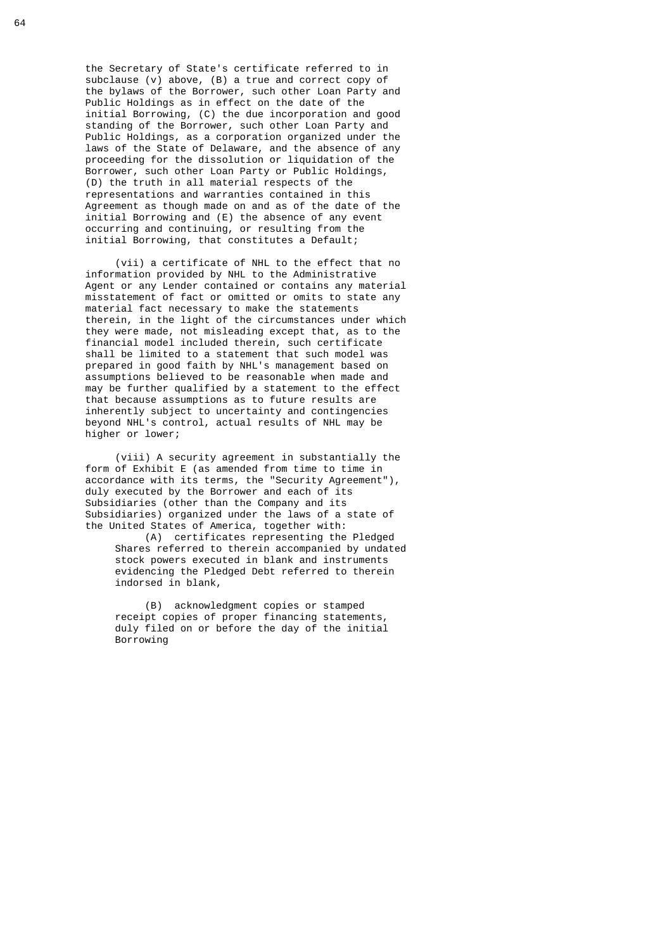the Secretary of State's certificate referred to in subclause (v) above, (B) a true and correct copy of the bylaws of the Borrower, such other Loan Party and Public Holdings as in effect on the date of the initial Borrowing, (C) the due incorporation and good standing of the Borrower, such other Loan Party and Public Holdings, as a corporation organized under the laws of the State of Delaware, and the absence of any proceeding for the dissolution or liquidation of the Borrower, such other Loan Party or Public Holdings, (D) the truth in all material respects of the representations and warranties contained in this Agreement as though made on and as of the date of the initial Borrowing and (E) the absence of any event occurring and continuing, or resulting from the initial Borrowing, that constitutes a Default;

 (vii) a certificate of NHL to the effect that no information provided by NHL to the Administrative Agent or any Lender contained or contains any material misstatement of fact or omitted or omits to state any material fact necessary to make the statements therein, in the light of the circumstances under which they were made, not misleading except that, as to the financial model included therein, such certificate shall be limited to a statement that such model was prepared in good faith by NHL's management based on assumptions believed to be reasonable when made and may be further qualified by a statement to the effect that because assumptions as to future results are inherently subject to uncertainty and contingencies beyond NHL's control, actual results of NHL may be higher or lower;

 (viii) A security agreement in substantially the form of Exhibit E (as amended from time to time in accordance with its terms, the "Security Agreement"), duly executed by the Borrower and each of its Subsidiaries (other than the Company and its Subsidiaries) organized under the laws of a state of the United States of America, together with:

 (A) certificates representing the Pledged Shares referred to therein accompanied by undated stock powers executed in blank and instruments evidencing the Pledged Debt referred to therein indorsed in blank,

 (B) acknowledgment copies or stamped receipt copies of proper financing statements, duly filed on or before the day of the initial Borrowing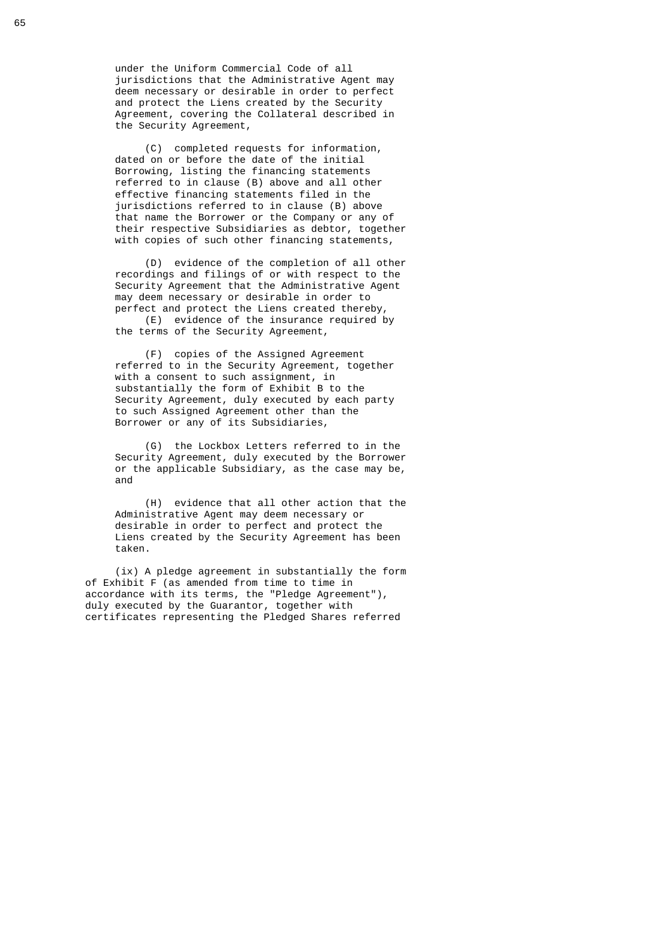under the Uniform Commercial Code of all jurisdictions that the Administrative Agent may deem necessary or desirable in order to perfect and protect the Liens created by the Security Agreement, covering the Collateral described in the Security Agreement,

 (C) completed requests for information, dated on or before the date of the initial Borrowing, listing the financing statements referred to in clause (B) above and all other effective financing statements filed in the jurisdictions referred to in clause (B) above that name the Borrower or the Company or any of their respective Subsidiaries as debtor, together with copies of such other financing statements,

 (D) evidence of the completion of all other recordings and filings of or with respect to the Security Agreement that the Administrative Agent may deem necessary or desirable in order to perfect and protect the Liens created thereby (E) evidence of the insurance required by

the terms of the Security Agreement,

 (F) copies of the Assigned Agreement referred to in the Security Agreement, together with a consent to such assignment, in substantially the form of Exhibit B to the Security Agreement, duly executed by each party to such Assigned Agreement other than the Borrower or any of its Subsidiaries,

 (G) the Lockbox Letters referred to in the Security Agreement, duly executed by the Borrower or the applicable Subsidiary, as the case may be, and and state and state and state and state and state and state and state and state and state and state and st

> (H) evidence that all other action that the Administrative Agent may deem necessary or desirable in order to perfect and protect the Liens created by the Security Agreement has been taken.

 (ix) A pledge agreement in substantially the form of Exhibit F (as amended from time to time in accordance with its terms, the "Pledge Agreement"), duly executed by the Guarantor, together with certificates representing the Pledged Shares referred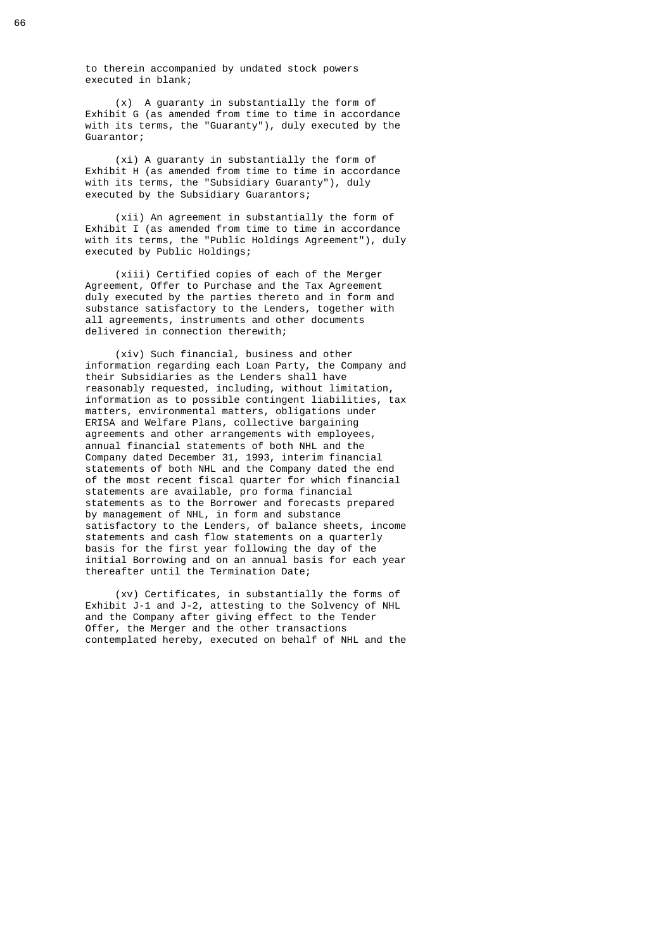to therein accompanied by undated stock powers executed in blank;

 (x) A guaranty in substantially the form of Exhibit G (as amended from time to time in accordance with its terms, the "Guaranty"), duly executed by the Guarantor;

 (xi) A guaranty in substantially the form of Exhibit H (as amended from time to time in accordance with its terms, the "Subsidiary Guaranty"), duly executed by the Subsidiary Guarantors;

 (xii) An agreement in substantially the form of Exhibit I (as amended from time to time in accordance with its terms, the "Public Holdings Agreement"), duly executed by Public Holdings;

 (xiii) Certified copies of each of the Merger Agreement, Offer to Purchase and the Tax Agreement duly executed by the parties thereto and in form and substance satisfactory to the Lenders, together with all agreements, instruments and other documents delivered in connection therewith;

 (xiv) Such financial, business and other information regarding each Loan Party, the Company and their Subsidiaries as the Lenders shall have reasonably requested, including, without limitation, information as to possible contingent liabilities, tax matters, environmental matters, obligations under ERISA and Welfare Plans, collective bargaining agreements and other arrangements with employees, annual financial statements of both NHL and the Company dated December 31, 1993, interim financial statements of both NHL and the Company dated the end of the most recent fiscal quarter for which financial statements are available, pro forma financial statements as to the Borrower and forecasts prepared by management of NHL, in form and substance satisfactory to the Lenders, of balance sheets, income statements and cash flow statements on a quarterly basis for the first year following the day of the initial Borrowing and on an annual basis for each year thereafter until the Termination Date;

 (xv) Certificates, in substantially the forms of Exhibit J-1 and J-2, attesting to the Solvency of NHL and the Company after giving effect to the Tender Offer, the Merger and the other transactions contemplated hereby, executed on behalf of NHL and the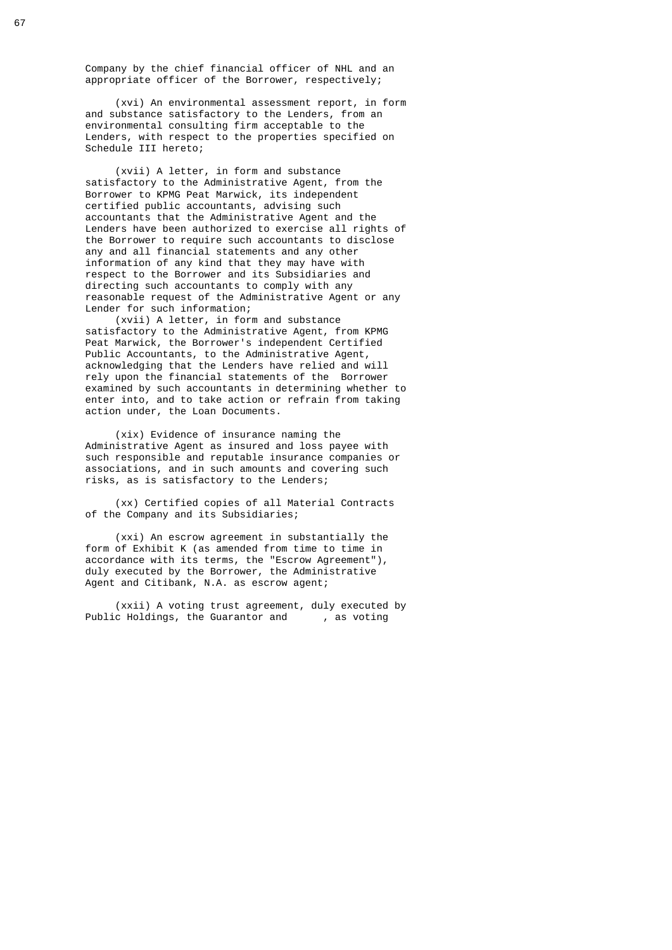Company by the chief financial officer of NHL and an appropriate officer of the Borrower, respectively;

 (xvi) An environmental assessment report, in form and substance satisfactory to the Lenders, from an environmental consulting firm acceptable to the Lenders, with respect to the properties specified on Schedule III hereto;

 (xvii) A letter, in form and substance satisfactory to the Administrative Agent, from the Borrower to KPMG Peat Marwick, its independent certified public accountants, advising such accountants that the Administrative Agent and the Lenders have been authorized to exercise all rights of the Borrower to require such accountants to disclose any and all financial statements and any other information of any kind that they may have with respect to the Borrower and its Subsidiaries and directing such accountants to comply with any reasonable request of the Administrative Agent or any Lender for such information;

 (xvii) A letter, in form and substance satisfactory to the Administrative Agent, from KPMG Peat Marwick, the Borrower's independent Certified Public Accountants, to the Administrative Agent, acknowledging that the Lenders have relied and will rely upon the financial statements of the Borrower examined by such accountants in determining whether to enter into, and to take action or refrain from taking action under, the Loan Documents.

> (xix) Evidence of insurance naming the Administrative Agent as insured and loss payee with such responsible and reputable insurance companies or associations, and in such amounts and covering such risks, as is satisfactory to the Lenders;

 (xx) Certified copies of all Material Contracts of the Company and its Subsidiaries;

 (xxi) An escrow agreement in substantially the form of Exhibit K (as amended from time to time in accordance with its terms, the "Escrow Agreement"), duly executed by the Borrower, the Administrative Agent and Citibank, N.A. as escrow agent;

(xxii) A voting trust agreement, duly executed by<br>c Holdings, the Guarantor and , as voting Public Holdings, the Guarantor and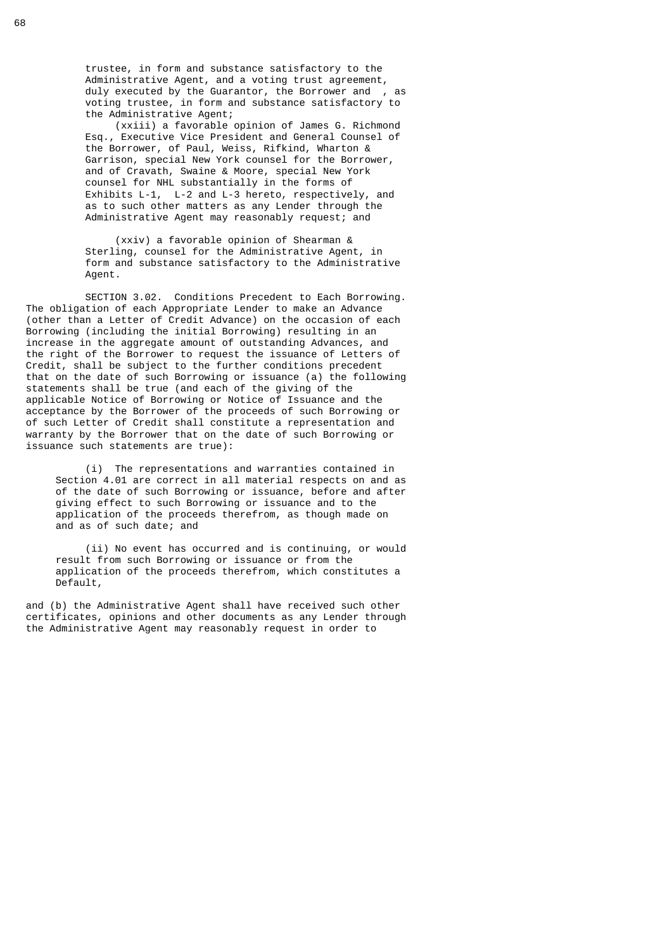trustee, in form and substance satisfactory to the Administrative Agent, and a voting trust agreement, duly executed by the Guarantor, the Borrower and , as voting trustee, in form and substance satisfactory to the Administrative Agent;

 (xxiii) a favorable opinion of James G. Richmond Esq., Executive Vice President and General Counsel of the Borrower, of Paul, Weiss, Rifkind, Wharton & Garrison, special New York counsel for the Borrower, and of Cravath, Swaine & Moore, special New York counsel for NHL substantially in the forms of Exhibits L-1, L-2 and L-3 hereto, respectively, and as to such other matters as any Lender through the Administrative Agent may reasonably request; and

> (xxiv) a favorable opinion of Shearman & Sterling, counsel for the Administrative Agent, in form and substance satisfactory to the Administrative Agent.

 SECTION 3.02. Conditions Precedent to Each Borrowing. The obligation of each Appropriate Lender to make an Advance (other than a Letter of Credit Advance) on the occasion of each Borrowing (including the initial Borrowing) resulting in an increase in the aggregate amount of outstanding Advances, and the right of the Borrower to request the issuance of Letters of Credit, shall be subject to the further conditions precedent that on the date of such Borrowing or issuance (a) the following statements shall be true (and each of the giving of the applicable Notice of Borrowing or Notice of Issuance and the acceptance by the Borrower of the proceeds of such Borrowing or of such Letter of Credit shall constitute a representation and warranty by the Borrower that on the date of such Borrowing or issuance such statements are true):

 (i) The representations and warranties contained in Section 4.01 are correct in all material respects on and as of the date of such Borrowing or issuance, before and after giving effect to such Borrowing or issuance and to the application of the proceeds therefrom, as though made on and as of such date; and

 (ii) No event has occurred and is continuing, or would result from such Borrowing or issuance or from the application of the proceeds therefrom, which constitutes a Default,

 and (b) the Administrative Agent shall have received such other certificates, opinions and other documents as any Lender through the Administrative Agent may reasonably request in order to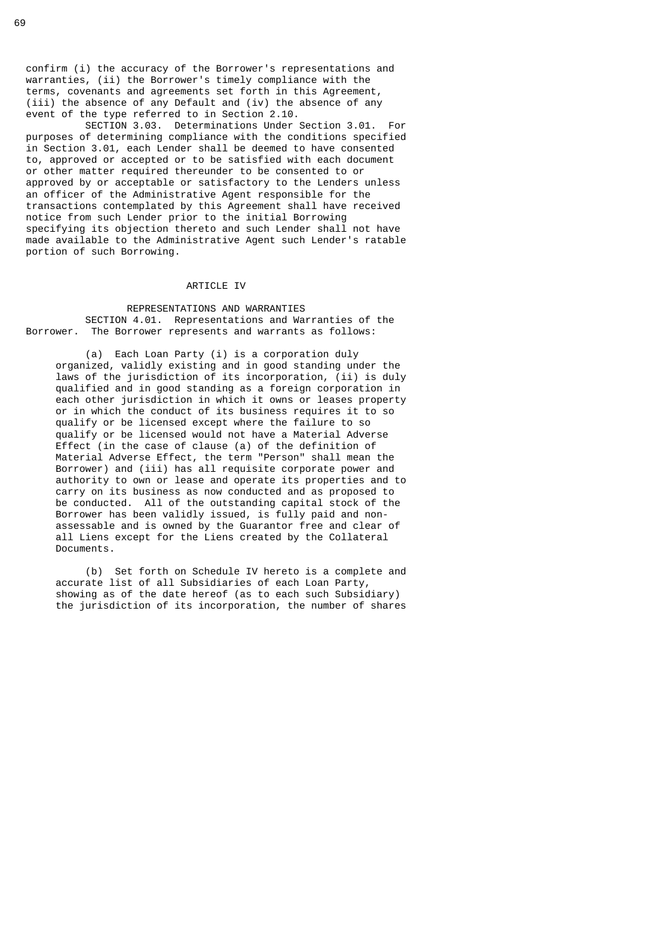confirm (i) the accuracy of the Borrower's representations and warranties, (ii) the Borrower's timely compliance with the terms, covenants and agreements set forth in this Agreement, (iii) the absence of any Default and (iv) the absence of any event of the type referred to in Section 2.10.

 SECTION 3.03. Determinations Under Section 3.01. For purposes of determining compliance with the conditions specified in Section 3.01, each Lender shall be deemed to have consented to, approved or accepted or to be satisfied with each document or other matter required thereunder to be consented to or approved by or acceptable or satisfactory to the Lenders unless an officer of the Administrative Agent responsible for the transactions contemplated by this Agreement shall have received notice from such Lender prior to the initial Borrowing specifying its objection thereto and such Lender shall not have made available to the Administrative Agent such Lender's ratable portion of such Borrowing.

## ARTICLE IV

#### REPRESENTATIONS AND WARRANTIES SECTION 4.01. Representations and Warranties of the Borrower. The Borrower represents and warrants as follows:

 (a) Each Loan Party (i) is a corporation duly organized, validly existing and in good standing under the laws of the jurisdiction of its incorporation, (ii) is duly qualified and in good standing as a foreign corporation in each other jurisdiction in which it owns or leases property or in which the conduct of its business requires it to so qualify or be licensed except where the failure to so qualify or be licensed would not have a Material Adverse Effect (in the case of clause (a) of the definition of Material Adverse Effect, the term "Person" shall mean the Borrower) and (iii) has all requisite corporate power and authority to own or lease and operate its properties and to carry on its business as now conducted and as proposed to be conducted. All of the outstanding capital stock of the Borrower has been validly issued, is fully paid and non assessable and is owned by the Guarantor free and clear of all Liens except for the Liens created by the Collateral Documents.

> (b) Set forth on Schedule IV hereto is a complete and accurate list of all Subsidiaries of each Loan Party, showing as of the date hereof (as to each such Subsidiary) the jurisdiction of its incorporation, the number of shares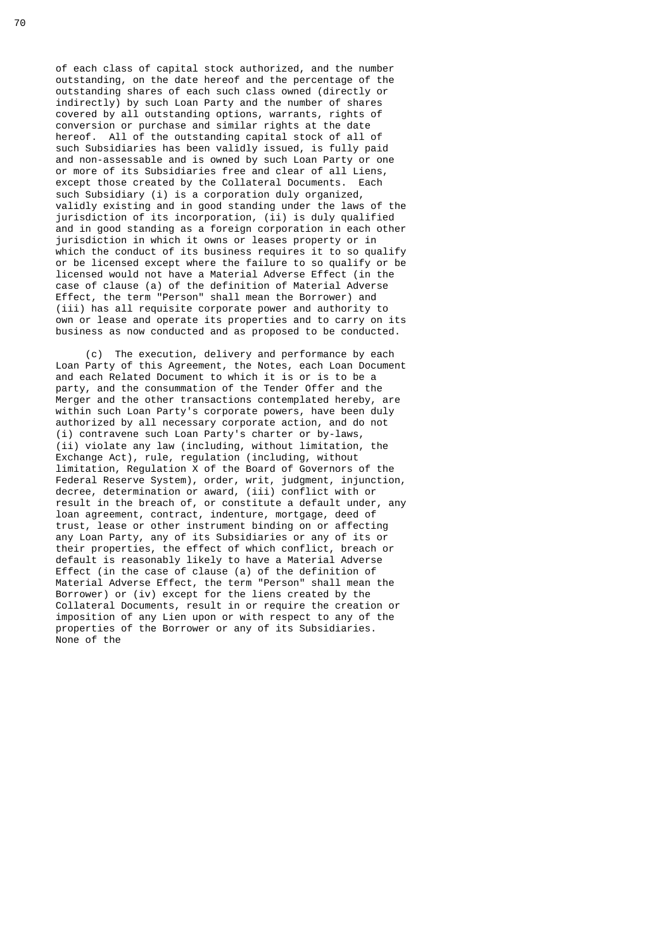of each class of capital stock authorized, and the number outstanding, on the date hereof and the percentage of the outstanding shares of each such class owned (directly or indirectly) by such Loan Party and the number of shares covered by all outstanding options, warrants, rights of conversion or purchase and similar rights at the date hereof. All of the outstanding capital stock of all of such Subsidiaries has been validly issued, is fully paid and non-assessable and is owned by such Loan Party or one or more of its Subsidiaries free and clear of all Liens, except those created by the Collateral Documents. Each such Subsidiary (i) is a corporation duly organized, validly existing and in good standing under the laws of the jurisdiction of its incorporation, (ii) is duly qualified and in good standing as a foreign corporation in each other jurisdiction in which it owns or leases property or in which the conduct of its business requires it to so qualify or be licensed except where the failure to so qualify or be licensed would not have a Material Adverse Effect (in the case of clause (a) of the definition of Material Adverse Effect, the term "Person" shall mean the Borrower) and (iii) has all requisite corporate power and authority to own or lease and operate its properties and to carry on its business as now conducted and as proposed to be conducted.

 (c) The execution, delivery and performance by each Loan Party of this Agreement, the Notes, each Loan Document and each Related Document to which it is or is to be a party, and the consummation of the Tender Offer and the Merger and the other transactions contemplated hereby, are within such Loan Party's corporate powers, have been duly authorized by all necessary corporate action, and do not (i) contravene such Loan Party's charter or by-laws, (ii) violate any law (including, without limitation, the Exchange Act), rule, regulation (including, without limitation, Regulation X of the Board of Governors of the Federal Reserve System), order, writ, judgment, injunction, decree, determination or award, (iii) conflict with or result in the breach of, or constitute a default under, any loan agreement, contract, indenture, mortgage, deed of trust, lease or other instrument binding on or affecting any Loan Party, any of its Subsidiaries or any of its or their properties, the effect of which conflict, breach or default is reasonably likely to have a Material Adverse Effect (in the case of clause (a) of the definition of Material Adverse Effect, the term "Person" shall mean the Borrower) or (iv) except for the liens created by the Collateral Documents, result in or require the creation or imposition of any Lien upon or with respect to any of the properties of the Borrower or any of its Subsidiaries. None of the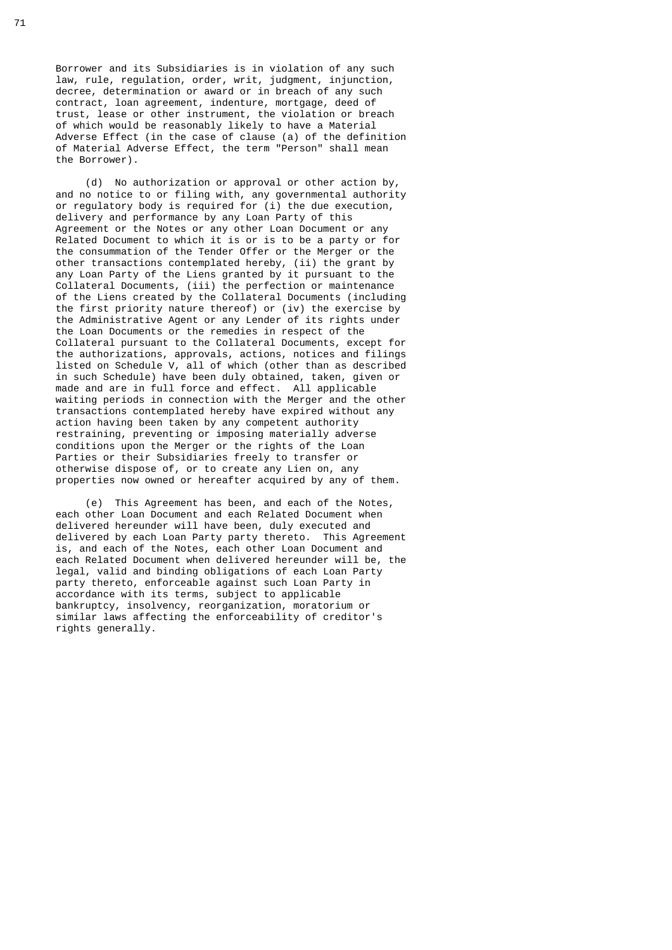Borrower and its Subsidiaries is in violation of any such law, rule, regulation, order, writ, judgment, injunction, decree, determination or award or in breach of any such contract, loan agreement, indenture, mortgage, deed of trust, lease or other instrument, the violation or breach of which would be reasonably likely to have a Material Adverse Effect (in the case of clause (a) of the definition of Material Adverse Effect, the term "Person" shall mean the Borrower).

 (d) No authorization or approval or other action by, and no notice to or filing with, any governmental authority or regulatory body is required for (i) the due execution, delivery and performance by any Loan Party of this Agreement or the Notes or any other Loan Document or any Related Document to which it is or is to be a party or for the consummation of the Tender Offer or the Merger or the other transactions contemplated hereby, (ii) the grant by any Loan Party of the Liens granted by it pursuant to the Collateral Documents, (iii) the perfection or maintenance of the Liens created by the Collateral Documents (including the first priority nature thereof) or (iv) the exercise by the Administrative Agent or any Lender of its rights under the Loan Documents or the remedies in respect of the Collateral pursuant to the Collateral Documents, except for the authorizations, approvals, actions, notices and filings listed on Schedule V, all of which (other than as described in such Schedule) have been duly obtained, taken, given or made and are in full force and effect. All applicable waiting periods in connection with the Merger and the other transactions contemplated hereby have expired without any action having been taken by any competent authority restraining, preventing or imposing materially adverse conditions upon the Merger or the rights of the Loan Parties or their Subsidiaries freely to transfer or otherwise dispose of, or to create any Lien on, any properties now owned or hereafter acquired by any of them.

> (e) This Agreement has been, and each of the Notes, each other Loan Document and each Related Document when delivered hereunder will have been, duly executed and delivered by each Loan Party party thereto. This Agreement is, and each of the Notes, each other Loan Document and each Related Document when delivered hereunder will be, the legal, valid and binding obligations of each Loan Party party thereto, enforceable against such Loan Party in accordance with its terms, subject to applicable bankruptcy, insolvency, reorganization, moratorium or similar laws affecting the enforceability of creditor's rights generally.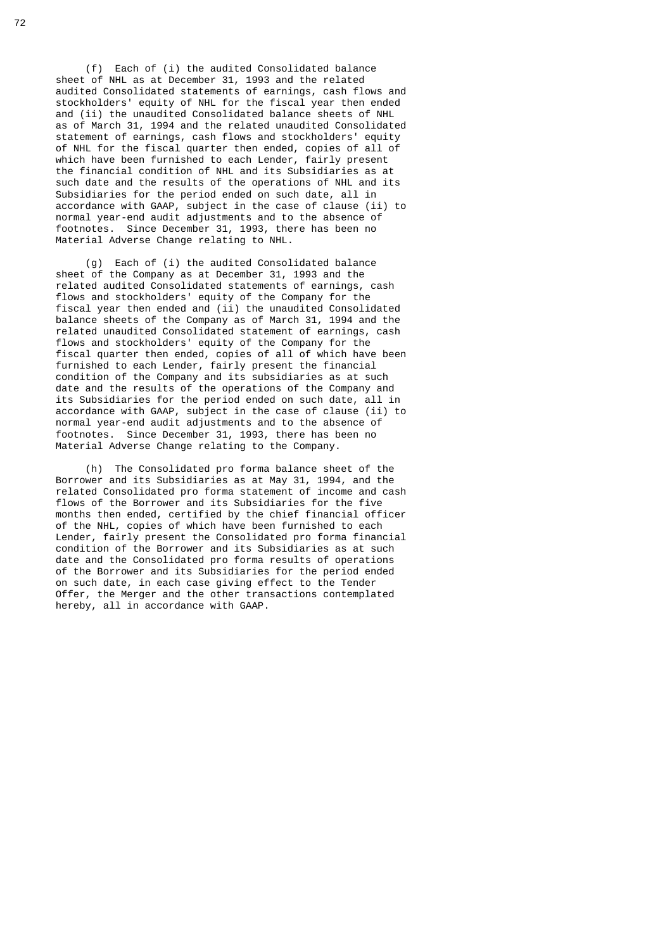(f) Each of (i) the audited Consolidated balance sheet of NHL as at December 31, 1993 and the related audited Consolidated statements of earnings, cash flows and stockholders' equity of NHL for the fiscal year then ended and (ii) the unaudited Consolidated balance sheets of NHL as of March 31, 1994 and the related unaudited Consolidated statement of earnings, cash flows and stockholders' equity of NHL for the fiscal quarter then ended, copies of all of which have been furnished to each Lender, fairly present the financial condition of NHL and its Subsidiaries as at such date and the results of the operations of NHL and its Subsidiaries for the period ended on such date, all in accordance with GAAP, subject in the case of clause (ii) to normal year-end audit adjustments and to the absence of footnotes. Since December 31, 1993, there has been no Material Adverse Change relating to NHL.

 (g) Each of (i) the audited Consolidated balance sheet of the Company as at December 31, 1993 and the related audited Consolidated statements of earnings, cash flows and stockholders' equity of the Company for the fiscal year then ended and (ii) the unaudited Consolidated balance sheets of the Company as of March 31, 1994 and the related unaudited Consolidated statement of earnings, cash flows and stockholders' equity of the Company for the fiscal quarter then ended, copies of all of which have been furnished to each Lender, fairly present the financial condition of the Company and its subsidiaries as at such date and the results of the operations of the Company and its Subsidiaries for the period ended on such date, all in accordance with GAAP, subject in the case of clause (ii) to normal year-end audit adjustments and to the absence of footnotes. Since December 31, 1993, there has been no Material Adverse Change relating to the Company.

> (h) The Consolidated pro forma balance sheet of the Borrower and its Subsidiaries as at May 31, 1994, and the related Consolidated pro forma statement of income and cash flows of the Borrower and its Subsidiaries for the five months then ended, certified by the chief financial officer of the NHL, copies of which have been furnished to each Lender, fairly present the Consolidated pro forma financial condition of the Borrower and its Subsidiaries as at such date and the Consolidated pro forma results of operations of the Borrower and its Subsidiaries for the period ended on such date, in each case giving effect to the Tender Offer, the Merger and the other transactions contemplated hereby, all in accordance with GAAP.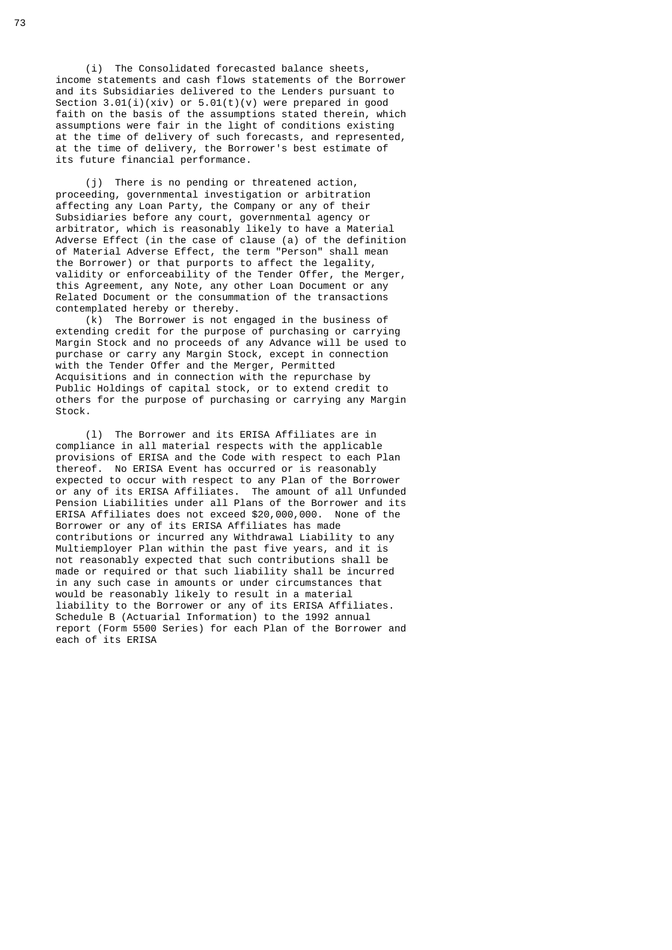(i) The Consolidated forecasted balance sheets, income statements and cash flows statements of the Borrower and its Subsidiaries delivered to the Lenders pursuant to Section  $3.01(i)(xiv)$  or  $5.01(t)(v)$  were prepared in good faith on the basis of the assumptions stated therein, which assumptions were fair in the light of conditions existing at the time of delivery of such forecasts, and represented, at the time of delivery, the Borrower's best estimate of its future financial performance.

 (j) There is no pending or threatened action, proceeding, governmental investigation or arbitration affecting any Loan Party, the Company or any of their Subsidiaries before any court, governmental agency or arbitrator, which is reasonably likely to have a Material Adverse Effect (in the case of clause (a) of the definition of Material Adverse Effect, the term "Person" shall mean the Borrower) or that purports to affect the legality, validity or enforceability of the Tender Offer, the Merger, this Agreement, any Note, any other Loan Document or any Related Document or the consummation of the transactions contemplated hereby or thereby.

 (k) The Borrower is not engaged in the business of extending credit for the purpose of purchasing or carrying Margin Stock and no proceeds of any Advance will be used to purchase or carry any Margin Stock, except in connection with the Tender Offer and the Merger, Permitted Acquisitions and in connection with the repurchase by Public Holdings of capital stock, or to extend credit to others for the purpose of purchasing or carrying any Margin Stock.

 (l) The Borrower and its ERISA Affiliates are in compliance in all material respects with the applicable provisions of ERISA and the Code with respect to each Plan thereof. No ERISA Event has occurred or is reasonably expected to occur with respect to any Plan of the Borrower or any of its ERISA Affiliates. The amount of all Unfunded Pension Liabilities under all Plans of the Borrower and its ERISA Affiliates does not exceed \$20,000,000. None of the Borrower or any of its ERISA Affiliates has made contributions or incurred any Withdrawal Liability to any Multiemployer Plan within the past five years, and it is not reasonably expected that such contributions shall be made or required or that such liability shall be incurred in any such case in amounts or under circumstances that would be reasonably likely to result in a material liability to the Borrower or any of its ERISA Affiliates. Schedule B (Actuarial Information) to the 1992 annual report (Form 5500 Series) for each Plan of the Borrower and each of its ERISA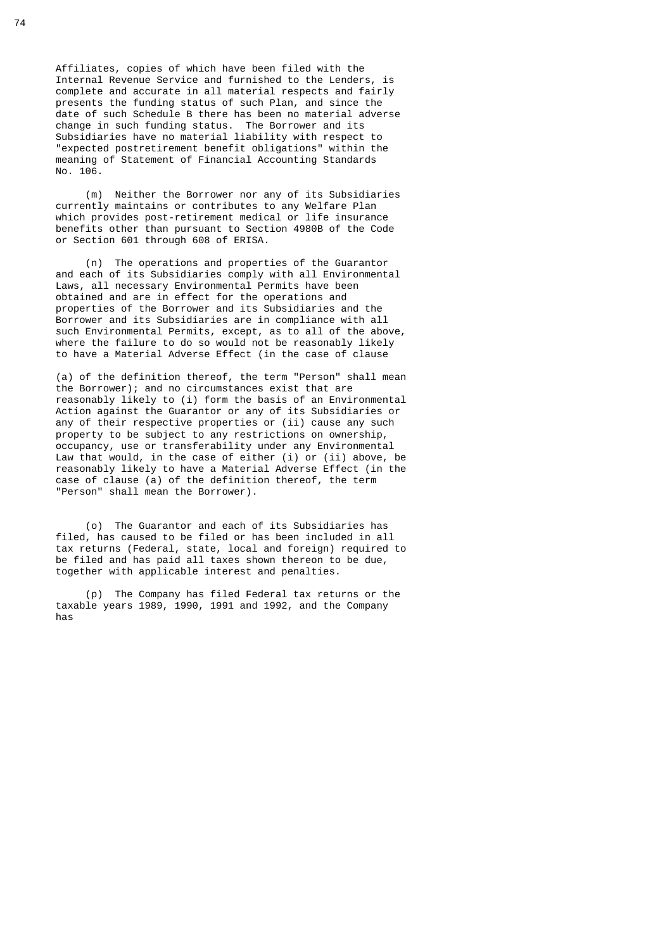Affiliates, copies of which have been filed with the Internal Revenue Service and furnished to the Lenders, is complete and accurate in all material respects and fairly presents the funding status of such Plan, and since the date of such Schedule B there has been no material adverse change in such funding status. The Borrower and its Subsidiaries have no material liability with respect to "expected postretirement benefit obligations" within the meaning of Statement of Financial Accounting Standards No. 106.

 (m) Neither the Borrower nor any of its Subsidiaries currently maintains or contributes to any Welfare Plan which provides post-retirement medical or life insurance benefits other than pursuant to Section 4980B of the Code or Section 601 through 608 of ERISA.

 (n) The operations and properties of the Guarantor and each of its Subsidiaries comply with all Environmental Laws, all necessary Environmental Permits have been obtained and are in effect for the operations and properties of the Borrower and its Subsidiaries and the Borrower and its Subsidiaries are in compliance with all such Environmental Permits, except, as to all of the above, where the failure to do so would not be reasonably likely to have a Material Adverse Effect (in the case of clause

 (a) of the definition thereof, the term "Person" shall mean the Borrower); and no circumstances exist that are reasonably likely to (i) form the basis of an Environmental Action against the Guarantor or any of its Subsidiaries or any of their respective properties or (ii) cause any such property to be subject to any restrictions on ownership, occupancy, use or transferability under any Environmental Law that would, in the case of either (i) or (ii) above, be reasonably likely to have a Material Adverse Effect (in the case of clause (a) of the definition thereof, the term "Person" shall mean the Borrower).

 (o) The Guarantor and each of its Subsidiaries has filed, has caused to be filed or has been included in all tax returns (Federal, state, local and foreign) required to be filed and has paid all taxes shown thereon to be due, together with applicable interest and penalties.

 (p) The Company has filed Federal tax returns or the taxable years 1989, 1990, 1991 and 1992, and the Company has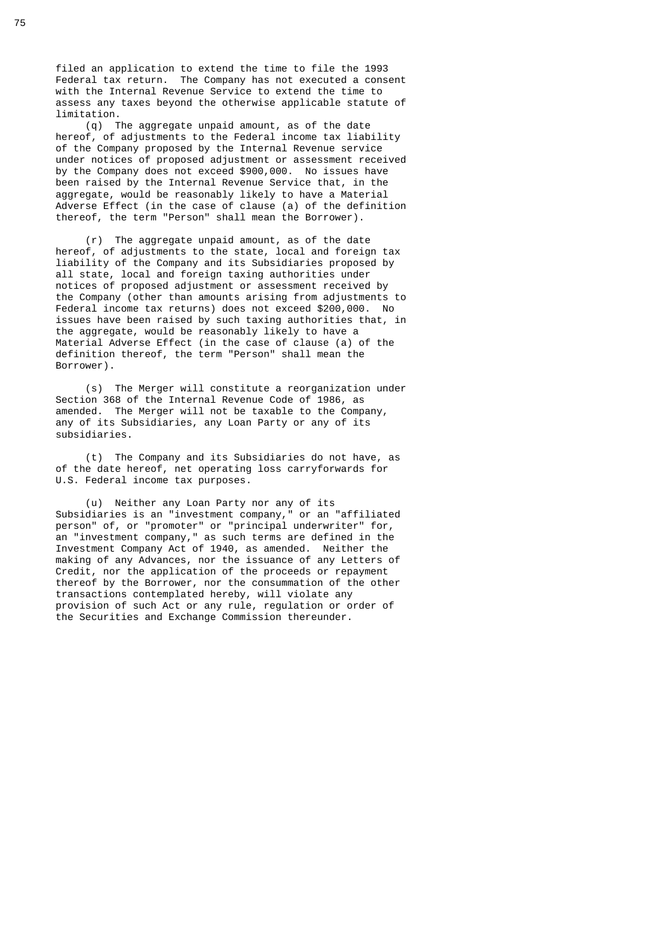filed an application to extend the time to file the 1993 Federal tax return. The Company has not executed a consent with the Internal Revenue Service to extend the time to assess any taxes beyond the otherwise applicable statute of limitation.

 (q) The aggregate unpaid amount, as of the date hereof, of adjustments to the Federal income tax liability of the Company proposed by the Internal Revenue service under notices of proposed adjustment or assessment received by the Company does not exceed \$900,000. No issues have been raised by the Internal Revenue Service that, in the aggregate, would be reasonably likely to have a Material Adverse Effect (in the case of clause (a) of the definition thereof, the term "Person" shall mean the Borrower).

 (r) The aggregate unpaid amount, as of the date hereof, of adjustments to the state, local and foreign tax liability of the Company and its Subsidiaries proposed by all state, local and foreign taxing authorities under notices of proposed adjustment or assessment received by the Company (other than amounts arising from adjustments to Federal income tax returns) does not exceed \$200,000. No issues have been raised by such taxing authorities that, in the aggregate, would be reasonably likely to have a Material Adverse Effect (in the case of clause (a) of the definition thereof, the term "Person" shall mean the Borrower).

 (s) The Merger will constitute a reorganization under Section 368 of the Internal Revenue Code of 1986, as amended. The Merger will not be taxable to the Company, any of its Subsidiaries, any Loan Party or any of its subsidiaries.

 (t) The Company and its Subsidiaries do not have, as of the date hereof, net operating loss carryforwards for U.S. Federal income tax purposes.

 (u) Neither any Loan Party nor any of its Subsidiaries is an "investment company," or an "affiliated person" of, or "promoter" or "principal underwriter" for, an "investment company," as such terms are defined in the Investment Company Act of 1940, as amended. Neither the making of any Advances, nor the issuance of any Letters of Credit, nor the application of the proceeds or repayment thereof by the Borrower, nor the consummation of the other transactions contemplated hereby, will violate any provision of such Act or any rule, regulation or order of the Securities and Exchange Commission thereunder.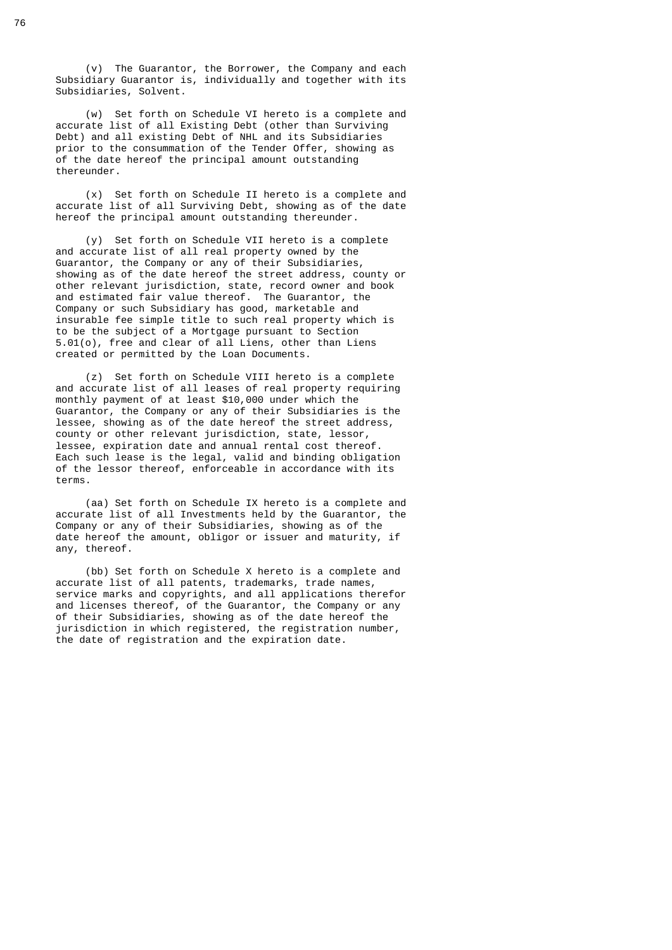(v) The Guarantor, the Borrower, the Company and each Subsidiary Guarantor is, individually and together with its Subsidiaries, Solvent.

 (w) Set forth on Schedule VI hereto is a complete and accurate list of all Existing Debt (other than Surviving Debt) and all existing Debt of NHL and its Subsidiaries prior to the consummation of the Tender Offer, showing as of the date hereof the principal amount outstanding thereunder.

 (x) Set forth on Schedule II hereto is a complete and accurate list of all Surviving Debt, showing as of the date hereof the principal amount outstanding thereunder.

 (y) Set forth on Schedule VII hereto is a complete and accurate list of all real property owned by the Guarantor, the Company or any of their Subsidiaries, showing as of the date hereof the street address, county or other relevant jurisdiction, state, record owner and book and estimated fair value thereof. The Guarantor, the Company or such Subsidiary has good, marketable and insurable fee simple title to such real property which is to be the subject of a Mortgage pursuant to Section 5.01(o), free and clear of all Liens, other than Liens created or permitted by the Loan Documents.

> (z) Set forth on Schedule VIII hereto is a complete and accurate list of all leases of real property requiring monthly payment of at least \$10,000 under which the Guarantor, the Company or any of their Subsidiaries is the lessee, showing as of the date hereof the street address, county or other relevant jurisdiction, state, lessor, lessee, expiration date and annual rental cost thereof. Each such lease is the legal, valid and binding obligation of the lessor thereof, enforceable in accordance with its terms.

 (aa) Set forth on Schedule IX hereto is a complete and accurate list of all Investments held by the Guarantor, the Company or any of their Subsidiaries, showing as of the date hereof the amount, obligor or issuer and maturity, if any, thereof.

 (bb) Set forth on Schedule X hereto is a complete and accurate list of all patents, trademarks, trade names, service marks and copyrights, and all applications therefor and licenses thereof, of the Guarantor, the Company or any of their Subsidiaries, showing as of the date hereof the jurisdiction in which registered, the registration number, the date of registration and the expiration date.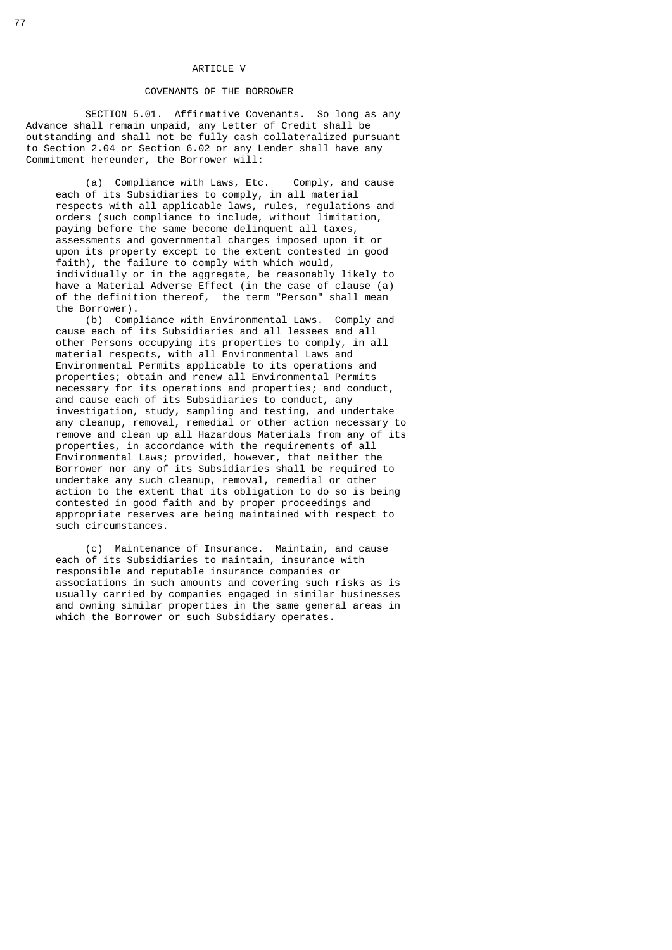# ARTICLE V

#### COVENANTS OF THE BORROWER

SECTION 5.01. Affirmative Covenants. So long as any Advance shall remain unpaid, any Letter of Credit shall be outstanding and shall not be fully cash collateralized pursuant to Section 2.04 or Section 6.02 or any Lender shall have any Commitment hereunder, the Borrower will:

 (a) Compliance with Laws, Etc. Comply, and cause each of its Subsidiaries to comply, in all material respects with all applicable laws, rules, regulations and orders (such compliance to include, without limitation, paying before the same become delinquent all taxes, assessments and governmental charges imposed upon it or upon its property except to the extent contested in good faith), the failure to comply with which would, individually or in the aggregate, be reasonably likely to have a Material Adverse Effect (in the case of clause (a) of the definition thereof, the term "Person" shall mean the Borrower).

 (b) Compliance with Environmental Laws. Comply and cause each of its Subsidiaries and all lessees and all other Persons occupying its properties to comply, in all material respects, with all Environmental Laws and Environmental Permits applicable to its operations and properties; obtain and renew all Environmental Permits necessary for its operations and properties; and conduct, and cause each of its Subsidiaries to conduct, any investigation, study, sampling and testing, and undertake any cleanup, removal, remedial or other action necessary to remove and clean up all Hazardous Materials from any of its properties, in accordance with the requirements of all Environmental Laws; provided, however, that neither the Borrower nor any of its Subsidiaries shall be required to undertake any such cleanup, removal, remedial or other action to the extent that its obligation to do so is being contested in good faith and by proper proceedings and appropriate reserves are being maintained with respect to such circumstances.

> (c) Maintenance of Insurance. Maintain, and cause each of its Subsidiaries to maintain, insurance with responsible and reputable insurance companies or associations in such amounts and covering such risks as is usually carried by companies engaged in similar businesses and owning similar properties in the same general areas in which the Borrower or such Subsidiary operates.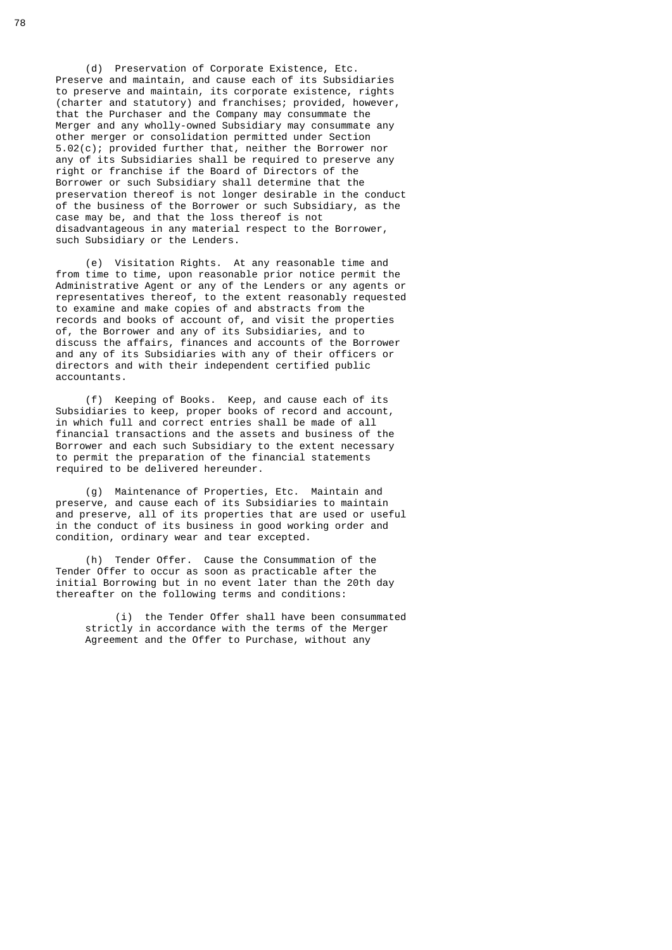(d) Preservation of Corporate Existence, Etc. Preserve and maintain, and cause each of its Subsidiaries to preserve and maintain, its corporate existence, rights (charter and statutory) and franchises; provided, however, that the Purchaser and the Company may consummate the Merger and any wholly-owned Subsidiary may consummate any other merger or consolidation permitted under Section 5.02(c); provided further that, neither the Borrower nor any of its Subsidiaries shall be required to preserve any right or franchise if the Board of Directors of the Borrower or such Subsidiary shall determine that the preservation thereof is not longer desirable in the conduct of the business of the Borrower or such Subsidiary, as the case may be, and that the loss thereof is not disadvantageous in any material respect to the Borrower, such Subsidiary or the Lenders.

 (e) Visitation Rights. At any reasonable time and from time to time, upon reasonable prior notice permit the Administrative Agent or any of the Lenders or any agents or representatives thereof, to the extent reasonably requested to examine and make copies of and abstracts from the records and books of account of, and visit the properties of, the Borrower and any of its Subsidiaries, and to discuss the affairs, finances and accounts of the Borrower and any of its Subsidiaries with any of their officers or  $\overline{\text{directions}}$  and with their independent certified public accountants.

 (f) Keeping of Books. Keep, and cause each of its Subsidiaries to keep, proper books of record and account, in which full and correct entries shall be made of all financial transactions and the assets and business of the Borrower and each such Subsidiary to the extent necessary to permit the preparation of the financial statements required to be delivered hereunder.

> (g) Maintenance of Properties, Etc. Maintain and preserve, and cause each of its Subsidiaries to maintain and preserve, all of its properties that are used or useful in the conduct of its business in good working order and condition, ordinary wear and tear excepted.

 (h) Tender Offer. Cause the Consummation of the Tender Offer to occur as soon as practicable after the initial Borrowing but in no event later than the 20th day thereafter on the following terms and conditions:

 (i) the Tender Offer shall have been consummated strictly in accordance with the terms of the Merger Agreement and the Offer to Purchase, without any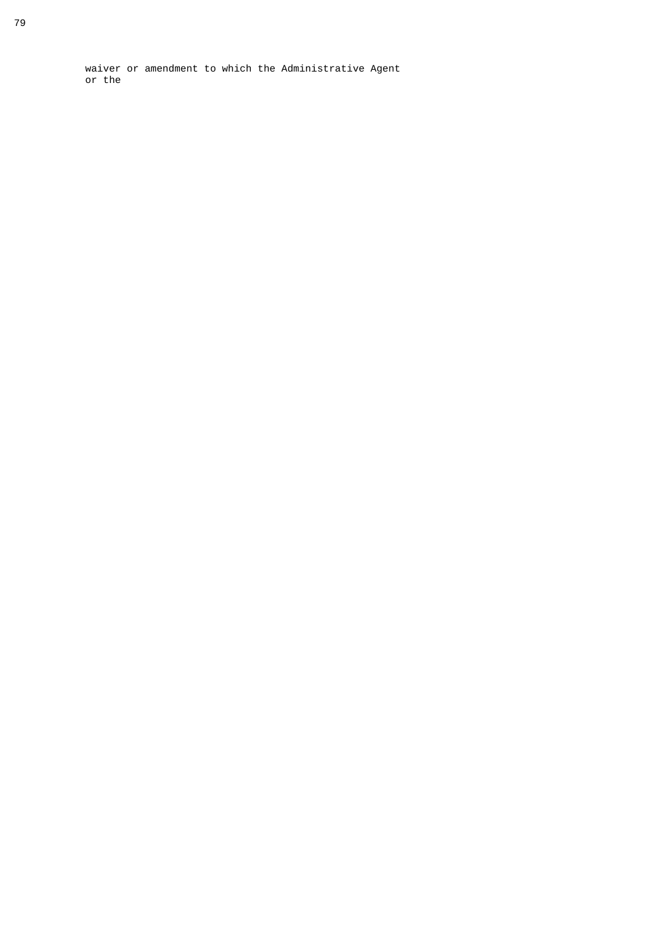waiver or amendment to which the Administrative Agent or the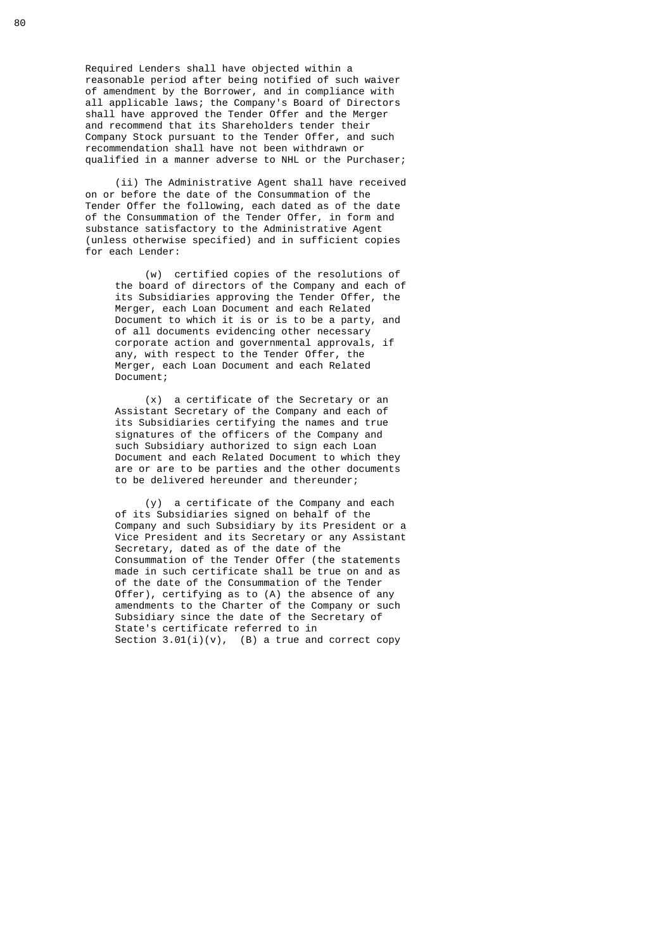Required Lenders shall have objected within a reasonable period after being notified of such waiver of amendment by the Borrower, and in compliance with all applicable laws; the Company's Board of Directors shall have approved the Tender Offer and the Merger and recommend that its Shareholders tender their Company Stock pursuant to the Tender Offer, and such recommendation shall have not been withdrawn or qualified in a manner adverse to NHL or the Purchaser;

 (ii) The Administrative Agent shall have received on or before the date of the Consummation of the Tender Offer the following, each dated as of the date of the Consummation of the Tender Offer, in form and substance satisfactory to the Administrative Agent (unless otherwise specified) and in sufficient copies for each Lender:

 (w) certified copies of the resolutions of the board of directors of the Company and each of its Subsidiaries approving the Tender Offer, the Merger, each Loan Document and each Related Document to which it is or is to be a party, and of all documents evidencing other necessary corporate action and governmental approvals, if any, with respect to the Tender Offer, the Merger, each Loan Document and each Related Document;

 (x) a certificate of the Secretary or an Assistant Secretary of the Company and each of its Subsidiaries certifying the names and true signatures of the officers of the Company and such Subsidiary authorized to sign each Loan Document and each Related Document to which they are or are to be parties and the other documents to be delivered hereunder and thereunder;

 (y) a certificate of the Company and each of its Subsidiaries signed on behalf of the Company and such Subsidiary by its President or a Vice President and its Secretary or any Assistant Secretary, dated as of the date of the Consummation of the Tender Offer (the statements made in such certificate shall be true on and as of the date of the Consummation of the Tender Offer), certifying as to (A) the absence of any amendments to the Charter of the Company or such Subsidiary since the date of the Secretary of State's certificate referred to in Section  $3.01(i)(v)$ , (B) a true and correct copy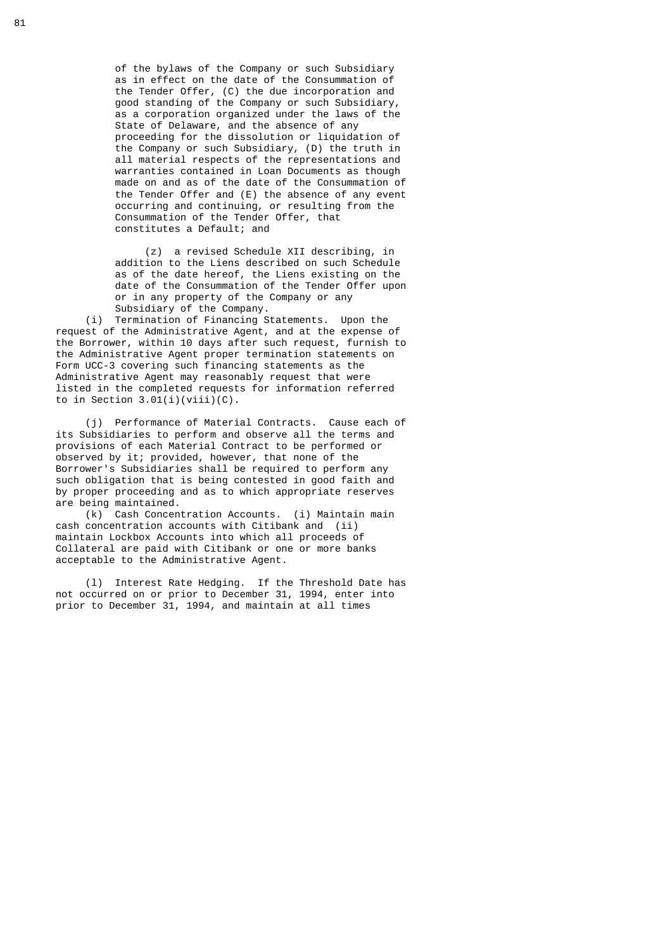of the bylaws of the Company or such Subsidiary as in effect on the date of the Consummation of the Tender Offer, (C) the due incorporation and good standing of the Company or such Subsidiary, as a corporation organized under the laws of the State of Delaware, and the absence of any proceeding for the dissolution or liquidation of the Company or such Subsidiary, (D) the truth in all material respects of the representations and warranties contained in Loan Documents as though made on and as of the date of the Consummation of the Tender Offer and (E) the absence of any event occurring and continuing, or resulting from the Consummation of the Tender Offer, that constitutes a Default; and

 (z) a revised Schedule XII describing, in addition to the Liens described on such Schedule as of the date hereof, the Liens existing on the date of the Consummation of the Tender Offer upon or in any property of the Company or any Subsidiary of the Company.

 (i) Termination of Financing Statements. Upon the request of the Administrative Agent, and at the expense of the Borrower, within 10 days after such request, furnish to the Administrative Agent proper termination statements on Form UCC-3 covering such financing statements as the Administrative Agent may reasonably request that were listed in the completed requests for information referred to in Section  $3.01(i)(viii)(C)$ .

 (j) Performance of Material Contracts. Cause each of its Subsidiaries to perform and observe all the terms and provisions of each Material Contract to be performed or observed by it; provided, however, that none of the Borrower's Subsidiaries shall be required to perform any such obligation that is being contested in good faith and by proper proceeding and as to which appropriate reserves are being maintained.

 (k) Cash Concentration Accounts. (i) Maintain main cash concentration accounts with Citibank and (ii) maintain Lockbox Accounts into which all proceeds of Collateral are paid with Citibank or one or more banks acceptable to the Administrative Agent.

 (l) Interest Rate Hedging. If the Threshold Date has not occurred on or prior to December 31, 1994, enter into prior to December 31, 1994, and maintain at all times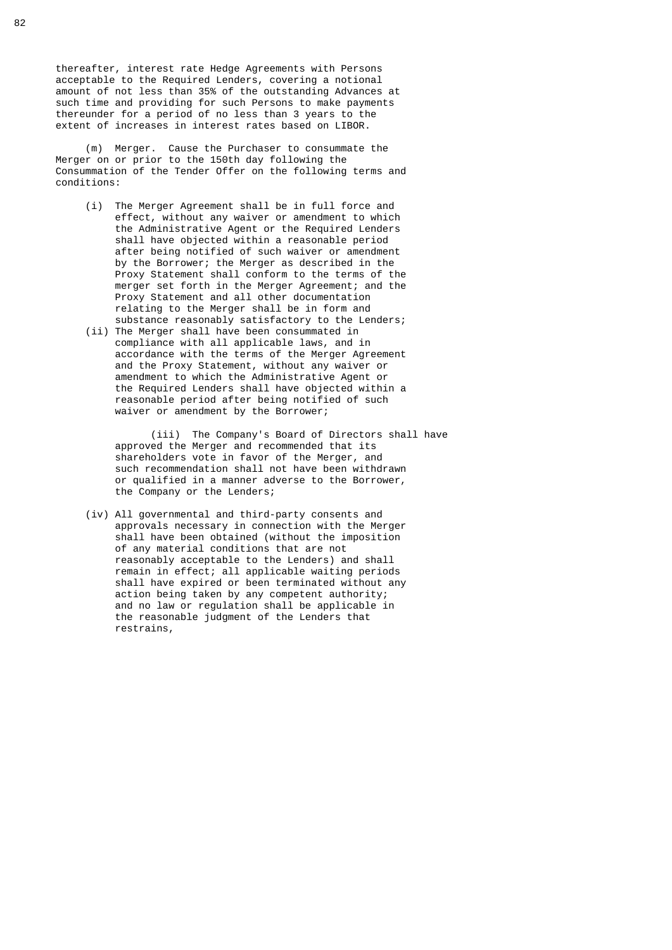thereafter, interest rate Hedge Agreements with Persons acceptable to the Required Lenders, covering a notional amount of not less than 35% of the outstanding Advances at such time and providing for such Persons to make payments thereunder for a period of no less than 3 years to the extent of increases in interest rates based on LIBOR.

 (m) Merger. Cause the Purchaser to consummate the Merger on or prior to the 150th day following the Consummation of the Tender Offer on the following terms and conditions:

- (i) The Merger Agreement shall be in full force and effect, without any waiver or amendment to which the Administrative Agent or the Required Lenders shall have objected within a reasonable period after being notified of such waiver or amendment by the Borrower; the Merger as described in the Proxy Statement shall conform to the terms of the merger set forth in the Merger Agreement; and the Proxy Statement and all other documentation relating to the Merger shall be in form and substance reasonably satisfactory to the Lenders;
- (ii) The Merger shall have been consummated in compliance with all applicable laws, and in accordance with the terms of the Merger Agreement and the Proxy Statement, without any waiver or amendment to which the Administrative Agent or the Required Lenders shall have objected within a reasonable period after being notified of such waiver or amendment by the Borrower;

 (iii) The Company's Board of Directors shall have approved the Merger and recommended that its shareholders vote in favor of the Merger, and such recommendation shall not have been withdrawn or qualified in a manner adverse to the Borrower, the Company or the Lenders;

 (iv) All governmental and third-party consents and approvals necessary in connection with the Merger shall have been obtained (without the imposition of any material conditions that are not reasonably acceptable to the Lenders) and shall remain in effect; all applicable waiting periods shall have expired or been terminated without any action being taken by any competent authority; and no law or regulation shall be applicable in the reasonable judgment of the Lenders that restrains,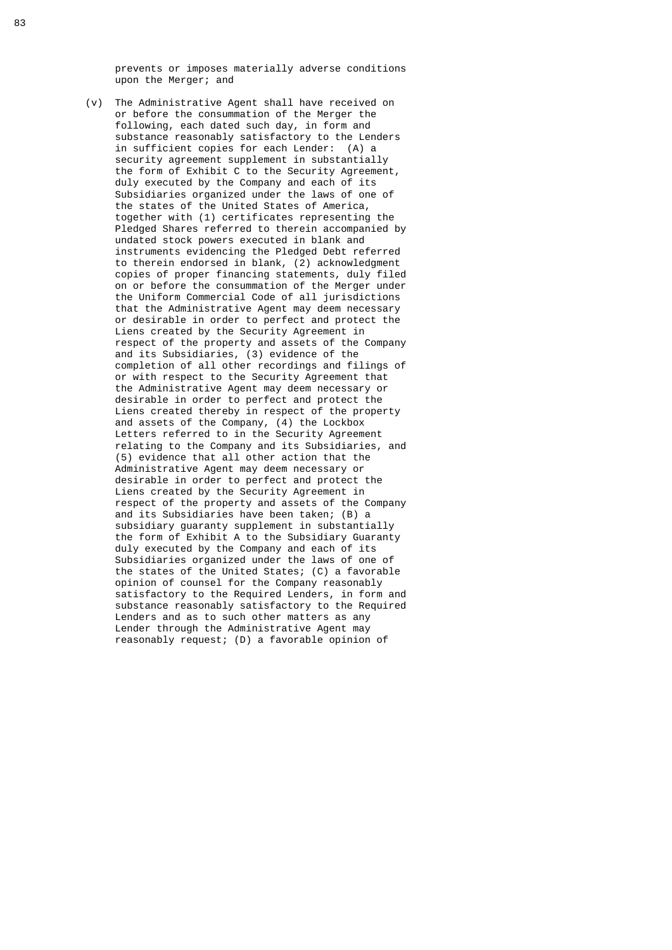prevents or imposes materially adverse conditions upon the Merger; and

 (v) The Administrative Agent shall have received on or before the consummation of the Merger the following, each dated such day, in form and substance reasonably satisfactory to the Lenders in sufficient copies for each Lender: (A) a security agreement supplement in substantially the form of Exhibit C to the Security Agreement, duly executed by the Company and each of its Subsidiaries organized under the laws of one of the states of the United States of America, together with (1) certificates representing the Pledged Shares referred to therein accompanied by undated stock powers executed in blank and instruments evidencing the Pledged Debt referred to therein endorsed in blank,  $(2)$  acknowledgment copies of proper financing statements, duly filed on or before the consummation of the Merger under the Uniform Commercial Code of all jurisdictions that the Administrative Agent may deem necessary or desirable in order to perfect and protect the Liens created by the Security Agreement in respect of the property and assets of the Company and its Subsidiaries, (3) evidence of the completion of all other recordings and filings of or with respect to the Security Agreement that the Administrative Agent may deem necessary or desirable in order to perfect and protect the Liens created thereby in respect of the property and assets of the Company, (4) the Lockbox Letters referred to in the Security Agreement relating to the Company and its Subsidiaries, and (5) evidence that all other action that the Administrative Agent may deem necessary or desirable in order to perfect and protect the Liens created by the Security Agreement in respect of the property and assets of the Company and its Subsidiaries have been taken; (B) a subsidiary guaranty supplement in substantially the form of Exhibit A to the Subsidiary Guaranty duly executed by the Company and each of its Subsidiaries organized under the laws of one of the states of the United States; (C) a favorable opinion of counsel for the Company reasonably satisfactory to the Required Lenders, in form and substance reasonably satisfactory to the Required Lenders and as to such other matters as any Lender through the Administrative Agent may reasonably request; (D) a favorable opinion of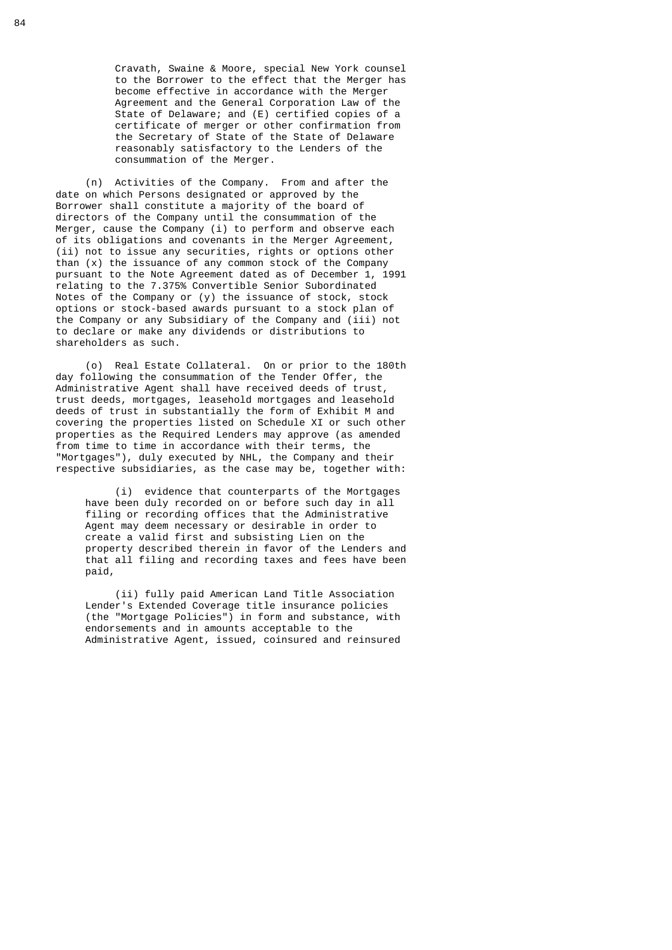Cravath, Swaine & Moore, special New York counsel to the Borrower to the effect that the Merger has become effective in accordance with the Merger Agreement and the General Corporation Law of the State of Delaware; and (E) certified copies of a certificate of merger or other confirmation from the Secretary of State of the State of Delaware reasonably satisfactory to the Lenders of the consummation of the Merger.

 (n) Activities of the Company. From and after the date on which Persons designated or approved by the Borrower shall constitute a majority of the board of directors of the Company until the consummation of the Merger, cause the Company (i) to perform and observe each of its obligations and covenants in the Merger Agreement, (ii) not to issue any securities, rights or options other than (x) the issuance of any common stock of the Company pursuant to the Note Agreement dated as of December 1, 1991 relating to the 7.375% Convertible Senior Subordinated Notes of the Company or (y) the issuance of stock, stock options or stock-based awards pursuant to a stock plan of the Company or any Subsidiary of the Company and (iii) not to declare or make any dividends or distributions to shareholders as such.

> (o) Real Estate Collateral. On or prior to the 180th day following the consummation of the Tender Offer, the Administrative Agent shall have received deeds of trust, trust deeds, mortgages, leasehold mortgages and leasehold deeds of trust in substantially the form of Exhibit M and covering the properties listed on Schedule XI or such other properties as the Required Lenders may approve (as amended from time to time in accordance with their terms, the "Mortgages"), duly executed by NHL, the Company and their respective subsidiaries, as the case may be, together with:

 (i) evidence that counterparts of the Mortgages have been duly recorded on or before such day in all filing or recording offices that the Administrative Agent may deem necessary or desirable in order to create a valid first and subsisting Lien on the property described therein in favor of the Lenders and that all filing and recording taxes and fees have been paid,

 (ii) fully paid American Land Title Association Lender's Extended Coverage title insurance policies (the "Mortgage Policies") in form and substance, with endorsements and in amounts acceptable to the Administrative Agent, issued, coinsured and reinsured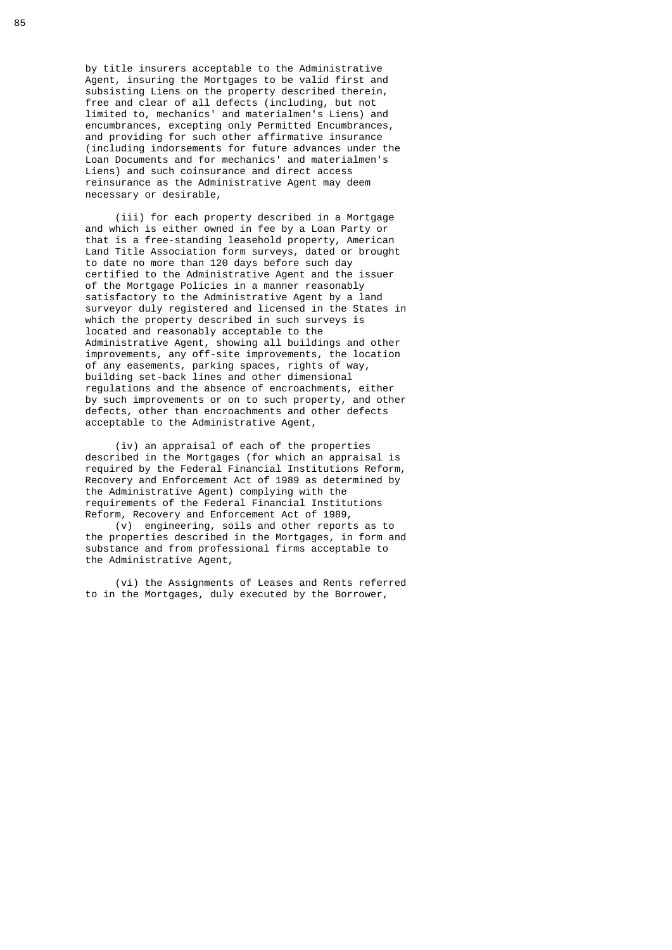by title insurers acceptable to the Administrative Agent, insuring the Mortgages to be valid first and subsisting Liens on the property described therein, free and clear of all defects (including, but not limited to, mechanics' and materialmen's Liens) and encumbrances, excepting only Permitted Encumbrances, and providing for such other affirmative insurance (including indorsements for future advances under the Loan Documents and for mechanics' and materialmen's Liens) and such coinsurance and direct access reinsurance as the Administrative Agent may deem necessary or desirable,

 (iii) for each property described in a Mortgage and which is either owned in fee by a Loan Party or that is a free-standing leasehold property, American Land Title Association form surveys, dated or brought to date no more than 120 days before such day certified to the Administrative Agent and the issuer of the Mortgage Policies in a manner reasonably satisfactory to the Administrative Agent by a land surveyor duly registered and licensed in the States in which the property described in such surveys is located and reasonably acceptable to the Administrative Agent, showing all buildings and other improvements, any off-site improvements, the location of any easements, parking spaces, rights of way, building set-back lines and other dimensional regulations and the absence of encroachments, either by such improvements or on to such property, and other defects, other than encroachments and other defects acceptable to the Administrative Agent,

 (iv) an appraisal of each of the properties described in the Mortgages (for which an appraisal is required by the Federal Financial Institutions Reform, Recovery and Enforcement Act of 1989 as determined by the Administrative Agent) complying with the requirements of the Federal Financial Institutions Reform, Recovery and Enforcement Act of 1989,

 (v) engineering, soils and other reports as to the properties described in the Mortgages, in form and substance and from professional firms acceptable to the Administrative Agent,

 (vi) the Assignments of Leases and Rents referred to in the Mortgages, duly executed by the Borrower,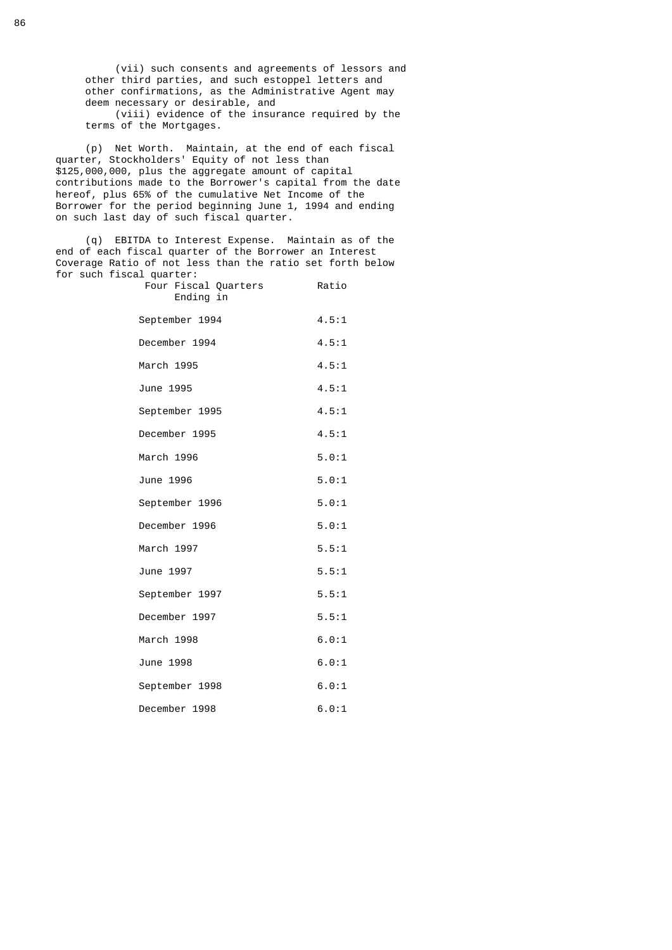(vii) such consents and agreements of lessors and other third parties, and such estoppel letters and other confirmations, as the Administrative Agent may deem necessary or desirable, and (viii) evidence of the insurance required by the terms of the Mortgages.

 (p) Net Worth. Maintain, at the end of each fiscal quarter, Stockholders' Equity of not less than \$125,000,000, plus the aggregate amount of capital contributions made to the Borrower's capital from the date hereof, plus 65% of the cumulative Net Income of the Borrower for the period beginning June 1, 1994 and ending on such last day of such fiscal quarter.

> (q) EBITDA to Interest Expense. Maintain as of the end of each fiscal quarter of the Borrower an Interest Coverage Ratio of not less than the ratio set forth below for such fiscal quarter:

| Four Fiscal Quarters<br>Ending in | Ratio |
|-----------------------------------|-------|
| September 1994                    | 4.5:1 |
| December 1994                     | 4.5:1 |
| March 1995                        | 4.5:1 |
| June 1995                         | 4.5:1 |
| September 1995                    | 4.5:1 |
| December 1995                     | 4.5:1 |
| March 1996                        | 5.0:1 |
| June 1996                         | 5.0:1 |
| September 1996                    | 5.0:1 |
| December 1996                     | 5.0:1 |
| March 1997                        | 5.5:1 |
| June 1997                         | 5.5:1 |
| September 1997                    | 5.5:1 |
| December 1997                     | 5.5:1 |
| March 1998                        | 6.0:1 |
| June 1998                         | 6.0:1 |
| September 1998                    | 6.0:1 |
| December 1998                     | 6.0:1 |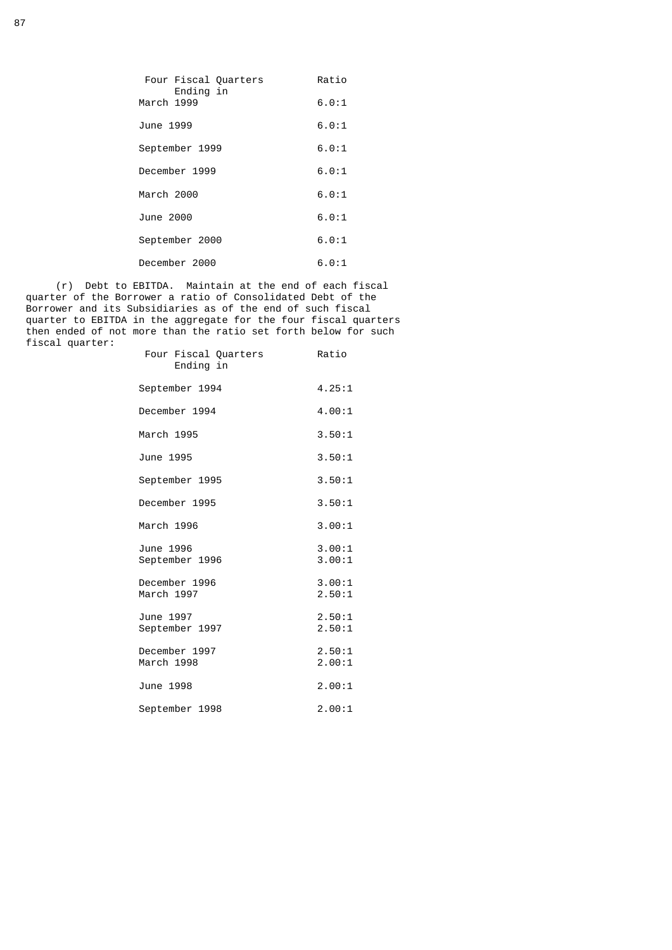| Four Fiscal Quarters<br>Ending in | Ratio |
|-----------------------------------|-------|
| March 1999                        | 6.0:1 |
| June 1999                         | 6.0:1 |
| September 1999                    | 6.0:1 |
| December 1999                     | 6.0:1 |
| March 2000                        | 6.0:1 |
| June 2000                         | 6.0:1 |
| September 2000                    | 6.0:1 |
| December 2000                     | 6.0:1 |
|                                   |       |

 (r) Debt to EBITDA. Maintain at the end of each fiscal quarter of the Borrower a ratio of Consolidated Debt of the Borrower and its Subsidiaries as of the end of such fiscal quarter to EBITDA in the aggregate for the four fiscal quarters then ended of not more than the ratio set forth below for such fiscal quarter:

| Four Fiscal Quarters<br>Ending in | Ratio            |
|-----------------------------------|------------------|
| September 1994                    | 4.25:1           |
| December 1994                     | 4.00:1           |
| March 1995                        | 3.50:1           |
| June 1995                         | 3.50:1           |
| September 1995                    | 3.50:1           |
| December 1995                     | 3.50:1           |
| March 1996                        | 3.00:1           |
| June 1996<br>September 1996       | 3.00:1<br>3.00:1 |
| December 1996<br>March 1997       | 3.00:1<br>2.50:1 |
| June 1997<br>September 1997       | 2.50:1<br>2.50:1 |
| December 1997<br>March 1998       | 2.50:1<br>2.00:1 |
| June 1998                         | 2.00:1           |
| September 1998                    | 2.00:1           |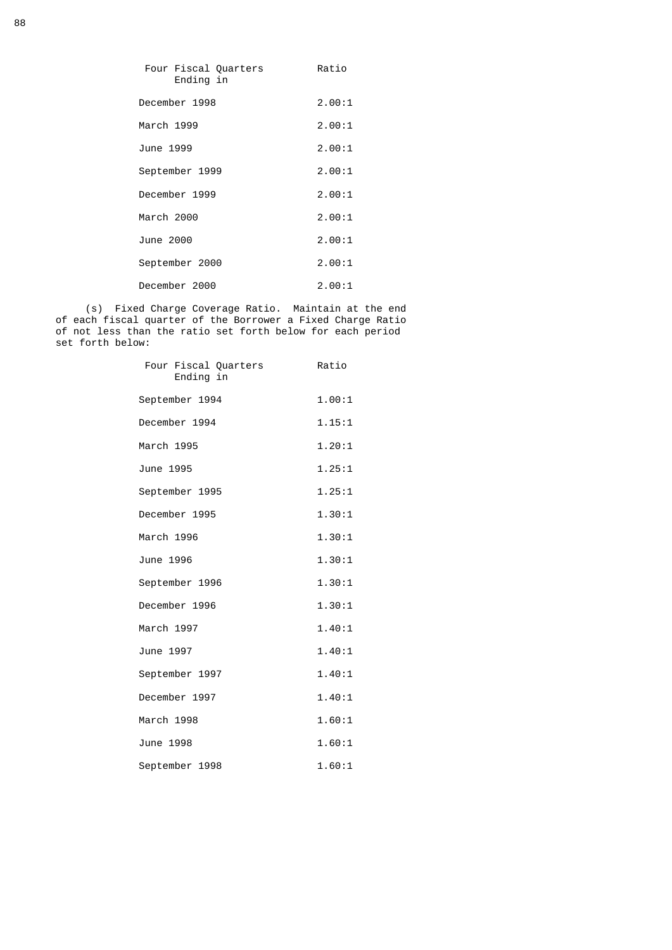| Four Fiscal Quarters<br>Ending in | Ratio  |
|-----------------------------------|--------|
| December 1998                     | 2.00:1 |
| March 1999                        | 2.00:1 |
| June 1999                         | 2.00:1 |
| September 1999                    | 2.00:1 |
| December 1999                     | 2.00:1 |
| March 2000                        | 2.00:1 |
| June 2000                         | 2.00:1 |
| September 2000                    | 2.00:1 |
| December 2000                     | 2.00:1 |

 (s) Fixed Charge Coverage Ratio. Maintain at the end of each fiscal quarter of the Borrower a Fixed Charge Ratio of not less than the ratio set forth below for each period set forth below:

| Four Fiscal Quarters<br>Ending in | Ratio  |
|-----------------------------------|--------|
| September 1994                    | 1.00:1 |
| December 1994                     | 1.15:1 |
| March 1995                        | 1.20:1 |
| June 1995                         | 1.25:1 |
| September 1995                    | 1.25:1 |
| December 1995                     | 1.30:1 |
| March 1996                        | 1.30:1 |
| June 1996                         | 1.30:1 |
| September 1996                    | 1.30:1 |
| December 1996                     | 1.30:1 |
| March 1997                        | 1.40:1 |
| June 1997                         | 1.40:1 |
| September 1997                    | 1.40:1 |
| December 1997                     | 1.40:1 |
| March 1998                        | 1.60:1 |
| June 1998                         | 1.60:1 |
| September 1998                    | 1.60:1 |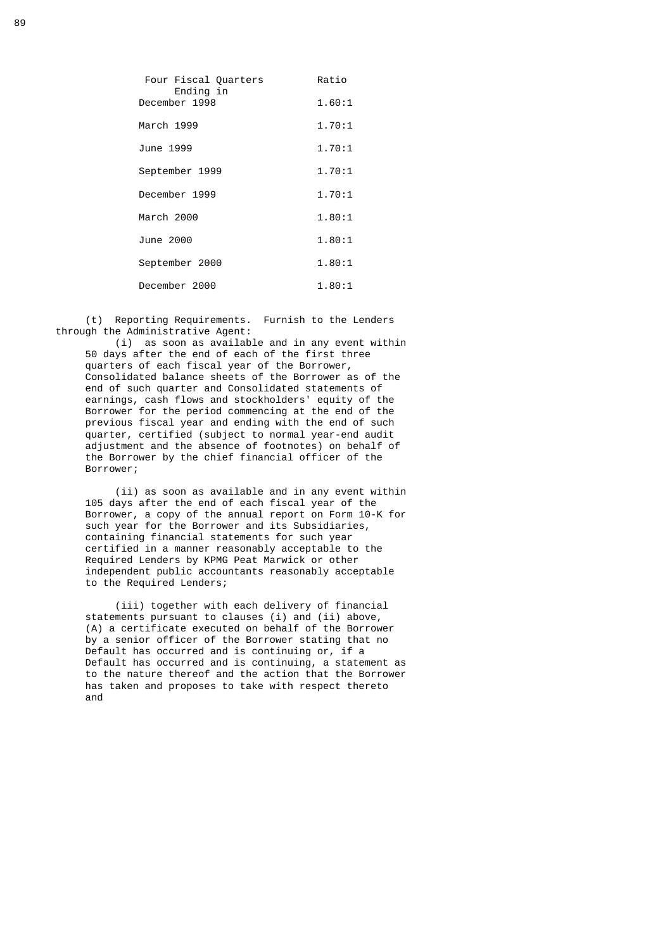| Four Fiscal Quarters<br>Ending in | Ratio  |
|-----------------------------------|--------|
| December 1998                     | 1.60:1 |
| March 1999                        | 1.70:1 |
| June 1999                         | 1.70:1 |
| September 1999                    | 1.70:1 |
| December 1999                     | 1.70:1 |
| March 2000                        | 1.80:1 |
| June 2000                         | 1.80:1 |
| September 2000                    | 1.80:1 |
| December 2000                     | 1.80:1 |

 (t) Reporting Requirements. Furnish to the Lenders through the Administrative Agent:

 (i) as soon as available and in any event within 50 days after the end of each of the first three quarters of each fiscal year of the Borrower, Consolidated balance sheets of the Borrower as of the end of such quarter and Consolidated statements of earnings, cash flows and stockholders' equity of the Borrower for the period commencing at the end of the previous fiscal year and ending with the end of such quarter, certified (subject to normal year-end audit adjustment and the absence of footnotes) on behalf of the Borrower by the chief financial officer of the Borrower;

 (ii) as soon as available and in any event within 105 days after the end of each fiscal year of the Borrower, a copy of the annual report on Form 10-K for such year for the Borrower and its Subsidiaries, containing financial statements for such year certified in a manner reasonably acceptable to the Required Lenders by KPMG Peat Marwick or other independent public accountants reasonably acceptable to the Required Lenders;

 (iii) together with each delivery of financial statements pursuant to clauses (i) and (ii) above, (A) a certificate executed on behalf of the Borrower by a senior officer of the Borrower stating that no Default has occurred and is continuing or, if a Default has occurred and is continuing, a statement as to the nature thereof and the action that the Borrower has taken and proposes to take with respect thereto and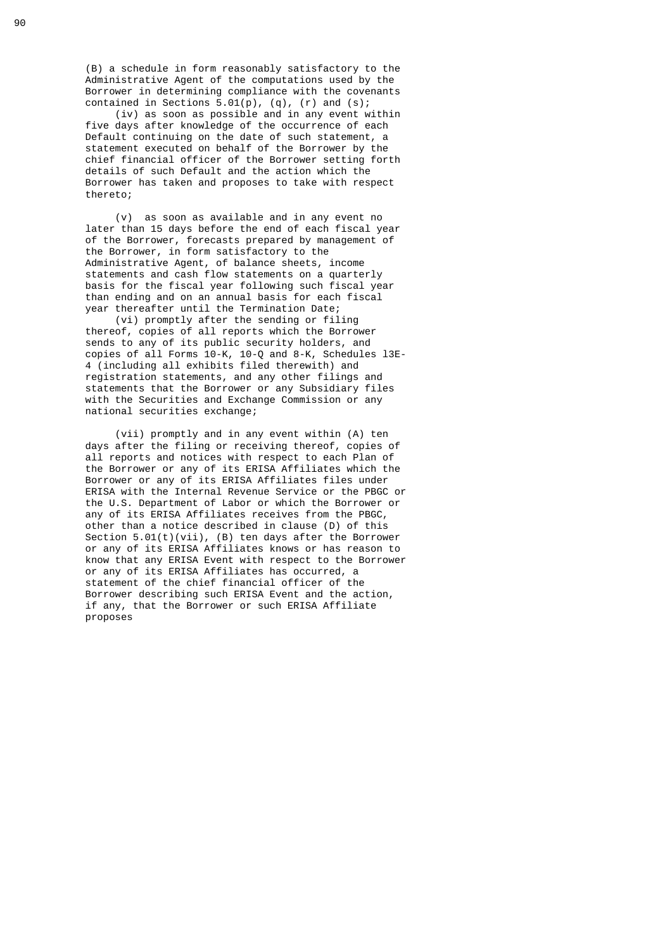(B) a schedule in form reasonably satisfactory to the Administrative Agent of the computations used by the Borrower in determining compliance with the covenants contained in Sections  $5.01(p)$ ,  $(q)$ ,  $(r)$  and  $(s)$ ;

 (iv) as soon as possible and in any event within five days after knowledge of the occurrence of each Default continuing on the date of such statement, a statement executed on behalf of the Borrower by the chief financial officer of the Borrower setting forth details of such Default and the action which the Borrower has taken and proposes to take with respect thereto;

 (v) as soon as available and in any event no later than 15 days before the end of each fiscal year of the Borrower, forecasts prepared by management of the Borrower, in form satisfactory to the Administrative Agent, of balance sheets, income statements and cash flow statements on a quarterly basis for the fiscal year following such fiscal year than ending and on an annual basis for each fiscal year thereafter until the Termination Date;

 (vi) promptly after the sending or filing thereof, copies of all reports which the Borrower sends to any of its public security holders, and copies of all Forms 10-K, 10-Q and 8-K, Schedules l3E- 4 (including all exhibits filed therewith) and registration statements, and any other filings and statements that the Borrower or any Subsidiary files with the Securities and Exchange Commission or any national securities exchange;

 (vii) promptly and in any event within (A) ten days after the filing or receiving thereof, copies of all reports and notices with respect to each Plan of the Borrower or any of its ERISA Affiliates which the Borrower or any of its ERISA Affiliates files under ERISA with the Internal Revenue Service or the PBGC or the U.S. Department of Labor or which the Borrower or any of its ERISA Affiliates receives from the PBGC, other than a notice described in clause (D) of this Section 5.01(t)(vii), (B) ten days after the Borrower or any of its ERISA Affiliates knows or has reason to know that any ERISA Event with respect to the Borrower or any of its ERISA Affiliates has occurred, a statement of the chief financial officer of the Borrower describing such ERISA Event and the action, if any, that the Borrower or such ERISA Affiliate proposes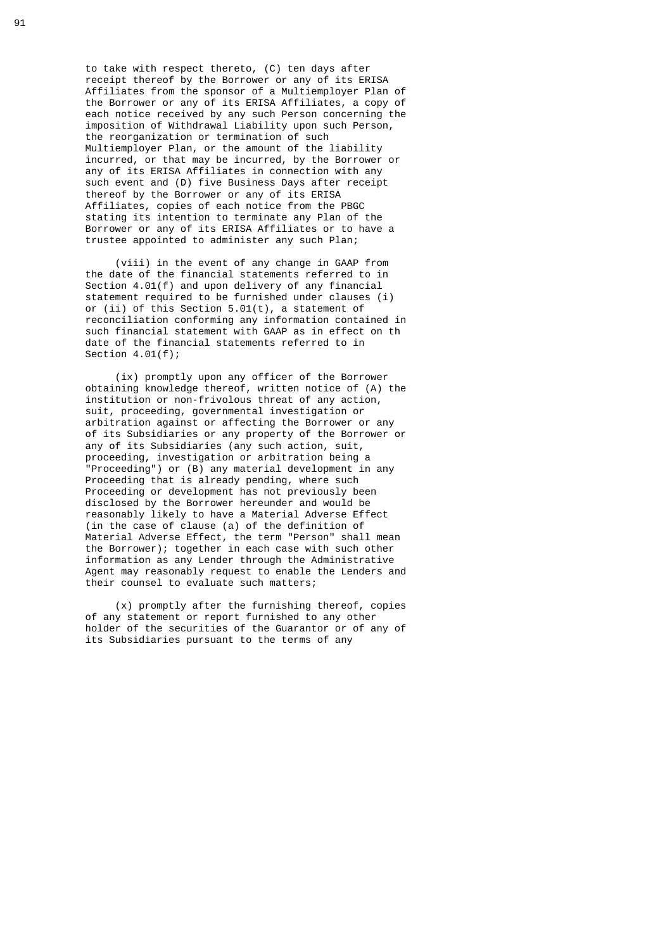to take with respect thereto, (C) ten days after receipt thereof by the Borrower or any of its ERISA Affiliates from the sponsor of a Multiemployer Plan of the Borrower or any of its ERISA Affiliates, a copy of each notice received by any such Person concerning the imposition of Withdrawal Liability upon such Person, the reorganization or termination of such Multiemployer Plan, or the amount of the liability incurred, or that may be incurred, by the Borrower or any of its ERISA Affiliates in connection with any such event and (D) five Business Days after receipt thereof by the Borrower or any of its ERISA Affiliates, copies of each notice from the PBGC stating its intention to terminate any Plan of the Borrower or any of its ERISA Affiliates or to have a trustee appointed to administer any such Plan;

 (viii) in the event of any change in GAAP from the date of the financial statements referred to in Section 4.01(f) and upon delivery of any financial statement required to be furnished under clauses (i) or (ii) of this Section 5.01(t), a statement of reconciliation conforming any information contained in such financial statement with GAAP as in effect on th date of the financial statements referred to in Section 4.01(f);

 (ix) promptly upon any officer of the Borrower obtaining knowledge thereof, written notice of (A) the institution or non-frivolous threat of any action, suit, proceeding, governmental investigation or arbitration against or affecting the Borrower or any of its Subsidiaries or any property of the Borrower or any of its Subsidiaries (any such action, suit, proceeding, investigation or arbitration being a "Proceeding") or (B) any material development in any Proceeding that is already pending, where such Proceeding or development has not previously been disclosed by the Borrower hereunder and would be reasonably likely to have a Material Adverse Effect (in the case of clause (a) of the definition of Material Adverse Effect, the term "Person" shall mean the Borrower); together in each case with such other information as any Lender through the Administrative Agent may reasonably request to enable the Lenders and their counsel to evaluate such matters;

> (x) promptly after the furnishing thereof, copies of any statement or report furnished to any other holder of the securities of the Guarantor or of any of its Subsidiaries pursuant to the terms of any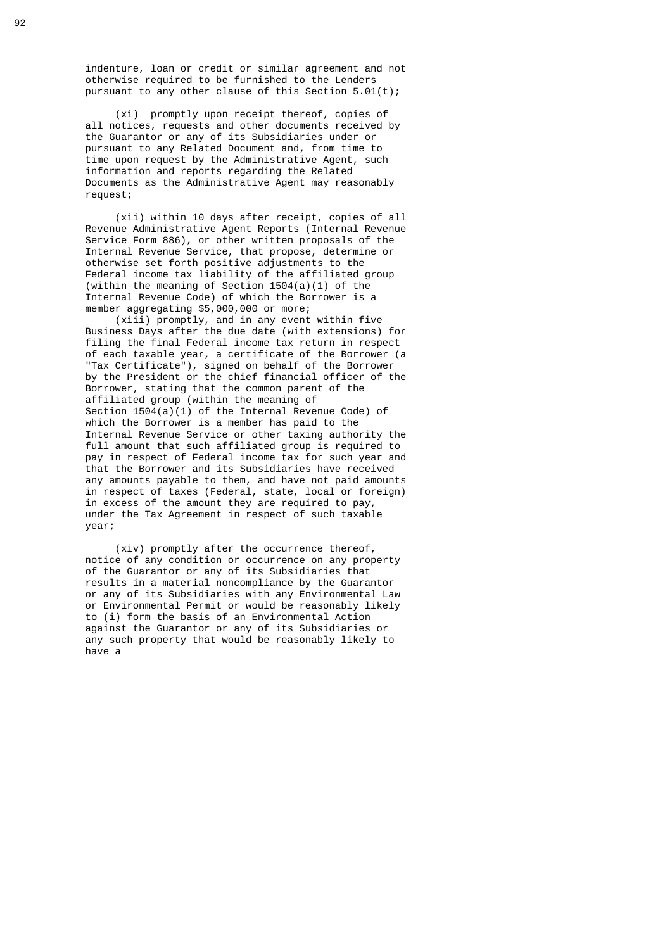indenture, loan or credit or similar agreement and not otherwise required to be furnished to the Lenders pursuant to any other clause of this Section 5.01(t);

 (xi) promptly upon receipt thereof, copies of all notices, requests and other documents received by the Guarantor or any of its Subsidiaries under or pursuant to any Related Document and, from time to time upon request by the Administrative Agent, such information and reports regarding the Related Documents as the Administrative Agent may reasonably request;

 (xii) within 10 days after receipt, copies of all Revenue Administrative Agent Reports (Internal Revenue Service Form 886), or other written proposals of the Internal Revenue Service, that propose, determine or otherwise set forth positive adjustments to the Federal income tax liability of the affiliated group (within the meaning of Section 1504(a)(1) of the Internal Revenue Code) of which the Borrower is a member aggregating \$5,000,000 or more;

 (xiii) promptly, and in any event within five Business Days after the due date (with extensions) for filing the final Federal income tax return in respect of each taxable year, a certificate of the Borrower (a "Tax Certificate"), signed on behalf of the Borrower by the President or the chief financial officer of the Borrower, stating that the common parent of the affiliated group (within the meaning of Section 1504(a)(1) of the Internal Revenue Code) of which the Borrower is a member has paid to the Internal Revenue Service or other taxing authority the full amount that such affiliated group is required to pay in respect of Federal income tax for such year and that the Borrower and its Subsidiaries have received any amounts payable to them, and have not paid amounts in respect of taxes (Federal, state, local or foreign) in excess of the amount they are required to pay, under the Tax Agreement in respect of such taxable year;

 (xiv) promptly after the occurrence thereof, notice of any condition or occurrence on any property of the Guarantor or any of its Subsidiaries that results in a material noncompliance by the Guarantor or any of its Subsidiaries with any Environmental Law or Environmental Permit or would be reasonably likely to (i) form the basis of an Environmental Action against the Guarantor or any of its Subsidiaries or any such property that would be reasonably likely to have a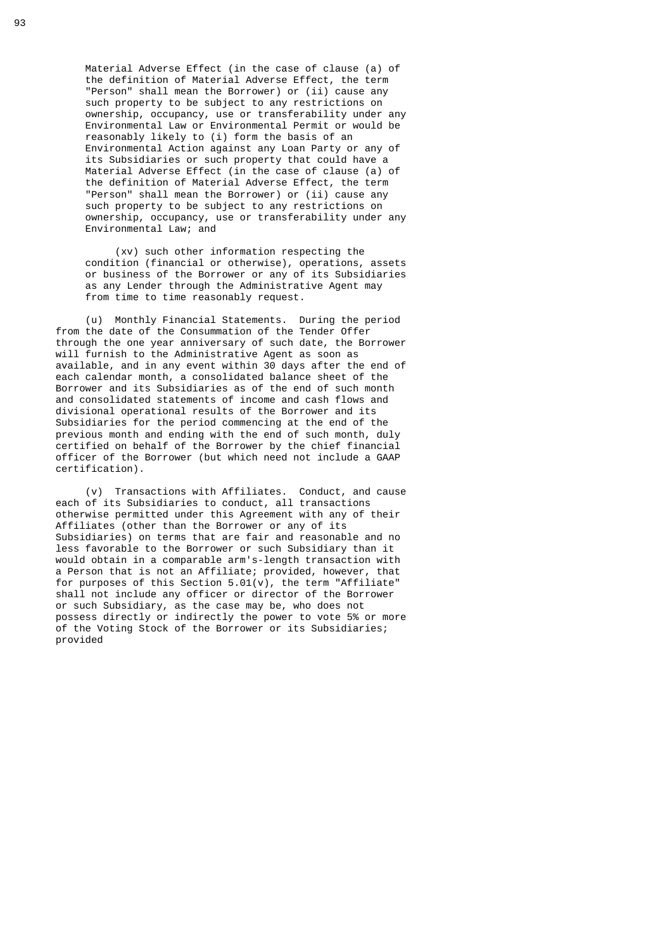Material Adverse Effect (in the case of clause (a) of the definition of Material Adverse Effect, the term "Person" shall mean the Borrower) or (ii) cause any such property to be subject to any restrictions on ownership, occupancy, use or transferability under any Environmental Law or Environmental Permit or would be reasonably likely to (i) form the basis of an Environmental Action against any Loan Party or any of its Subsidiaries or such property that could have a Material Adverse Effect (in the case of clause (a) of the definition of Material Adverse Effect, the term "Person" shall mean the Borrower) or (ii) cause any such property to be subject to any restrictions on ownership, occupancy, use or transferability under any Environmental Law; and

 (xv) such other information respecting the condition (financial or otherwise), operations, assets or business of the Borrower or any of its Subsidiaries as any Lender through the Administrative Agent may from time to time reasonably request.

 (u) Monthly Financial Statements. During the period from the date of the Consummation of the Tender Offer through the one year anniversary of such date, the Borrower will furnish to the Administrative Agent as soon as available, and in any event within 30 days after the end of each calendar month, a consolidated balance sheet of the Borrower and its Subsidiaries as of the end of such month and consolidated statements of income and cash flows and divisional operational results of the Borrower and its Subsidiaries for the period commencing at the end of the previous month and ending with the end of such month, duly certified on behalf of the Borrower by the chief financial officer of the Borrower (but which need not include a GAAP certification).

 (v) Transactions with Affiliates. Conduct, and cause each of its Subsidiaries to conduct, all transactions otherwise permitted under this Agreement with any of their Affiliates (other than the Borrower or any of its Subsidiaries) on terms that are fair and reasonable and no less favorable to the Borrower or such Subsidiary than it would obtain in a comparable arm's-length transaction with a Person that is not an Affiliate; provided, however, that for purposes of this Section  $5.01(v)$ , the term "Affiliate" shall not include any officer or director of the Borrower or such Subsidiary, as the case may be, who does not possess directly or indirectly the power to vote 5% or more of the Voting Stock of the Borrower or its Subsidiaries; provided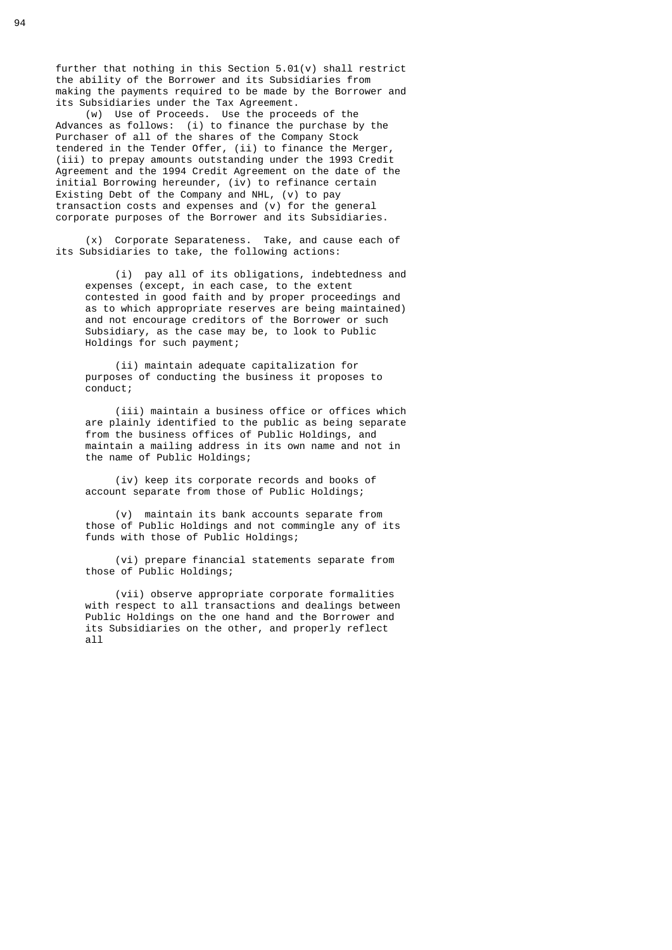further that nothing in this Section 5.01(v) shall restrict the ability of the Borrower and its Subsidiaries from making the payments required to be made by the Borrower and its Subsidiaries under the Tax Agreement.

 (w) Use of Proceeds. Use the proceeds of the Advances as follows: (i) to finance the purchase by the Purchaser of all of the shares of the Company Stock tendered in the Tender Offer, (ii) to finance the Merger, (iii) to prepay amounts outstanding under the 1993 Credit Agreement and the 1994 Credit Agreement on the date of the initial Borrowing hereunder, (iv) to refinance certain Existing Debt of the Company and NHL, (v) to pay transaction costs and expenses and (v) for the general corporate purposes of the Borrower and its Subsidiaries.

> (x) Corporate Separateness. Take, and cause each of its Subsidiaries to take, the following actions:

 (i) pay all of its obligations, indebtedness and expenses (except, in each case, to the extent contested in good faith and by proper proceedings and as to which appropriate reserves are being maintained) and not encourage creditors of the Borrower or such Subsidiary, as the case may be, to look to Public Holdings for such payment;

> (ii) maintain adequate capitalization for purposes of conducting the business it proposes to conduct;

 (iii) maintain a business office or offices which are plainly identified to the public as being separate from the business offices of Public Holdings, and maintain a mailing address in its own name and not in the name of Public Holdings;

 (iv) keep its corporate records and books of account separate from those of Public Holdings;

 (v) maintain its bank accounts separate from those of Public Holdings and not commingle any of its funds with those of Public Holdings;

 (vi) prepare financial statements separate from those of Public Holdings;

 (vii) observe appropriate corporate formalities with respect to all transactions and dealings between Public Holdings on the one hand and the Borrower and its Subsidiaries on the other, and properly reflect all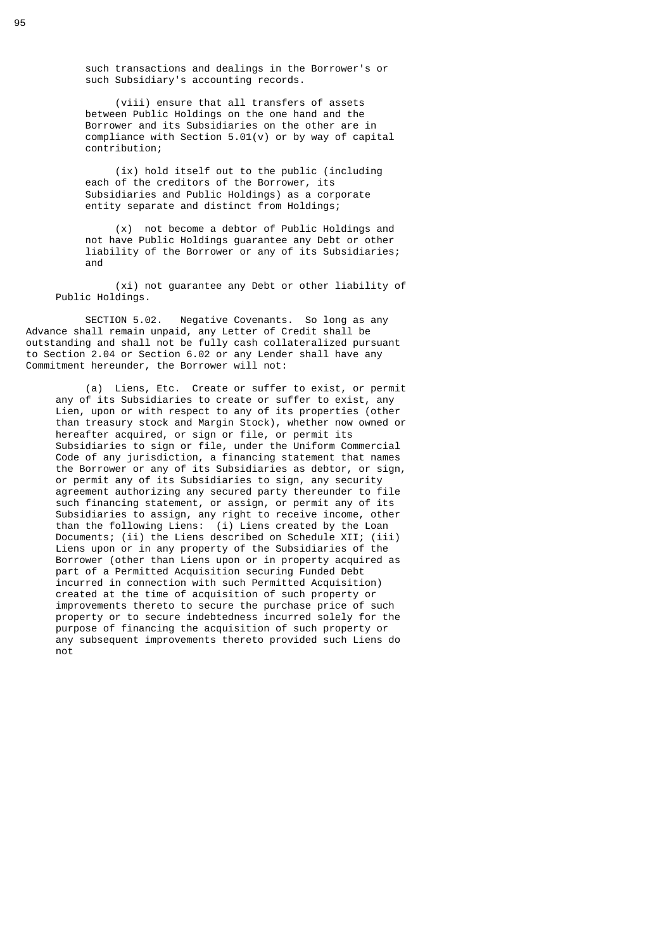such transactions and dealings in the Borrower's or such Subsidiary's accounting records.

 (viii) ensure that all transfers of assets between Public Holdings on the one hand and the Borrower and its Subsidiaries on the other are in compliance with Section 5.01(v) or by way of capital contribution;

 (ix) hold itself out to the public (including each of the creditors of the Borrower, its Subsidiaries and Public Holdings) as a corporate entity separate and distinct from Holdings;

 (x) not become a debtor of Public Holdings and not have Public Holdings guarantee any Debt or other liability of the Borrower or any of its Subsidiaries; and

 (xi) not guarantee any Debt or other liability of Public Holdings.

 SECTION 5.02. Negative Covenants. So long as any Advance shall remain unpaid, any Letter of Credit shall be outstanding and shall not be fully cash collateralized pursuant to Section 2.04 or Section 6.02 or any Lender shall have any Commitment hereunder, the Borrower will not:

 (a) Liens, Etc. Create or suffer to exist, or permit any of its Subsidiaries to create or suffer to exist, any Lien, upon or with respect to any of its properties (other than treasury stock and Margin Stock), whether now owned or hereafter acquired, or sign or file, or permit its Subsidiaries to sign or file, under the Uniform Commercial Code of any jurisdiction, a financing statement that names the Borrower or any of its Subsidiaries as debtor, or sign, or permit any of its Subsidiaries to sign, any security agreement authorizing any secured party thereunder to file such financing statement, or assign, or permit any of its Subsidiaries to assign, any right to receive income, other than the following Liens: (i) Liens created by the Loan Documents; (ii) the Liens described on Schedule XII; (iii) Liens upon or in any property of the Subsidiaries of the Borrower (other than Liens upon or in property acquired as part of a Permitted Acquisition securing Funded Debt incurred in connection with such Permitted Acquisition) created at the time of acquisition of such property or improvements thereto to secure the purchase price of such property or to secure indebtedness incurred solely for the purpose of financing the acquisition of such property or any subsequent improvements thereto provided such Liens do not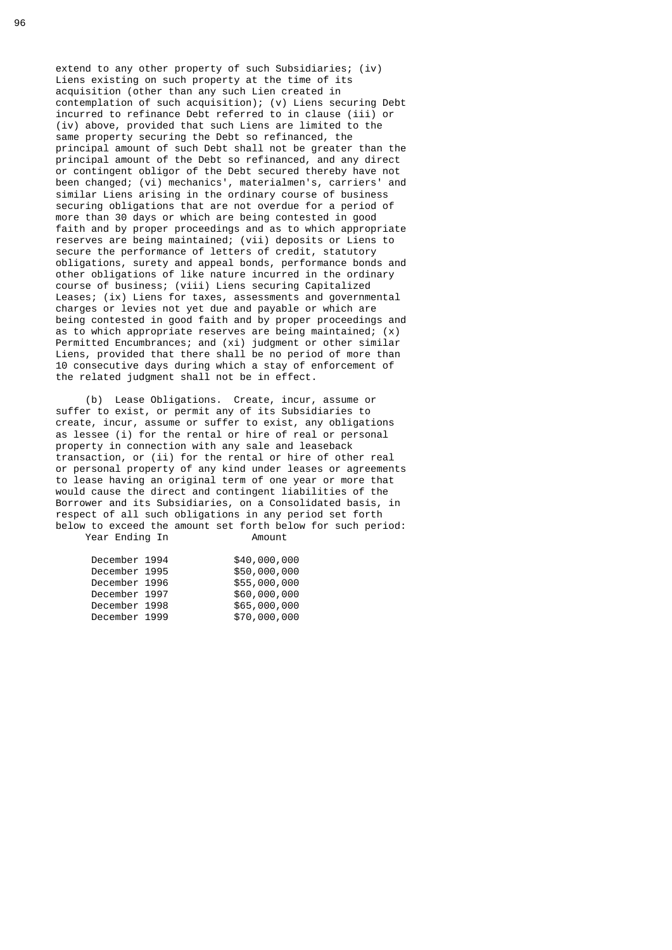extend to any other property of such Subsidiaries; (iv) Liens existing on such property at the time of its acquisition (other than any such Lien created in contemplation of such acquisition); (v) Liens securing Debt incurred to refinance Debt referred to in clause (iii) or (iv) above, provided that such Liens are limited to the same property securing the Debt so refinanced, the principal amount of such Debt shall not be greater than the principal amount of the Debt so refinanced, and any direct or contingent obligor of the Debt secured thereby have not been changed; (vi) mechanics', materialmen's, carriers' and similar Liens arising in the ordinary course of business securing obligations that are not overdue for a period of more than 30 days or which are being contested in good faith and by proper proceedings and as to which appropriate reserves are being maintained; (vii) deposits or Liens to secure the performance of letters of credit, statutory obligations, surety and appeal bonds, performance bonds and other obligations of like nature incurred in the ordinary course of business; (viii) Liens securing Capitalized Leases; (ix) Liens for taxes, assessments and governmental charges or levies not yet due and payable or which are being contested in good faith and by proper proceedings and as to which appropriate reserves are being maintained; (x) Permitted Encumbrances; and (xi) judgment or other similar Liens, provided that there shall be no period of more than 10 consecutive days during which a stay of enforcement of the related judgment shall not be in effect.

 (b) Lease Obligations. Create, incur, assume or suffer to exist, or permit any of its Subsidiaries to create, incur, assume or suffer to exist, any obligations as lessee (i) for the rental or hire of real or personal property in connection with any sale and leaseback transaction, or (ii) for the rental or hire of other real or personal property of any kind under leases or agreements to lease having an original term of one year or more that would cause the direct and contingent liabilities of the Borrower and its Subsidiaries, on a Consolidated basis, in respect of all such obligations in any period set forth below to exceed the amount set forth below for such period: Year Ending In **Amount** 

| December 1994 | \$40,000,000 |
|---------------|--------------|
| December 1995 | \$50,000,000 |
| December 1996 | \$55,000,000 |
| December 1997 | \$60,000,000 |
| December 1998 | \$65,000,000 |
| December 1999 | \$70,000,000 |
|               |              |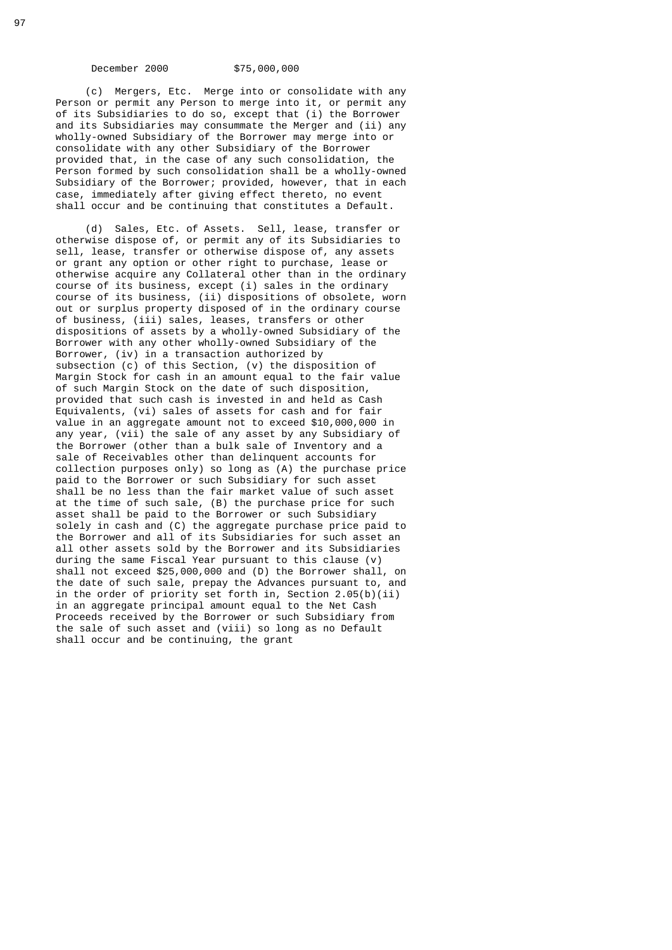December 2000 \$75,000,000

 (c) Mergers, Etc. Merge into or consolidate with any Person or permit any Person to merge into it, or permit any of its Subsidiaries to do so, except that (i) the Borrower and its Subsidiaries may consummate the Merger and (ii) any wholly-owned Subsidiary of the Borrower may merge into or consolidate with any other Subsidiary of the Borrower provided that, in the case of any such consolidation, the Person formed by such consolidation shall be a wholly-owned Subsidiary of the Borrower; provided, however, that in each case, immediately after giving effect thereto, no event shall occur and be continuing that constitutes a Default.

 (d) Sales, Etc. of Assets. Sell, lease, transfer or otherwise dispose of, or permit any of its Subsidiaries to sell, lease, transfer or otherwise dispose of, any assets or grant any option or other right to purchase, lease or otherwise acquire any Collateral other than in the ordinary course of its business, except (i) sales in the ordinary course of its business, (ii) dispositions of obsolete, worn out or surplus property disposed of in the ordinary course of business, (iii) sales, leases, transfers or other dispositions of assets by a wholly-owned Subsidiary of the Borrower with any other wholly-owned Subsidiary of the Borrower, (iv) in a transaction authorized by subsection (c) of this Section, (v) the disposition of Margin Stock for cash in an amount equal to the fair value of such Margin Stock on the date of such disposition, provided that such cash is invested in and held as Cash Equivalents, (vi) sales of assets for cash and for fair value in an aggregate amount not to exceed \$10,000,000 in any year, (vii) the sale of any asset by any Subsidiary of the Borrower (other than a bulk sale of Inventory and a sale of Receivables other than delinquent accounts for collection purposes only) so long as  $(A)$  the purchase price paid to the Borrower or such Subsidiary for such asset shall be no less than the fair market value of such asset at the time of such sale, (B) the purchase price for such asset shall be paid to the Borrower or such Subsidiary solely in cash and (C) the aggregate purchase price paid to the Borrower and all of its Subsidiaries for such asset an all other assets sold by the Borrower and its Subsidiaries during the same Fiscal Year pursuant to this clause (v) shall not exceed \$25,000,000 and (D) the Borrower shall, on the date of such sale, prepay the Advances pursuant to, and in the order of priority set forth in, Section 2.05(b)(ii) in an aggregate principal amount equal to the Net Cash Proceeds received by the Borrower or such Subsidiary from the sale of such asset and (viii) so long as no Default shall occur and be continuing, the grant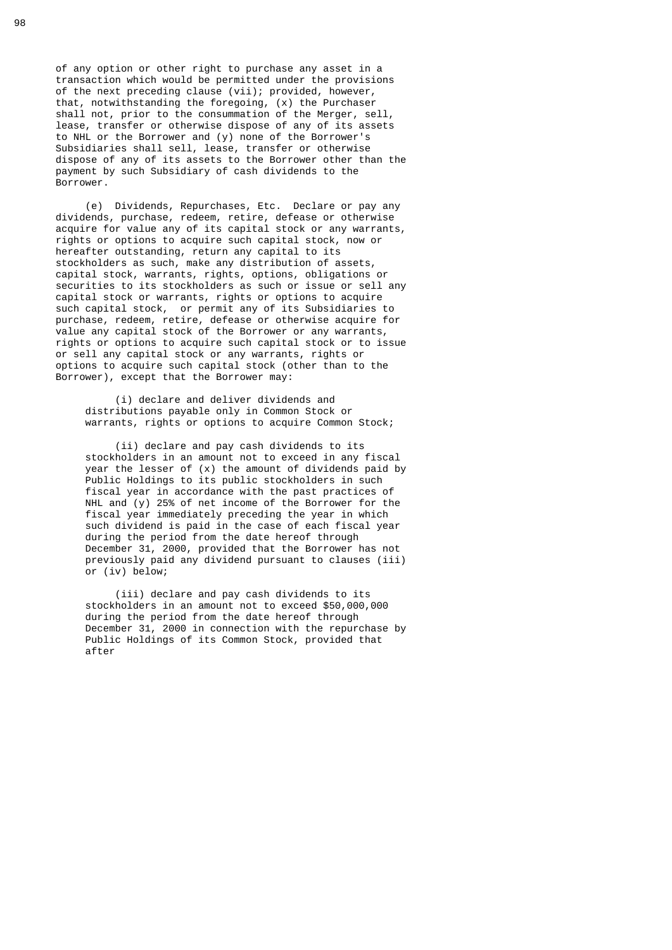of any option or other right to purchase any asset in a transaction which would be permitted under the provisions of the next preceding clause (vii); provided, however, that, notwithstanding the foregoing, (x) the Purchaser shall not, prior to the consummation of the Merger, sell, lease, transfer or otherwise dispose of any of its assets to NHL or the Borrower and (y) none of the Borrower's Subsidiaries shall sell, lease, transfer or otherwise dispose of any of its assets to the Borrower other than the payment by such Subsidiary of cash dividends to the Borrower.

 (e) Dividends, Repurchases, Etc. Declare or pay any dividends, purchase, redeem, retire, defease or otherwise acquire for value any of its capital stock or any warrants, rights or options to acquire such capital stock, now or hereafter outstanding, return any capital to its stockholders as such, make any distribution of assets, capital stock, warrants, rights, options, obligations or securities to its stockholders as such or issue or sell any capital stock or warrants, rights or options to acquire such capital stock, or permit any of its Subsidiaries to purchase, redeem, retire, defease or otherwise acquire for value any capital stock of the Borrower or any warrants, rights or options to acquire such capital stock or to issue or sell any capital stock or any warrants, rights or options to acquire such capital stock (other than to the Borrower), except that the Borrower may:

 (i) declare and deliver dividends and distributions payable only in Common Stock or warrants, rights or options to acquire Common Stock;

 (ii) declare and pay cash dividends to its stockholders in an amount not to exceed in any fiscal year the lesser of (x) the amount of dividends paid by Public Holdings to its public stockholders in such fiscal year in accordance with the past practices of NHL and (y) 25% of net income of the Borrower for the fiscal year immediately preceding the year in which such dividend is paid in the case of each fiscal year during the period from the date hereof through December 31, 2000, provided that the Borrower has not previously paid any dividend pursuant to clauses (iii) or (iv) below;

 (iii) declare and pay cash dividends to its stockholders in an amount not to exceed \$50,000,000 during the period from the date hereof through December 31, 2000 in connection with the repurchase by Public Holdings of its Common Stock, provided that after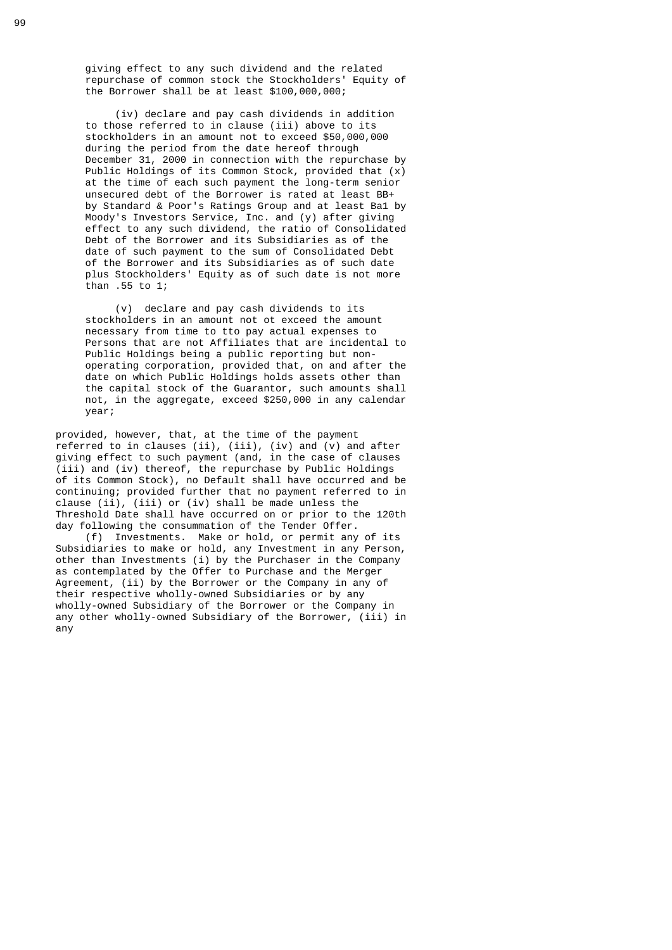giving effect to any such dividend and the related repurchase of common stock the Stockholders' Equity of the Borrower shall be at least \$100,000,000;

 (iv) declare and pay cash dividends in addition to those referred to in clause (iii) above to its stockholders in an amount not to exceed \$50,000,000 during the period from the date hereof through December 31, 2000 in connection with the repurchase by Public Holdings of its Common Stock, provided that (x) at the time of each such payment the long-term senior unsecured debt of the Borrower is rated at least BB+ by Standard & Poor's Ratings Group and at least Ba1 by Moody's Investors Service, Inc. and (y) after giving effect to any such dividend, the ratio of Consolidated Debt of the Borrower and its Subsidiaries as of the date of such payment to the sum of Consolidated Debt of the Borrower and its Subsidiaries as of such date plus Stockholders' Equity as of such date is not more than .55 to 1;

> (v) declare and pay cash dividends to its stockholders in an amount not ot exceed the amount necessary from time to tto pay actual expenses to Persons that are not Affiliates that are incidental to Public Holdings being a public reporting but non operating corporation, provided that, on and after the date on which Public Holdings holds assets other than the capital stock of the Guarantor, such amounts shall not, in the aggregate, exceed \$250,000 in any calendar year;

 provided, however, that, at the time of the payment referred to in clauses (ii), (iii), (iv) and (v) and after giving effect to such payment (and, in the case of clauses (iii) and (iv) thereof, the repurchase by Public Holdings of its Common Stock), no Default shall have occurred and be continuing; provided further that no payment referred to in clause (ii), (iii) or (iv) shall be made unless the Threshold Date shall have occurred on or prior to the 120th day following the consummation of the Tender Offer.

 (f) Investments. Make or hold, or permit any of its Subsidiaries to make or hold, any Investment in any Person, other than Investments (i) by the Purchaser in the Company as contemplated by the Offer to Purchase and the Merger Agreement, (ii) by the Borrower or the Company in any of their respective wholly-owned Subsidiaries or by any wholly-owned Subsidiary of the Borrower or the Company in any other wholly-owned Subsidiary of the Borrower, (iii) in any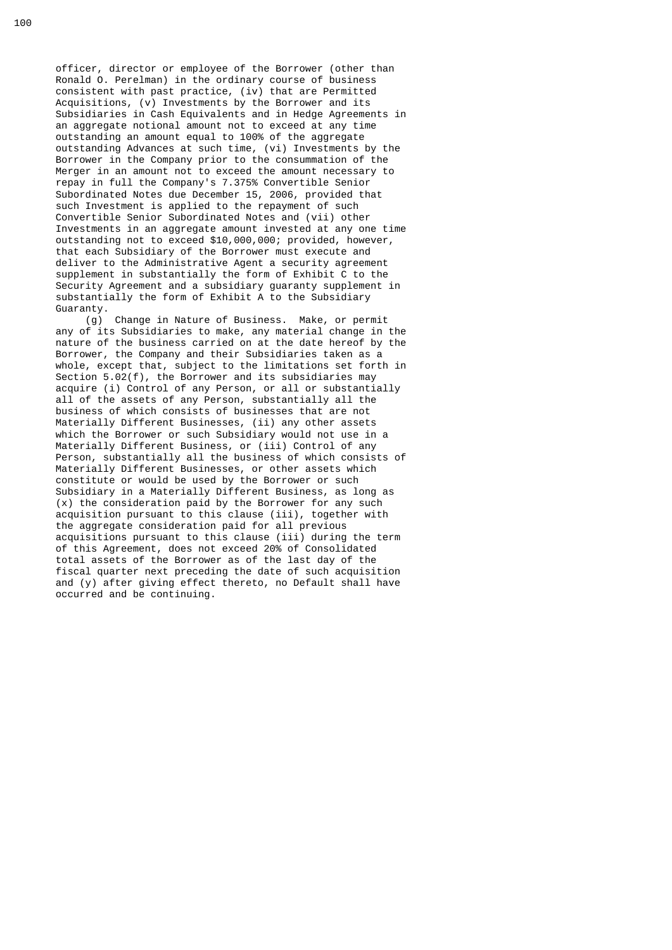officer, director or employee of the Borrower (other than Ronald O. Perelman) in the ordinary course of business consistent with past practice, (iv) that are Permitted Acquisitions, (v) Investments by the Borrower and its Subsidiaries in Cash Equivalents and in Hedge Agreements in an aggregate notional amount not to exceed at any time outstanding an amount equal to 100% of the aggregate outstanding Advances at such time, (vi) Investments by the Borrower in the Company prior to the consummation of the Merger in an amount not to exceed the amount necessary to repay in full the Company's 7.375% Convertible Senior Subordinated Notes due December 15, 2006, provided that such Investment is applied to the repayment of such Convertible Senior Subordinated Notes and (vii) other Investments in an aggregate amount invested at any one time outstanding not to exceed \$10,000,000; provided, however, that each Subsidiary of the Borrower must execute and deliver to the Administrative Agent a security agreement supplement in substantially the form of Exhibit C to the Security Agreement and a subsidiary guaranty supplement in substantially the form of Exhibit A to the Subsidiary Guaranty.

 (g) Change in Nature of Business. Make, or permit any of its Subsidiaries to make, any material change in the nature of the business carried on at the date hereof by the Borrower, the Company and their Subsidiaries taken as a whole, except that, subject to the limitations set forth in Section 5.02(f), the Borrower and its subsidiaries may acquire (i) Control of any Person, or all or substantially all of the assets of any Person, substantially all the business of which consists of businesses that are not Materially Different Businesses, (ii) any other assets which the Borrower or such Subsidiary would not use in a Materially Different Business, or (iii) Control of any Person, substantially all the business of which consists of Materially Different Businesses, or other assets which constitute or would be used by the Borrower or such Subsidiary in a Materially Different Business, as long as (x) the consideration paid by the Borrower for any such acquisition pursuant to this clause (iii), together with the aggregate consideration paid for all previous acquisitions pursuant to this clause (iii) during the term of this Agreement, does not exceed 20% of Consolidated total assets of the Borrower as of the last day of the fiscal quarter next preceding the date of such acquisition and (y) after giving effect thereto, no Default shall have occurred and be continuing.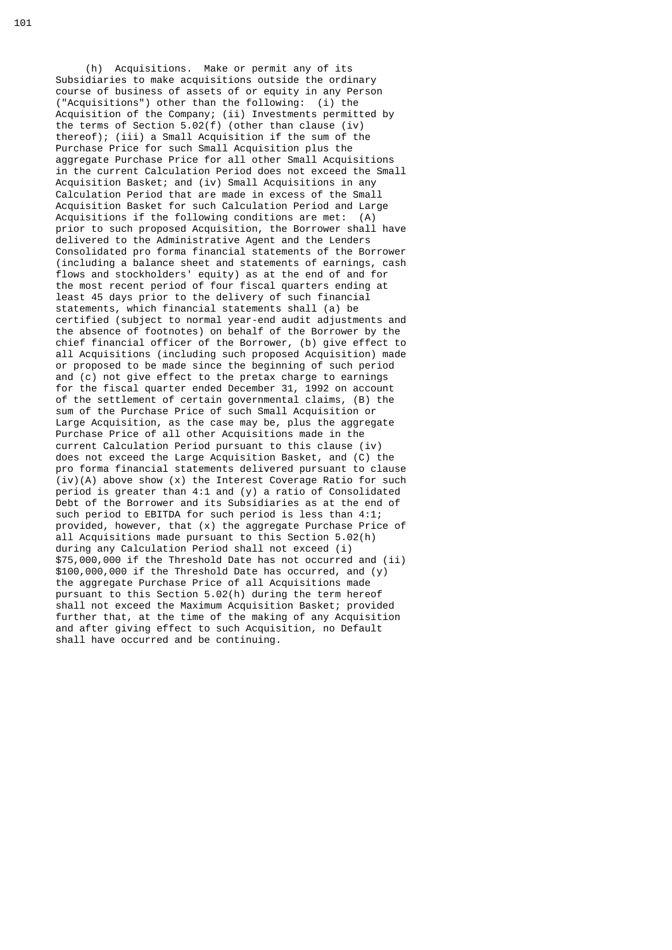(h) Acquisitions. Make or permit any of its Subsidiaries to make acquisitions outside the ordinary course of business of assets of or equity in any Person ("Acquisitions") other than the following: (i) the Acquisition of the Company; (ii) Investments permitted by the terms of Section 5.02(f) (other than clause (iv) thereof); (iii) a Small Acquisition if the sum of the Purchase Price for such Small Acquisition plus the aggregate Purchase Price for all other Small Acquisitions in the current Calculation Period does not exceed the Small Acquisition Basket; and (iv) Small Acquisitions in any Calculation Period that are made in excess of the Small Acquisition Basket for such Calculation Period and Large Acquisitions if the following conditions are met: (A) prior to such proposed Acquisition, the Borrower shall have delivered to the Administrative Agent and the Lenders Consolidated pro forma financial statements of the Borrower (including a balance sheet and statements of earnings, cash flows and stockholders' equity) as at the end of and for the most recent period of four fiscal quarters ending at least 45 days prior to the delivery of such financial statements, which financial statements shall (a) be certified (subject to normal year-end audit adjustments and the absence of footnotes) on behalf of the Borrower by the chief financial officer of the Borrower, (b) give effect to all Acquisitions (including such proposed Acquisition) made or proposed to be made since the beginning of such period and (c) not give effect to the pretax charge to earnings for the fiscal quarter ended December 31, 1992 on account of the settlement of certain governmental claims, (B) the sum of the Purchase Price of such Small Acquisition or Large Acquisition, as the case may be, plus the aggregate Purchase Price of all other Acquisitions made in the current Calculation Period pursuant to this clause (iv) does not exceed the Large Acquisition Basket, and (C) the pro forma financial statements delivered pursuant to clause  $(iv)(A)$  above show  $(x)$  the Interest Coverage Ratio for such period is greater than 4:1 and (y) a ratio of Consolidated Debt of the Borrower and its Subsidiaries as at the end of such period to EBITDA for such period is less than 4:1; provided, however, that (x) the aggregate Purchase Price of all Acquisitions made pursuant to this Section 5.02(h) during any Calculation Period shall not exceed (i) \$75,000,000 if the Threshold Date has not occurred and (ii) \$100,000,000 if the Threshold Date has occurred, and (y) the aggregate Purchase Price of all Acquisitions made pursuant to this Section 5.02(h) during the term hereof shall not exceed the Maximum Acquisition Basket; provided further that, at the time of the making of any Acquisition and after giving effect to such Acquisition, no Default shall have occurred and be continuing.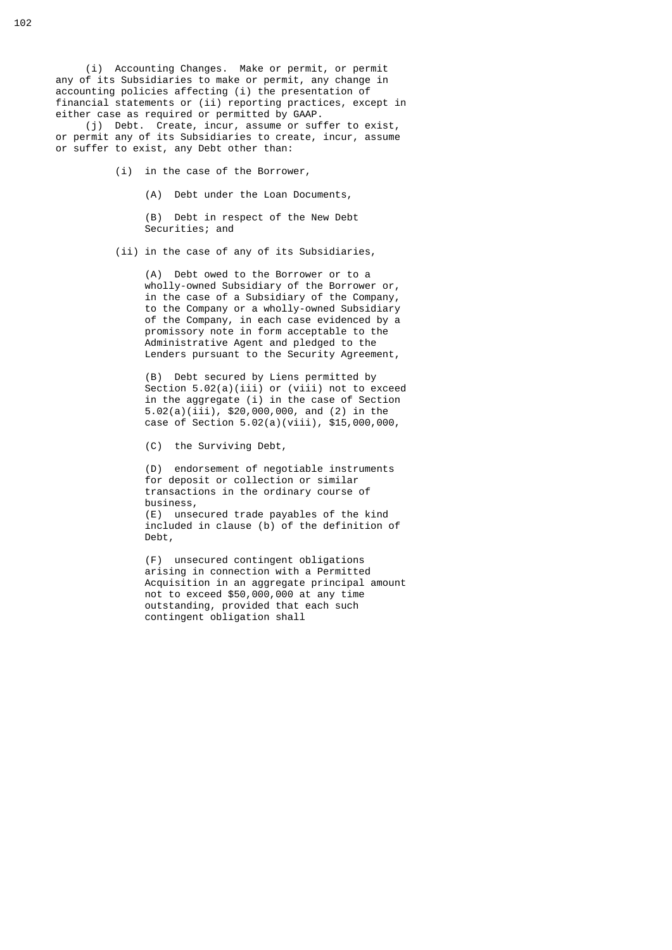(i) Accounting Changes. Make or permit, or permit any of its Subsidiaries to make or permit, any change in accounting policies affecting (i) the presentation of financial statements or (ii) reporting practices, except in either case as required or permitted by GAAP.

 (j) Debt. Create, incur, assume or suffer to exist, or permit any of its Subsidiaries to create, incur, assume or suffer to exist, any Debt other than:

- (i) in the case of the Borrower,
	- (A) Debt under the Loan Documents,

 (B) Debt in respect of the New Debt Securities; and

(ii) in the case of any of its Subsidiaries,

 (A) Debt owed to the Borrower or to a wholly-owned Subsidiary of the Borrower or, in the case of a Subsidiary of the Company, to the Company or a wholly-owned Subsidiary of the Company, in each case evidenced by a promissory note in form acceptable to the Administrative Agent and pledged to the Lenders pursuant to the Security Agreement,

 (B) Debt secured by Liens permitted by Section 5.02(a)(iii) or (viii) not to exceed in the aggregate (i) in the case of Section 5.02(a)(iii), \$20,000,000, and (2) in the case of Section 5.02(a)(viii), \$15,000,000,

(C) the Surviving Debt,

Debt,

 (D) endorsement of negotiable instruments for deposit or collection or similar transactions in the ordinary course of business, (E) unsecured trade payables of the kind included in clause (b) of the definition of

 (F) unsecured contingent obligations arising in connection with a Permitted Acquisition in an aggregate principal amount not to exceed \$50,000,000 at any time outstanding, provided that each such contingent obligation shall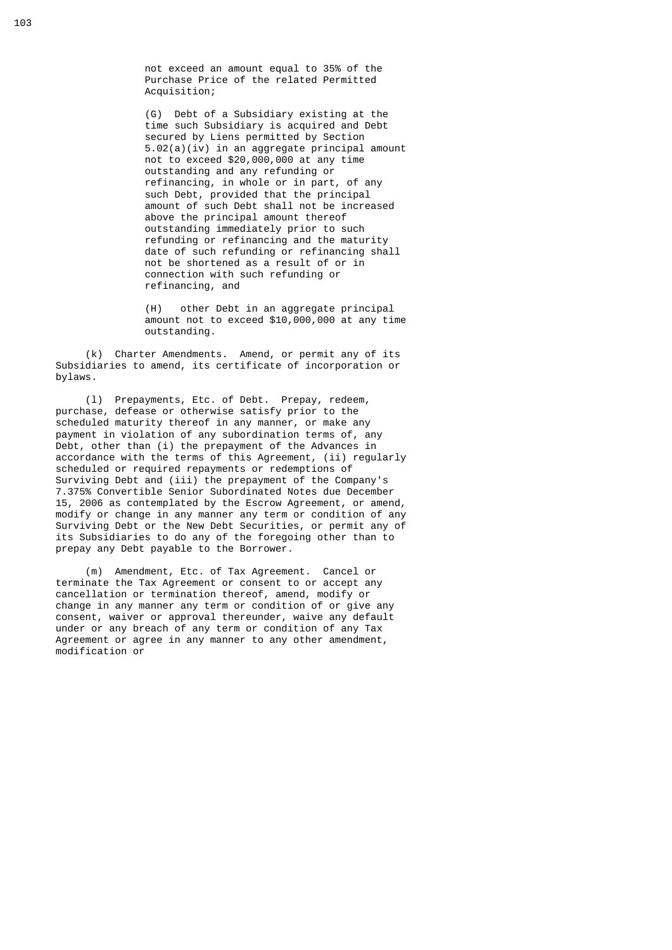not exceed an amount equal to 35% of the Purchase Price of the related Permitted Acquisition;

 (G) Debt of a Subsidiary existing at the time such Subsidiary is acquired and Debt secured by Liens permitted by Section 5.02(a)(iv) in an aggregate principal amount not to exceed \$20,000,000 at any time outstanding and any refunding or refinancing, in whole or in part, of any such Debt, provided that the principal amount of such Debt shall not be increased above the principal amount thereof outstanding immediately prior to such refunding or refinancing and the maturity date of such refunding or refinancing shall not be shortened as a result of or in connection with such refunding or refinancing, and

> (H) other Debt in an aggregate principal amount not to exceed \$10,000,000 at any time outstanding.

 (k) Charter Amendments. Amend, or permit any of its Subsidiaries to amend, its certificate of incorporation or bylaws.

 (l) Prepayments, Etc. of Debt. Prepay, redeem, purchase, defease or otherwise satisfy prior to the scheduled maturity thereof in any manner, or make any payment in violation of any subordination terms of, any Debt, other than (i) the prepayment of the Advances in accordance with the terms of this Agreement, (ii) regularly scheduled or required repayments or redemptions of Surviving Debt and (iii) the prepayment of the Company's 7.375% Convertible Senior Subordinated Notes due December 15, 2006 as contemplated by the Escrow Agreement, or amend, modify or change in any manner any term or condition of any Surviving Debt or the New Debt Securities, or permit any of its Subsidiaries to do any of the foregoing other than to prepay any Debt payable to the Borrower.

> (m) Amendment, Etc. of Tax Agreement. Cancel or terminate the Tax Agreement or consent to or accept any cancellation or termination thereof, amend, modify or change in any manner any term or condition of or give any consent, waiver or approval thereunder, waive any default under or any breach of any term or condition of any Tax Agreement or agree in any manner to any other amendment, modification or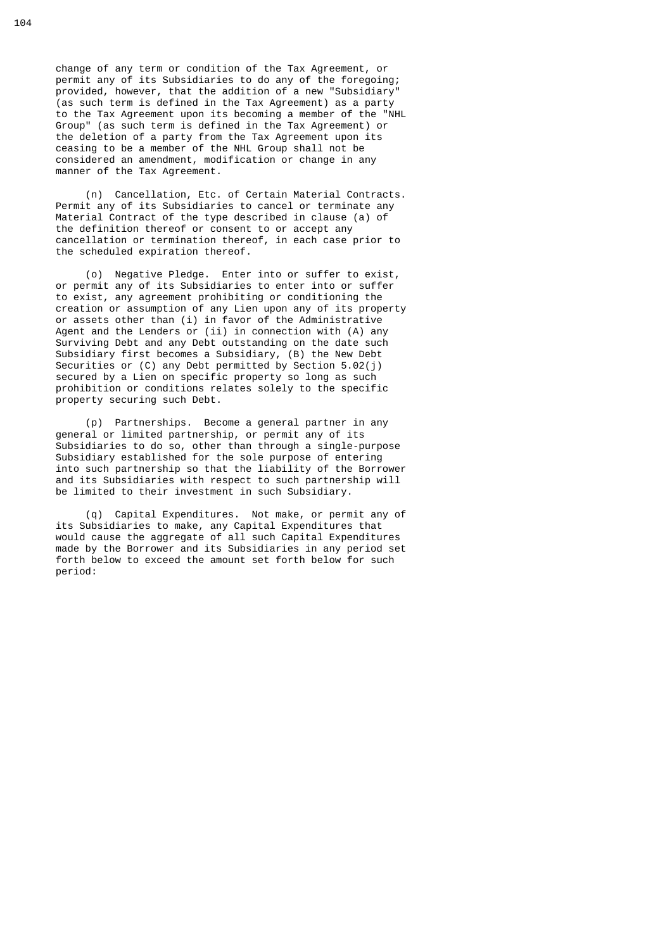change of any term or condition of the Tax Agreement, or permit any of its Subsidiaries to do any of the foregoing; provided, however, that the addition of a new "Subsidiary" (as such term is defined in the Tax Agreement) as a party to the Tax Agreement upon its becoming a member of the "NHL Group" (as such term is defined in the Tax Agreement) or the deletion of a party from the Tax Agreement upon its ceasing to be a member of the NHL Group shall not be considered an amendment, modification or change in any manner of the Tax Agreement.

 (n) Cancellation, Etc. of Certain Material Contracts. Permit any of its Subsidiaries to cancel or terminate any Material Contract of the type described in clause (a) of the definition thereof or consent to or accept any cancellation or termination thereof, in each case prior to the scheduled expiration thereof.

 (o) Negative Pledge. Enter into or suffer to exist, or permit any of its Subsidiaries to enter into or suffer to exist, any agreement prohibiting or conditioning the creation or assumption of any Lien upon any of its property or assets other than (i) in favor of the Administrative Agent and the Lenders or (ii) in connection with (A) any Surviving Debt and any Debt outstanding on the date such Subsidiary first becomes a Subsidiary, (B) the New Debt Securities or (C) any Debt permitted by Section 5.02(j) secured by a Lien on specific property so long as such prohibition or conditions relates solely to the specific property securing such Debt.

 (p) Partnerships. Become a general partner in any general or limited partnership, or permit any of its Subsidiaries to do so, other than through a single-purpose Subsidiary established for the sole purpose of entering into such partnership so that the liability of the Borrower and its Subsidiaries with respect to such partnership will be limited to their investment in such Subsidiary.

 (q) Capital Expenditures. Not make, or permit any of its Subsidiaries to make, any Capital Expenditures that would cause the aggregate of all such Capital Expenditures made by the Borrower and its Subsidiaries in any period set forth below to exceed the amount set forth below for such period: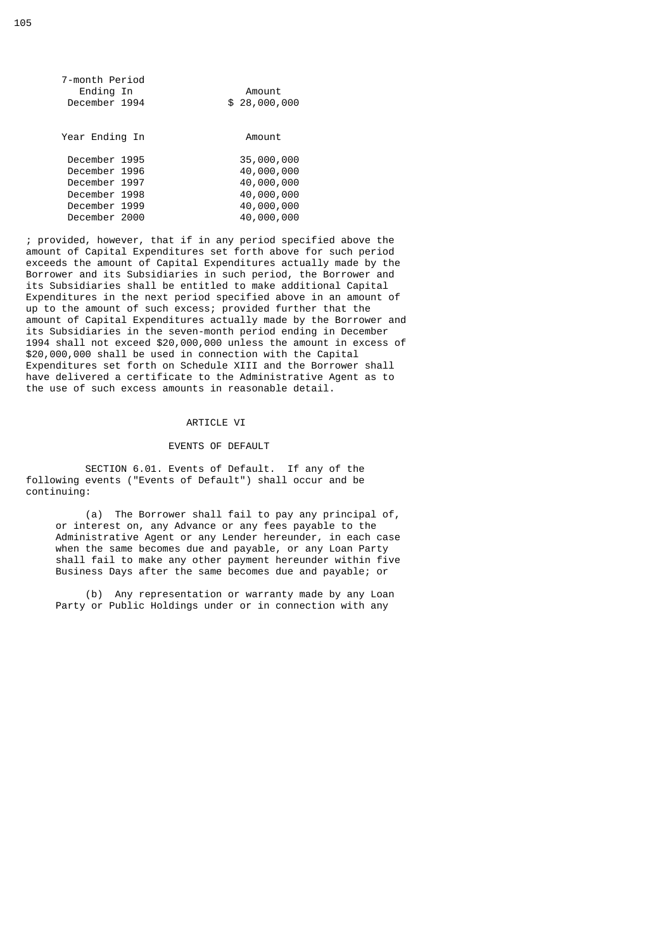| 7-month Period<br>Ending In<br>December 1994                                                       | Amount<br>\$28,000,000                                                           |
|----------------------------------------------------------------------------------------------------|----------------------------------------------------------------------------------|
| Year Ending In                                                                                     | Amount                                                                           |
| December 1995<br>December 1996<br>December 1997<br>December 1998<br>December 1999<br>December 2000 | 35,000,000<br>40,000,000<br>40,000,000<br>40,000,000<br>40,000,000<br>40,000,000 |

 ; provided, however, that if in any period specified above the amount of Capital Expenditures set forth above for such period exceeds the amount of Capital Expenditures actually made by the Borrower and its Subsidiaries in such period, the Borrower and its Subsidiaries shall be entitled to make additional Capital Expenditures in the next period specified above in an amount of up to the amount of such excess; provided further that the amount of Capital Expenditures actually made by the Borrower and its Subsidiaries in the seven-month period ending in December 1994 shall not exceed \$20,000,000 unless the amount in excess of \$20,000,000 shall be used in connection with the Capital Expenditures set forth on Schedule XIII and the Borrower shall have delivered a certificate to the Administrative Agent as to the use of such excess amounts in reasonable detail.

# ARTICLE VI

### EVENTS OF DEFAULT

 SECTION 6.01. Events of Default. If any of the following events ("Events of Default") shall occur and be continuing:

 (a) The Borrower shall fail to pay any principal of, or interest on, any Advance or any fees payable to the Administrative Agent or any Lender hereunder, in each case when the same becomes due and payable, or any Loan Party shall fail to make any other payment hereunder within five Business Days after the same becomes due and payable; or

> (b) Any representation or warranty made by any Loan Party or Public Holdings under or in connection with any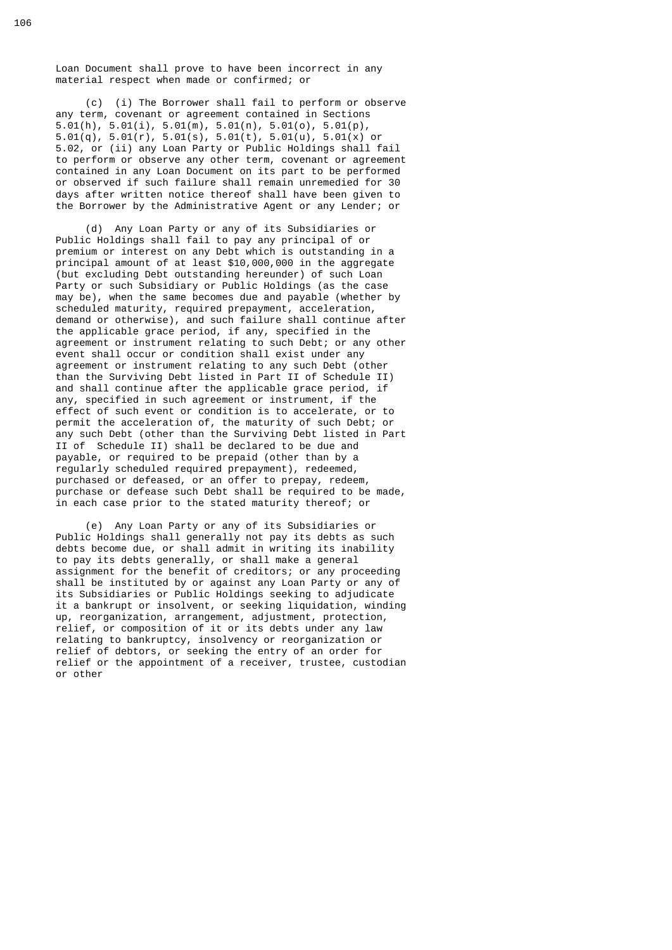Loan Document shall prove to have been incorrect in any material respect when made or confirmed; or

 (c) (i) The Borrower shall fail to perform or observe any term, covenant or agreement contained in Sections 5.01(h), 5.01(i), 5.01(m), 5.01(n), 5.01(o), 5.01(p), 5.01(q), 5.01(r), 5.01(s), 5.01(t), 5.01(u), 5.01(x) or 5.02, or (ii) any Loan Party or Public Holdings shall fail to perform or observe any other term, covenant or agreement contained in any Loan Document on its part to be performed or observed if such failure shall remain unremedied for 30 days after written notice thereof shall have been given to the Borrower by the Administrative Agent or any Lender; or

 (d) Any Loan Party or any of its Subsidiaries or Public Holdings shall fail to pay any principal of or premium or interest on any Debt which is outstanding in a principal amount of at least \$10,000,000 in the aggregate (but excluding Debt outstanding hereunder) of such Loan Party or such Subsidiary or Public Holdings (as the case may be), when the same becomes due and payable (whether by scheduled maturity, required prepayment, acceleration, demand or otherwise), and such failure shall continue after the applicable grace period, if any, specified in the agreement or instrument relating to such Debt; or any other event shall occur or condition shall exist under any agreement or instrument relating to any such Debt (other than the Surviving Debt listed in Part II of Schedule II) and shall continue after the applicable grace period, if any, specified in such agreement or instrument, if the effect of such event or condition is to accelerate, or to permit the acceleration of, the maturity of such Debt; or any such Debt (other than the Surviving Debt listed in Part II of Schedule II) shall be declared to be due and payable, or required to be prepaid (other than by a regularly scheduled required prepayment), redeemed, purchased or defeased, or an offer to prepay, redeem, purchase or defease such Debt shall be required to be made, in each case prior to the stated maturity thereof; or

 (e) Any Loan Party or any of its Subsidiaries or Public Holdings shall generally not pay its debts as such debts become due, or shall admit in writing its inability to pay its debts generally, or shall make a general assignment for the benefit of creditors; or any proceeding shall be instituted by or against any Loan Party or any of its Subsidiaries or Public Holdings seeking to adjudicate it a bankrupt or insolvent, or seeking liquidation, winding up, reorganization, arrangement, adjustment, protection, relief, or composition of it or its debts under any law relating to bankruptcy, insolvency or reorganization or relief of debtors, or seeking the entry of an order for relief or the appointment of a receiver, trustee, custodian or other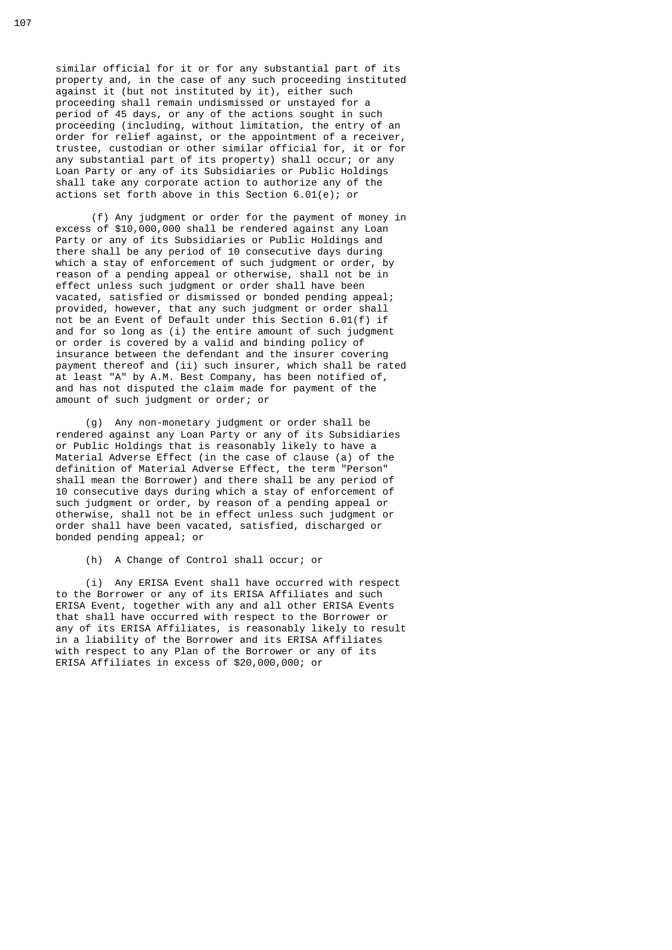similar official for it or for any substantial part of its property and, in the case of any such proceeding instituted against it (but not instituted by it), either such proceeding shall remain undismissed or unstayed for a period of 45 days, or any of the actions sought in such proceeding (including, without limitation, the entry of an order for relief against, or the appointment of a receiver, trustee, custodian or other similar official for, it or for any substantial part of its property) shall occur; or any Loan Party or any of its Subsidiaries or Public Holdings shall take any corporate action to authorize any of the actions set forth above in this Section 6.01(e); or

 (f) Any judgment or order for the payment of money in excess of \$10,000,000 shall be rendered against any Loan Party or any of its Subsidiaries or Public Holdings and there shall be any period of 10 consecutive days during which a stay of enforcement of such judgment or order, by reason of a pending appeal or otherwise, shall not be in effect unless such judgment or order shall have been vacated, satisfied or dismissed or bonded pending appeal; provided, however, that any such judgment or order shall not be an Event of Default under this Section 6.01(f) if and for so long as (i) the entire amount of such judgment or order is covered by a valid and binding policy of insurance between the defendant and the insurer covering payment thereof and (ii) such insurer, which shall be rated at least "A" by A.M. Best Company, has been notified of, and has not disputed the claim made for payment of the amount of such judgment or order; or

> (g) Any non-monetary judgment or order shall be rendered against any Loan Party or any of its Subsidiaries or Public Holdings that is reasonably likely to have a Material Adverse Effect (in the case of clause (a) of the definition of Material Adverse Effect, the term "Person" shall mean the Borrower) and there shall be any period of 10 consecutive days during which a stay of enforcement of such judgment or order, by reason of a pending appeal or otherwise, shall not be in effect unless such judgment or order shall have been vacated, satisfied, discharged or bonded pending appeal; or

(h) A Change of Control shall occur; or

 (i) Any ERISA Event shall have occurred with respect to the Borrower or any of its ERISA Affiliates and such ERISA Event, together with any and all other ERISA Events that shall have occurred with respect to the Borrower or any of its ERISA Affiliates, is reasonably likely to result in a liability of the Borrower and its ERISA Affiliates with respect to any Plan of the Borrower or any of its ERISA Affiliates in excess of \$20,000,000; or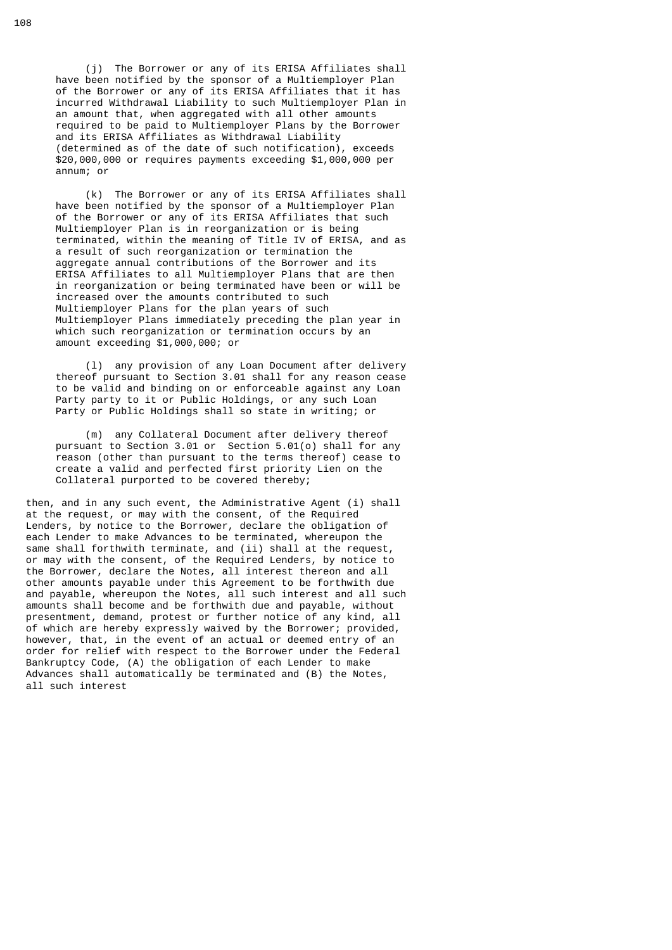(j) The Borrower or any of its ERISA Affiliates shall have been notified by the sponsor of a Multiemployer Plan of the Borrower or any of its ERISA Affiliates that it has incurred Withdrawal Liability to such Multiemployer Plan in an amount that, when aggregated with all other amounts required to be paid to Multiemployer Plans by the Borrower and its ERISA Affiliates as Withdrawal Liability (determined as of the date of such notification), exceeds \$20,000,000 or requires payments exceeding \$1,000,000 per annum; or

 (k) The Borrower or any of its ERISA Affiliates shall have been notified by the sponsor of a Multiemployer Plan of the Borrower or any of its ERISA Affiliates that such Multiemployer Plan is in reorganization or is being terminated, within the meaning of Title IV of ERISA, and as a result of such reorganization or termination the aggregate annual contributions of the Borrower and its ERISA Affiliates to all Multiemployer Plans that are then in reorganization or being terminated have been or will be increased over the amounts contributed to such Multiemployer Plans for the plan years of such Multiemployer Plans immediately preceding the plan year in which such reorganization or termination occurs by an amount exceeding \$1,000,000; or

 (l) any provision of any Loan Document after delivery thereof pursuant to Section 3.01 shall for any reason cease to be valid and binding on or enforceable against any Loan Party party to it or Public Holdings, or any such Loan Party or Public Holdings shall so state in writing; or

 (m) any Collateral Document after delivery thereof pursuant to Section 3.01 or Section 5.01(o) shall for any reason (other than pursuant to the terms thereof) cease to create a valid and perfected first priority Lien on the Collateral purported to be covered thereby;

 then, and in any such event, the Administrative Agent (i) shall at the request, or may with the consent, of the Required Lenders, by notice to the Borrower, declare the obligation of each Lender to make Advances to be terminated, whereupon the same shall forthwith terminate, and (ii) shall at the request, or may with the consent, of the Required Lenders, by notice to the Borrower, declare the Notes, all interest thereon and all other amounts payable under this Agreement to be forthwith due and payable, whereupon the Notes, all such interest and all such amounts shall become and be forthwith due and payable, without presentment, demand, protest or further notice of any kind, all of which are hereby expressly waived by the Borrower; provided, however, that, in the event of an actual or deemed entry of an order for relief with respect to the Borrower under the Federal Bankruptcy Code, (A) the obligation of each Lender to make Advances shall automatically be terminated and (B) the Notes, all such interest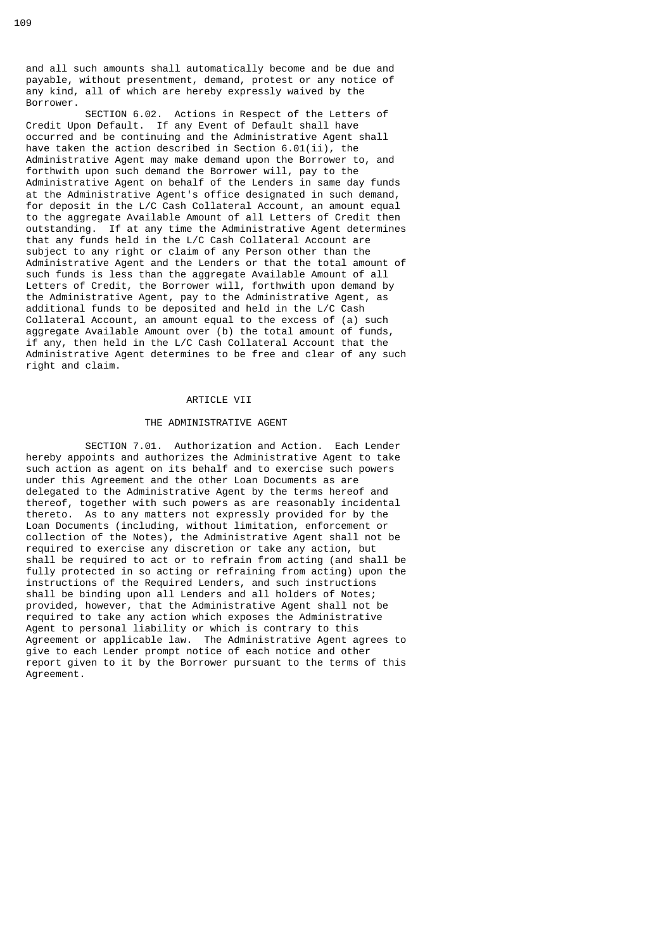and all such amounts shall automatically become and be due and payable, without presentment, demand, protest or any notice of any kind, all of which are hereby expressly waived by the Borrower.

 SECTION 6.02. Actions in Respect of the Letters of Credit Upon Default. If any Event of Default shall have occurred and be continuing and the Administrative Agent shall have taken the action described in Section 6.01(ii), the Administrative Agent may make demand upon the Borrower to, and forthwith upon such demand the Borrower will, pay to the Administrative Agent on behalf of the Lenders in same day funds at the Administrative Agent's office designated in such demand, for deposit in the L/C Cash Collateral Account, an amount equal to the aggregate Available Amount of all Letters of Credit then outstanding. If at any time the Administrative Agent determines that any funds held in the L/C Cash Collateral Account are subject to any right or claim of any Person other than the Administrative Agent and the Lenders or that the total amount of such funds is less than the aggregate Available Amount of all Letters of Credit, the Borrower will, forthwith upon demand by the Administrative Agent, pay to the Administrative Agent, as additional funds to be deposited and held in the L/C Cash Collateral Account, an amount equal to the excess of (a) such aggregate Available Amount over (b) the total amount of funds, if any, then held in the L/C Cash Collateral Account that the Administrative Agent determines to be free and clear of any such right and claim.

# ARTICLE VII

## THE ADMINISTRATIVE AGENT

 SECTION 7.01. Authorization and Action. Each Lender hereby appoints and authorizes the Administrative Agent to take such action as agent on its behalf and to exercise such powers under this Agreement and the other Loan Documents as are delegated to the Administrative Agent by the terms hereof and thereof, together with such powers as are reasonably incidental thereto. As to any matters not expressly provided for by the Loan Documents (including, without limitation, enforcement or collection of the Notes), the Administrative Agent shall not be required to exercise any discretion or take any action, but shall be required to act or to refrain from acting (and shall be fully protected in so acting or refraining from acting) upon the instructions of the Required Lenders, and such instructions shall be binding upon all Lenders and all holders of Notes; provided, however, that the Administrative Agent shall not be required to take any action which exposes the Administrative Agent to personal liability or which is contrary to this Agreement or applicable law. The Administrative Agent agrees to give to each Lender prompt notice of each notice and other report given to it by the Borrower pursuant to the terms of this Agreement.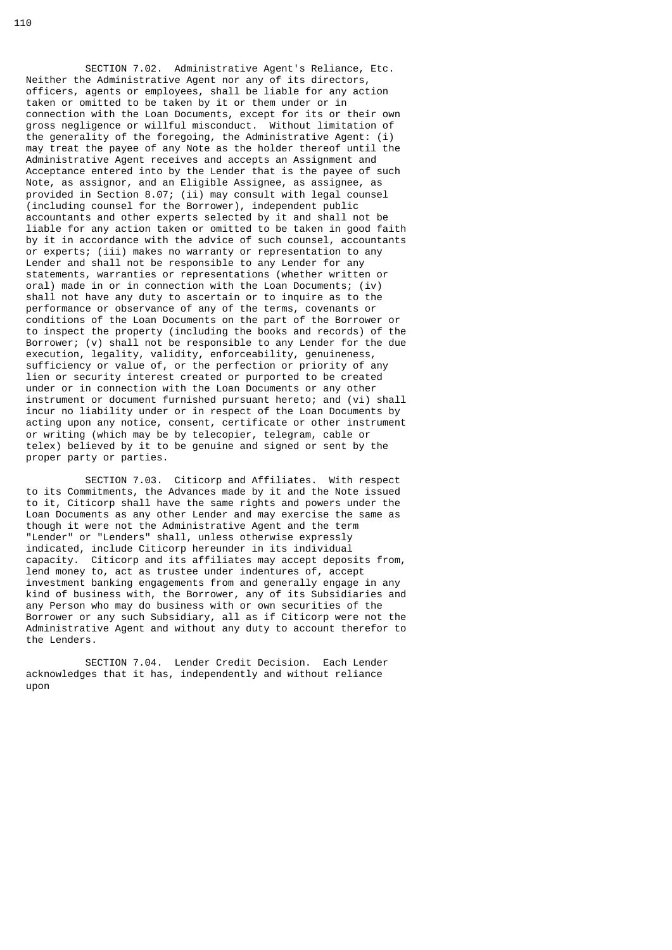SECTION 7.02. Administrative Agent's Reliance, Etc. Neither the Administrative Agent nor any of its directors, officers, agents or employees, shall be liable for any action taken or omitted to be taken by it or them under or in connection with the Loan Documents, except for its or their own gross negligence or willful misconduct. Without limitation of the generality of the foregoing, the Administrative Agent: (i) may treat the payee of any Note as the holder thereof until the Administrative Agent receives and accepts an Assignment and Acceptance entered into by the Lender that is the payee of such Note, as assignor, and an Eligible Assignee, as assignee, as provided in Section 8.07; (ii) may consult with legal counsel (including counsel for the Borrower), independent public accountants and other experts selected by it and shall not be liable for any action taken or omitted to be taken in good faith by it in accordance with the advice of such counsel, accountants or experts; (iii) makes no warranty or representation to any Lender and shall not be responsible to any Lender for any statements, warranties or representations (whether written or oral) made in or in connection with the Loan Documents; (iv) shall not have any duty to ascertain or to inquire as to the performance or observance of any of the terms, covenants or conditions of the Loan Documents on the part of the Borrower or to inspect the property (including the books and records) of the Borrower; (v) shall not be responsible to any Lender for the due execution, legality, validity, enforceability, genuineness, sufficiency or value of, or the perfection or priority of any lien or security interest created or purported to be created under or in connection with the Loan Documents or any other instrument or document furnished pursuant hereto; and (vi) shall incur no liability under or in respect of the Loan Documents by acting upon any notice, consent, certificate or other instrument or writing (which may be by telecopier, telegram, cable or telex) believed by it to be genuine and signed or sent by the proper party or parties.

 SECTION 7.03. Citicorp and Affiliates. With respect to its Commitments, the Advances made by it and the Note issued to it, Citicorp shall have the same rights and powers under the Loan Documents as any other Lender and may exercise the same as though it were not the Administrative Agent and the term "Lender" or "Lenders" shall, unless otherwise expressly indicated, include Citicorp hereunder in its individual capacity. Citicorp and its affiliates may accept deposits from, lend money to, act as trustee under indentures of, accept investment banking engagements from and generally engage in any kind of business with, the Borrower, any of its Subsidiaries and any Person who may do business with or own securities of the Borrower or any such Subsidiary, all as if Citicorp were not the Administrative Agent and without any duty to account therefor to the Lenders.

 SECTION 7.04. Lender Credit Decision. Each Lender acknowledges that it has, independently and without reliance upon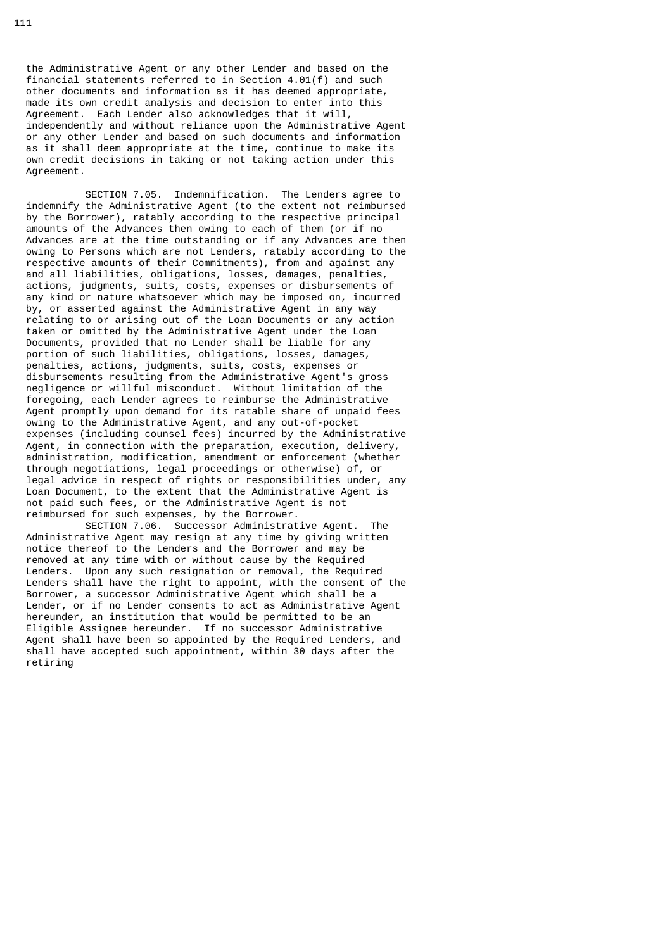the Administrative Agent or any other Lender and based on the financial statements referred to in Section 4.01(f) and such other documents and information as it has deemed appropriate, made its own credit analysis and decision to enter into this Agreement. Each Lender also acknowledges that it will, independently and without reliance upon the Administrative Agent or any other Lender and based on such documents and information as it shall deem appropriate at the time, continue to make its own credit decisions in taking or not taking action under this Agreement.

 SECTION 7.05. Indemnification. The Lenders agree to indemnify the Administrative Agent (to the extent not reimbursed by the Borrower), ratably according to the respective principal amounts of the Advances then owing to each of them (or if no Advances are at the time outstanding or if any Advances are then owing to Persons which are not Lenders, ratably according to the respective amounts of their Commitments), from and against any and all liabilities, obligations, losses, damages, penalties, actions, judgments, suits, costs, expenses or disbursements of any kind or nature whatsoever which may be imposed on, incurred by, or asserted against the Administrative Agent in any way relating to or arising out of the Loan Documents or any action taken or omitted by the Administrative Agent under the Loan Documents, provided that no Lender shall be liable for any portion of such liabilities, obligations, losses, damages, penalties, actions, judgments, suits, costs, expenses or disbursements resulting from the Administrative Agent's gross negligence or willful misconduct. Without limitation of the foregoing, each Lender agrees to reimburse the Administrative Agent promptly upon demand for its ratable share of unpaid fees owing to the Administrative Agent, and any out-of-pocket expenses (including counsel fees) incurred by the Administrative Agent, in connection with the preparation, execution, delivery, administration, modification, amendment or enforcement (whether through negotiations, legal proceedings or otherwise) of, or legal advice in respect of rights or responsibilities under, any Loan Document, to the extent that the Administrative Agent is not paid such fees, or the Administrative Agent is not reimbursed for such expenses, by the Borrower.

 SECTION 7.06. Successor Administrative Agent. The Administrative Agent may resign at any time by giving written notice thereof to the Lenders and the Borrower and may be removed at any time with or without cause by the Required Lenders. Upon any such resignation or removal, the Required Lenders shall have the right to appoint, with the consent of the Borrower, a successor Administrative Agent which shall be a Lender, or if no Lender consents to act as Administrative Agent hereunder, an institution that would be permitted to be an Eligible Assignee hereunder. If no successor Administrative Agent shall have been so appointed by the Required Lenders, and shall have accepted such appointment, within 30 days after the retiring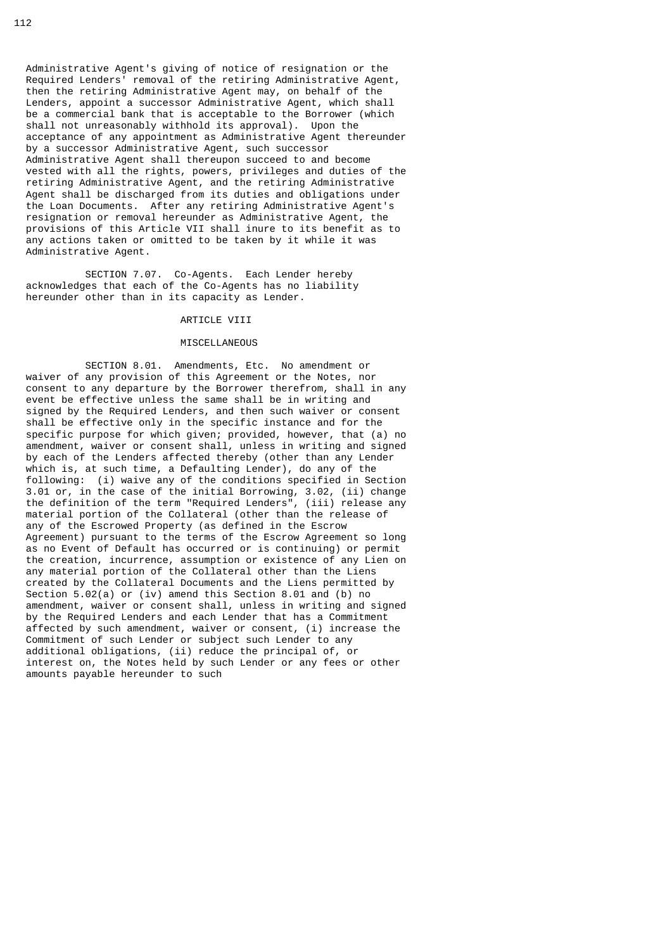Administrative Agent's giving of notice of resignation or the Required Lenders' removal of the retiring Administrative Agent, then the retiring Administrative Agent may, on behalf of the Lenders, appoint a successor Administrative Agent, which shall be a commercial bank that is acceptable to the Borrower (which shall not unreasonably withhold its approval). Upon the acceptance of any appointment as Administrative Agent thereunder by a successor Administrative Agent, such successor Administrative Agent shall thereupon succeed to and become vested with all the rights, powers, privileges and duties of the retiring Administrative Agent, and the retiring Administrative Agent shall be discharged from its duties and obligations under the Loan Documents. After any retiring Administrative Agent's resignation or removal hereunder as Administrative Agent, the provisions of this Article VII shall inure to its benefit as to any actions taken or omitted to be taken by it while it was Administrative Agent.

 SECTION 7.07. Co-Agents. Each Lender hereby acknowledges that each of the Co-Agents has no liability hereunder other than in its capacity as Lender.

# ARTICLE VIII

## MISCELLANEOUS

 SECTION 8.01. Amendments, Etc. No amendment or waiver of any provision of this Agreement or the Notes, nor consent to any departure by the Borrower therefrom, shall in any event be effective unless the same shall be in writing and signed by the Required Lenders, and then such waiver or consent shall be effective only in the specific instance and for the specific purpose for which given; provided, however, that (a) no amendment, waiver or consent shall, unless in writing and signed by each of the Lenders affected thereby (other than any Lender which is, at such time, a Defaulting Lender), do any of the following: (i) waive any of the conditions specified in Section 3.01 or, in the case of the initial Borrowing, 3.02, (ii) change the definition of the term "Required Lenders", (iii) release any material portion of the Collateral (other than the release of any of the Escrowed Property (as defined in the Escrow Agreement) pursuant to the terms of the Escrow Agreement so long  $\overline{a}$  as no Event of Default has occurred or is continuing) or permit the creation, incurrence, assumption or existence of any Lien on any material portion of the Collateral other than the Liens created by the Collateral Documents and the Liens permitted by Section 5.02(a) or (iv) amend this Section 8.01 and (b) no amendment, waiver or consent shall, unless in writing and signed by the Required Lenders and each Lender that has a Commitment affected by such amendment, waiver or consent, (i) increase the Commitment of such Lender or subject such Lender to any additional obligations, (ii) reduce the principal of, or interest on, the Notes held by such Lender or any fees or other amounts payable hereunder to such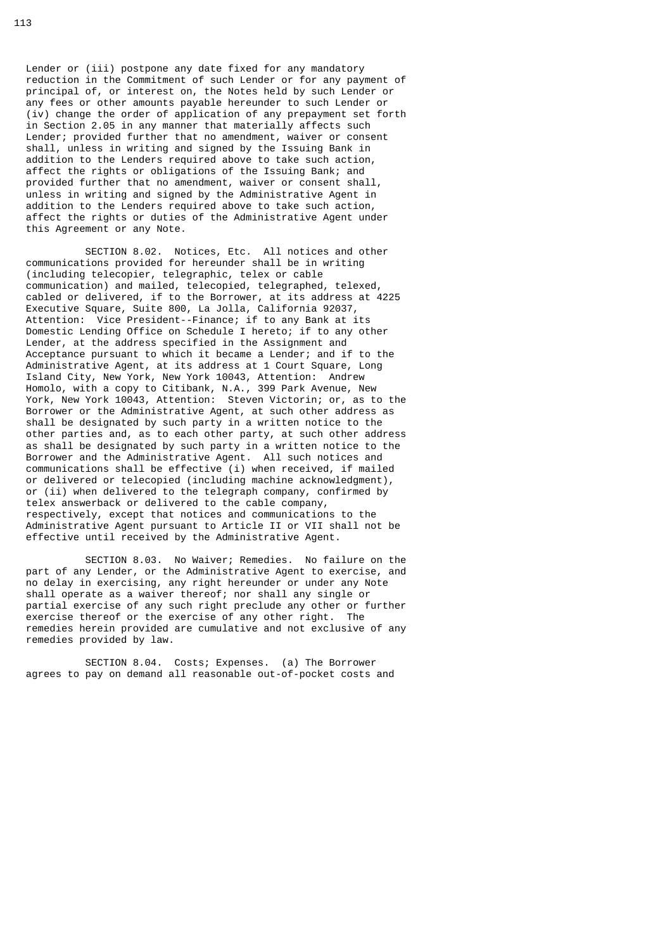Lender or (iii) postpone any date fixed for any mandatory reduction in the Commitment of such Lender or for any payment of principal of, or interest on, the Notes held by such Lender or any fees or other amounts payable hereunder to such Lender or (iv) change the order of application of any prepayment set forth in Section 2.05 in any manner that materially affects such Lender; provided further that no amendment, waiver or consent shall, unless in writing and signed by the Issuing Bank in addition to the Lenders required above to take such action, affect the rights or obligations of the Issuing Bank; and provided further that no amendment, waiver or consent shall, unless in writing and signed by the Administrative Agent in addition to the Lenders required above to take such action, affect the rights or duties of the Administrative Agent under this Agreement or any Note.

 SECTION 8.02. Notices, Etc. All notices and other communications provided for hereunder shall be in writing (including telecopier, telegraphic, telex or cable communication) and mailed, telecopied, telegraphed, telexed, cabled or delivered, if to the Borrower, at its address at 4225 Executive Square, Suite 800, La Jolla, California 92037, Attention: Vice President--Finance; if to any Bank at its Domestic Lending Office on Schedule I hereto; if to any other Lender, at the address specified in the Assignment and Acceptance pursuant to which it became a Lender; and if to the Administrative Agent, at its address at 1 Court Square, Long Island City, New York, New York 10043, Attention: Andrew Homolo, with a copy to Citibank, N.A., 399 Park Avenue, New York, New York 10043, Attention: Steven Victorin; or, as to the Borrower or the Administrative Agent, at such other address as shall be designated by such party in a written notice to the other parties and, as to each other party, at such other address as shall be designated by such party in a written notice to the Borrower and the Administrative Agent. All such notices and communications shall be effective (i) when received, if mailed or delivered or telecopied (including machine acknowledgment), or (ii) when delivered to the telegraph company, confirmed by telex answerback or delivered to the cable company, respectively, except that notices and communications to the Administrative Agent pursuant to Article II or VII shall not be effective until received by the Administrative Agent.

 SECTION 8.03. No Waiver; Remedies. No failure on the part of any Lender, or the Administrative Agent to exercise, and no delay in exercising, any right hereunder or under any Note shall operate as a waiver thereof; nor shall any single or partial exercise of any such right preclude any other or further exercise thereof or the exercise of any other right. The remedies herein provided are cumulative and not exclusive of any remedies provided by law.

 SECTION 8.04. Costs; Expenses. (a) The Borrower agrees to pay on demand all reasonable out-of-pocket costs and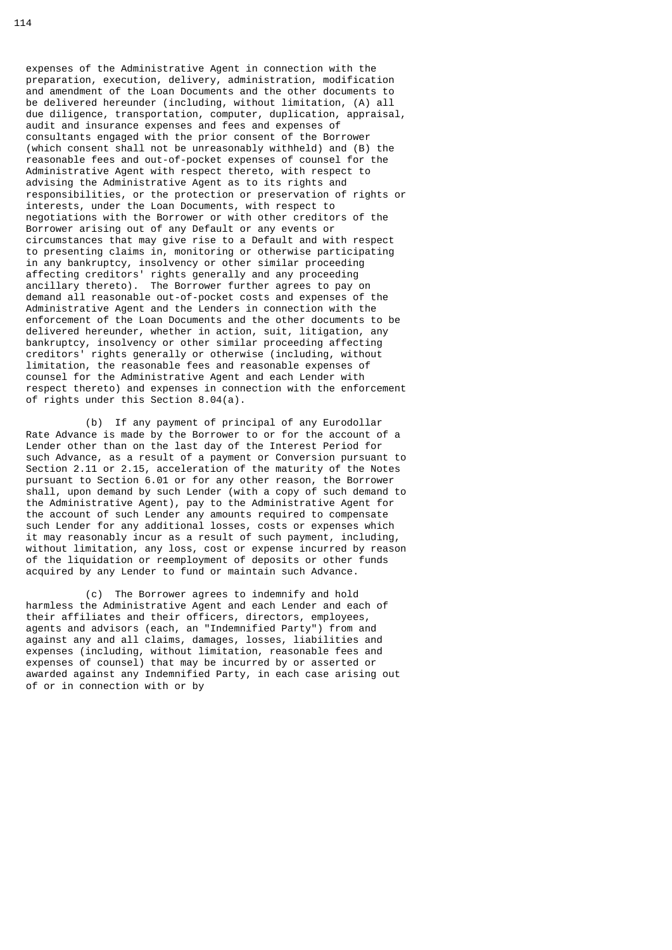expenses of the Administrative Agent in connection with the preparation, execution, delivery, administration, modification and amendment of the Loan Documents and the other documents to be delivered hereunder (including, without limitation, (A) all due diligence, transportation, computer, duplication, appraisal, audit and insurance expenses and fees and expenses of consultants engaged with the prior consent of the Borrower (which consent shall not be unreasonably withheld) and (B) the reasonable fees and out-of-pocket expenses of counsel for the Administrative Agent with respect thereto, with respect to advising the Administrative Agent as to its rights and responsibilities, or the protection or preservation of rights or interests, under the Loan Documents, with respect to negotiations with the Borrower or with other creditors of the Borrower arising out of any Default or any events or circumstances that may give rise to a Default and with respect to presenting claims in, monitoring or otherwise participating in any bankruptcy, insolvency or other similar proceeding affecting creditors' rights generally and any proceeding ancillary thereto). The Borrower further agrees to pay on demand all reasonable out-of-pocket costs and expenses of the Administrative Agent and the Lenders in connection with the enforcement of the Loan Documents and the other documents to be delivered hereunder, whether in action, suit, litigation, any bankruptcy, insolvency or other similar proceeding affecting creditors' rights generally or otherwise (including, without limitation, the reasonable fees and reasonable expenses of counsel for the Administrative Agent and each Lender with respect thereto) and expenses in connection with the enforcement of rights under this Section 8.04(a).

 (b) If any payment of principal of any Eurodollar Rate Advance is made by the Borrower to or for the account of a Lender other than on the last day of the Interest Period for such Advance, as a result of a payment or Conversion pursuant to Section 2.11 or 2.15, acceleration of the maturity of the Notes pursuant to Section 6.01 or for any other reason, the Borrower shall, upon demand by such Lender (with a copy of such demand to the Administrative Agent), pay to the Administrative Agent for the account of such Lender any amounts required to compensate such Lender for any additional losses, costs or expenses which it may reasonably incur as a result of such payment, including, without limitation, any loss, cost or expense incurred by reason of the liquidation or reemployment of deposits or other funds acquired by any Lender to fund or maintain such Advance.

 (c) The Borrower agrees to indemnify and hold harmless the Administrative Agent and each Lender and each of their affiliates and their officers, directors, employees, agents and advisors (each, an "Indemnified Party") from and against any and all claims, damages, losses, liabilities and expenses (including, without limitation, reasonable fees and expenses of counsel) that may be incurred by or asserted or awarded against any Indemnified Party, in each case arising out of or in connection with or by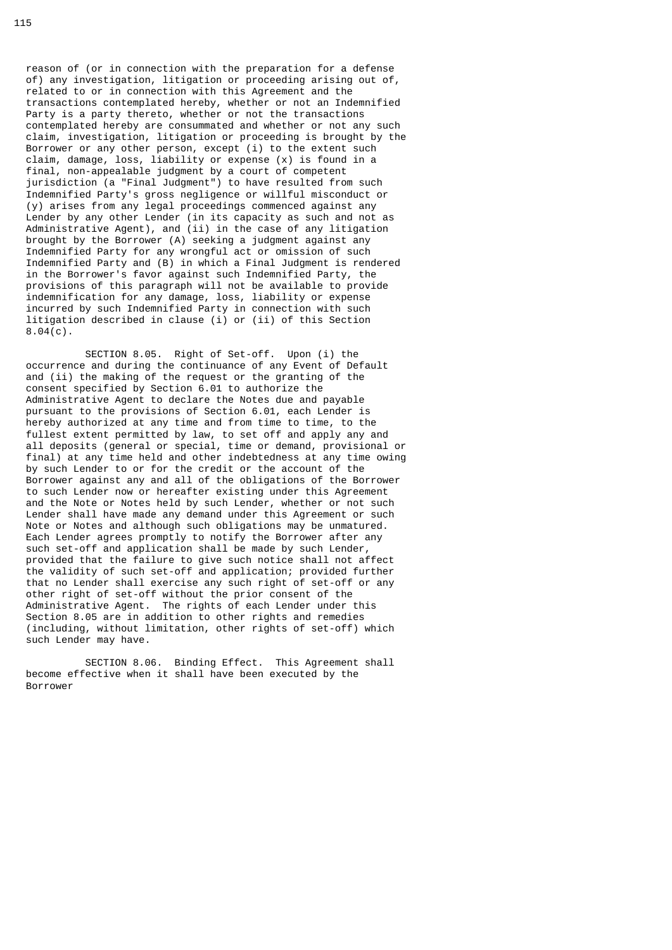reason of (or in connection with the preparation for a defense of) any investigation, litigation or proceeding arising out of, related to or in connection with this Agreement and the transactions contemplated hereby, whether or not an Indemnified Party is a party thereto, whether or not the transactions contemplated hereby are consummated and whether or not any such claim, investigation, litigation or proceeding is brought by the Borrower or any other person, except (i) to the extent such claim, damage, loss, liability or expense (x) is found in a final, non-appealable judgment by a court of competent jurisdiction (a "Final Judgment") to have resulted from such Indemnified Party's gross negligence or willful misconduct or (y) arises from any legal proceedings commenced against any Lender by any other Lender (in its capacity as such and not as Administrative Agent), and (ii) in the case of any litigation brought by the Borrower (A) seeking a judgment against any Indemnified Party for any wrongful act or omission of such Indemnified Party and (B) in which a Final Judgment is rendered in the Borrower's favor against such Indemnified Party, the provisions of this paragraph will not be available to provide indemnification for any damage, loss, liability or expense incurred by such Indemnified Party in connection with such litigation described in clause (i) or (ii) of this Section  $8.04(c)$ .

 SECTION 8.05. Right of Set-off. Upon (i) the occurrence and during the continuance of any Event of Default and (ii) the making of the request or the granting of the consent specified by Section 6.01 to authorize the Administrative Agent to declare the Notes due and payable pursuant to the provisions of Section 6.01, each Lender is hereby authorized at any time and from time to time, to the fullest extent permitted by law, to set off and apply any and all deposits (general or special, time or demand, provisional or final) at any time held and other indebtedness at any time owing by such Lender to or for the credit or the account of the Borrower against any and all of the obligations of the Borrower to such Lender now or hereafter existing under this Agreement and the Note or Notes held by such Lender, whether or not such Lender shall have made any demand under this Agreement or such Note or Notes and although such obligations may be unmatured. Each Lender agrees promptly to notify the Borrower after any such set-off and application shall be made by such Lender, provided that the failure to give such notice shall not affect the validity of such set-off and application; provided further that no Lender shall exercise any such right of set-off or any other right of set-off without the prior consent of the Administrative Agent. The rights of each Lender under this Section 8.05 are in addition to other rights and remedies (including, without limitation, other rights of set-off) which such Lender may have.

 SECTION 8.06. Binding Effect. This Agreement shall become effective when it shall have been executed by the Borrower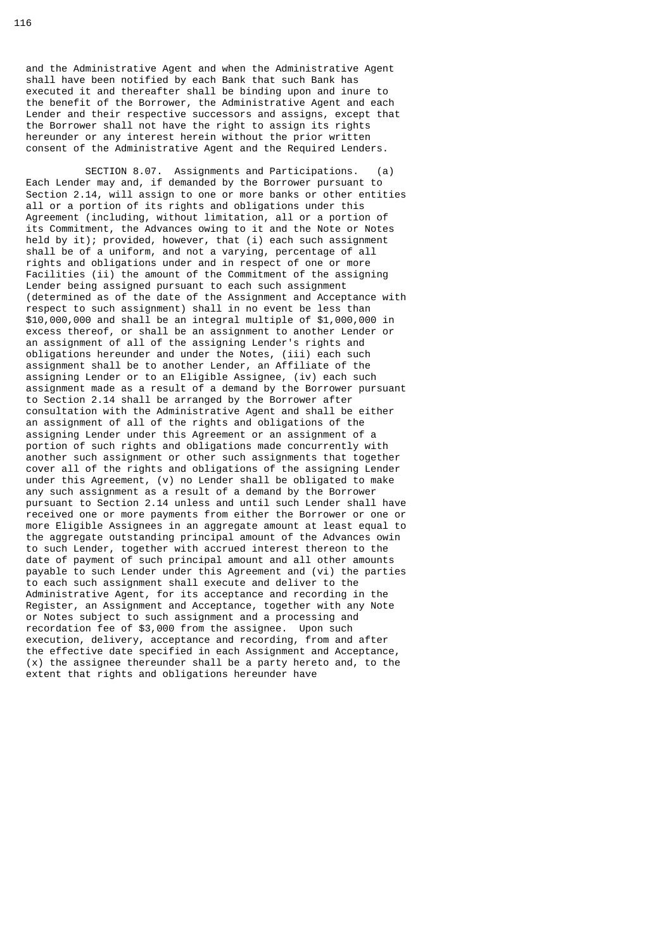and the Administrative Agent and when the Administrative Agent shall have been notified by each Bank that such Bank has executed it and thereafter shall be binding upon and inure to the benefit of the Borrower, the Administrative Agent and each Lender and their respective successors and assigns, except that the Borrower shall not have the right to assign its rights hereunder or any interest herein without the prior written consent of the Administrative Agent and the Required Lenders.

 SECTION 8.07. Assignments and Participations. (a) Each Lender may and, if demanded by the Borrower pursuant to Section 2.14, will assign to one or more banks or other entities all or a portion of its rights and obligations under this Agreement (including, without limitation, all or a portion of its Commitment, the Advances owing to it and the Note or Notes held by it); provided, however, that (i) each such assignment shall be of a uniform, and not a varying, percentage of all rights and obligations under and in respect of one or more Facilities (ii) the amount of the Commitment of the assigning Lender being assigned pursuant to each such assignment (determined as of the date of the Assignment and Acceptance with respect to such assignment) shall in no event be less than \$10,000,000 and shall be an integral multiple of \$1,000,000 in excess thereof, or shall be an assignment to another Lender or an assignment of all of the assigning Lender's rights and obligations hereunder and under the Notes, (iii) each such assignment shall be to another Lender, an Affiliate of the assigning Lender or to an Eligible Assignee, (iv) each such assignment made as a result of a demand by the Borrower pursuant to Section 2.14 shall be arranged by the Borrower after consultation with the Administrative Agent and shall be either an assignment of all of the rights and obligations of the assigning Lender under this Agreement or an assignment of a portion of such rights and obligations made concurrently with another such assignment or other such assignments that together cover all of the rights and obligations of the assigning Lender under this Agreement, (v) no Lender shall be obligated to make any such assignment as a result of a demand by the Borrower pursuant to Section 2.14 unless and until such Lender shall have received one or more payments from either the Borrower or one or more Eligible Assignees in an aggregate amount at least equal to the aggregate outstanding principal amount of the Advances owin to such Lender, together with accrued interest thereon to the date of payment of such principal amount and all other amounts payable to such Lender under this Agreement and (vi) the parties to each such assignment shall execute and deliver to the Administrative Agent, for its acceptance and recording in the Register, an Assignment and Acceptance, together with any Note or Notes subject to such assignment and a processing and recordation fee of \$3,000 from the assignee. Upon such execution, delivery, acceptance and recording, from and after the effective date specified in each Assignment and Acceptance, (x) the assignee thereunder shall be a party hereto and, to the extent that rights and obligations hereunder have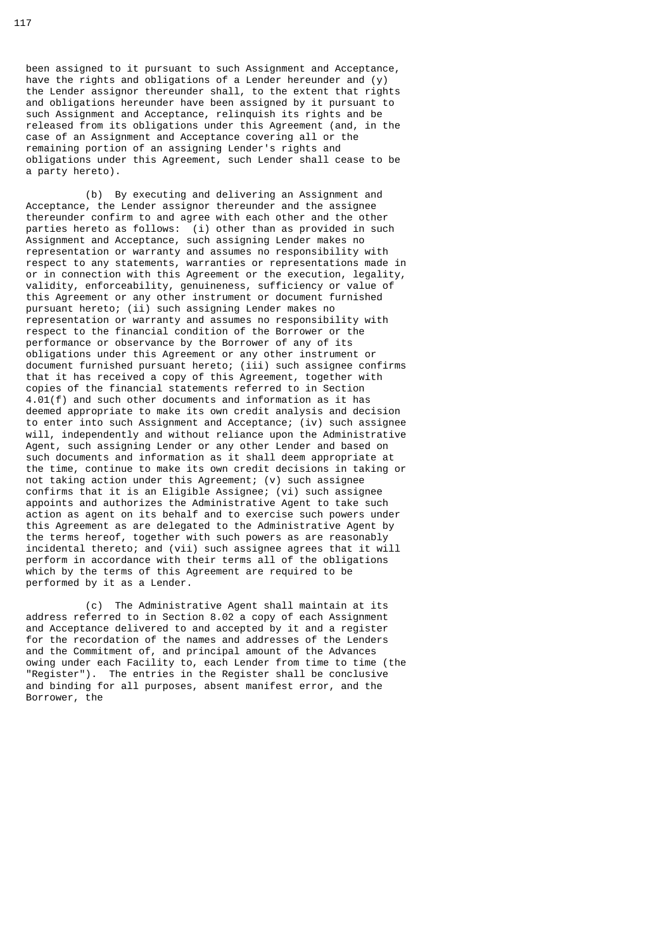been assigned to it pursuant to such Assignment and Acceptance, have the rights and obligations of a Lender hereunder and (y) the Lender assignor thereunder shall, to the extent that rights and obligations hereunder have been assigned by it pursuant to such Assignment and Acceptance, relinquish its rights and be released from its obligations under this Agreement (and, in the case of an Assignment and Acceptance covering all or the remaining portion of an assigning Lender's rights and obligations under this Agreement, such Lender shall cease to be a party hereto).

 (b) By executing and delivering an Assignment and Acceptance, the Lender assignor thereunder and the assignee thereunder confirm to and agree with each other and the other parties hereto as follows: (i) other than as provided in such Assignment and Acceptance, such assigning Lender makes no representation or warranty and assumes no responsibility with respect to any statements, warranties or representations made in or in connection with this Agreement or the execution, legality, validity, enforceability, genuineness, sufficiency or value of this Agreement or any other instrument or document furnished pursuant hereto; (ii) such assigning Lender makes no representation or warranty and assumes no responsibility with respect to the financial condition of the Borrower or the performance or observance by the Borrower of any of its obligations under this Agreement or any other instrument or document furnished pursuant hereto; (iii) such assignee confirms that it has received a copy of this Agreement, together with copies of the financial statements referred to in Section 4.01(f) and such other documents and information as it has deemed appropriate to make its own credit analysis and decision to enter into such Assignment and Acceptance; (iv) such assignee will, independently and without reliance upon the Administrative Agent, such assigning Lender or any other Lender and based on such documents and information as it shall deem appropriate at the time, continue to make its own credit decisions in taking or not taking action under this Agreement; (v) such assignee confirms that it is an Eligible Assignee; (vi) such assignee appoints and authorizes the Administrative Agent to take such action as agent on its behalf and to exercise such powers under this Agreement as are delegated to the Administrative Agent by the terms hereof, together with such powers as are reasonably incidental thereto; and (vii) such assignee agrees that it will perform in accordance with their terms all of the obligations which by the terms of this Agreement are required to be performed by it as a Lender.

 (c) The Administrative Agent shall maintain at its address referred to in Section 8.02 a copy of each Assignment and Acceptance delivered to and accepted by it and a register for the recordation of the names and addresses of the Lenders and the Commitment of, and principal amount of the Advances owing under each Facility to, each Lender from time to time (the "Register"). The entries in the Register shall be conclusive and binding for all purposes, absent manifest error, and the Borrower, the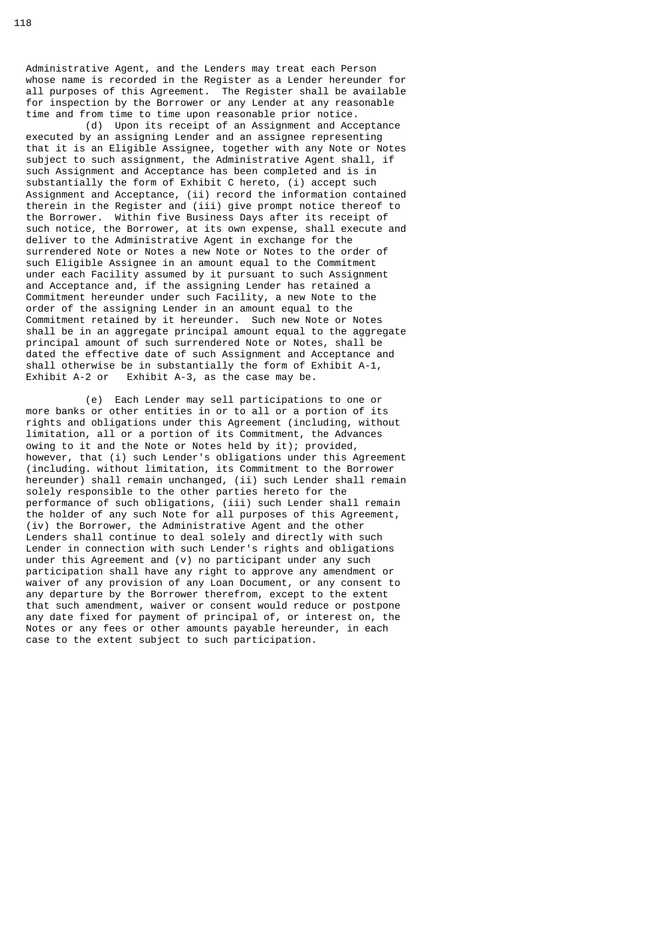Administrative Agent, and the Lenders may treat each Person whose name is recorded in the Register as a Lender hereunder for all purposes of this Agreement. The Register shall be available for inspection by the Borrower or any Lender at any reasonable time and from time to time upon reasonable prior notice.

 (d) Upon its receipt of an Assignment and Acceptance executed by an assigning Lender and an assignee representing that it is an Eligible Assignee, together with any Note or Notes subject to such assignment, the Administrative Agent shall, if such Assignment and Acceptance has been completed and is in substantially the form of Exhibit C hereto, (i) accept such Assignment and Acceptance, (ii) record the information contained therein in the Register and (iii) give prompt notice thereof to the Borrower. Within five Business Days after its receipt of such notice, the Borrower, at its own expense, shall execute and deliver to the Administrative Agent in exchange for the surrendered Note or Notes a new Note or Notes to the order of such Eligible Assignee in an amount equal to the Commitment under each Facility assumed by it pursuant to such Assignment and Acceptance and, if the assigning Lender has retained a Commitment hereunder under such Facility, a new Note to the order of the assigning Lender in an amount equal to the Commitment retained by it hereunder. Such new Note or Notes shall be in an aggregate principal amount equal to the aggregate principal amount of such surrendered Note or Notes, shall be dated the effective date of such Assignment and Acceptance and shall otherwise be in substantially the form of Exhibit A-1,  $Exhibit A-2$  or  $Exhibit A-3$ , as the case may be. Exhibit A-3, as the case may be.

 (e) Each Lender may sell participations to one or more banks or other entities in or to all or a portion of its rights and obligations under this Agreement (including, without limitation, all or a portion of its Commitment, the Advances owing to it and the Note or Notes held by it); provided, however, that (i) such Lender's obligations under this Agreement (including. without limitation, its Commitment to the Borrower hereunder) shall remain unchanged, (ii) such Lender shall remain solely responsible to the other parties hereto for the performance of such obligations, (iii) such Lender shall remain the holder of any such Note for all purposes of this Agreement, (iv) the Borrower, the Administrative Agent and the other Lenders shall continue to deal solely and directly with such Lender in connection with such Lender's rights and obligations under this Agreement and (v) no participant under any such participation shall have any right to approve any amendment or waiver of any provision of any Loan Document, or any consent to any departure by the Borrower therefrom, except to the extent that such amendment, waiver or consent would reduce or postpone any date fixed for payment of principal of, or interest on, the Notes or any fees or other amounts payable hereunder, in each case to the extent subject to such participation.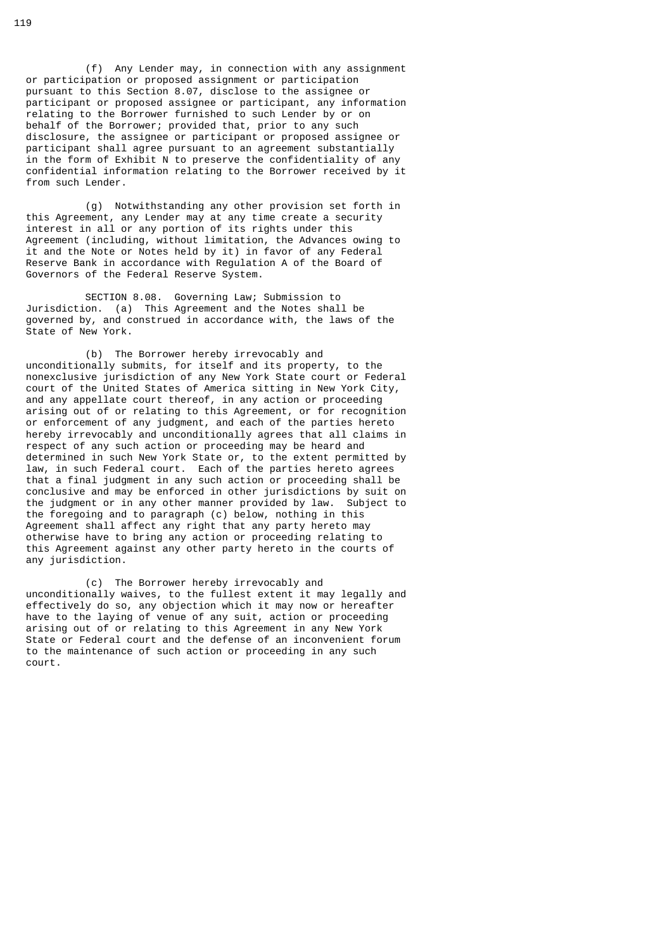(f) Any Lender may, in connection with any assignment or participation or proposed assignment or participation pursuant to this Section 8.07, disclose to the assignee or participant or proposed assignee or participant, any information relating to the Borrower furnished to such Lender by or on behalf of the Borrower; provided that, prior to any such disclosure, the assignee or participant or proposed assignee or participant shall agree pursuant to an agreement substantially in the form of Exhibit N to preserve the confidentiality of any confidential information relating to the Borrower received by it from such Lender.

 (g) Notwithstanding any other provision set forth in this Agreement, any Lender may at any time create a security interest in all or any portion of its rights under this Agreement (including, without limitation, the Advances owing to it and the Note or Notes held by it) in favor of any Federal Reserve Bank in accordance with Regulation A of the Board of Governors of the Federal Reserve System.

 SECTION 8.08. Governing Law; Submission to Jurisdiction. (a) This Agreement and the Notes shall be governed by, and construed in accordance with, the laws of the State of New York.

 (b) The Borrower hereby irrevocably and unconditionally submits, for itself and its property, to the nonexclusive jurisdiction of any New York State court or Federal court of the United States of America sitting in New York City, and any appellate court thereof, in any action or proceeding arising out of or relating to this Agreement, or for recognition or enforcement of any judgment, and each of the parties hereto hereby irrevocably and unconditionally agrees that all claims in respect of any such action or proceeding may be heard and determined in such New York State or, to the extent permitted by law, in such Federal court. Each of the parties hereto agrees that a final judgment in any such action or proceeding shall be conclusive and may be enforced in other jurisdictions by suit on the judgment or in any other manner provided by law. Subject to the foregoing and to paragraph (c) below, nothing in this Agreement shall affect any right that any party hereto may otherwise have to bring any action or proceeding relating to this Agreement against any other party hereto in the courts of any jurisdiction.

 (c) The Borrower hereby irrevocably and unconditionally waives, to the fullest extent it may legally and effectively do so, any objection which it may now or hereafter have to the laying of venue of any suit, action or proceeding arising out of or relating to this Agreement in any New York State or Federal court and the defense of an inconvenient forum to the maintenance of such action or proceeding in any such court.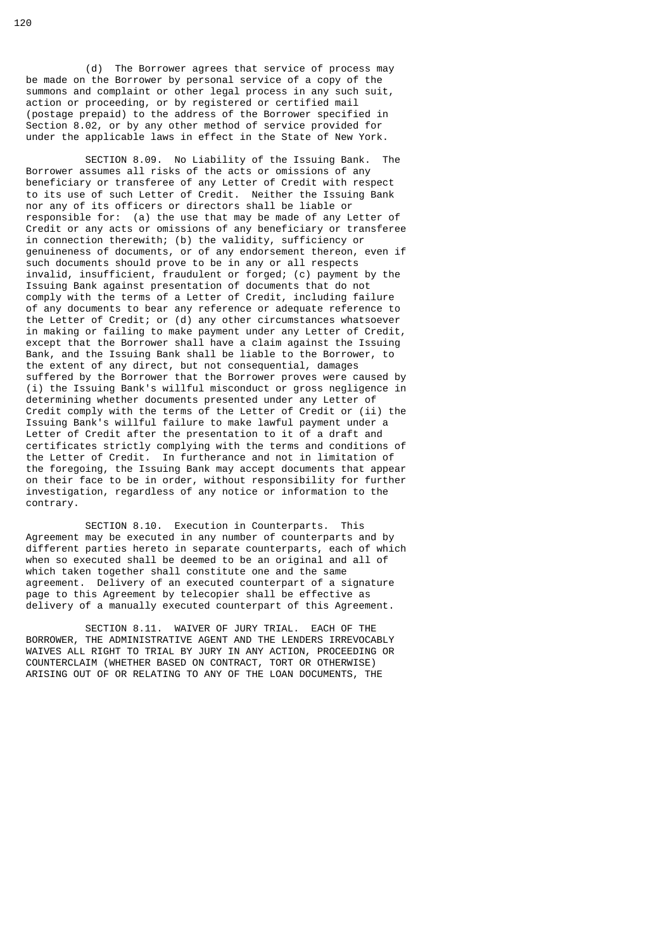(d) The Borrower agrees that service of process may be made on the Borrower by personal service of a copy of the summons and complaint or other legal process in any such suit, action or proceeding, or by registered or certified mail (postage prepaid) to the address of the Borrower specified in Section 8.02, or by any other method of service provided for under the applicable laws in effect in the State of New York.

 SECTION 8.09. No Liability of the Issuing Bank. The Borrower assumes all risks of the acts or omissions of any beneficiary or transferee of any Letter of Credit with respect to its use of such Letter of Credit. Neither the Issuing Bank nor any of its officers or directors shall be liable or responsible for: (a) the use that may be made of any Letter of Credit or any acts or omissions of any beneficiary or transferee in connection therewith; (b) the validity, sufficiency or genuineness of documents, or of any endorsement thereon, even if such documents should prove to be in any or all respects invalid, insufficient, fraudulent or forged; (c) payment by the Issuing Bank against presentation of documents that do not comply with the terms of a Letter of Credit, including failure of any documents to bear any reference or adequate reference to the Letter of Credit; or (d) any other circumstances whatsoever in making or failing to make payment under any Letter of Credit, except that the Borrower shall have a claim against the Issuing Bank, and the Issuing Bank shall be liable to the Borrower, to the extent of any direct, but not consequential, damages suffered by the Borrower that the Borrower proves were caused by (i) the Issuing Bank's willful misconduct or gross negligence in determining whether documents presented under any Letter of Credit comply with the terms of the Letter of Credit or (ii) the Issuing Bank's willful failure to make lawful payment under a Letter of Credit after the presentation to it of a draft and certificates strictly complying with the terms and conditions of the Letter of Credit. In furtherance and not in limitation of the foregoing, the Issuing Bank may accept documents that appear on their face to be in order, without responsibility for further investigation, regardless of any notice or information to the contrary.

 SECTION 8.10. Execution in Counterparts. This Agreement may be executed in any number of counterparts and by different parties hereto in separate counterparts, each of which when so executed shall be deemed to be an original and all of which taken together shall constitute one and the same agreement. Delivery of an executed counterpart of a signature page to this Agreement by telecopier shall be effective as delivery of a manually executed counterpart of this Agreement.

 SECTION 8.11. WAIVER OF JURY TRIAL. EACH OF THE BORROWER, THE ADMINISTRATIVE AGENT AND THE LENDERS IRREVOCABLY WAIVES ALL RIGHT TO TRIAL BY JURY IN ANY ACTION, PROCEEDING OR COUNTERCLAIM (WHETHER BASED ON CONTRACT, TORT OR OTHERWISE) ARISING OUT OF OR RELATING TO ANY OF THE LOAN DOCUMENTS, THE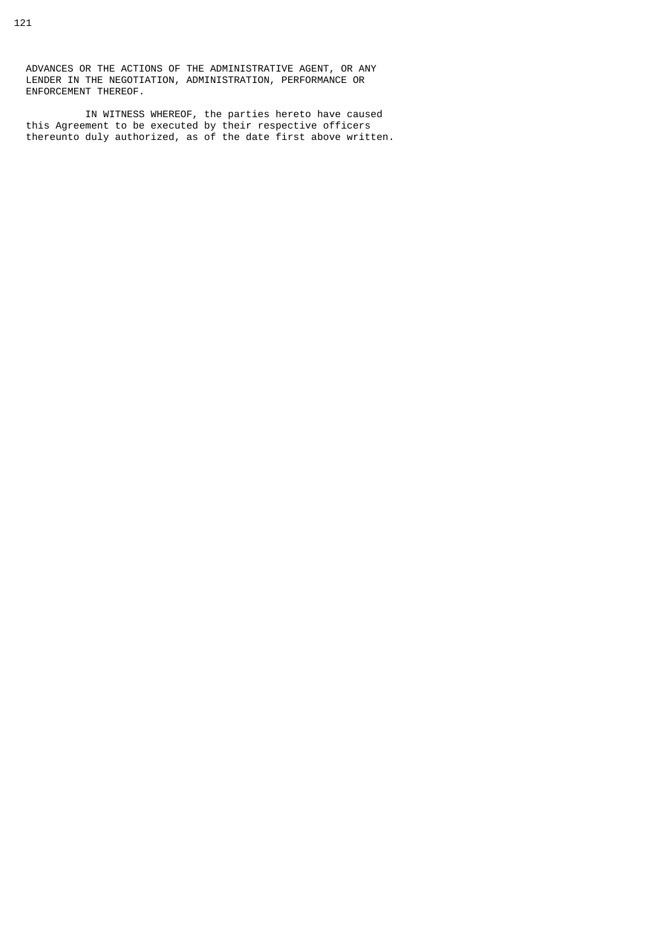IN WITNESS WHEREOF, the parties hereto have caused this Agreement to be executed by their respective officers thereunto duly authorized, as of the date first above written.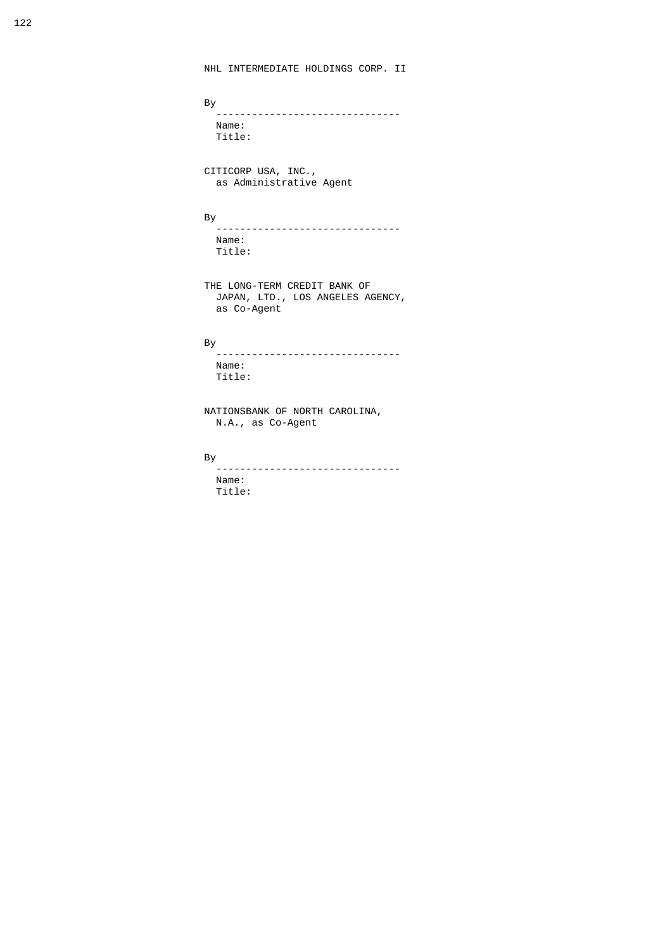```
 By 
   ------------------------------- 
   Name:
  Title:
```
 CITICORP USA, INC., as Administrative Agent

## and the state of the Bystem and the Bystem of the Bystem and the Bystem of the Bystem and the Bystem of the By

 ------------------------------- Name: Title:

 THE LONG-TERM CREDIT BANK OF JAPAN, LTD., LOS ANGELES AGENCY, as Co-Agent

### and the state of the Bystem and the Bystem and the Bystem and the Bystem and the Bystem and the Bystem and the

 ------------------------------- Name: Title:

 NATIONSBANK OF NORTH CAROLINA, N.A., as Co-Agent

# By

 ------------------------------- Name: Title: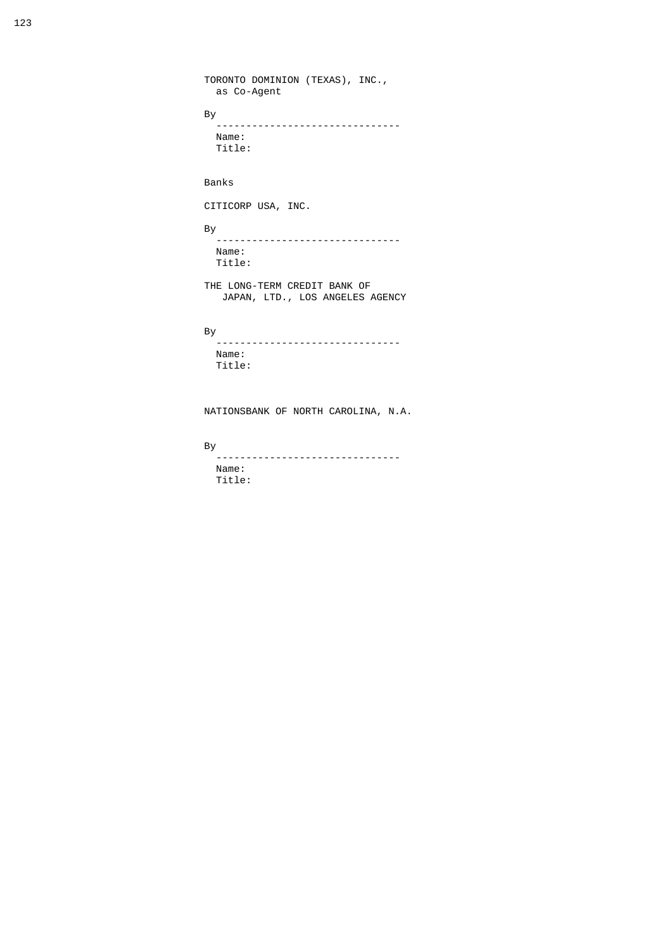```
 TORONTO DOMINION (TEXAS), INC.,
                                                         as Co-Agent
and the state of the Bystem of the Bystem of the Bystem of the Bystem of the Bystem of the Bystem of the Bystem of the Bystem of the Bystem of the Bystem of the Bystem of the Bystem of the Bystem of the Bystem of the Byste
                                                         -------------------------------
                                                        Name:
                                                        Title:
                                                      Banks
                                                      CITICORP USA, INC.
and the state of the Bystem and the Bystem of the Bystem and the Bystem of the Bystem and the Bystem of the By
                                                         -------------------------------
                                                        Name:
                                                        Title:
 THE LONG-TERM CREDIT BANK OF
 JAPAN, LTD., LOS ANGELES AGENCY
and the state of the Bystem and the Bystem of the Bystem and the Bystem of the Bystem and the Bystem of the By
                                                        .<br>---------------------------------
                                                         Name:
                                                         Title:
```
NATIONSBANK OF NORTH CAROLINA, N.A.

By

 ------------------------------- Name: Title: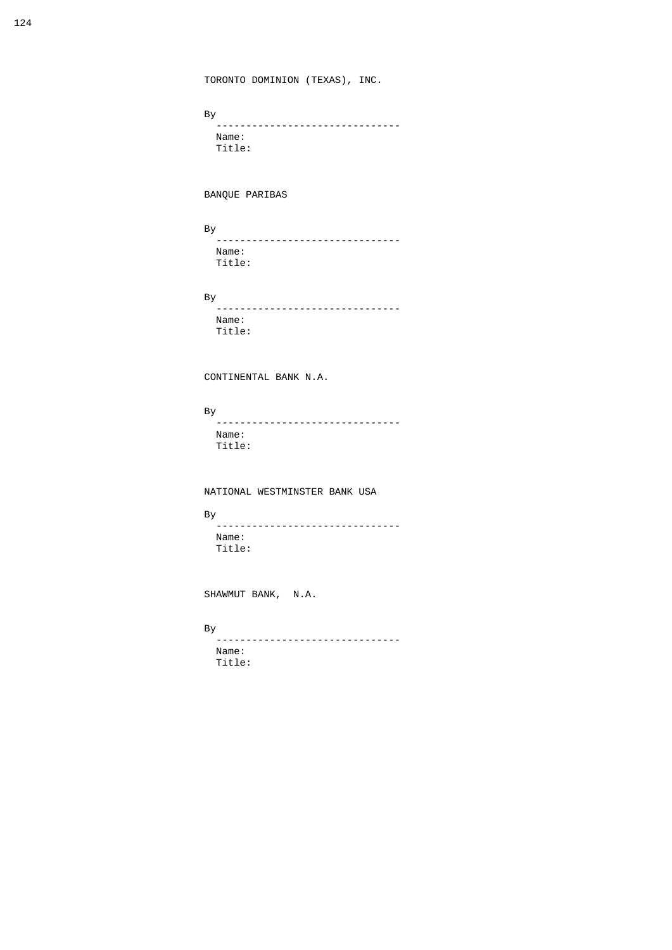TORONTO DOMINION (TEXAS), INC.

and the state of the Bystem of the Bystem of the Bystem of the Bystem of the Bystem of the Bystem of the Bystem of the Bystem of the Bystem of the Bystem of the Bystem of the Bystem of the Bystem of the Bystem of the Byste By<br>---------------------------------- Name: Title:

BANQUE PARIBAS

and the state of the Bystem and the Bystem of the Bystem and the Bystem of the Bystem and the Bystem of the By

 ------------------------------- Name: Title:

and the state of the Bystem and the Bystem of the Bystem and the Bystem of the Bystem and the Bystem of the By

 ------------------------------- Name: Title:

CONTINENTAL BANK N.A.

By

 ------------------------------- Name: Title:

NATIONAL WESTMINSTER BANK USA

and the state of the Bystem and the Bystem of the Bystem and the Bystem of the Bystem and the Bystem of the By

 ------------------------------- Name: Title:

SHAWMUT BANK, N.A.

and the state of the Bystem and the Bystem and the Bystem and the Bystem and the Bystem and the Bystem and the

 ------------------------------- Name: Title: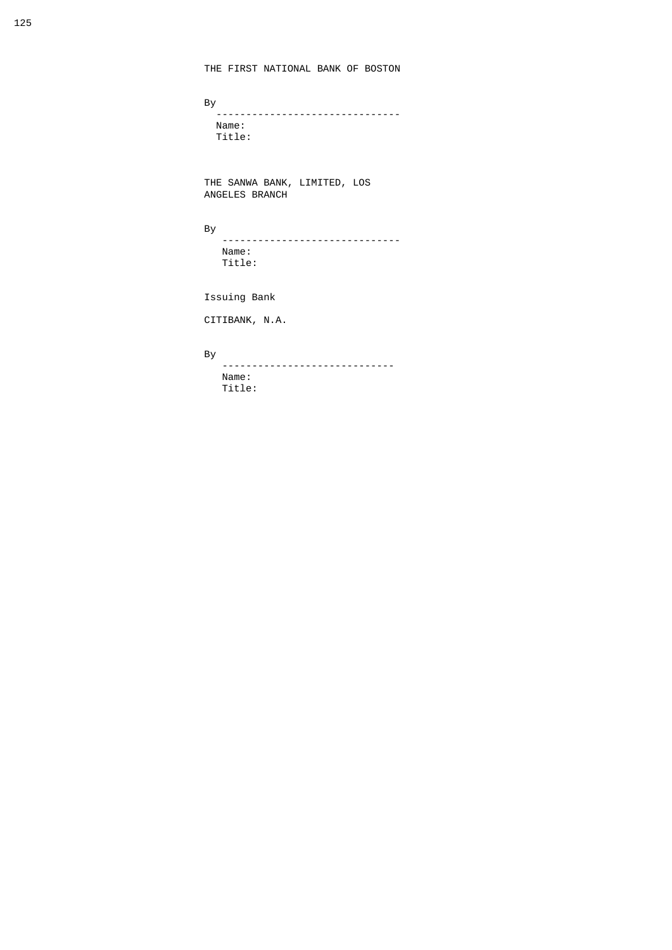and the state of the Bystem of the Bystem of the Bystem of the Bystem of the Bystem of the Bystem of the Bystem of the Bystem of the Bystem of the Bystem of the Bystem of the Bystem of the Bystem of the Bystem of the Byste ------------------------------- Name: Title:

> THE SANWA BANK, LIMITED, LOS ANGELES BRANCH

and the state of the Bystem of the Bystem of the Bystem of the Bystem of the Bystem of the Bystem of the Bystem of the Bystem of the Bystem of the Bystem of the Bystem of the Bystem of the Bystem of the Bystem of the Byste

 ------------------------------ Name: Title:

Issuing Bank

CITIBANK, N.A.

### and the state of the Bystem and the Bystem of the Bystem and the Bystem of the Bystem and the Bystem of the By

By<br>--------------------------------- Name: Title: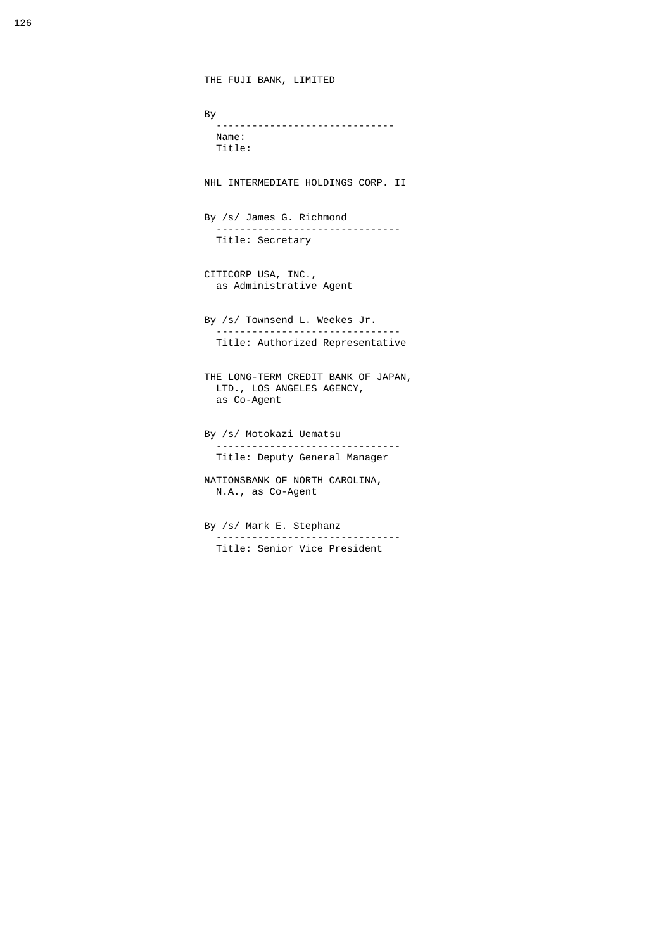```
 THE FUJI BANK, LIMITED
and the state of the Bystem of the Bystem of the Bystem of the Bystem of the Bystem of the Bystem of the Bystem of the Bystem of the Bystem of the Bystem of the Bystem of the Bystem of the Bystem of the Bystem of the Byste
                                               ------------------------------
                                               Name:
                                               Title:
                                            NHL INTERMEDIATE HOLDINGS CORP. II
                                            By /s/ James G. Richmond
                                                 -------------------------------
                                               Title: Secretary
                                            CITICORP USA, INC., 
                                               as Administrative Agent
                                            By /s/ Townsend L. Weekes Jr.
                                                -------------------------------
                                               Title: Authorized Representative
                                            THE LONG-TERM CREDIT BANK OF JAPAN,
                                              LTD., LOS ANGELES AGENCY, 
                                               as Co-Agent
                                            By /s/ Motokazi Uematsu
                                                -------------------------------
                                               Title: Deputy General Manager
                                            NATIONSBANK OF NORTH CAROLINA, 
                                               N.A., as Co-Agent
                                            By /s/ Mark E. Stephanz
                                               -------------------------------
```
Title: Senior Vice President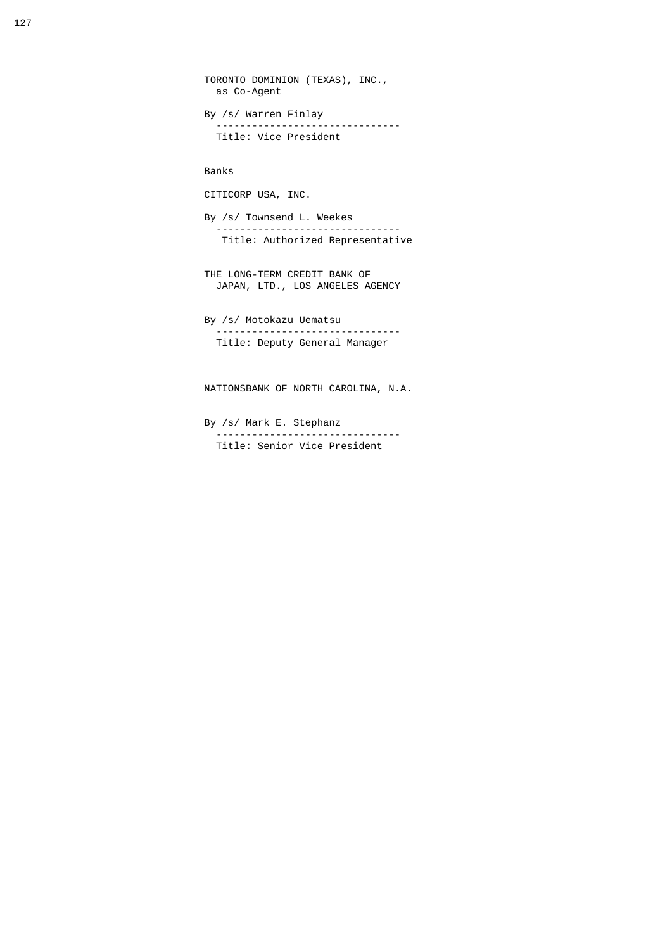```
 TORONTO DOMINION (TEXAS), INC.,
   as Co-Agent
 By /s/ Warren Finlay
    -------------------------------
   Title: Vice President
 Banks
 CITICORP USA, INC.
 By /s/ Townsend L. Weekes
        -------------------------------
   Title: Authorized Representative
 THE LONG-TERM CREDIT BANK OF
  JAPAN, LTD., LOS ANGELES AGENCY
 By /s/ Motokazu Uematsu
   -------------------------------
   Title: Deputy General Manager
 NATIONSBANK OF NORTH CAROLINA, N.A.
```
 By /s/ Mark E. Stephanz ------------------------------- Title: Senior Vice President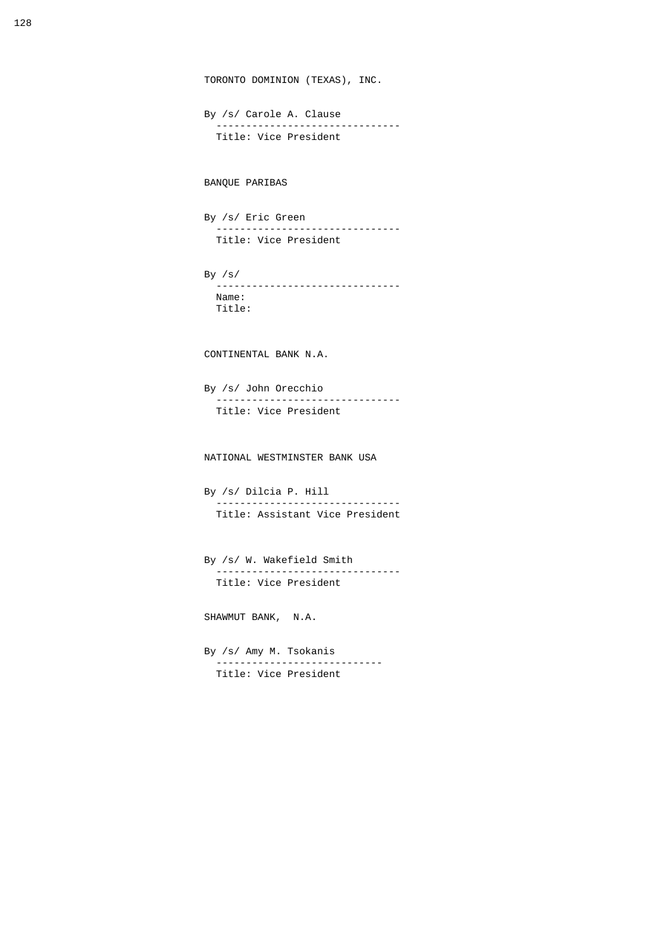```
 TORONTO DOMINION (TEXAS), INC.
 By /s/ Carole A. Clause
    -------------------------------
   Title: Vice President
 BANQUE PARIBAS
 By /s/ Eric Green 
      -------------------------------
   Title: Vice President
 By /s/ 
   -------------------------------
   Name:
   Title:
 CONTINENTAL BANK N.A.
 By /s/ John Orecchio
    -------------------------------
   Title: Vice President
 NATIONAL WESTMINSTER BANK USA
 By /s/ Dilcia P. Hill
    -------------------------------
   Title: Assistant Vice President
 By /s/ W. Wakefield Smith
    -------------------------------
   Title: Vice President
 SHAWMUT BANK, N.A.
 By /s/ Amy M. Tsokanis 
   ----------------------------
  Title: Vice President
```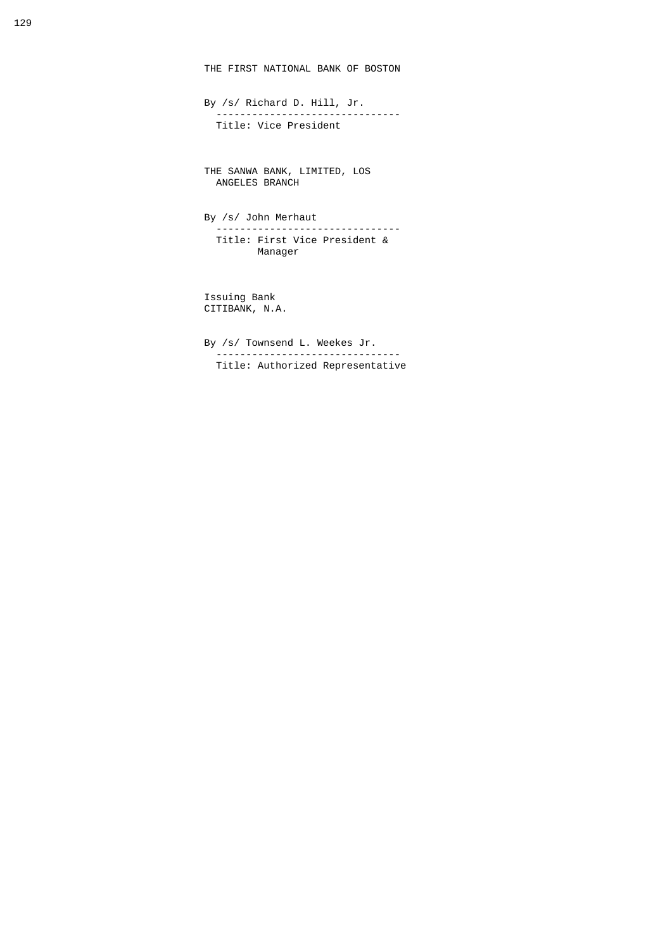THE FIRST NATIONAL BANK OF BOSTON

 By /s/ Richard D. Hill, Jr. ------------------------------- Title: Vice President

 THE SANWA BANK, LIMITED, LOS ANGELES BRANCH

> By /s/ John Merhaut ------------------------------- Title: First Vice President & Manager

 Issuing Bank CITIBANK, N.A.

 By /s/ Townsend L. Weekes Jr. ------------------------------- Title: Authorized Representative